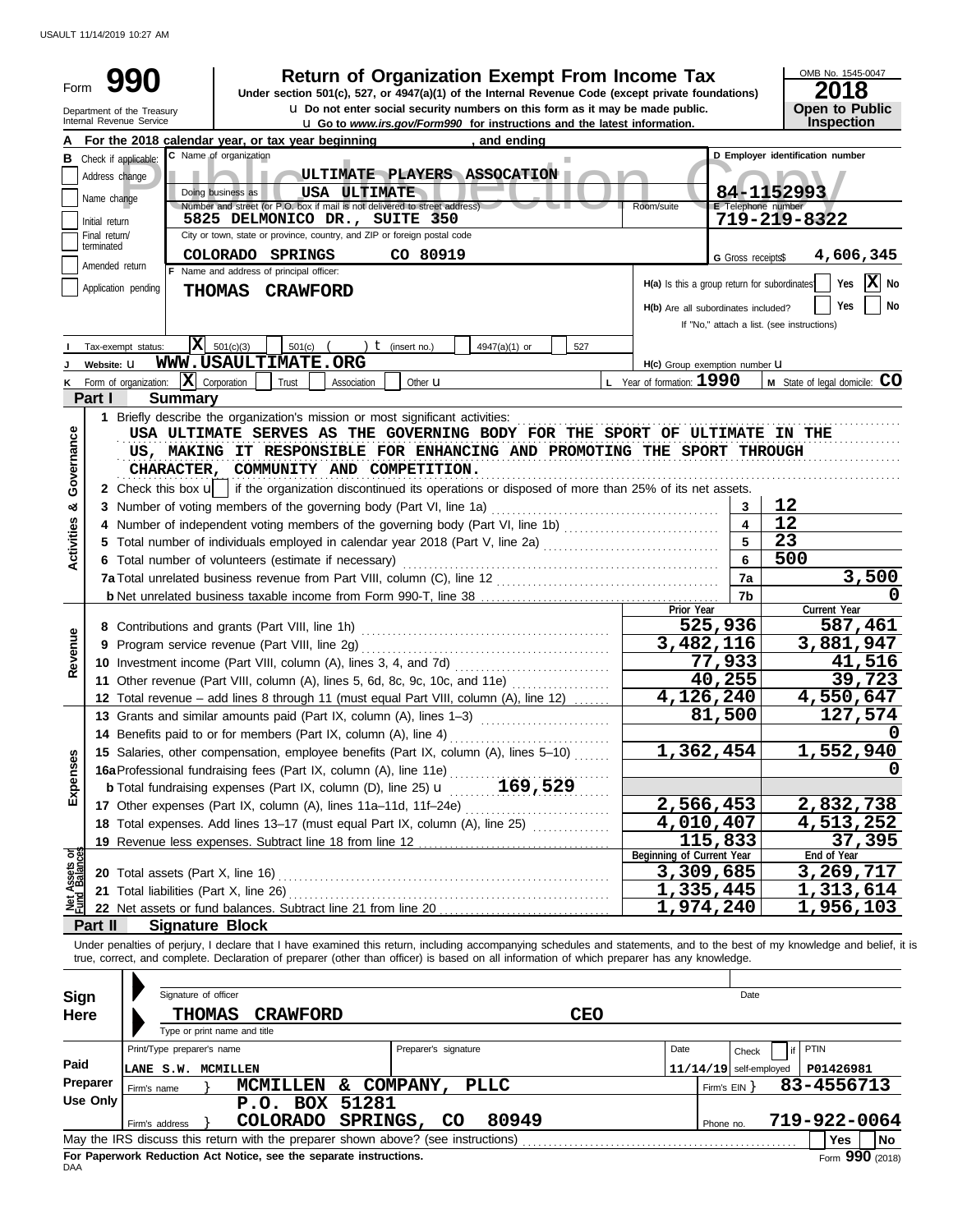USAULT 11/14/2019 10:27 AM

| Form                           |                                                                                                | <b>Return of Organization Exempt From Income Tax</b><br>Under section 501(c), 527, or 4947(a)(1) of the Internal Revenue Code (except private foundations)<br><b>u</b> Do not enter social security numbers on this form as it may be made public.<br>Department of the Treasury                                                                                                                        |                                              |                           | OMB No. 1545-0047<br>2018<br><b>Open to Public</b> |
|--------------------------------|------------------------------------------------------------------------------------------------|---------------------------------------------------------------------------------------------------------------------------------------------------------------------------------------------------------------------------------------------------------------------------------------------------------------------------------------------------------------------------------------------------------|----------------------------------------------|---------------------------|----------------------------------------------------|
|                                |                                                                                                | Internal Revenue Service<br><b>u</b> Go to www.irs.gov/Form990 for instructions and the latest information.                                                                                                                                                                                                                                                                                             |                                              |                           | Inspection                                         |
|                                |                                                                                                | For the 2018 calendar year, or tax year beginning<br>, and ending<br>C Name of organization                                                                                                                                                                                                                                                                                                             |                                              |                           | D Employer identification number                   |
| в                              |                                                                                                | Check if applicable:                                                                                                                                                                                                                                                                                                                                                                                    |                                              |                           |                                                    |
|                                | Address change                                                                                 | ULTIMATE PLAYERS ASSOCATION<br>Doing business as<br>USA ULTIMATE                                                                                                                                                                                                                                                                                                                                        |                                              |                           |                                                    |
|                                | Name change                                                                                    | Number and street (or P.O. box if mail is not delivered to street address)                                                                                                                                                                                                                                                                                                                              | Room/suite                                   | <b>E</b> Telephone number | 84-1152993                                         |
|                                | Initial return                                                                                 | 5825 DELMONICO DR., SUITE 350                                                                                                                                                                                                                                                                                                                                                                           |                                              |                           | 719-219-8322                                       |
|                                | Final return/<br>terminated                                                                    | City or town, state or province, country, and ZIP or foreign postal code                                                                                                                                                                                                                                                                                                                                |                                              |                           |                                                    |
|                                | Amended return                                                                                 | CO 80919<br>COLORADO SPRINGS                                                                                                                                                                                                                                                                                                                                                                            |                                              | G Gross receipts\$        | 4,606,345                                          |
|                                |                                                                                                | F Name and address of principal officer:<br>Application pending<br><b>THOMAS</b><br><b>CRAWFORD</b>                                                                                                                                                                                                                                                                                                     | H(a) Is this a group return for subordinates |                           | $ \mathbf{X} $ No<br>Yes                           |
|                                | Yes<br>No<br>H(b) Are all subordinates included?<br>If "No," attach a list. (see instructions) |                                                                                                                                                                                                                                                                                                                                                                                                         |                                              |                           |                                                    |
|                                |                                                                                                | X <br>501(c)(3)<br>$t$ (insert no.)<br>501(c)<br>527<br>Tax-exempt status:<br>4947(a)(1) or                                                                                                                                                                                                                                                                                                             |                                              |                           |                                                    |
|                                | Website: U                                                                                     | WWW.USAULTIMATE.ORG                                                                                                                                                                                                                                                                                                                                                                                     | H(c) Group exemption number U                |                           |                                                    |
|                                |                                                                                                | $ \mathbf{X} $ Corporation<br>Form of organization:<br>Trust<br>Association<br>Other <b>u</b>                                                                                                                                                                                                                                                                                                           | L Year of formation: 1990                    |                           | M State of legal domicile: CO                      |
|                                | Part I                                                                                         | <b>Summary</b>                                                                                                                                                                                                                                                                                                                                                                                          |                                              |                           |                                                    |
| Governance                     |                                                                                                | 1 Briefly describe the organization's mission or most significant activities:<br>USA ULTIMATE SERVES AS THE GOVERNING BODY FOR THE SPORT OF ULTIMATE IN THE<br>US, MAKING IT RESPONSIBLE FOR ENHANCING AND PROMOTING THE SPORT THROUGH<br>CHARACTER, COMMUNITY AND COMPETITION.<br>2 Check this box u   if the organization discontinued its operations or disposed of more than 25% of its net assets. |                                              |                           |                                                    |
| න්                             |                                                                                                | 3 Number of voting members of the governing body (Part VI, line 1a)                                                                                                                                                                                                                                                                                                                                     |                                              | 3                         | 12                                                 |
|                                |                                                                                                | 4 Number of independent voting members of the governing body (Part VI, line 1b)                                                                                                                                                                                                                                                                                                                         |                                              |                           | 12                                                 |
|                                |                                                                                                |                                                                                                                                                                                                                                                                                                                                                                                                         |                                              |                           | 23                                                 |
| <b>Activities</b>              |                                                                                                | 6 Total number of volunteers (estimate if necessary)                                                                                                                                                                                                                                                                                                                                                    |                                              |                           | 500                                                |
|                                |                                                                                                |                                                                                                                                                                                                                                                                                                                                                                                                         |                                              | 7a                        | 3,500                                              |
|                                |                                                                                                |                                                                                                                                                                                                                                                                                                                                                                                                         |                                              | 7b                        |                                                    |
|                                |                                                                                                |                                                                                                                                                                                                                                                                                                                                                                                                         | Prior Year                                   |                           | Current Year                                       |
|                                |                                                                                                |                                                                                                                                                                                                                                                                                                                                                                                                         |                                              | 525,936                   | 587,461                                            |
| Revenue                        |                                                                                                |                                                                                                                                                                                                                                                                                                                                                                                                         | 3,482,116                                    |                           | 3,881,947                                          |
|                                |                                                                                                | 10 Investment income (Part VIII, column (A), lines 3, 4, and 7d)                                                                                                                                                                                                                                                                                                                                        |                                              | 77,933<br>40,255          | 41,516                                             |
|                                |                                                                                                | 11 Other revenue (Part VIII, column (A), lines 5, 6d, 8c, 9c, 10c, and 11e)                                                                                                                                                                                                                                                                                                                             | 4,126,240                                    |                           | 39,723<br>4,550,647                                |
|                                |                                                                                                | 12 Total revenue - add lines 8 through 11 (must equal Part VIII, column (A), line 12)<br>13 Grants and similar amounts paid (Part IX, column (A), lines 1-3)                                                                                                                                                                                                                                            |                                              | 81,500                    | 127,574                                            |
|                                |                                                                                                | 14 Benefits paid to or for members (Part IX, column (A), line 4)                                                                                                                                                                                                                                                                                                                                        |                                              |                           | 0                                                  |
|                                |                                                                                                | 15 Salaries, other compensation, employee benefits (Part IX, column (A), lines 5-10)                                                                                                                                                                                                                                                                                                                    | 1,362,454                                    |                           | 1,552,940                                          |
| Expenses                       |                                                                                                | 16a Professional fundraising fees (Part IX, column (A), line 11e)                                                                                                                                                                                                                                                                                                                                       |                                              |                           |                                                    |
|                                |                                                                                                | 169,529<br><b>b</b> Total fundraising expenses (Part IX, column (D), line 25) <b>u</b>                                                                                                                                                                                                                                                                                                                  |                                              |                           |                                                    |
|                                |                                                                                                |                                                                                                                                                                                                                                                                                                                                                                                                         | 2,566,453                                    |                           | <u>2,832,738</u>                                   |
|                                |                                                                                                | 18 Total expenses. Add lines 13-17 (must equal Part IX, column (A), line 25)                                                                                                                                                                                                                                                                                                                            | 4,010,407                                    |                           | 4,513,252                                          |
|                                |                                                                                                |                                                                                                                                                                                                                                                                                                                                                                                                         |                                              | 115,833                   | 37,395                                             |
| Net Assets or<br>Fund Balances |                                                                                                |                                                                                                                                                                                                                                                                                                                                                                                                         | Beginning of Current Year                    |                           | End of Year                                        |
|                                |                                                                                                |                                                                                                                                                                                                                                                                                                                                                                                                         | 3,309,685                                    |                           | 3,269,717                                          |
|                                |                                                                                                | 21 Total liabilities (Part X, line 26)                                                                                                                                                                                                                                                                                                                                                                  | 1,335,445                                    |                           | 1,313,614                                          |
|                                |                                                                                                |                                                                                                                                                                                                                                                                                                                                                                                                         | 1,974,240                                    |                           | 1,956,103                                          |
|                                | Part II                                                                                        | <b>Signature Block</b>                                                                                                                                                                                                                                                                                                                                                                                  |                                              |                           |                                                    |
|                                |                                                                                                | Under penalties of perjury, I declare that I have examined this return, including accompanying schedules and statements, and to the best of my knowledge and belief, it is<br>true, correct, and complete. Declaration of preparer (other than officer) is based on all information of which preparer has any knowledge.                                                                                |                                              |                           |                                                    |
| <b>Sign</b>                    |                                                                                                | Signature of officer                                                                                                                                                                                                                                                                                                                                                                                    |                                              | Date                      |                                                    |
| <b>Here</b>                    |                                                                                                | <b>CEO</b><br><b>THOMAS</b><br><b>CRAWFORD</b>                                                                                                                                                                                                                                                                                                                                                          |                                              |                           |                                                    |
|                                |                                                                                                | Type or print name and title                                                                                                                                                                                                                                                                                                                                                                            |                                              |                           |                                                    |
|                                |                                                                                                | Print/Type preparer's name<br>Preparer's signature                                                                                                                                                                                                                                                                                                                                                      | Date                                         | Check                     | PTIN                                               |
| Paid                           |                                                                                                | <b>LANE S.W. MCMILLEN</b>                                                                                                                                                                                                                                                                                                                                                                               |                                              | $11/14/19$ self-employed  | P01426981                                          |
|                                | Preparer                                                                                       | MCMILLEN & COMPANY,<br><b>PLLC</b><br>Firm's name                                                                                                                                                                                                                                                                                                                                                       |                                              | Firm's EIN }              | 83-4556713                                         |
|                                | <b>Use Only</b>                                                                                | P.O. BOX 51281                                                                                                                                                                                                                                                                                                                                                                                          |                                              |                           |                                                    |
|                                |                                                                                                | <b>COLORADO</b><br>SPRINGS,<br>80949<br>CO<br>Firm's address                                                                                                                                                                                                                                                                                                                                            |                                              | Phone no.                 | 719-922-0064                                       |
|                                |                                                                                                | May the IRS discuss this return with the preparer shown above? (see instructions)                                                                                                                                                                                                                                                                                                                       |                                              |                           | <b>Yes</b><br><b>No</b>                            |

|                                                                                                 | Firm's address |  | COLORADO SPRINGS, CO |  | 80949 |  | Phone no. | 719-922-0064 |  |  |  |
|-------------------------------------------------------------------------------------------------|----------------|--|----------------------|--|-------|--|-----------|--------------|--|--|--|
| May the IRS discuss this return with the preparer shown above? (see instructions)<br>Yes<br>'No |                |  |                      |  |       |  |           |              |  |  |  |
| Form 990 (2018)<br>For Paperwork Reduction Act Notice, see the separate instructions.<br>DAA    |                |  |                      |  |       |  |           |              |  |  |  |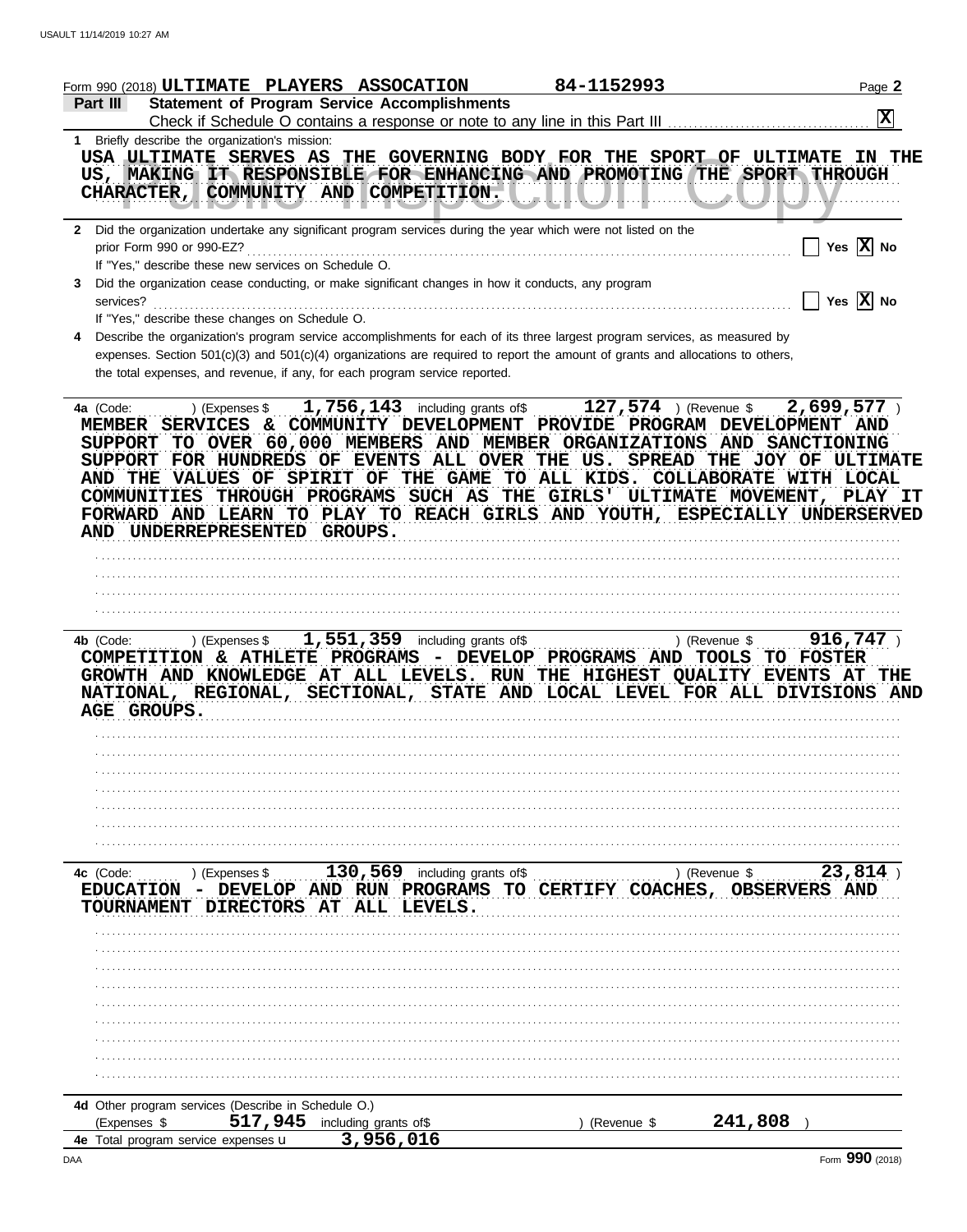|                                                            |                                  | Form 990 (2018) ULTIMATE PLAYERS ASSOCATION                                                        |                                                                        | 84-1152993                                                                                                                                                                                                                                                                                                        |                                       | Page 2                |
|------------------------------------------------------------|----------------------------------|----------------------------------------------------------------------------------------------------|------------------------------------------------------------------------|-------------------------------------------------------------------------------------------------------------------------------------------------------------------------------------------------------------------------------------------------------------------------------------------------------------------|---------------------------------------|-----------------------|
| Part III                                                   |                                  | <b>Statement of Program Service Accomplishments</b>                                                |                                                                        | Check if Schedule O contains a response or note to any line in this Part III                                                                                                                                                                                                                                      |                                       | 図                     |
| 1 Briefly describe the organization's mission:             |                                  |                                                                                                    |                                                                        |                                                                                                                                                                                                                                                                                                                   |                                       |                       |
|                                                            |                                  | CHARACTER, COMMUNITY AND COMPETITION.                                                              |                                                                        | USA ULTIMATE SERVES AS THE GOVERNING BODY FOR THE SPORT OF<br>US, MAKING IT RESPONSIBLE FOR ENHANCING AND PROMOTING THE SPORT THROUGH                                                                                                                                                                             | <b>ULTIMATE</b>                       | IN THE                |
| prior Form 990 or 990-EZ?                                  |                                  |                                                                                                    |                                                                        | 2 Did the organization undertake any significant program services during the year which were not listed on the                                                                                                                                                                                                    |                                       | Yes $\overline{X}$ No |
|                                                            |                                  | If "Yes," describe these new services on Schedule O.                                               |                                                                        |                                                                                                                                                                                                                                                                                                                   |                                       |                       |
|                                                            |                                  | Did the organization cease conducting, or make significant changes in how it conducts, any program |                                                                        |                                                                                                                                                                                                                                                                                                                   |                                       |                       |
| services?                                                  |                                  |                                                                                                    |                                                                        |                                                                                                                                                                                                                                                                                                                   |                                       | Yes $X$ No            |
|                                                            |                                  | If "Yes," describe these changes on Schedule O.                                                    |                                                                        |                                                                                                                                                                                                                                                                                                                   |                                       |                       |
|                                                            |                                  |                                                                                                    |                                                                        | Describe the organization's program service accomplishments for each of its three largest program services, as measured by                                                                                                                                                                                        |                                       |                       |
|                                                            |                                  | the total expenses, and revenue, if any, for each program service reported.                        |                                                                        | expenses. Section 501(c)(3) and 501(c)(4) organizations are required to report the amount of grants and allocations to others,                                                                                                                                                                                    |                                       |                       |
| <b>SUPPORT</b>                                             |                                  | FOR HUNDREDS OF EVENTS ALL OVER<br>AND THE VALUES OF SPIRIT OF<br>AND UNDERREPRESENTED GROUPS.     |                                                                        | TO OVER 60,000 MEMBERS AND MEMBER ORGANIZATIONS AND SANCTIONING<br>THE US. SPREAD THE JOY OF ULTIMATE<br>THE GAME TO ALL KIDS. COLLABORATE WITH LOCAL<br>COMMUNITIES THROUGH PROGRAMS SUCH AS THE GIRLS' ULTIMATE MOVEMENT, PLAY IT<br>FORWARD AND LEARN TO PLAY TO REACH GIRLS AND YOUTH, ESPECIALLY UNDERSERVED |                                       |                       |
|                                                            |                                  |                                                                                                    |                                                                        |                                                                                                                                                                                                                                                                                                                   |                                       |                       |
| 4b (Code:<br>NATIONAL, REGIONAL,<br>AGE GROUPS.            |                                  | ) (Expenses $$1,551,359$ including grants of \$<br>COMPETITION & ATHLETE PROGRAMS                  |                                                                        | - DEVELOP PROGRAMS AND TOOLS TO FOSTER<br>GROWTH AND KNOWLEDGE AT ALL LEVELS. RUN THE HIGHEST QUALITY EVENTS AT THE<br>SECTIONAL, STATE AND LOCAL LEVEL FOR ALL DIVISIONS AND                                                                                                                                     | ) (Revenue \$                         | $916,747$ )           |
|                                                            |                                  |                                                                                                    |                                                                        |                                                                                                                                                                                                                                                                                                                   |                                       |                       |
|                                                            |                                  |                                                                                                    |                                                                        |                                                                                                                                                                                                                                                                                                                   |                                       |                       |
|                                                            |                                  |                                                                                                    |                                                                        |                                                                                                                                                                                                                                                                                                                   |                                       |                       |
|                                                            |                                  |                                                                                                    |                                                                        |                                                                                                                                                                                                                                                                                                                   |                                       |                       |
| 4c (Code:<br>EDUCATION -<br>TOURNAMENT DIRECTORS           | ) (Expenses \$<br><b>DEVELOP</b> | AT ALL                                                                                             | 130,569 including grants of\$<br>AND RUN PROGRAMS TO<br><b>LEVELS.</b> | CERTIFY COACHES,                                                                                                                                                                                                                                                                                                  | ) (Revenue \$<br><b>OBSERVERS AND</b> | 23,814                |
|                                                            |                                  |                                                                                                    |                                                                        |                                                                                                                                                                                                                                                                                                                   |                                       |                       |
|                                                            |                                  |                                                                                                    |                                                                        |                                                                                                                                                                                                                                                                                                                   |                                       |                       |
|                                                            |                                  |                                                                                                    |                                                                        |                                                                                                                                                                                                                                                                                                                   |                                       |                       |
|                                                            |                                  |                                                                                                    |                                                                        |                                                                                                                                                                                                                                                                                                                   |                                       |                       |
|                                                            |                                  |                                                                                                    |                                                                        |                                                                                                                                                                                                                                                                                                                   |                                       |                       |
|                                                            |                                  |                                                                                                    |                                                                        |                                                                                                                                                                                                                                                                                                                   |                                       |                       |
|                                                            |                                  |                                                                                                    |                                                                        |                                                                                                                                                                                                                                                                                                                   |                                       |                       |
|                                                            |                                  |                                                                                                    |                                                                        |                                                                                                                                                                                                                                                                                                                   |                                       |                       |
|                                                            |                                  |                                                                                                    |                                                                        |                                                                                                                                                                                                                                                                                                                   |                                       |                       |
|                                                            |                                  | 4d Other program services (Describe in Schedule O.)                                                |                                                                        |                                                                                                                                                                                                                                                                                                                   |                                       |                       |
| (Expenses \$<br>4e Total program service expenses <b>u</b> |                                  | 517, 945 including grants of\$<br>3,956,016                                                        |                                                                        | (Revenue \$                                                                                                                                                                                                                                                                                                       | 241,808                               |                       |
|                                                            |                                  |                                                                                                    |                                                                        |                                                                                                                                                                                                                                                                                                                   |                                       |                       |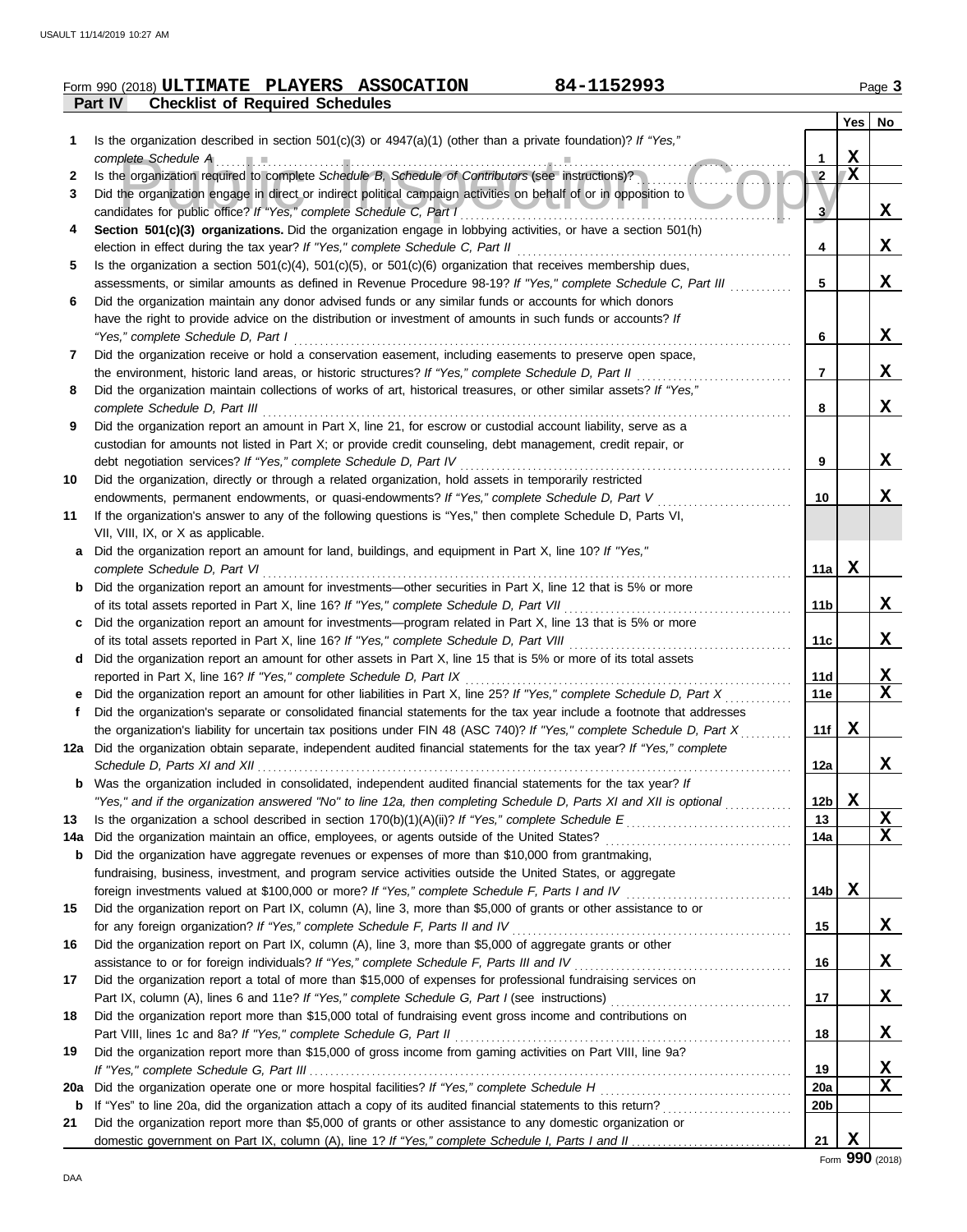|     | 84-1152993<br>Form 990 (2018) ULTIMATE PLAYERS ASSOCATION                                                                                                                                                                              |                 |             | Page 3   |
|-----|----------------------------------------------------------------------------------------------------------------------------------------------------------------------------------------------------------------------------------------|-----------------|-------------|----------|
|     | Part IV<br><b>Checklist of Required Schedules</b>                                                                                                                                                                                      |                 |             |          |
|     |                                                                                                                                                                                                                                        |                 | Yes   No    |          |
| 1   | Is the organization described in section $501(c)(3)$ or $4947(a)(1)$ (other than a private foundation)? If "Yes,"                                                                                                                      |                 |             |          |
|     | complete Schedule A                                                                                                                                                                                                                    | 1               | $\mathbf X$ |          |
| 2   | Is the organization required to complete Schedule B, Schedule of Contributors (see instructions)?                                                                                                                                      | $\sqrt{2}$      | X           |          |
| 3   | Did the organization engage in direct or indirect political campaign activities on behalf of or in opposition to                                                                                                                       |                 |             |          |
|     | candidates for public office? If "Yes," complete Schedule C, Part I                                                                                                                                                                    | 3               |             | X        |
| 4   | Section 501(c)(3) organizations. Did the organization engage in lobbying activities, or have a section 501(h)                                                                                                                          |                 |             |          |
|     | election in effect during the tax year? If "Yes," complete Schedule C, Part II                                                                                                                                                         | 4               |             | X        |
| 5   | Is the organization a section $501(c)(4)$ , $501(c)(5)$ , or $501(c)(6)$ organization that receives membership dues,<br>assessments, or similar amounts as defined in Revenue Procedure 98-19? If "Yes," complete Schedule C, Part III | 5               |             | X        |
| 6   | Did the organization maintain any donor advised funds or any similar funds or accounts for which donors                                                                                                                                |                 |             |          |
|     | have the right to provide advice on the distribution or investment of amounts in such funds or accounts? If                                                                                                                            |                 |             |          |
|     | "Yes," complete Schedule D, Part I                                                                                                                                                                                                     | 6               |             | X        |
| 7   | Did the organization receive or hold a conservation easement, including easements to preserve open space,                                                                                                                              |                 |             |          |
|     | the environment, historic land areas, or historic structures? If "Yes," complete Schedule D, Part II                                                                                                                                   | 7               |             | X        |
| 8   | Did the organization maintain collections of works of art, historical treasures, or other similar assets? If "Yes,"                                                                                                                    |                 |             |          |
|     | complete Schedule D, Part III                                                                                                                                                                                                          | 8               |             | X        |
| 9   | Did the organization report an amount in Part X, line 21, for escrow or custodial account liability, serve as a                                                                                                                        |                 |             |          |
|     | custodian for amounts not listed in Part X; or provide credit counseling, debt management, credit repair, or                                                                                                                           |                 |             |          |
|     | debt negotiation services? If "Yes," complete Schedule D, Part IV                                                                                                                                                                      | 9               |             | X        |
| 10  | Did the organization, directly or through a related organization, hold assets in temporarily restricted                                                                                                                                |                 |             |          |
|     | endowments, permanent endowments, or quasi-endowments? If "Yes," complete Schedule D, Part V                                                                                                                                           | 10              |             | X        |
| 11  | If the organization's answer to any of the following questions is "Yes," then complete Schedule D, Parts VI,                                                                                                                           |                 |             |          |
|     | VII, VIII, IX, or X as applicable.                                                                                                                                                                                                     |                 |             |          |
| а   | Did the organization report an amount for land, buildings, and equipment in Part X, line 10? If "Yes,"                                                                                                                                 |                 |             |          |
|     | complete Schedule D, Part VI                                                                                                                                                                                                           | 11a             | X           |          |
|     | Did the organization report an amount for investments—other securities in Part X, line 12 that is 5% or more                                                                                                                           | 11 <sub>b</sub> |             | X        |
| c   | of its total assets reported in Part X, line 16? If "Yes," complete Schedule D, Part VII<br>Did the organization report an amount for investments—program related in Part X, line 13 that is 5% or more                                |                 |             |          |
|     | of its total assets reported in Part X, line 16? If "Yes," complete Schedule D, Part VIII                                                                                                                                              | 11c             |             | X        |
| d   | Did the organization report an amount for other assets in Part X, line 15 that is 5% or more of its total assets                                                                                                                       |                 |             |          |
|     | reported in Part X, line 16? If "Yes," complete Schedule D, Part IX                                                                                                                                                                    | 11d             |             | <u>x</u> |
|     | Did the organization report an amount for other liabilities in Part X, line 25? If "Yes," complete Schedule D, Part X                                                                                                                  | 11e             |             | X        |
| f   | Did the organization's separate or consolidated financial statements for the tax year include a footnote that addresses                                                                                                                |                 |             |          |
|     | the organization's liability for uncertain tax positions under FIN 48 (ASC 740)? If "Yes," complete Schedule D, Part X                                                                                                                 | 11f             | X           |          |
|     | 12a Did the organization obtain separate, independent audited financial statements for the tax year? If "Yes," complete                                                                                                                |                 |             |          |
|     |                                                                                                                                                                                                                                        | 12a             |             | X        |
| b   | Was the organization included in consolidated, independent audited financial statements for the tax year? If                                                                                                                           |                 |             |          |
|     | "Yes," and if the organization answered "No" to line 12a, then completing Schedule D, Parts XI and XII is optional                                                                                                                     | 12 <sub>b</sub> | X           |          |
| 13  |                                                                                                                                                                                                                                        | 13              |             | X        |
| 14a | Did the organization maintain an office, employees, or agents outside of the United States?                                                                                                                                            | 14a             |             | X        |
| b   | Did the organization have aggregate revenues or expenses of more than \$10,000 from grantmaking,                                                                                                                                       |                 |             |          |
|     | fundraising, business, investment, and program service activities outside the United States, or aggregate                                                                                                                              |                 |             |          |
|     | foreign investments valued at \$100,000 or more? If "Yes," complete Schedule F, Parts I and IV                                                                                                                                         | 14 <sub>b</sub> | X           |          |
| 15  | Did the organization report on Part IX, column (A), line 3, more than \$5,000 of grants or other assistance to or                                                                                                                      | 15              |             | X        |
| 16  | for any foreign organization? If "Yes," complete Schedule F, Parts II and IV<br>Did the organization report on Part IX, column (A), line 3, more than \$5,000 of aggregate grants or other                                             |                 |             |          |
|     |                                                                                                                                                                                                                                        | 16              |             | X        |
| 17  | Did the organization report a total of more than \$15,000 of expenses for professional fundraising services on                                                                                                                         |                 |             |          |
|     |                                                                                                                                                                                                                                        | 17              |             | X.       |
| 18  | Did the organization report more than \$15,000 total of fundraising event gross income and contributions on                                                                                                                            |                 |             |          |
|     | Part VIII, lines 1c and 8a? If "Yes," complete Schedule G, Part II                                                                                                                                                                     | 18              |             | X        |
| 19  | Did the organization report more than \$15,000 of gross income from gaming activities on Part VIII, line 9a?                                                                                                                           |                 |             |          |
|     |                                                                                                                                                                                                                                        | 19              |             | X        |
| 20a |                                                                                                                                                                                                                                        | <b>20a</b>      |             | X        |
| b   |                                                                                                                                                                                                                                        | 20b             |             |          |
| 21  | Did the organization report more than \$5,000 of grants or other assistance to any domestic organization or                                                                                                                            |                 |             |          |
|     |                                                                                                                                                                                                                                        | 21              | X           |          |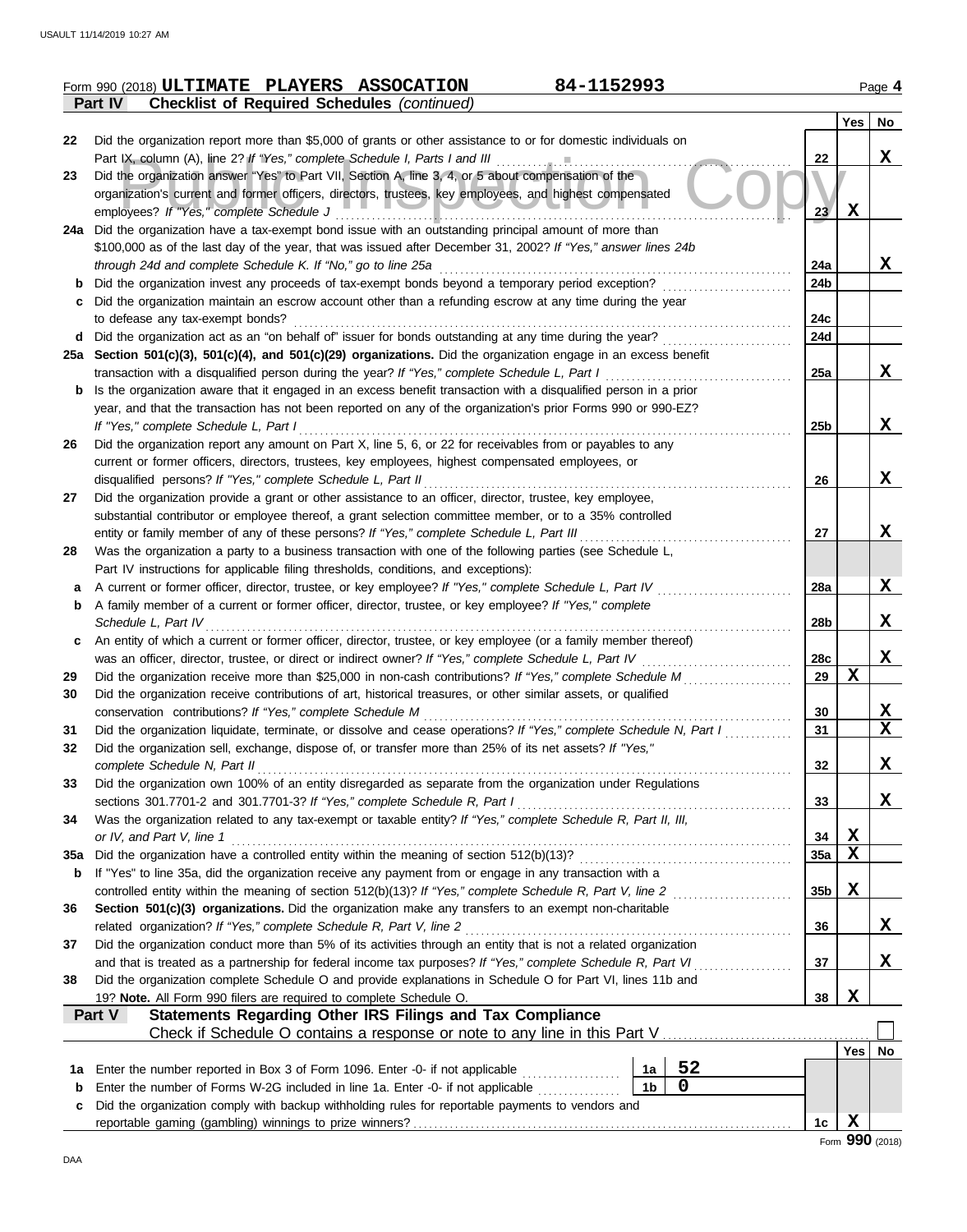|     | 84-1152993<br>Form 990 (2018) ULTIMATE PLAYERS ASSOCATION                                                                                                                                                         |                 |             | Page 4        |
|-----|-------------------------------------------------------------------------------------------------------------------------------------------------------------------------------------------------------------------|-----------------|-------------|---------------|
|     | Part IV<br><b>Checklist of Required Schedules (continued)</b>                                                                                                                                                     |                 |             |               |
|     |                                                                                                                                                                                                                   |                 | Yes         | No            |
| 22  | Did the organization report more than \$5,000 of grants or other assistance to or for domestic individuals on                                                                                                     |                 |             |               |
|     | Part IX, column (A), line 2? If "Yes," complete Schedule I, Parts I and III                                                                                                                                       | 22              |             | $\mathbf x$   |
| 23  | Did the organization answer "Yes" to Part VII, Section A, line 3, 4, or 5 about compensation of the                                                                                                               |                 |             |               |
|     | organization's current and former officers, directors, trustees, key employees, and highest compensated                                                                                                           |                 |             |               |
|     | employees? If "Yes," complete Schedule J                                                                                                                                                                          | 23 <sub>2</sub> | $\mathbf x$ |               |
|     | 24a Did the organization have a tax-exempt bond issue with an outstanding principal amount of more than                                                                                                           |                 |             |               |
|     | \$100,000 as of the last day of the year, that was issued after December 31, 2002? If "Yes," answer lines 24b<br>through 24d and complete Schedule K. If "No," go to line 25a                                     | 24a             |             | X             |
| b   | Did the organization invest any proceeds of tax-exempt bonds beyond a temporary period exception?                                                                                                                 | 24b             |             |               |
| С   | Did the organization maintain an escrow account other than a refunding escrow at any time during the year                                                                                                         |                 |             |               |
|     | to defease any tax-exempt bonds?                                                                                                                                                                                  | 24c             |             |               |
| d   | Did the organization act as an "on behalf of" issuer for bonds outstanding at any time during the year?                                                                                                           | 24d             |             |               |
|     | 25a Section 501(c)(3), 501(c)(4), and 501(c)(29) organizations. Did the organization engage in an excess benefit                                                                                                  |                 |             |               |
|     | transaction with a disqualified person during the year? If "Yes," complete Schedule L, Part I                                                                                                                     | 25a             |             | X             |
| b   | Is the organization aware that it engaged in an excess benefit transaction with a disqualified person in a prior                                                                                                  |                 |             |               |
|     | year, and that the transaction has not been reported on any of the organization's prior Forms 990 or 990-EZ?                                                                                                      |                 |             |               |
|     | If "Yes," complete Schedule L, Part I                                                                                                                                                                             | 25b             |             | X             |
| 26  | Did the organization report any amount on Part X, line 5, 6, or 22 for receivables from or payables to any                                                                                                        |                 |             |               |
|     | current or former officers, directors, trustees, key employees, highest compensated employees, or                                                                                                                 |                 |             |               |
|     | disqualified persons? If "Yes," complete Schedule L, Part II                                                                                                                                                      | 26              |             | X             |
| 27  | Did the organization provide a grant or other assistance to an officer, director, trustee, key employee,                                                                                                          |                 |             |               |
|     | substantial contributor or employee thereof, a grant selection committee member, or to a 35% controlled                                                                                                           |                 |             |               |
|     | entity or family member of any of these persons? If "Yes," complete Schedule L, Part III                                                                                                                          | 27              |             | X             |
| 28  | Was the organization a party to a business transaction with one of the following parties (see Schedule L,                                                                                                         |                 |             |               |
|     | Part IV instructions for applicable filing thresholds, conditions, and exceptions):                                                                                                                               |                 |             |               |
| а   | A current or former officer, director, trustee, or key employee? If "Yes," complete Schedule L, Part IV<br>A family member of a current or former officer, director, trustee, or key employee? If "Yes," complete | 28a             |             | X             |
| b   | Schedule L, Part IV                                                                                                                                                                                               | 28b             |             | X             |
| c   | An entity of which a current or former officer, director, trustee, or key employee (or a family member thereof)                                                                                                   |                 |             |               |
|     | was an officer, director, trustee, or direct or indirect owner? If "Yes," complete Schedule L, Part IV                                                                                                            | 28c             |             | X             |
| 29  | Did the organization receive more than \$25,000 in non-cash contributions? If "Yes," complete Schedule M                                                                                                          | 29              | $\mathbf x$ |               |
| 30  | Did the organization receive contributions of art, historical treasures, or other similar assets, or qualified                                                                                                    |                 |             |               |
|     | conservation contributions? If "Yes," complete Schedule M                                                                                                                                                         | 30              |             | X             |
| 31  | Did the organization liquidate, terminate, or dissolve and cease operations? If "Yes," complete Schedule N, Part I                                                                                                | 31              |             | X             |
| 32  | Did the organization sell, exchange, dispose of, or transfer more than 25% of its net assets? If "Yes,"                                                                                                           |                 |             |               |
|     | complete Schedule N, Part II                                                                                                                                                                                      | 32              |             | X             |
| 33  | Did the organization own 100% of an entity disregarded as separate from the organization under Regulations                                                                                                        |                 |             |               |
|     | sections 301.7701-2 and 301.7701-3? If "Yes," complete Schedule R, Part I                                                                                                                                         | 33              |             | X             |
| 34  | Was the organization related to any tax-exempt or taxable entity? If "Yes," complete Schedule R, Part II, III,                                                                                                    |                 |             |               |
|     | or IV, and Part V, line 1                                                                                                                                                                                         | 34              | X           |               |
| 35a | Did the organization have a controlled entity within the meaning of section 512(b)(13)?                                                                                                                           | 35a             | X           |               |
| b   | If "Yes" to line 35a, did the organization receive any payment from or engage in any transaction with a                                                                                                           |                 |             |               |
|     | controlled entity within the meaning of section 512(b)(13)? If "Yes," complete Schedule R, Part V, line 2                                                                                                         | 35 <sub>b</sub> | X           |               |
| 36  | Section 501(c)(3) organizations. Did the organization make any transfers to an exempt non-charitable                                                                                                              |                 |             |               |
|     | related organization? If "Yes," complete Schedule R, Part V, line 2                                                                                                                                               | 36              |             | X             |
| 37  | Did the organization conduct more than 5% of its activities through an entity that is not a related organization                                                                                                  |                 |             |               |
|     | and that is treated as a partnership for federal income tax purposes? If "Yes," complete Schedule R, Part VI                                                                                                      | 37              |             | X             |
| 38  | Did the organization complete Schedule O and provide explanations in Schedule O for Part VI, lines 11b and                                                                                                        |                 | $\mathbf x$ |               |
|     | 19? Note. All Form 990 filers are required to complete Schedule O.<br><b>Statements Regarding Other IRS Filings and Tax Compliance</b><br>Part V                                                                  | 38              |             |               |
|     | Check if Schedule O contains a response or note to any line in this Part V                                                                                                                                        |                 |             |               |
|     |                                                                                                                                                                                                                   |                 |             | $Yes \mid No$ |
| 1a  | 52<br>Enter the number reported in Box 3 of Form 1096. Enter -0- if not applicable<br>1a                                                                                                                          |                 |             |               |
| b   | $\mathbf 0$<br>1 <sub>b</sub><br>Enter the number of Forms W-2G included in line 1a. Enter -0- if not applicable                                                                                                  |                 |             |               |
| c   | Did the organization comply with backup withholding rules for reportable payments to vendors and                                                                                                                  |                 |             |               |
|     |                                                                                                                                                                                                                   | 1c              | X           |               |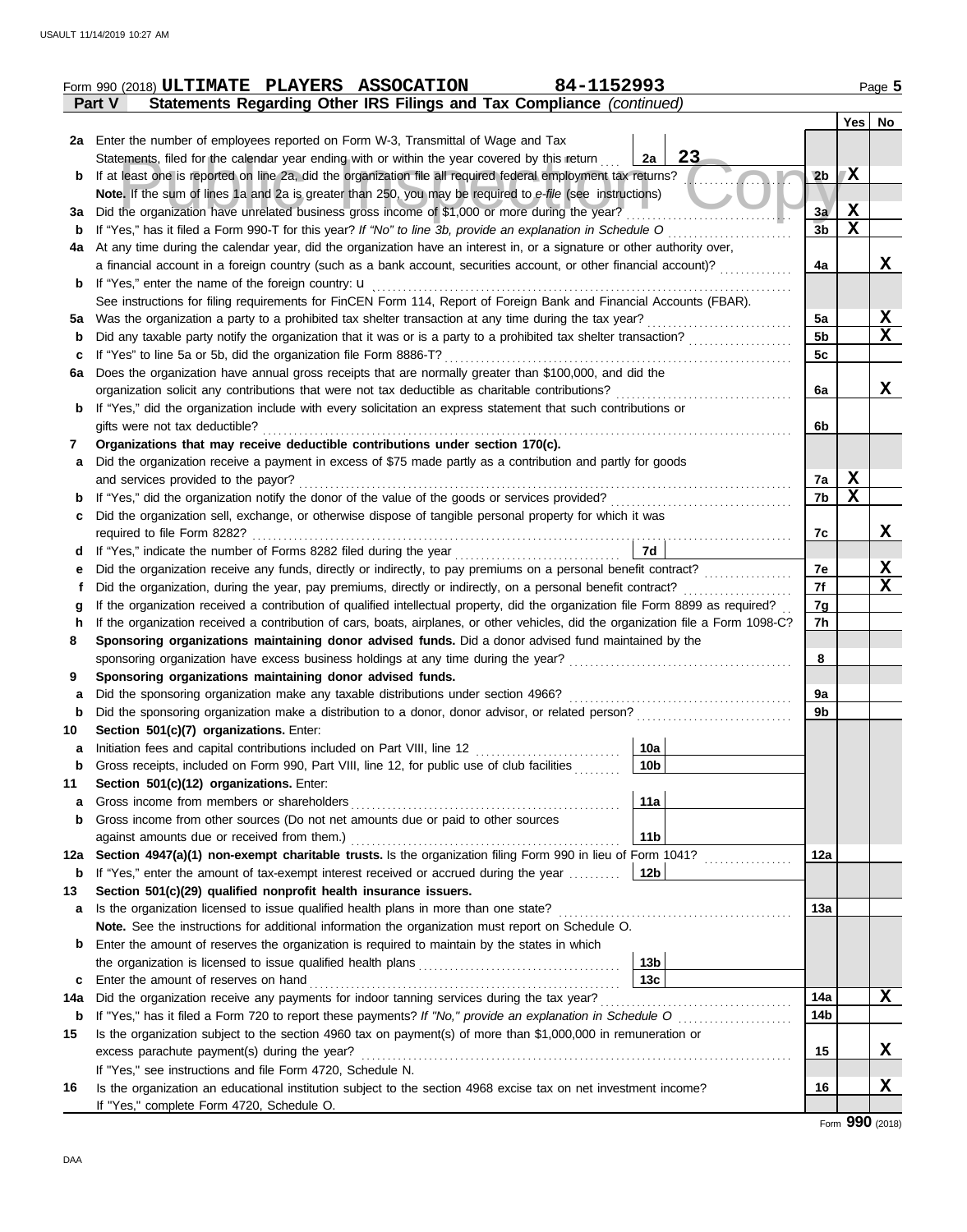|     | 84-1152993<br>Form 990 (2018) ULTIMATE PLAYERS ASSOCATION                                                                          |                |             | Page 5      |
|-----|------------------------------------------------------------------------------------------------------------------------------------|----------------|-------------|-------------|
|     | Statements Regarding Other IRS Filings and Tax Compliance (continued)<br>Part V                                                    |                |             |             |
|     |                                                                                                                                    |                |             | Yes   No    |
|     | 2a Enter the number of employees reported on Form W-3, Transmittal of Wage and Tax                                                 |                |             |             |
|     | 23<br>Statements, filed for the calendar year ending with or within the year covered by this return<br>2a                          |                |             |             |
| b   | If at least one is reported on line 2a, did the organization file all required federal employment tax returns?                     | 2 <sub>b</sub> | 7X          |             |
|     | Note. If the sum of lines 1a and 2a is greater than 250, you may be required to e-file (see instructions)                          |                |             |             |
| За  | Did the organization have unrelated business gross income of \$1,000 or more during the year?                                      | 3a             | $\mathbf x$ |             |
| b   | If "Yes," has it filed a Form 990-T for this year? If "No" to line 3b, provide an explanation in Schedule O                        | 3 <sub>b</sub> | $\mathbf X$ |             |
| 4a  | At any time during the calendar year, did the organization have an interest in, or a signature or other authority over,            |                |             |             |
|     | a financial account in a foreign country (such as a bank account, securities account, or other financial account)?                 | 4a             |             | X           |
| b   | If "Yes," enter the name of the foreign country: <b>u</b>                                                                          |                |             |             |
|     | See instructions for filing requirements for FinCEN Form 114, Report of Foreign Bank and Financial Accounts (FBAR).                |                |             |             |
| 5а  | Was the organization a party to a prohibited tax shelter transaction at any time during the tax year?                              | 5a             |             | X           |
| b   | Did any taxable party notify the organization that it was or is a party to a prohibited tax shelter transaction?                   | 5 <sub>b</sub> |             | $\mathbf x$ |
| c   | If "Yes" to line 5a or 5b, did the organization file Form 8886-T?                                                                  | 5c             |             |             |
| 6a  | Does the organization have annual gross receipts that are normally greater than \$100,000, and did the                             |                |             |             |
|     | organization solicit any contributions that were not tax deductible as charitable contributions?                                   | 6a             |             | X           |
| b   | If "Yes," did the organization include with every solicitation an express statement that such contributions or                     |                |             |             |
|     | gifts were not tax deductible?                                                                                                     | 6b             |             |             |
| 7   | Organizations that may receive deductible contributions under section 170(c).                                                      |                |             |             |
| а   | Did the organization receive a payment in excess of \$75 made partly as a contribution and partly for goods                        |                |             |             |
|     | and services provided to the payor?                                                                                                | 7a             | X           |             |
| b   |                                                                                                                                    | 7b             | X           |             |
| c   | Did the organization sell, exchange, or otherwise dispose of tangible personal property for which it was                           |                |             |             |
|     | required to file Form 8282?                                                                                                        | 7c             |             | X           |
| d   | 7d<br>If "Yes," indicate the number of Forms 8282 filed during the year                                                            |                |             |             |
| е   | Did the organization receive any funds, directly or indirectly, to pay premiums on a personal benefit contract?                    | 7e             |             | X           |
| f   | Did the organization, during the year, pay premiums, directly or indirectly, on a personal benefit contract?                       | 7f             |             | $\mathbf x$ |
| g   | If the organization received a contribution of qualified intellectual property, did the organization file Form 8899 as required?   | 7g             |             |             |
| h   | If the organization received a contribution of cars, boats, airplanes, or other vehicles, did the organization file a Form 1098-C? | 7h             |             |             |
| 8   | Sponsoring organizations maintaining donor advised funds. Did a donor advised fund maintained by the                               |                |             |             |
|     | sponsoring organization have excess business holdings at any time during the year?                                                 | 8              |             |             |
| 9   | Sponsoring organizations maintaining donor advised funds.                                                                          |                |             |             |
| а   | Did the sponsoring organization make any taxable distributions under section 4966?                                                 | 9a             |             |             |
| b   | Did the sponsoring organization make a distribution to a donor, donor advisor, or related person?                                  | 9b             |             |             |
| 10  | Section 501(c)(7) organizations. Enter:                                                                                            |                |             |             |
|     | 10a                                                                                                                                |                |             |             |
| b   | Gross receipts, included on Form 990, Part VIII, line 12, for public use of club facilities<br>10b                                 |                |             |             |
| 11  | Section 501(c)(12) organizations. Enter:                                                                                           |                |             |             |
| a   | 11a<br>Gross income from members or shareholders                                                                                   |                |             |             |
| b   | Gross income from other sources (Do not net amounts due or paid to other sources                                                   |                |             |             |
|     | against amounts due or received from them.)<br>11 <sub>b</sub>                                                                     |                |             |             |
| 12a | Section 4947(a)(1) non-exempt charitable trusts. Is the organization filing Form 990 in lieu of Form 1041?                         | 12a            |             |             |
| b   | If "Yes," enter the amount of tax-exempt interest received or accrued during the year<br>12 <sub>b</sub>                           |                |             |             |
| 13  | Section 501(c)(29) qualified nonprofit health insurance issuers.                                                                   |                |             |             |
| a   | Is the organization licensed to issue qualified health plans in more than one state?                                               | 13а            |             |             |
|     | Note. See the instructions for additional information the organization must report on Schedule O.                                  |                |             |             |
| b   | Enter the amount of reserves the organization is required to maintain by the states in which                                       |                |             |             |
|     | 13 <sub>b</sub>                                                                                                                    |                |             |             |
| c   | 13 <sub>c</sub><br>Enter the amount of reserves on hand                                                                            |                |             |             |
| 14a | Did the organization receive any payments for indoor tanning services during the tax year?                                         | 14a            |             | X           |
| b   |                                                                                                                                    | 14b            |             |             |
| 15  | Is the organization subject to the section 4960 tax on payment(s) of more than \$1,000,000 in remuneration or                      |                |             |             |
|     | excess parachute payment(s) during the year?                                                                                       | 15             |             | X           |
|     | If "Yes," see instructions and file Form 4720, Schedule N.                                                                         |                |             |             |
| 16  | Is the organization an educational institution subject to the section 4968 excise tax on net investment income?                    | 16             |             | X           |
|     | If "Yes," complete Form 4720, Schedule O.                                                                                          |                |             |             |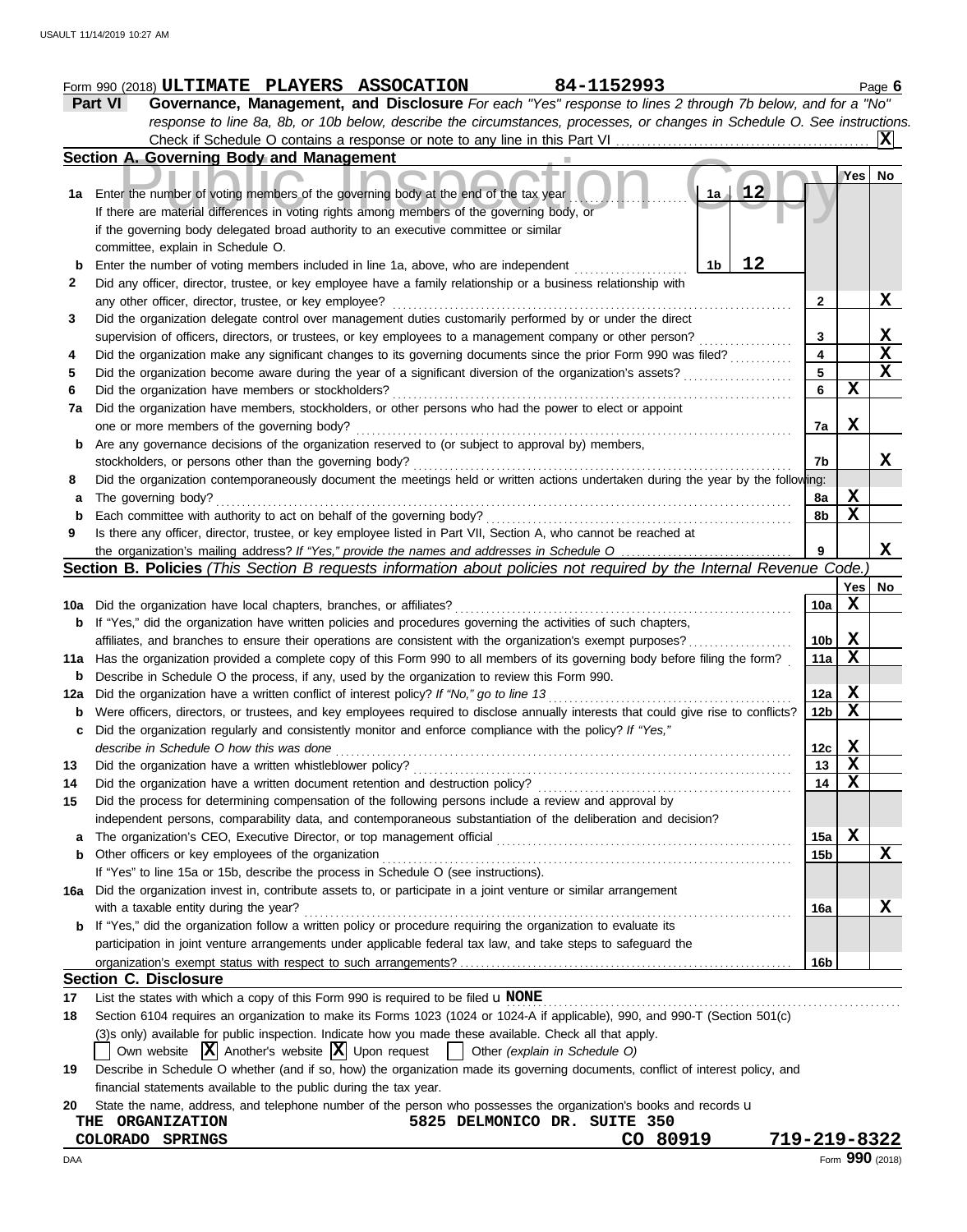|               | 84-1152993<br>Form 990 (2018) ULTIMATE PLAYERS ASSOCATION                                                                           |                 |              | Page 6                                                   |
|---------------|-------------------------------------------------------------------------------------------------------------------------------------|-----------------|--------------|----------------------------------------------------------|
| Part VI       | Governance, Management, and Disclosure For each "Yes" response to lines 2 through 7b below, and for a "No"                          |                 |              |                                                          |
|               | response to line 8a, 8b, or 10b below, describe the circumstances, processes, or changes in Schedule O. See instructions.           |                 |              |                                                          |
|               |                                                                                                                                     |                 |              | X                                                        |
|               | Section A. Governing Body and Management                                                                                            |                 |              |                                                          |
|               |                                                                                                                                     |                 | Yes          | No.                                                      |
|               | $\sqrt{12}$<br>1a Enter the number of voting members of the governing body at the end of the tax year<br>1a                         |                 |              |                                                          |
|               | If there are material differences in voting rights among members of the governing body, or                                          |                 |              |                                                          |
|               | if the governing body delegated broad authority to an executive committee or similar                                                |                 |              |                                                          |
|               | committee, explain in Schedule O.                                                                                                   |                 |              |                                                          |
|               | 12<br>Enter the number of voting members included in line 1a, above, who are independent<br>1b                                      |                 |              |                                                          |
|               | Did any officer, director, trustee, or key employee have a family relationship or a business relationship with                      |                 |              | X                                                        |
|               | any other officer, director, trustee, or key employee?                                                                              | 2               |              |                                                          |
|               | Did the organization delegate control over management duties customarily performed by or under the direct                           |                 |              |                                                          |
|               | supervision of officers, directors, or trustees, or key employees to a management company or other person?                          | 3               |              |                                                          |
|               | Did the organization make any significant changes to its governing documents since the prior Form 990 was filed?                    | 4               |              | $rac{\mathbf{X}}{\mathbf{X}}$<br>$\overline{\mathbf{x}}$ |
|               | Did the organization become aware during the year of a significant diversion of the organization's assets?                          | $5\phantom{1}$  |              |                                                          |
|               | Did the organization have members or stockholders?                                                                                  | 6               | $\mathbf X$  |                                                          |
| 7a            | Did the organization have members, stockholders, or other persons who had the power to elect or appoint                             |                 |              |                                                          |
|               | one or more members of the governing body?                                                                                          | 7a              | X            |                                                          |
| b             | Are any governance decisions of the organization reserved to (or subject to approval by) members,                                   |                 |              |                                                          |
|               | stockholders, or persons other than the governing body?                                                                             | 7b              |              |                                                          |
|               | Did the organization contemporaneously document the meetings held or written actions undertaken during the year by the following:   |                 |              |                                                          |
| a             | The governing body?                                                                                                                 | 8а              | X            |                                                          |
| b             | Each committee with authority to act on behalf of the governing body?                                                               | 8b              | $\mathbf X$  |                                                          |
|               | Is there any officer, director, trustee, or key employee listed in Part VII, Section A, who cannot be reached at                    |                 |              |                                                          |
|               |                                                                                                                                     | 9               |              | X                                                        |
|               | Section B. Policies (This Section B requests information about policies not required by the Internal Revenue Code.                  |                 |              |                                                          |
|               |                                                                                                                                     |                 | Yes          | No                                                       |
|               | 10a Did the organization have local chapters, branches, or affiliates?                                                              | 10a             | X            |                                                          |
| b             | If "Yes," did the organization have written policies and procedures governing the activities of such chapters,                      |                 |              |                                                          |
|               | affiliates, and branches to ensure their operations are consistent with the organization's exempt purposes?                         | 10 <sub>b</sub> | $\mathbf{x}$ |                                                          |
|               | 11a Has the organization provided a complete copy of this Form 990 to all members of its governing body before filing the form?     | 11a             | X            |                                                          |
| b             | Describe in Schedule O the process, if any, used by the organization to review this Form 990.                                       |                 |              |                                                          |
| 12a           | Did the organization have a written conflict of interest policy? If "No," go to line 13                                             | 12a             | X            |                                                          |
| b             | Were officers, directors, or trustees, and key employees required to disclose annually interests that could give rise to conflicts? | 12 <sub>b</sub> | X            |                                                          |
| c             | Did the organization regularly and consistently monitor and enforce compliance with the policy? If "Yes,"                           |                 |              |                                                          |
|               | describe in Schedule O how this was done                                                                                            | 12c             | Χ            |                                                          |
|               | Did the organization have a written whistleblower policy?                                                                           | 13              | X            |                                                          |
|               | Did the organization have a written document retention and destruction policy?                                                      | 14              | X            |                                                          |
|               | Did the process for determining compensation of the following persons include a review and approval by                              |                 |              |                                                          |
|               | independent persons, comparability data, and contemporaneous substantiation of the deliberation and decision?                       |                 |              |                                                          |
|               |                                                                                                                                     | 15a             | X            |                                                          |
|               |                                                                                                                                     | 15 <sub>b</sub> |              |                                                          |
|               |                                                                                                                                     |                 |              |                                                          |
|               | Other officers or key employees of the organization                                                                                 |                 |              |                                                          |
|               | If "Yes" to line 15a or 15b, describe the process in Schedule O (see instructions).                                                 |                 |              |                                                          |
| a<br>b<br>16а | Did the organization invest in, contribute assets to, or participate in a joint venture or similar arrangement                      |                 |              | X                                                        |
|               | with a taxable entity during the year?                                                                                              | 16a             |              |                                                          |
| b             | If "Yes," did the organization follow a written policy or procedure requiring the organization to evaluate its                      |                 |              |                                                          |
|               | participation in joint venture arrangements under applicable federal tax law, and take steps to safeguard the                       | 16 <sub>b</sub> |              |                                                          |

(3)s only) available for public inspection. Indicate how you made these available. Check all that apply.

Own website  $\boxed{\mathbf{X}}$  Another's website  $\boxed{\mathbf{X}}$  Upon request  $\boxed{\phantom{\cdot}}$  Other *(explain in Schedule O)* 

**19** Describe in Schedule O whether (and if so, how) the organization made its governing documents, conflict of interest policy, and financial statements available to the public during the tax year.

**20** State the name, address, and telephone number of the person who possesses the organization's books and records  $\bf u$ 

**THE ORGANIZATION 5825 DELMONICO DR. SUITE 350**

## **COLORADO SPRINGS CO 80919 719-219-8322**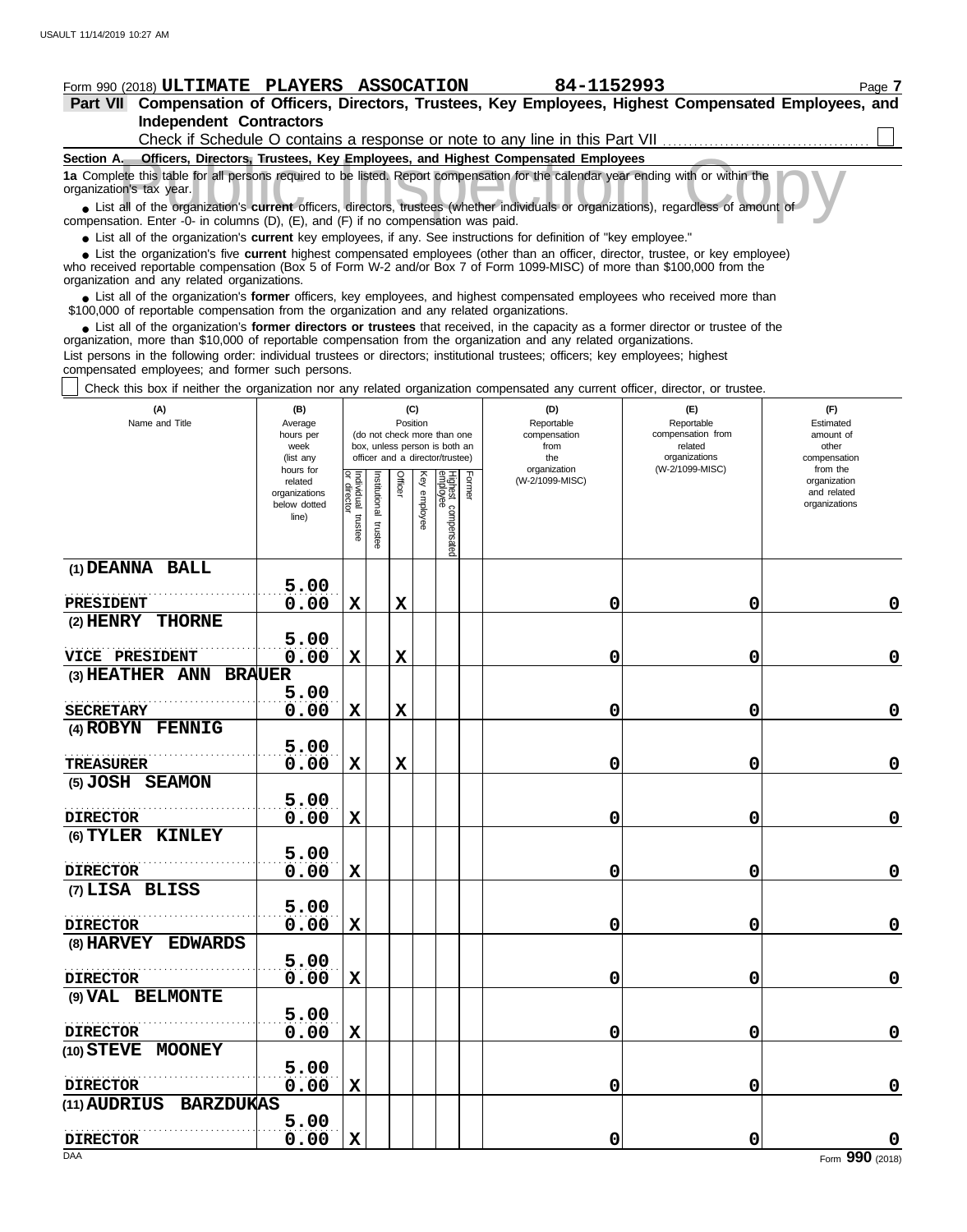# **Form 990 (2018) ULTIMATE PLAYERS ASSOCATION 84-1152993** Page 7

**Part VII Compensation of Officers, Directors, Trustees, Key Employees, Highest Compensated Employees, and Independent Contractors**  $\Box$ 

| Check if Schedule O contains a response or note to any line in this Part VII                                                                                                                                                                                                                                      |  |  |  |  |  |  |  |  |
|-------------------------------------------------------------------------------------------------------------------------------------------------------------------------------------------------------------------------------------------------------------------------------------------------------------------|--|--|--|--|--|--|--|--|
| Officers, Directors, Trustees, Key Employees, and Highest Compensated Employees<br>Section A.                                                                                                                                                                                                                     |  |  |  |  |  |  |  |  |
| 1a Complete this table for all persons required to be listed. Report compensation for the calendar year ending with or within the<br>organization's tax year.                                                                                                                                                     |  |  |  |  |  |  |  |  |
| • List all of the organization's current officers, directors, trustees (whether individuals or organizations), regardless of amount of<br>compensation. Enter -0- in columns $(D)$ , $(E)$ , and $(F)$ if no compensation was paid.                                                                               |  |  |  |  |  |  |  |  |
| • List all of the organization's <b>current</b> key employees, if any. See instructions for definition of "key employee."                                                                                                                                                                                         |  |  |  |  |  |  |  |  |
| • List the organization's five <b>current</b> highest compensated employees (other than an officer, director, trustee, or key employee)<br>who received reportable compensation (Box 5 of Form W-2 and/or Box 7 of Form 1099-MISC) of more than \$100,000 from the<br>organization and any related organizations. |  |  |  |  |  |  |  |  |
| • List all of the organization's former officers, key employees, and highest compensated employees who received more than<br>\$100,000 of reportable compensation from the organization and any related organizations.                                                                                            |  |  |  |  |  |  |  |  |

List all of the organization's **former directors or trustees** that received, in the capacity as a former director or trustee of the • List all of the organization's **former directors or trustees** that received, in the capacity as a former director organization, more than \$10,000 of reportable compensation from the organization and any related organizat

List persons in the following order: individual trustees or directors; institutional trustees; officers; key employees; highest compensated employees; and former such persons.

Check this box if neither the organization nor any related organization compensated any current officer, director, or trustee.

| (A)<br>Name and Title               | (B)<br>Average<br>hours per<br>week<br>(list any<br>hours for |                                   |                         | (C)<br>Position |                 | (do not check more than one<br>box, unless person is both an<br>officer and a director/trustee) |        | (D)<br>Reportable<br>compensation<br>from<br>the<br>organization | (E)<br>Reportable<br>compensation from<br>related<br>organizations<br>(W-2/1099-MISC) | (F)<br>Estimated<br>amount of<br>other<br>compensation<br>from the |
|-------------------------------------|---------------------------------------------------------------|-----------------------------------|-------------------------|-----------------|-----------------|-------------------------------------------------------------------------------------------------|--------|------------------------------------------------------------------|---------------------------------------------------------------------------------------|--------------------------------------------------------------------|
|                                     | related<br>organizations<br>below dotted<br>line)             | Individual trustee<br>or director | nstitutional<br>trustee | Officer         | Key<br>employee | Highest compensated<br>employee                                                                 | Former | (W-2/1099-MISC)                                                  |                                                                                       | organization<br>and related<br>organizations                       |
| (1) DEANNA BALL                     |                                                               |                                   |                         |                 |                 |                                                                                                 |        |                                                                  |                                                                                       |                                                                    |
| <b>PRESIDENT</b>                    | 5.00<br>0.00                                                  | $\mathbf x$                       |                         | $\mathbf x$     |                 |                                                                                                 |        | 0                                                                | 0                                                                                     | $\mathbf 0$                                                        |
| (2) HENRY THORNE                    |                                                               |                                   |                         |                 |                 |                                                                                                 |        |                                                                  |                                                                                       |                                                                    |
|                                     | 5.00                                                          |                                   |                         |                 |                 |                                                                                                 |        |                                                                  |                                                                                       |                                                                    |
| VICE PRESIDENT                      | 0.00                                                          | X                                 |                         | $\mathbf x$     |                 |                                                                                                 |        | 0                                                                | 0                                                                                     | $\pmb{0}$                                                          |
| (3) HEATHER ANN BRAUER              |                                                               |                                   |                         |                 |                 |                                                                                                 |        |                                                                  |                                                                                       |                                                                    |
| <b>SECRETARY</b>                    | 5.00<br>0.00                                                  | $\mathbf X$                       |                         | $\mathbf x$     |                 |                                                                                                 |        | 0                                                                | 0                                                                                     | $\mathbf 0$                                                        |
| (4) ROBYN FENNIG                    |                                                               |                                   |                         |                 |                 |                                                                                                 |        |                                                                  |                                                                                       |                                                                    |
|                                     | 5.00                                                          |                                   |                         |                 |                 |                                                                                                 |        |                                                                  |                                                                                       |                                                                    |
| TREASURER                           | 0.00                                                          | $\mathbf x$                       |                         | $\mathbf x$     |                 |                                                                                                 |        | 0                                                                | 0                                                                                     | $\mathbf 0$                                                        |
| (5) JOSH SEAMON                     |                                                               |                                   |                         |                 |                 |                                                                                                 |        |                                                                  |                                                                                       |                                                                    |
|                                     | 5.00                                                          |                                   |                         |                 |                 |                                                                                                 |        |                                                                  |                                                                                       |                                                                    |
| <b>DIRECTOR</b><br>(6) TYLER KINLEY | 0.00                                                          | $\mathbf x$                       |                         |                 |                 |                                                                                                 |        | 0                                                                | 0                                                                                     | $\mathbf 0$                                                        |
|                                     | 5.00                                                          |                                   |                         |                 |                 |                                                                                                 |        |                                                                  |                                                                                       |                                                                    |
| <b>DIRECTOR</b>                     | 0.00                                                          | $\mathbf X$                       |                         |                 |                 |                                                                                                 |        | 0                                                                | 0                                                                                     | $\mathbf 0$                                                        |
| (7) LISA BLISS                      |                                                               |                                   |                         |                 |                 |                                                                                                 |        |                                                                  |                                                                                       |                                                                    |
|                                     | 5.00                                                          |                                   |                         |                 |                 |                                                                                                 |        |                                                                  |                                                                                       |                                                                    |
| <b>DIRECTOR</b>                     | 0.00                                                          | $\mathbf x$                       |                         |                 |                 |                                                                                                 |        | 0                                                                | 0                                                                                     | $\mathbf 0$                                                        |
| (8) HARVEY EDWARDS                  |                                                               |                                   |                         |                 |                 |                                                                                                 |        |                                                                  |                                                                                       |                                                                    |
|                                     | 5.00                                                          |                                   |                         |                 |                 |                                                                                                 |        |                                                                  |                                                                                       |                                                                    |
| <b>DIRECTOR</b>                     | 0.00                                                          | $\mathbf X$                       |                         |                 |                 |                                                                                                 |        | 0                                                                | $\mathbf 0$                                                                           | $\mathbf 0$                                                        |
| (9) VAL BELMONTE                    |                                                               |                                   |                         |                 |                 |                                                                                                 |        |                                                                  |                                                                                       |                                                                    |
|                                     | 5.00                                                          |                                   |                         |                 |                 |                                                                                                 |        |                                                                  |                                                                                       |                                                                    |
| <b>DIRECTOR</b>                     | 0.00                                                          | $\mathbf x$                       |                         |                 |                 |                                                                                                 |        | 0                                                                | $\mathbf 0$                                                                           | $\mathbf 0$                                                        |
| (10) STEVE MOONEY                   | 5.00                                                          |                                   |                         |                 |                 |                                                                                                 |        |                                                                  |                                                                                       |                                                                    |
| <b>DIRECTOR</b>                     | 0.00                                                          | $\mathbf x$                       |                         |                 |                 |                                                                                                 |        | 0                                                                | 0                                                                                     | $\mathbf 0$                                                        |
| <b>BARZDUKAS</b><br>(11) AUDRIUS    |                                                               |                                   |                         |                 |                 |                                                                                                 |        |                                                                  |                                                                                       |                                                                    |
|                                     | 5.00                                                          |                                   |                         |                 |                 |                                                                                                 |        |                                                                  |                                                                                       |                                                                    |
| <b>DIRECTOR</b>                     | 0.00                                                          | $\mathbf x$                       |                         |                 |                 |                                                                                                 |        | 0                                                                | 0                                                                                     |                                                                    |
| DAA                                 |                                                               |                                   |                         |                 |                 |                                                                                                 |        |                                                                  |                                                                                       | Form 990 (2018)                                                    |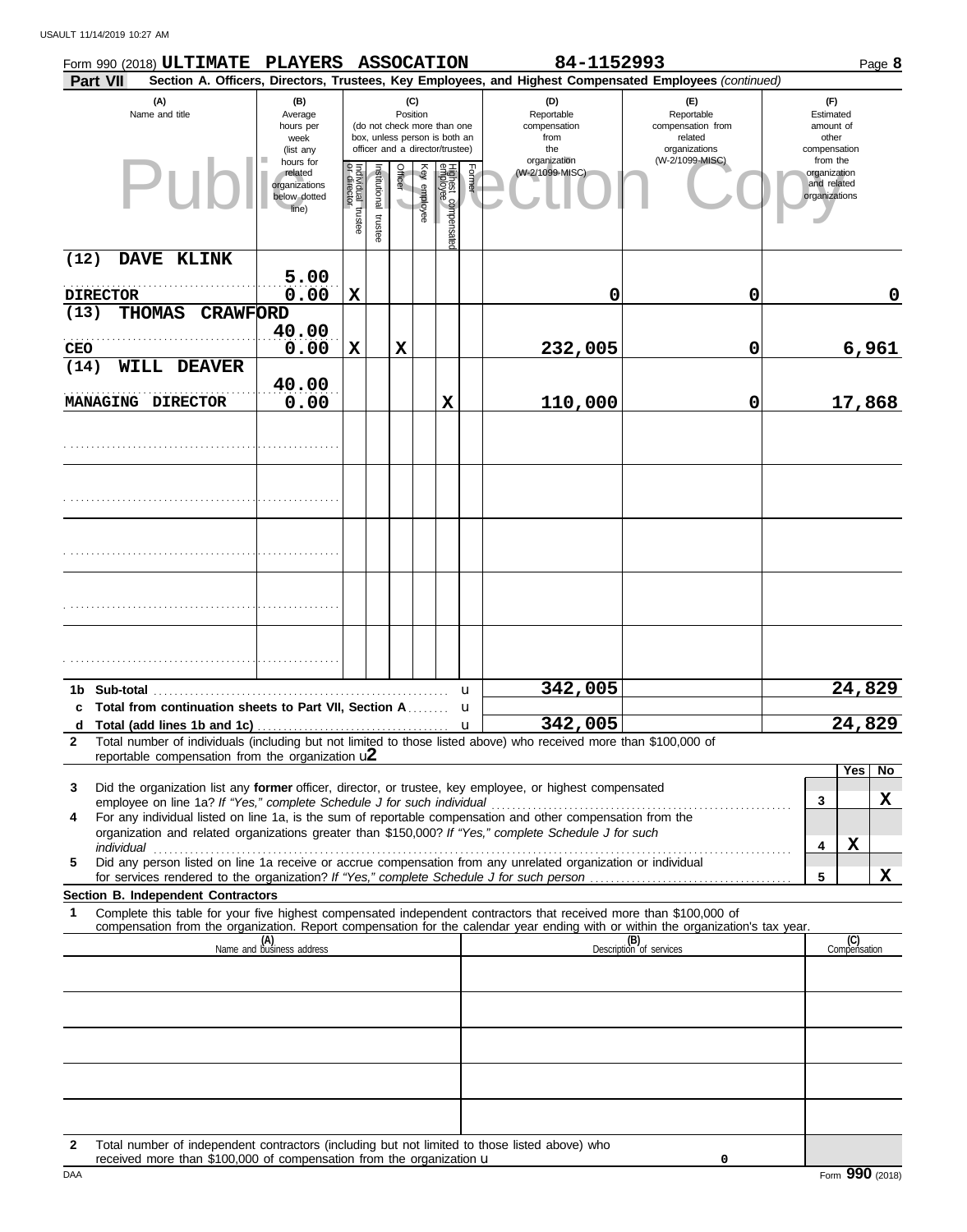|              | Form 990 (2018) ULTIMATE                                                                                                                                                                                                                               | PLAYERS ASSOCATION                                             |                                   |                       |         |                 |                                                                                                 |        | 84-1152993                                                                                             |                                                                    |   |                                                          | Page 8 |
|--------------|--------------------------------------------------------------------------------------------------------------------------------------------------------------------------------------------------------------------------------------------------------|----------------------------------------------------------------|-----------------------------------|-----------------------|---------|-----------------|-------------------------------------------------------------------------------------------------|--------|--------------------------------------------------------------------------------------------------------|--------------------------------------------------------------------|---|----------------------------------------------------------|--------|
|              | Part VII                                                                                                                                                                                                                                               |                                                                |                                   |                       |         |                 |                                                                                                 |        | Section A. Officers, Directors, Trustees, Key Employees, and Highest Compensated Employees (continued) |                                                                    |   |                                                          |        |
|              | (A)<br>Name and title                                                                                                                                                                                                                                  | (B)<br>Average<br>hours per<br>week<br>(list any               |                                   |                       |         | (C)<br>Position | (do not check more than one<br>box, unless person is both an<br>officer and a director/trustee) |        | (D)<br>Reportable<br>compensation<br>from<br>the                                                       | (F)<br>Reportable<br>compensation from<br>related<br>organizations |   | (F)<br>Estimated<br>amount of<br>other<br>compensation   |        |
|              | Pub                                                                                                                                                                                                                                                    | hours for<br>related<br>organizations<br>below dotted<br>line) | Individual trustee<br>or director | Institutional trustee | Officer | Key employee    | Highest compensate<br>employee                                                                  | Former | organization<br>(W-2/1099-MISC)                                                                        | (W-2/1099-MISC)                                                    |   | from the<br>organization<br>and related<br>organizations |        |
| (12)         | DAVE KLINK                                                                                                                                                                                                                                             |                                                                |                                   |                       |         |                 |                                                                                                 |        |                                                                                                        |                                                                    |   |                                                          |        |
|              | <b>DIRECTOR</b>                                                                                                                                                                                                                                        | 5.00<br>0.00                                                   | $\mathbf x$                       |                       |         |                 |                                                                                                 |        |                                                                                                        |                                                                    |   |                                                          |        |
| (13)         | <b>THOMAS</b><br><b>CRAWFORD</b>                                                                                                                                                                                                                       |                                                                |                                   |                       |         |                 |                                                                                                 |        | 0                                                                                                      | 0                                                                  |   |                                                          | 0      |
|              |                                                                                                                                                                                                                                                        | 40.00                                                          |                                   |                       |         |                 |                                                                                                 |        |                                                                                                        |                                                                    |   |                                                          |        |
| <b>CEO</b>   |                                                                                                                                                                                                                                                        | 0.00                                                           | $\mathbf x$                       |                       | X       |                 |                                                                                                 |        | 232,005                                                                                                | 0                                                                  |   |                                                          | 6,961  |
| (14)         | <b>WILL DEAVER</b><br>MANAGING DIRECTOR                                                                                                                                                                                                                | 40.00<br>0.00                                                  |                                   |                       |         |                 | $\mathbf x$                                                                                     |        | 110,000                                                                                                | $\mathbf 0$                                                        |   | 17,868                                                   |        |
|              |                                                                                                                                                                                                                                                        |                                                                |                                   |                       |         |                 |                                                                                                 |        |                                                                                                        |                                                                    |   |                                                          |        |
|              |                                                                                                                                                                                                                                                        |                                                                |                                   |                       |         |                 |                                                                                                 |        |                                                                                                        |                                                                    |   |                                                          |        |
|              |                                                                                                                                                                                                                                                        |                                                                |                                   |                       |         |                 |                                                                                                 |        |                                                                                                        |                                                                    |   |                                                          |        |
|              |                                                                                                                                                                                                                                                        |                                                                |                                   |                       |         |                 |                                                                                                 |        |                                                                                                        |                                                                    |   |                                                          |        |
|              |                                                                                                                                                                                                                                                        |                                                                |                                   |                       |         |                 |                                                                                                 |        |                                                                                                        |                                                                    |   |                                                          |        |
|              |                                                                                                                                                                                                                                                        |                                                                |                                   |                       |         |                 |                                                                                                 | u      | 342,005                                                                                                |                                                                    |   | 24,829                                                   |        |
|              | c Total from continuation sheets to Part VII, Section A                                                                                                                                                                                                |                                                                |                                   |                       |         |                 |                                                                                                 | u      | 342,005                                                                                                |                                                                    |   | 24,829                                                   |        |
| $\mathbf{2}$ | Total number of individuals (including but not limited to those listed above) who received more than \$100,000 of                                                                                                                                      |                                                                |                                   |                       |         |                 |                                                                                                 |        |                                                                                                        |                                                                    |   |                                                          |        |
|              | reportable compensation from the organization $u2$                                                                                                                                                                                                     |                                                                |                                   |                       |         |                 |                                                                                                 |        |                                                                                                        |                                                                    |   |                                                          |        |
| 3            | Did the organization list any former officer, director, or trustee, key employee, or highest compensated                                                                                                                                               |                                                                |                                   |                       |         |                 |                                                                                                 |        |                                                                                                        |                                                                    |   | Yes                                                      | No     |
|              |                                                                                                                                                                                                                                                        |                                                                |                                   |                       |         |                 |                                                                                                 |        |                                                                                                        |                                                                    | 3 |                                                          | X      |
| 4            | For any individual listed on line 1a, is the sum of reportable compensation and other compensation from the<br>organization and related organizations greater than \$150,000? If "Yes," complete Schedule J for such                                   |                                                                |                                   |                       |         |                 |                                                                                                 |        |                                                                                                        |                                                                    |   |                                                          |        |
|              |                                                                                                                                                                                                                                                        |                                                                |                                   |                       |         |                 |                                                                                                 |        |                                                                                                        |                                                                    | 4 | X                                                        |        |
| 5            | Did any person listed on line 1a receive or accrue compensation from any unrelated organization or individual                                                                                                                                          |                                                                |                                   |                       |         |                 |                                                                                                 |        |                                                                                                        |                                                                    | 5 |                                                          | X      |
|              | Section B. Independent Contractors                                                                                                                                                                                                                     |                                                                |                                   |                       |         |                 |                                                                                                 |        |                                                                                                        |                                                                    |   |                                                          |        |
| 1            | Complete this table for your five highest compensated independent contractors that received more than \$100,000 of<br>compensation from the organization. Report compensation for the calendar year ending with or within the organization's tax year. |                                                                |                                   |                       |         |                 |                                                                                                 |        |                                                                                                        |                                                                    |   |                                                          |        |
|              |                                                                                                                                                                                                                                                        | (A)<br>Name and business address                               |                                   |                       |         |                 |                                                                                                 |        |                                                                                                        | (B)<br>Description of services                                     |   | (C)<br>Compensation                                      |        |
|              |                                                                                                                                                                                                                                                        |                                                                |                                   |                       |         |                 |                                                                                                 |        |                                                                                                        |                                                                    |   |                                                          |        |
|              |                                                                                                                                                                                                                                                        |                                                                |                                   |                       |         |                 |                                                                                                 |        |                                                                                                        |                                                                    |   |                                                          |        |
|              |                                                                                                                                                                                                                                                        |                                                                |                                   |                       |         |                 |                                                                                                 |        |                                                                                                        |                                                                    |   |                                                          |        |
|              |                                                                                                                                                                                                                                                        |                                                                |                                   |                       |         |                 |                                                                                                 |        |                                                                                                        |                                                                    |   |                                                          |        |
|              |                                                                                                                                                                                                                                                        |                                                                |                                   |                       |         |                 |                                                                                                 |        |                                                                                                        |                                                                    |   |                                                          |        |
|              |                                                                                                                                                                                                                                                        |                                                                |                                   |                       |         |                 |                                                                                                 |        |                                                                                                        |                                                                    |   |                                                          |        |
|              |                                                                                                                                                                                                                                                        |                                                                |                                   |                       |         |                 |                                                                                                 |        |                                                                                                        |                                                                    |   |                                                          |        |
|              |                                                                                                                                                                                                                                                        |                                                                |                                   |                       |         |                 |                                                                                                 |        |                                                                                                        |                                                                    |   |                                                          |        |
| $\mathbf{2}$ | Total number of independent contractors (including but not limited to those listed above) who                                                                                                                                                          |                                                                |                                   |                       |         |                 |                                                                                                 |        |                                                                                                        |                                                                    |   |                                                          |        |

DAA Form **990** (2018) **0**

received more than \$100,000 of compensation from the organization u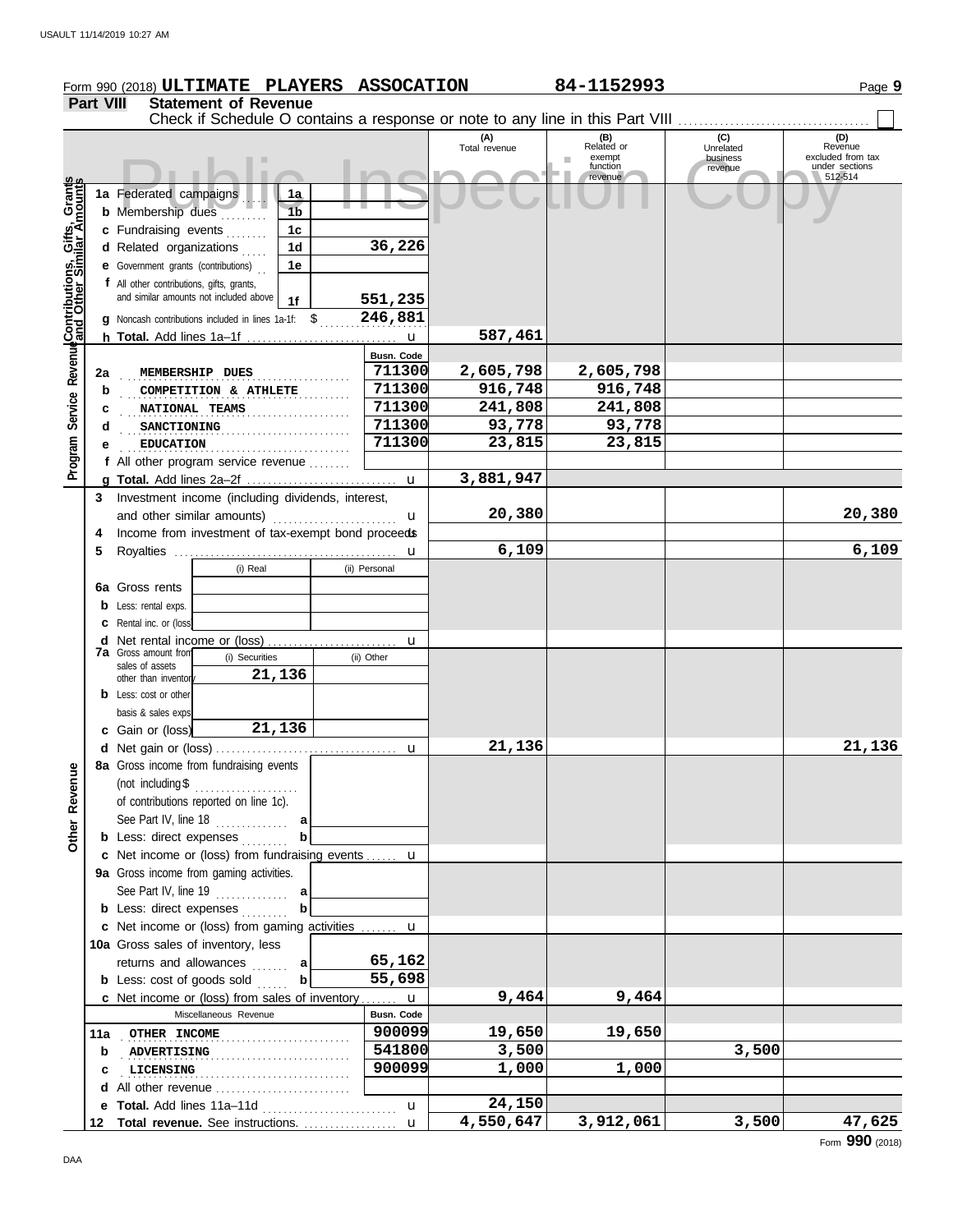|                                              |                  | Form 990 (2018) ULTIMATE PLAYERS ASSOCATION                                     |                           |                      | 84-1152993         |                     | Page 9                              |
|----------------------------------------------|------------------|---------------------------------------------------------------------------------|---------------------------|----------------------|--------------------|---------------------|-------------------------------------|
|                                              | <b>Part VIII</b> | <b>Statement of Revenue</b>                                                     |                           |                      |                    |                     |                                     |
|                                              |                  | Check if Schedule O contains a response or note to any line in this Part VIII   |                           |                      |                    |                     |                                     |
|                                              |                  |                                                                                 |                           | (A)<br>Total revenue | (B)<br>Related or  | (C)<br>Unrelated    | (D)<br>Revenue                      |
|                                              |                  |                                                                                 |                           |                      | exempt<br>function | business<br>revenue | excluded from tax<br>under sections |
|                                              |                  |                                                                                 |                           |                      | revenue            |                     | 512-514                             |
|                                              |                  | 1a Federated campaigns<br>1a<br><b>b</b> Membership dues<br>1 <sub>b</sub>      |                           |                      |                    |                     |                                     |
| Service Revenue Contributions, Gifts, Grants |                  | c Fundraising events<br>1c                                                      |                           |                      |                    |                     |                                     |
|                                              |                  | d Related organizations<br>1 <sub>d</sub>                                       | 36,226                    |                      |                    |                     |                                     |
|                                              |                  | <b>e</b> Government grants (contributions)<br>1e                                |                           |                      |                    |                     |                                     |
|                                              |                  | f All other contributions, gifts, grants,                                       |                           |                      |                    |                     |                                     |
|                                              |                  | and similar amounts not included above<br>1f                                    | 551,235                   |                      |                    |                     |                                     |
|                                              |                  | g Noncash contributions included in lines 1a-1f: \$                             | 246,881                   |                      |                    |                     |                                     |
|                                              |                  |                                                                                 |                           | 587,461              |                    |                     |                                     |
|                                              |                  |                                                                                 | Busn. Code                |                      |                    |                     |                                     |
|                                              | 2a               | MEMBERSHIP DUES                                                                 | 711300                    | 2,605,798            | 2,605,798          |                     |                                     |
|                                              | b                | COMPETITION & ATHLETE                                                           | 711300                    | 916,748              | 916,748            |                     |                                     |
|                                              | С                | NATIONAL TEAMS                                                                  | 711300                    | 241,808              | 241,808            |                     |                                     |
|                                              | d                | SANCTIONING                                                                     | 711300                    | 93,778               | 93,778             |                     |                                     |
|                                              | е                | <b>EDUCATION</b><br>.                                                           | 711300                    | 23,815               | 23,815             |                     |                                     |
| Program                                      |                  | f All other program service revenue                                             |                           | 3,881,947            |                    |                     |                                     |
|                                              |                  |                                                                                 | $\mathbf{u}$              |                      |                    |                     |                                     |
|                                              | 3                | Investment income (including dividends, interest,<br>and other similar amounts) | u                         | 20,380               |                    |                     | 20,380                              |
|                                              | 4                | Income from investment of tax-exempt bond proceeds                              |                           |                      |                    |                     |                                     |
|                                              | 5                |                                                                                 | u                         | 6,109                |                    |                     | 6,109                               |
|                                              |                  | (i) Real                                                                        | (ii) Personal             |                      |                    |                     |                                     |
|                                              |                  | 6a Gross rents                                                                  |                           |                      |                    |                     |                                     |
|                                              |                  | <b>b</b> Less: rental exps.                                                     |                           |                      |                    |                     |                                     |
|                                              |                  | C Rental inc. or (loss)                                                         |                           |                      |                    |                     |                                     |
|                                              |                  |                                                                                 | u                         |                      |                    |                     |                                     |
|                                              |                  | <b>7a</b> Gross amount from<br>(i) Securities<br>sales of assets                | (ii) Other                |                      |                    |                     |                                     |
|                                              |                  | 21,136<br>other than inventor                                                   |                           |                      |                    |                     |                                     |
|                                              |                  | <b>b</b> Less: cost or other                                                    |                           |                      |                    |                     |                                     |
|                                              |                  | basis & sales exps                                                              |                           |                      |                    |                     |                                     |
|                                              |                  | 21,136<br>c Gain or (loss)                                                      |                           |                      |                    |                     |                                     |
|                                              |                  | 8a Gross income from fundraising events                                         |                           | 21,136               |                    |                     | 21,136                              |
|                                              |                  | (not including \$                                                               |                           |                      |                    |                     |                                     |
|                                              |                  | .<br>of contributions reported on line 1c).                                     |                           |                      |                    |                     |                                     |
| Other Revenue                                |                  | See Part IV, line 18 $\ldots$<br>a                                              |                           |                      |                    |                     |                                     |
|                                              |                  | $\mathbf b$<br><b>b</b> Less: direct expenses                                   |                           |                      |                    |                     |                                     |
|                                              |                  | c Net income or (loss) from fundraising events  u                               |                           |                      |                    |                     |                                     |
|                                              |                  | 9a Gross income from gaming activities.                                         |                           |                      |                    |                     |                                     |
|                                              |                  | See Part IV, line $19$<br>a                                                     |                           |                      |                    |                     |                                     |
|                                              |                  | b<br><b>b</b> Less: direct expenses                                             |                           |                      |                    |                     |                                     |
|                                              |                  | c Net income or (loss) from gaming activities                                   | u                         |                      |                    |                     |                                     |
|                                              |                  | 10a Gross sales of inventory, less                                              |                           |                      |                    |                     |                                     |
|                                              |                  | returns and allowances<br>al                                                    | 65,162                    |                      |                    |                     |                                     |
|                                              |                  | <b>b</b> Less: cost of goods sold<br>b                                          | 55,698                    |                      |                    |                     |                                     |
|                                              |                  | c Net income or (loss) from sales of inventory<br>Miscellaneous Revenue         | $\mathbf u$<br>Busn. Code | 9,464                | 9,464              |                     |                                     |
|                                              |                  | 11a OTHER INCOME                                                                | 900099                    | 19,650               | 19,650             |                     |                                     |
|                                              | b                | .<br><b>ADVERTISING</b>                                                         | 541800                    | 3,500                |                    | 3,500               |                                     |
|                                              | c                | LICENSING                                                                       | 900099                    | 1,000                | 1,000              |                     |                                     |
|                                              |                  | d All other revenue                                                             |                           |                      |                    |                     |                                     |
|                                              |                  |                                                                                 | u                         | 24,150               |                    |                     |                                     |
|                                              |                  | 12 Total revenue. See instructions.                                             | $\mathbf u$               | 4,550,647            | 3,912,061          | 3,500               | 47,625                              |

Form **990** (2018)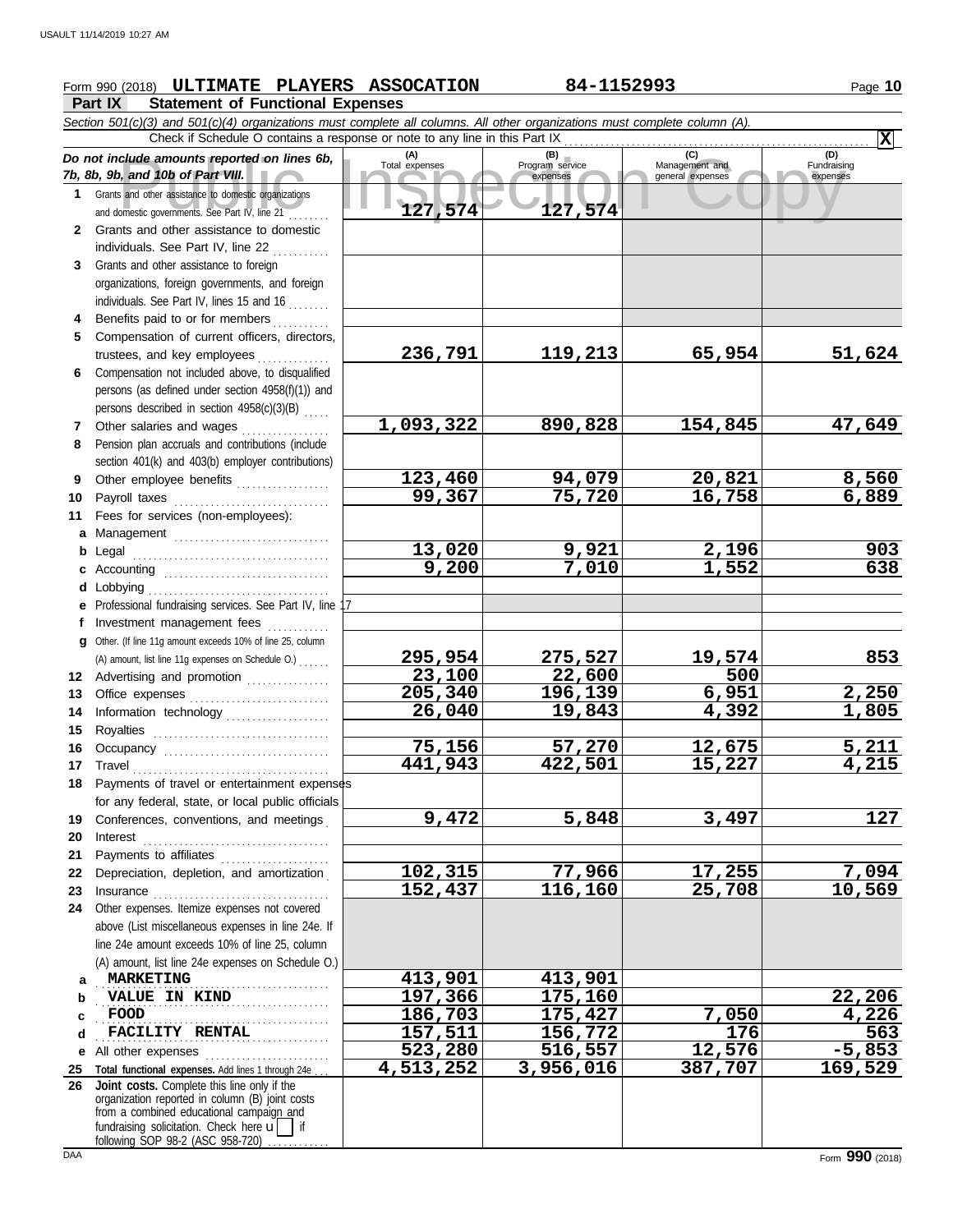## **Form 990 (2018) ULTIMATE PLAYERS ASSOCATION 84-1152993** Page 10

**Part IX Statement of Functional Expenses**

Collate amounts reported on lines 6b, Total expenses<br>
Program service Management and Copyright Service Expenses<br>
and other assistance to domestic organizations<br>
Sand other assistance to domestic organizations<br>
Sand other a *Section 501(c)(3) and 501(c)(4) organizations must complete all columns. All other organizations must complete column (A). Do not include amounts reported on lines 6b, 7b, 8b, 9b, and 10b of Part VIII.* **1 2 3 4 5 6** Compensation not included above, to disqualified **7 8 9 10 11 a** Management .............................. **b** Legal **c** Accounting . . . . . . . . . . . . . . . . . . . . . . . . . . . . . . . . **d e f g 12** Advertising and promotion ............... **13** Office expenses **.......................**... **14 15 16 17** Travel . . . . . . . . . . . . . . . . . . . . . . . . . . . . . . . . . . . . . . **18 19 20 21 22** Depreciation, depletion, and amortization . **23** Insurance . . . . . . . . . . . . . . . . . . . . . . . . . . . . . . . . . . **24** Other expenses. Itemize expenses not covered **a** . . . . . . . . . . . . . . . . . . . . . . . . . . . . . . . . . . . . . . . . . . . . . **MARKETING 413,901 413,901 b c d e** All other expenses . . . . . . . . . . . . . . . . . . . . . . . . **25 Total functional expenses.** Add lines 1 through 24e . . . **26** Grants and other assistance to domestic organizations and domestic governments. See Part IV, line 21 . . . . . . . . Grants and other assistance to domestic individuals. See Part IV, line 22 Grants and other assistance to foreign organizations, foreign governments, and foreign individuals. See Part IV, lines 15 and 16 Benefits paid to or for members . . . . . . . . . . Compensation of current officers, directors, trustees, and key employees .............. persons (as defined under section 4958(f)(1)) and persons described in section 4958(c)(3)(B) . . . . . Other salaries and wages Pension plan accruals and contributions (include section 401(k) and 403(b) employer contributions) Other employee benefits . . . . . . . . . . . . . . . . . . Payroll taxes . . . . . . . . . . . . . . . . . . . . . . . . . . . . . . Fees for services (non-employees): . . . . . . . . . . . . . . . . . . . . . . . . . . . . . . . . . . . . . . Lobbying . . . . . . . . . . . . . . . . . . . . . . . . . . . . . . . . . . . Professional fundraising services. See Part IV, line 17 Investment management fees Other. (If line 11g amount exceeds 10% of line 25, column Information technology . . . . . . . . . . . . . . . . . . . . Royalties . . . . . . . . . . . . . . . . . . . . . . . . . . . . . . . . . . Occupancy . . . . . . . . . . . . . . . . . . . . . . . . . . . . . . . . Payments of travel or entertainment expenses for any federal, state, or local public officials Conferences, conventions, and meetings . Interest . . . . . . . . . . . . . . . . . . . . . . . . . . . . . . . . . . . . Payments to affiliates ...................... above (List miscellaneous expenses in line 24e. If line 24e amount exceeds 10% of line 25, column (A) amount, list line 24e expenses on Schedule O.) fundraising solicitation. Check here  $\mathbf{u}$  | if organization reported in column (B) joint costs from a combined educational campaign and **(A) (B) (C) (D)** Total expenses Program service Management and expenses (B) (C)<br>
Program service Management and expenses general expenses Fundraising expenses . . . . . . . . . . . . . . . . . . . . . . . . . . . . . . . . . . . . . . . . . . . . . **VALUE IN KIND 197,366 175,160 22,206** . . . . . . . . . . . . . . . . . . . . . . . . . . . . . . . . . . . . . . . . . . . . . . . . . . . . . . . . . . . . . . . . . . . . . . . . . . . . . . . . . . . . . . . . . . **FACILITY RENTAL 157,511 156,772 176 563** Check if Schedule O contains a response or note to any line in this Part IX **Joint costs.** Complete this line only if the (A) amount, list line 11g expenses on Schedule O.) . . . . . . **X 127,574 127,574 236,791 119,213 65,954 51,624 1,093,322 890,828 154,845 47,649 123,460 94,079 20,821 8,560 99,367 75,720 16,758 6,889 13,020 9,921 2,196 903 9,200 7,010 1,552 638 295,954 275,527 19,574 853 23,100 22,600 500 205,340 196,139 6,951 2,250 26,040 19,843 4,392 1,805 75,156 57,270 12,675 5,211 441,943 422,501 15,227 4,215 9,472 5,848 3,497 127 102,315 77,966 17,255 7,094 152,437 116,160 25,708 10,569 FOOD 186,703 175,427 7,050 4,226 523,280 516,557 12,576 -5,853 4,513,252 3,956,016 387,707 169,529**

following SOP 98-2 (ASC 958-720)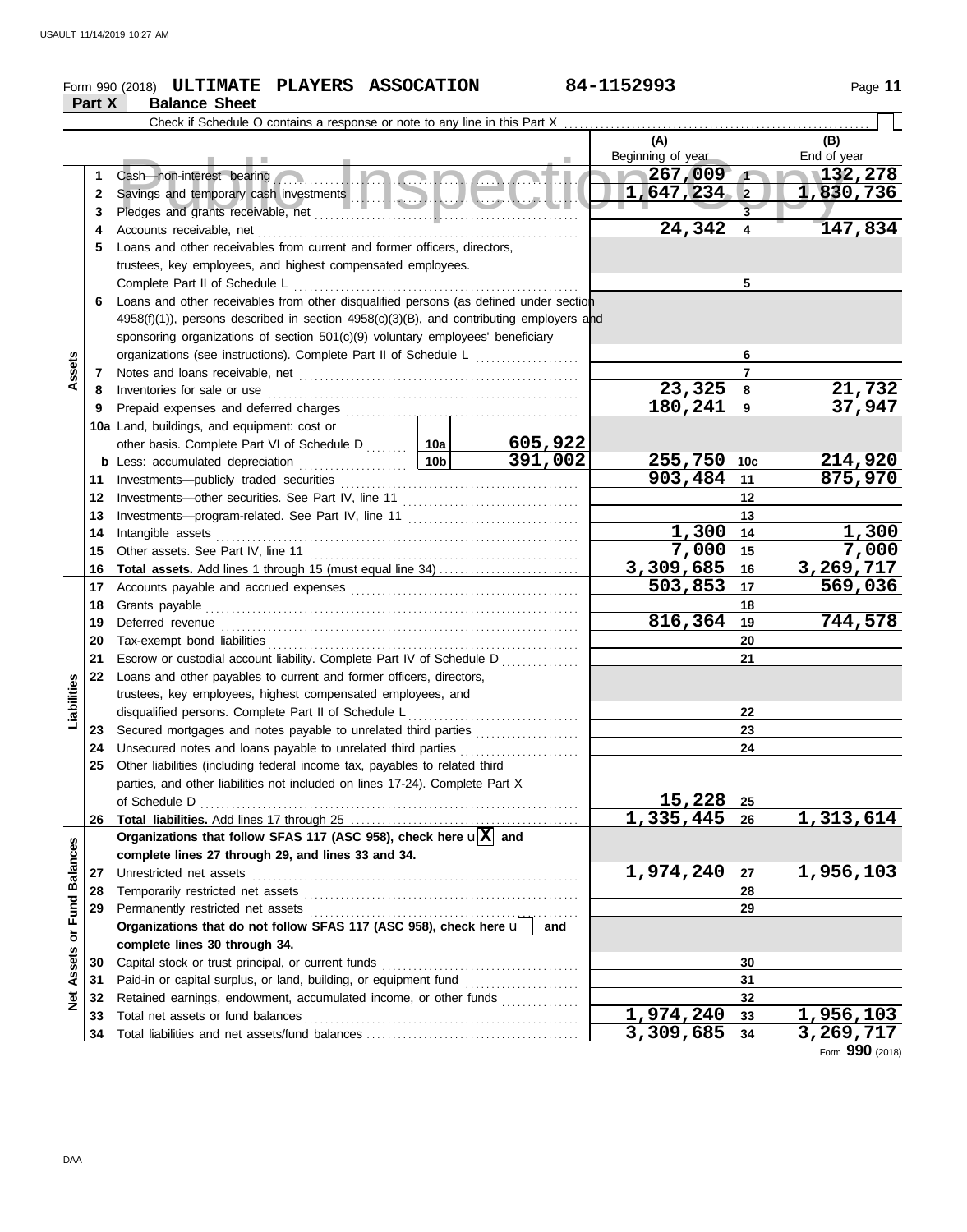## **Form 990 (2018) ULTIMATE PLAYERS ASSOCATION** 84-1152993 Page 11

|                  | Part X   | <b>Balance Sheet</b>                                                                                 |                                                                                                         |                                                   |                          |                |                         |  |  |  |  |  |  |
|------------------|----------|------------------------------------------------------------------------------------------------------|---------------------------------------------------------------------------------------------------------|---------------------------------------------------|--------------------------|----------------|-------------------------|--|--|--|--|--|--|
|                  |          | Check if Schedule O contains a response or note to any line in this Part X                           |                                                                                                         |                                                   |                          |                |                         |  |  |  |  |  |  |
|                  |          |                                                                                                      |                                                                                                         |                                                   | (A)                      |                | (B)                     |  |  |  |  |  |  |
|                  |          |                                                                                                      |                                                                                                         |                                                   | Beginning of year        |                | End of year             |  |  |  |  |  |  |
|                  | 1        | Cash—non-interest bearing                                                                            |                                                                                                         |                                                   | $\sim 267,009$           | $\sqrt{1}$     | 132,278                 |  |  |  |  |  |  |
|                  | 2        |                                                                                                      |                                                                                                         |                                                   | 1,647,234                | $\mathbf{2}$   | 1,830,736               |  |  |  |  |  |  |
|                  | 3        |                                                                                                      |                                                                                                         |                                                   |                          | $\overline{3}$ |                         |  |  |  |  |  |  |
|                  | 4        | Accounts receivable, net                                                                             |                                                                                                         |                                                   | 24,342                   | 4              | 147,834                 |  |  |  |  |  |  |
|                  | 5        | Loans and other receivables from current and former officers, directors,                             |                                                                                                         |                                                   |                          |                |                         |  |  |  |  |  |  |
|                  |          | trustees, key employees, and highest compensated employees.                                          |                                                                                                         |                                                   |                          |                |                         |  |  |  |  |  |  |
|                  |          | Complete Part II of Schedule L                                                                       |                                                                                                         | 5                                                 |                          |                |                         |  |  |  |  |  |  |
|                  | 6        | Loans and other receivables from other disqualified persons (as defined under section                |                                                                                                         |                                                   |                          |                |                         |  |  |  |  |  |  |
|                  |          | $4958(f)(1)$ ), persons described in section $4958(c)(3)(B)$ , and contributing employers and        |                                                                                                         |                                                   |                          |                |                         |  |  |  |  |  |  |
|                  |          | sponsoring organizations of section 501(c)(9) voluntary employees' beneficiary                       |                                                                                                         |                                                   |                          |                |                         |  |  |  |  |  |  |
|                  |          | organizations (see instructions). Complete Part II of Schedule L                                     |                                                                                                         | <u> 1990 - Johann Stoff, Amerikaansk kanton (</u> |                          | 6              |                         |  |  |  |  |  |  |
| Assets           | 7        |                                                                                                      |                                                                                                         | $\overline{7}$                                    |                          |                |                         |  |  |  |  |  |  |
|                  | 8        | Inventories for sale or use                                                                          |                                                                                                         |                                                   | 23,325                   | 8              | $\frac{21,732}{37,947}$ |  |  |  |  |  |  |
|                  | 9        |                                                                                                      |                                                                                                         |                                                   | 180,241                  | 9              |                         |  |  |  |  |  |  |
|                  |          | 10a Land, buildings, and equipment: cost or                                                          |                                                                                                         |                                                   |                          |                |                         |  |  |  |  |  |  |
|                  |          | other basis. Complete Part VI of Schedule D  10a                                                     |                                                                                                         | <u>605,922</u><br>391,002                         |                          |                |                         |  |  |  |  |  |  |
|                  |          | <b>b</b> Less: accumulated depreciation<br>.                                                         | 10 <sub>b</sub>                                                                                         |                                                   | $255,750$ 10c<br>903,484 |                | 214,920<br>875,970      |  |  |  |  |  |  |
|                  | 11       | Investments-publicly traded securities                                                               | 11<br>12                                                                                                |                                                   |                          |                |                         |  |  |  |  |  |  |
|                  | 12<br>13 |                                                                                                      | Investments-other securities. See Part IV, line 11<br>Investments-program-related. See Part IV, line 11 |                                                   |                          |                |                         |  |  |  |  |  |  |
|                  | 14       | Intangible assets                                                                                    |                                                                                                         |                                                   | 1,300                    | 13<br>14       | 1,300                   |  |  |  |  |  |  |
|                  | 15       | Other assets. See Part IV, line 11                                                                   |                                                                                                         |                                                   | 7,000                    | 15             | 7,000                   |  |  |  |  |  |  |
|                  | 16       | <b>Total assets.</b> Add lines 1 through 15 (must equal line 34)                                     |                                                                                                         |                                                   | $\overline{3,309,685}$   | 16             | 3,269,717               |  |  |  |  |  |  |
|                  | 17       |                                                                                                      |                                                                                                         |                                                   | 503,853                  | 17             | 569,036                 |  |  |  |  |  |  |
|                  | 18       | Grants payable                                                                                       |                                                                                                         | 18                                                |                          |                |                         |  |  |  |  |  |  |
|                  | 19       | Deferred revenue                                                                                     | 816,364                                                                                                 | 19                                                | 744,578                  |                |                         |  |  |  |  |  |  |
|                  | 20       | Tax-exempt bond liabilities                                                                          |                                                                                                         | 20                                                |                          |                |                         |  |  |  |  |  |  |
|                  | 21       | Escrow or custodial account liability. Complete Part IV of Schedule D                                |                                                                                                         |                                                   |                          | 21             |                         |  |  |  |  |  |  |
|                  | 22       | Loans and other payables to current and former officers, directors,                                  |                                                                                                         |                                                   |                          |                |                         |  |  |  |  |  |  |
| Liabilities      |          | trustees, key employees, highest compensated employees, and                                          |                                                                                                         |                                                   |                          |                |                         |  |  |  |  |  |  |
|                  |          | disqualified persons. Complete Part II of Schedule L                                                 |                                                                                                         |                                                   |                          | 22             |                         |  |  |  |  |  |  |
|                  | 23       | Secured mortgages and notes payable to unrelated third parties                                       |                                                                                                         |                                                   |                          | 23             |                         |  |  |  |  |  |  |
|                  | 24       | Unsecured notes and loans payable to unrelated third parties                                         |                                                                                                         |                                                   |                          | 24             |                         |  |  |  |  |  |  |
|                  |          | Other liabilities (including federal income tax, payables to related third                           |                                                                                                         |                                                   |                          |                |                         |  |  |  |  |  |  |
|                  |          | parties, and other liabilities not included on lines 17-24). Complete Part X                         |                                                                                                         |                                                   |                          |                |                         |  |  |  |  |  |  |
|                  |          | of Schedule D                                                                                        |                                                                                                         |                                                   | 15,228<br>1,335,445      | 25<br>26       | 1,313,614               |  |  |  |  |  |  |
|                  | 26       | Organizations that follow SFAS 117 (ASC 958), check here $\mathbf{u}[\overline{X}]$ and              |                                                                                                         |                                                   |                          |                |                         |  |  |  |  |  |  |
|                  |          | complete lines 27 through 29, and lines 33 and 34.                                                   |                                                                                                         |                                                   |                          |                |                         |  |  |  |  |  |  |
|                  | 27       | Unrestricted net assets                                                                              |                                                                                                         |                                                   | 1,974,240                | 27             | 1,956,103               |  |  |  |  |  |  |
|                  | 28       | Temporarily restricted net assets                                                                    |                                                                                                         |                                                   |                          | 28             |                         |  |  |  |  |  |  |
|                  | 29       | Permanently restricted net assets                                                                    |                                                                                                         |                                                   |                          | 29             |                         |  |  |  |  |  |  |
| or Fund Balances |          | Organizations that do not follow SFAS 117 (ASC 958), check here u                                    |                                                                                                         | and                                               |                          |                |                         |  |  |  |  |  |  |
|                  |          | complete lines 30 through 34.                                                                        |                                                                                                         |                                                   |                          |                |                         |  |  |  |  |  |  |
| Assets           | 30       | Capital stock or trust principal, or current funds                                                   |                                                                                                         |                                                   |                          | 30             |                         |  |  |  |  |  |  |
|                  | 31       | Paid-in or capital surplus, or land, building, or equipment fund [[[[[[[[[[[[[[[[[[[[[[[[[[[[[[[[[[[ |                                                                                                         |                                                   |                          | 31             |                         |  |  |  |  |  |  |
| <b>Net</b>       | 32       | Retained earnings, endowment, accumulated income, or other funds                                     |                                                                                                         |                                                   |                          | 32             |                         |  |  |  |  |  |  |
|                  | 33       | Total net assets or fund balances                                                                    |                                                                                                         |                                                   | 1,974,240                | 33             | <u>1,956,103</u>        |  |  |  |  |  |  |
|                  | 34       |                                                                                                      |                                                                                                         |                                                   | <u>3,309,685</u>         | 34             | 3,269,717               |  |  |  |  |  |  |

Form **990** (2018)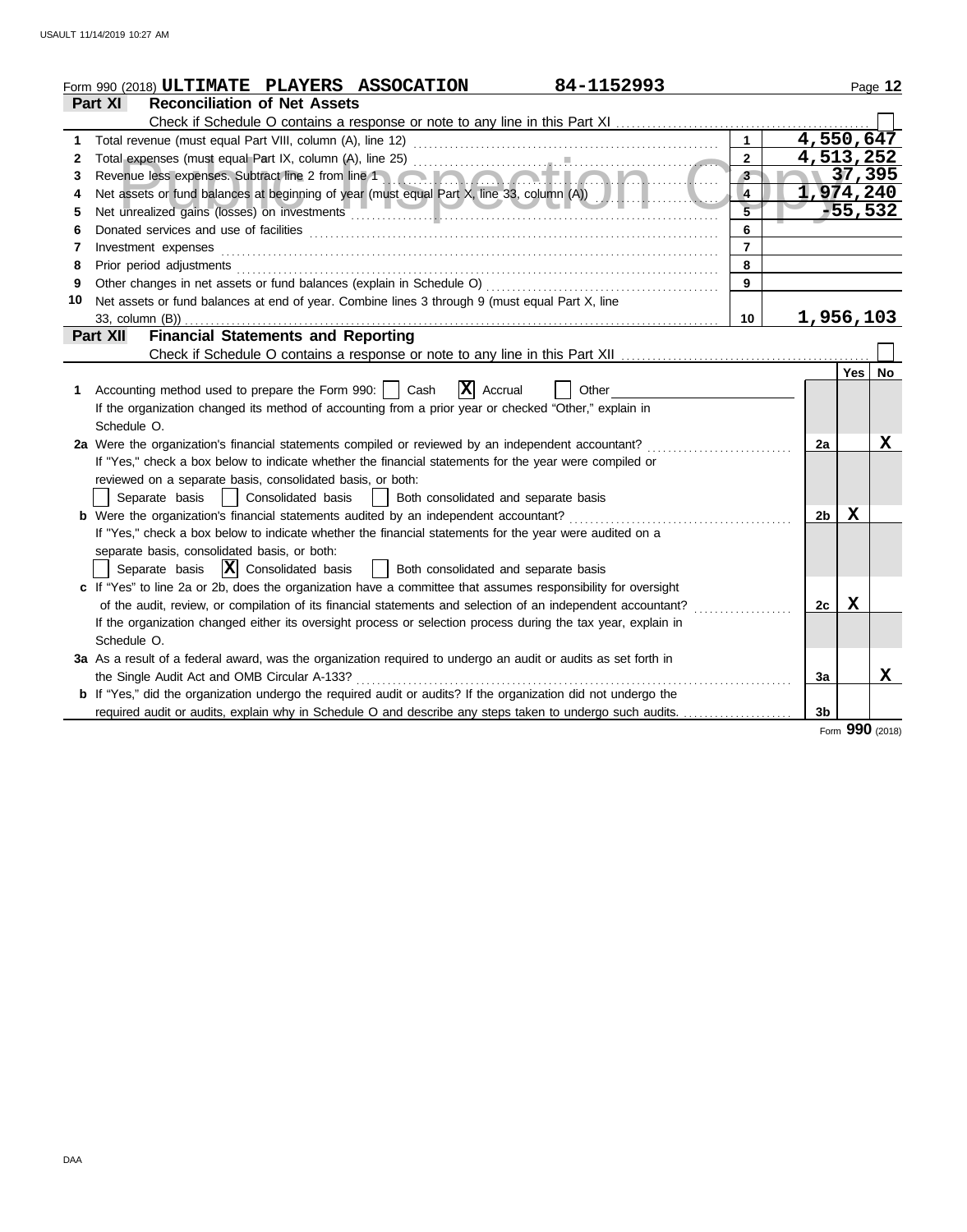| <b>Reconciliation of Net Assets</b><br>Part XI<br>4,550,647<br>$\mathbf{1}$<br>1<br>4,513,252<br>$\overline{2}$<br>2<br>37,395<br>Revenue less expenses. Subtract line 2 from line 1<br>3 <sup>2</sup><br>3<br>1,974,240<br>Net assets or fund balances at beginning of year (must equal Part X, line 33, column (A))<br>$\overline{4}$<br>4<br>$-55,532$<br>5<br>6<br>6<br>$\overline{7}$<br>Investment expenses<br>7<br>8<br>8<br>Prior period adjustments [11, 12] and the contract of the contract of the contract of the contract of the contract of the contract of the contract of the contract of the contract of the contract of the contract of the cont<br>9<br>9<br>10<br>Net assets or fund balances at end of year. Combine lines 3 through 9 (must equal Part X, line<br><u>1,956,103</u><br>33, column (B))<br>10<br><b>Financial Statements and Reporting</b><br>Part XII<br>Yes<br>$ \mathbf{X} $ Accrual<br>Accounting method used to prepare the Form 990:     Cash<br>Other<br>1.<br>If the organization changed its method of accounting from a prior year or checked "Other," explain in<br>Schedule O.<br>2a Were the organization's financial statements compiled or reviewed by an independent accountant?<br>2a<br>If "Yes," check a box below to indicate whether the financial statements for the year were compiled or<br>reviewed on a separate basis, consolidated basis, or both:<br>Both consolidated and separate basis<br>Separate basis<br>Consolidated basis<br>$\sim$ 1 $\sim$ 1<br>х<br><b>b</b> Were the organization's financial statements audited by an independent accountant?<br>2 <sub>b</sub><br>If "Yes," check a box below to indicate whether the financial statements for the year were audited on a<br>separate basis, consolidated basis, or both:<br>Separate basis $ \mathbf{X} $ Consolidated basis<br>  Both consolidated and separate basis<br>c If "Yes" to line 2a or 2b, does the organization have a committee that assumes responsibility for oversight<br>X<br>of the audit, review, or compilation of its financial statements and selection of an independent accountant?<br>2c<br>If the organization changed either its oversight process or selection process during the tax year, explain in<br>Schedule O.<br>3a As a result of a federal award, was the organization required to undergo an audit or audits as set forth in<br>the Single Audit Act and OMB Circular A-133?<br>3a<br><b>b</b> If "Yes," did the organization undergo the required audit or audits? If the organization did not undergo the | 84-1152993<br>Form 990 (2018) ULTIMATE PLAYERS ASSOCATION                                                |                | Page 12 |
|-------------------------------------------------------------------------------------------------------------------------------------------------------------------------------------------------------------------------------------------------------------------------------------------------------------------------------------------------------------------------------------------------------------------------------------------------------------------------------------------------------------------------------------------------------------------------------------------------------------------------------------------------------------------------------------------------------------------------------------------------------------------------------------------------------------------------------------------------------------------------------------------------------------------------------------------------------------------------------------------------------------------------------------------------------------------------------------------------------------------------------------------------------------------------------------------------------------------------------------------------------------------------------------------------------------------------------------------------------------------------------------------------------------------------------------------------------------------------------------------------------------------------------------------------------------------------------------------------------------------------------------------------------------------------------------------------------------------------------------------------------------------------------------------------------------------------------------------------------------------------------------------------------------------------------------------------------------------------------------------------------------------------------------------------------------------------------------------------------------------------------------------------------------------------------------------------------------------------------------------------------------------------------------------------------------------------------------------------------------------------------------------------------------------------------------------------------------------------------------------------------------------------------------------------------------------------------------|----------------------------------------------------------------------------------------------------------|----------------|---------|
|                                                                                                                                                                                                                                                                                                                                                                                                                                                                                                                                                                                                                                                                                                                                                                                                                                                                                                                                                                                                                                                                                                                                                                                                                                                                                                                                                                                                                                                                                                                                                                                                                                                                                                                                                                                                                                                                                                                                                                                                                                                                                                                                                                                                                                                                                                                                                                                                                                                                                                                                                                                     |                                                                                                          |                |         |
|                                                                                                                                                                                                                                                                                                                                                                                                                                                                                                                                                                                                                                                                                                                                                                                                                                                                                                                                                                                                                                                                                                                                                                                                                                                                                                                                                                                                                                                                                                                                                                                                                                                                                                                                                                                                                                                                                                                                                                                                                                                                                                                                                                                                                                                                                                                                                                                                                                                                                                                                                                                     |                                                                                                          |                |         |
|                                                                                                                                                                                                                                                                                                                                                                                                                                                                                                                                                                                                                                                                                                                                                                                                                                                                                                                                                                                                                                                                                                                                                                                                                                                                                                                                                                                                                                                                                                                                                                                                                                                                                                                                                                                                                                                                                                                                                                                                                                                                                                                                                                                                                                                                                                                                                                                                                                                                                                                                                                                     |                                                                                                          |                |         |
|                                                                                                                                                                                                                                                                                                                                                                                                                                                                                                                                                                                                                                                                                                                                                                                                                                                                                                                                                                                                                                                                                                                                                                                                                                                                                                                                                                                                                                                                                                                                                                                                                                                                                                                                                                                                                                                                                                                                                                                                                                                                                                                                                                                                                                                                                                                                                                                                                                                                                                                                                                                     |                                                                                                          |                |         |
|                                                                                                                                                                                                                                                                                                                                                                                                                                                                                                                                                                                                                                                                                                                                                                                                                                                                                                                                                                                                                                                                                                                                                                                                                                                                                                                                                                                                                                                                                                                                                                                                                                                                                                                                                                                                                                                                                                                                                                                                                                                                                                                                                                                                                                                                                                                                                                                                                                                                                                                                                                                     |                                                                                                          |                |         |
|                                                                                                                                                                                                                                                                                                                                                                                                                                                                                                                                                                                                                                                                                                                                                                                                                                                                                                                                                                                                                                                                                                                                                                                                                                                                                                                                                                                                                                                                                                                                                                                                                                                                                                                                                                                                                                                                                                                                                                                                                                                                                                                                                                                                                                                                                                                                                                                                                                                                                                                                                                                     |                                                                                                          |                |         |
|                                                                                                                                                                                                                                                                                                                                                                                                                                                                                                                                                                                                                                                                                                                                                                                                                                                                                                                                                                                                                                                                                                                                                                                                                                                                                                                                                                                                                                                                                                                                                                                                                                                                                                                                                                                                                                                                                                                                                                                                                                                                                                                                                                                                                                                                                                                                                                                                                                                                                                                                                                                     |                                                                                                          |                |         |
|                                                                                                                                                                                                                                                                                                                                                                                                                                                                                                                                                                                                                                                                                                                                                                                                                                                                                                                                                                                                                                                                                                                                                                                                                                                                                                                                                                                                                                                                                                                                                                                                                                                                                                                                                                                                                                                                                                                                                                                                                                                                                                                                                                                                                                                                                                                                                                                                                                                                                                                                                                                     |                                                                                                          |                |         |
|                                                                                                                                                                                                                                                                                                                                                                                                                                                                                                                                                                                                                                                                                                                                                                                                                                                                                                                                                                                                                                                                                                                                                                                                                                                                                                                                                                                                                                                                                                                                                                                                                                                                                                                                                                                                                                                                                                                                                                                                                                                                                                                                                                                                                                                                                                                                                                                                                                                                                                                                                                                     |                                                                                                          |                |         |
|                                                                                                                                                                                                                                                                                                                                                                                                                                                                                                                                                                                                                                                                                                                                                                                                                                                                                                                                                                                                                                                                                                                                                                                                                                                                                                                                                                                                                                                                                                                                                                                                                                                                                                                                                                                                                                                                                                                                                                                                                                                                                                                                                                                                                                                                                                                                                                                                                                                                                                                                                                                     |                                                                                                          |                |         |
|                                                                                                                                                                                                                                                                                                                                                                                                                                                                                                                                                                                                                                                                                                                                                                                                                                                                                                                                                                                                                                                                                                                                                                                                                                                                                                                                                                                                                                                                                                                                                                                                                                                                                                                                                                                                                                                                                                                                                                                                                                                                                                                                                                                                                                                                                                                                                                                                                                                                                                                                                                                     |                                                                                                          |                |         |
|                                                                                                                                                                                                                                                                                                                                                                                                                                                                                                                                                                                                                                                                                                                                                                                                                                                                                                                                                                                                                                                                                                                                                                                                                                                                                                                                                                                                                                                                                                                                                                                                                                                                                                                                                                                                                                                                                                                                                                                                                                                                                                                                                                                                                                                                                                                                                                                                                                                                                                                                                                                     |                                                                                                          |                |         |
|                                                                                                                                                                                                                                                                                                                                                                                                                                                                                                                                                                                                                                                                                                                                                                                                                                                                                                                                                                                                                                                                                                                                                                                                                                                                                                                                                                                                                                                                                                                                                                                                                                                                                                                                                                                                                                                                                                                                                                                                                                                                                                                                                                                                                                                                                                                                                                                                                                                                                                                                                                                     |                                                                                                          |                |         |
|                                                                                                                                                                                                                                                                                                                                                                                                                                                                                                                                                                                                                                                                                                                                                                                                                                                                                                                                                                                                                                                                                                                                                                                                                                                                                                                                                                                                                                                                                                                                                                                                                                                                                                                                                                                                                                                                                                                                                                                                                                                                                                                                                                                                                                                                                                                                                                                                                                                                                                                                                                                     |                                                                                                          |                |         |
|                                                                                                                                                                                                                                                                                                                                                                                                                                                                                                                                                                                                                                                                                                                                                                                                                                                                                                                                                                                                                                                                                                                                                                                                                                                                                                                                                                                                                                                                                                                                                                                                                                                                                                                                                                                                                                                                                                                                                                                                                                                                                                                                                                                                                                                                                                                                                                                                                                                                                                                                                                                     |                                                                                                          |                |         |
|                                                                                                                                                                                                                                                                                                                                                                                                                                                                                                                                                                                                                                                                                                                                                                                                                                                                                                                                                                                                                                                                                                                                                                                                                                                                                                                                                                                                                                                                                                                                                                                                                                                                                                                                                                                                                                                                                                                                                                                                                                                                                                                                                                                                                                                                                                                                                                                                                                                                                                                                                                                     |                                                                                                          |                | No      |
|                                                                                                                                                                                                                                                                                                                                                                                                                                                                                                                                                                                                                                                                                                                                                                                                                                                                                                                                                                                                                                                                                                                                                                                                                                                                                                                                                                                                                                                                                                                                                                                                                                                                                                                                                                                                                                                                                                                                                                                                                                                                                                                                                                                                                                                                                                                                                                                                                                                                                                                                                                                     |                                                                                                          |                |         |
|                                                                                                                                                                                                                                                                                                                                                                                                                                                                                                                                                                                                                                                                                                                                                                                                                                                                                                                                                                                                                                                                                                                                                                                                                                                                                                                                                                                                                                                                                                                                                                                                                                                                                                                                                                                                                                                                                                                                                                                                                                                                                                                                                                                                                                                                                                                                                                                                                                                                                                                                                                                     |                                                                                                          |                |         |
|                                                                                                                                                                                                                                                                                                                                                                                                                                                                                                                                                                                                                                                                                                                                                                                                                                                                                                                                                                                                                                                                                                                                                                                                                                                                                                                                                                                                                                                                                                                                                                                                                                                                                                                                                                                                                                                                                                                                                                                                                                                                                                                                                                                                                                                                                                                                                                                                                                                                                                                                                                                     |                                                                                                          |                |         |
|                                                                                                                                                                                                                                                                                                                                                                                                                                                                                                                                                                                                                                                                                                                                                                                                                                                                                                                                                                                                                                                                                                                                                                                                                                                                                                                                                                                                                                                                                                                                                                                                                                                                                                                                                                                                                                                                                                                                                                                                                                                                                                                                                                                                                                                                                                                                                                                                                                                                                                                                                                                     |                                                                                                          |                | x       |
|                                                                                                                                                                                                                                                                                                                                                                                                                                                                                                                                                                                                                                                                                                                                                                                                                                                                                                                                                                                                                                                                                                                                                                                                                                                                                                                                                                                                                                                                                                                                                                                                                                                                                                                                                                                                                                                                                                                                                                                                                                                                                                                                                                                                                                                                                                                                                                                                                                                                                                                                                                                     |                                                                                                          |                |         |
|                                                                                                                                                                                                                                                                                                                                                                                                                                                                                                                                                                                                                                                                                                                                                                                                                                                                                                                                                                                                                                                                                                                                                                                                                                                                                                                                                                                                                                                                                                                                                                                                                                                                                                                                                                                                                                                                                                                                                                                                                                                                                                                                                                                                                                                                                                                                                                                                                                                                                                                                                                                     |                                                                                                          |                |         |
|                                                                                                                                                                                                                                                                                                                                                                                                                                                                                                                                                                                                                                                                                                                                                                                                                                                                                                                                                                                                                                                                                                                                                                                                                                                                                                                                                                                                                                                                                                                                                                                                                                                                                                                                                                                                                                                                                                                                                                                                                                                                                                                                                                                                                                                                                                                                                                                                                                                                                                                                                                                     |                                                                                                          |                |         |
|                                                                                                                                                                                                                                                                                                                                                                                                                                                                                                                                                                                                                                                                                                                                                                                                                                                                                                                                                                                                                                                                                                                                                                                                                                                                                                                                                                                                                                                                                                                                                                                                                                                                                                                                                                                                                                                                                                                                                                                                                                                                                                                                                                                                                                                                                                                                                                                                                                                                                                                                                                                     |                                                                                                          |                |         |
|                                                                                                                                                                                                                                                                                                                                                                                                                                                                                                                                                                                                                                                                                                                                                                                                                                                                                                                                                                                                                                                                                                                                                                                                                                                                                                                                                                                                                                                                                                                                                                                                                                                                                                                                                                                                                                                                                                                                                                                                                                                                                                                                                                                                                                                                                                                                                                                                                                                                                                                                                                                     |                                                                                                          |                |         |
|                                                                                                                                                                                                                                                                                                                                                                                                                                                                                                                                                                                                                                                                                                                                                                                                                                                                                                                                                                                                                                                                                                                                                                                                                                                                                                                                                                                                                                                                                                                                                                                                                                                                                                                                                                                                                                                                                                                                                                                                                                                                                                                                                                                                                                                                                                                                                                                                                                                                                                                                                                                     |                                                                                                          |                |         |
|                                                                                                                                                                                                                                                                                                                                                                                                                                                                                                                                                                                                                                                                                                                                                                                                                                                                                                                                                                                                                                                                                                                                                                                                                                                                                                                                                                                                                                                                                                                                                                                                                                                                                                                                                                                                                                                                                                                                                                                                                                                                                                                                                                                                                                                                                                                                                                                                                                                                                                                                                                                     |                                                                                                          |                |         |
|                                                                                                                                                                                                                                                                                                                                                                                                                                                                                                                                                                                                                                                                                                                                                                                                                                                                                                                                                                                                                                                                                                                                                                                                                                                                                                                                                                                                                                                                                                                                                                                                                                                                                                                                                                                                                                                                                                                                                                                                                                                                                                                                                                                                                                                                                                                                                                                                                                                                                                                                                                                     |                                                                                                          |                |         |
|                                                                                                                                                                                                                                                                                                                                                                                                                                                                                                                                                                                                                                                                                                                                                                                                                                                                                                                                                                                                                                                                                                                                                                                                                                                                                                                                                                                                                                                                                                                                                                                                                                                                                                                                                                                                                                                                                                                                                                                                                                                                                                                                                                                                                                                                                                                                                                                                                                                                                                                                                                                     |                                                                                                          |                |         |
|                                                                                                                                                                                                                                                                                                                                                                                                                                                                                                                                                                                                                                                                                                                                                                                                                                                                                                                                                                                                                                                                                                                                                                                                                                                                                                                                                                                                                                                                                                                                                                                                                                                                                                                                                                                                                                                                                                                                                                                                                                                                                                                                                                                                                                                                                                                                                                                                                                                                                                                                                                                     |                                                                                                          |                |         |
|                                                                                                                                                                                                                                                                                                                                                                                                                                                                                                                                                                                                                                                                                                                                                                                                                                                                                                                                                                                                                                                                                                                                                                                                                                                                                                                                                                                                                                                                                                                                                                                                                                                                                                                                                                                                                                                                                                                                                                                                                                                                                                                                                                                                                                                                                                                                                                                                                                                                                                                                                                                     |                                                                                                          |                |         |
|                                                                                                                                                                                                                                                                                                                                                                                                                                                                                                                                                                                                                                                                                                                                                                                                                                                                                                                                                                                                                                                                                                                                                                                                                                                                                                                                                                                                                                                                                                                                                                                                                                                                                                                                                                                                                                                                                                                                                                                                                                                                                                                                                                                                                                                                                                                                                                                                                                                                                                                                                                                     |                                                                                                          |                |         |
|                                                                                                                                                                                                                                                                                                                                                                                                                                                                                                                                                                                                                                                                                                                                                                                                                                                                                                                                                                                                                                                                                                                                                                                                                                                                                                                                                                                                                                                                                                                                                                                                                                                                                                                                                                                                                                                                                                                                                                                                                                                                                                                                                                                                                                                                                                                                                                                                                                                                                                                                                                                     |                                                                                                          |                | x       |
|                                                                                                                                                                                                                                                                                                                                                                                                                                                                                                                                                                                                                                                                                                                                                                                                                                                                                                                                                                                                                                                                                                                                                                                                                                                                                                                                                                                                                                                                                                                                                                                                                                                                                                                                                                                                                                                                                                                                                                                                                                                                                                                                                                                                                                                                                                                                                                                                                                                                                                                                                                                     |                                                                                                          |                |         |
|                                                                                                                                                                                                                                                                                                                                                                                                                                                                                                                                                                                                                                                                                                                                                                                                                                                                                                                                                                                                                                                                                                                                                                                                                                                                                                                                                                                                                                                                                                                                                                                                                                                                                                                                                                                                                                                                                                                                                                                                                                                                                                                                                                                                                                                                                                                                                                                                                                                                                                                                                                                     | required audit or audits, explain why in Schedule O and describe any steps taken to undergo such audits. | 3 <sub>b</sub> |         |

Form **990** (2018)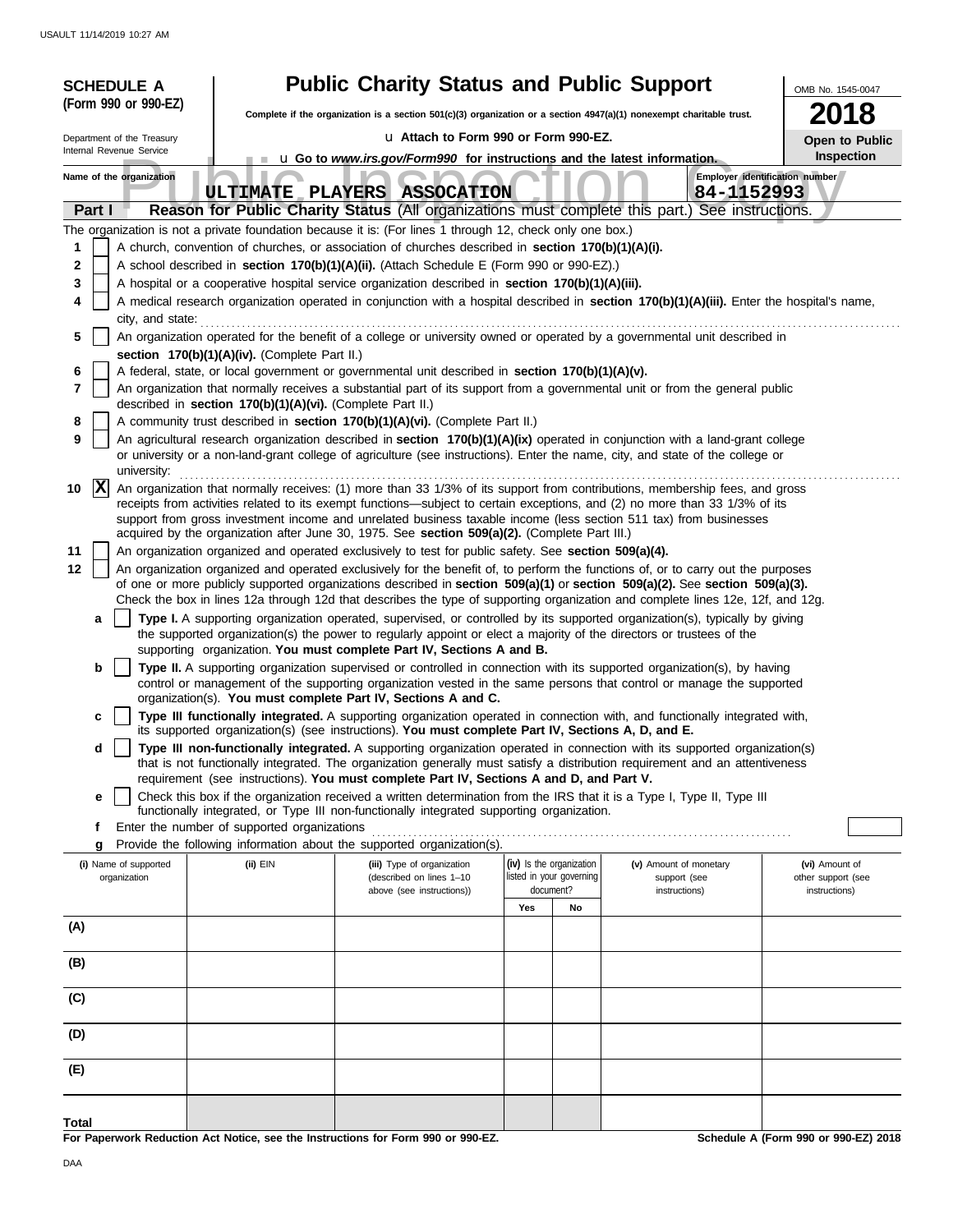| <b>SCHEDULE A</b>                     |                                                            | <b>Public Charity Status and Public Support</b>                                                                                                                                                                                                                 |                                                      |                                        | OMB No. 1545-0047                    |  |  |
|---------------------------------------|------------------------------------------------------------|-----------------------------------------------------------------------------------------------------------------------------------------------------------------------------------------------------------------------------------------------------------------|------------------------------------------------------|----------------------------------------|--------------------------------------|--|--|
| (Form 990 or 990-EZ)                  |                                                            | Complete if the organization is a section $501(c)(3)$ organization or a section $4947(a)(1)$ nonexempt charitable trust.                                                                                                                                        | 8                                                    |                                        |                                      |  |  |
| Department of the Treasury            |                                                            | u Attach to Form 990 or Form 990-EZ.                                                                                                                                                                                                                            |                                                      |                                        |                                      |  |  |
| Internal Revenue Service              |                                                            | <b>u</b> Go to <i>www.irs.gov/Form990</i> for instructions and the latest information.                                                                                                                                                                          |                                                      |                                        | Open to Public<br>Inspection         |  |  |
| Name of the organization              |                                                            | ULTIMATE PLAYERS ASSOCATION                                                                                                                                                                                                                                     |                                                      | 84-1152993                             | Employer identification number       |  |  |
| Part I                                |                                                            | Reason for Public Charity Status (All organizations must complete this part.) See instructions.                                                                                                                                                                 |                                                      |                                        |                                      |  |  |
|                                       |                                                            | The organization is not a private foundation because it is: (For lines 1 through 12, check only one box.)                                                                                                                                                       |                                                      |                                        |                                      |  |  |
| 1<br>2                                |                                                            | A church, convention of churches, or association of churches described in section 170(b)(1)(A)(i).<br>A school described in section 170(b)(1)(A)(ii). (Attach Schedule E (Form 990 or 990-EZ).)                                                                 |                                                      |                                        |                                      |  |  |
| 3                                     |                                                            | A hospital or a cooperative hospital service organization described in section 170(b)(1)(A)(iii).                                                                                                                                                               |                                                      |                                        |                                      |  |  |
| 4                                     |                                                            | A medical research organization operated in conjunction with a hospital described in section 170(b)(1)(A)(iii). Enter the hospital's name,                                                                                                                      |                                                      |                                        |                                      |  |  |
| city, and state:                      |                                                            |                                                                                                                                                                                                                                                                 |                                                      |                                        |                                      |  |  |
| 5                                     | section 170(b)(1)(A)(iv). (Complete Part II.)              | An organization operated for the benefit of a college or university owned or operated by a governmental unit described in                                                                                                                                       |                                                      |                                        |                                      |  |  |
| 6                                     |                                                            | A federal, state, or local government or governmental unit described in section 170(b)(1)(A)(v).                                                                                                                                                                |                                                      |                                        |                                      |  |  |
| 7                                     | described in section 170(b)(1)(A)(vi). (Complete Part II.) | An organization that normally receives a substantial part of its support from a governmental unit or from the general public                                                                                                                                    |                                                      |                                        |                                      |  |  |
| 8                                     |                                                            | A community trust described in section 170(b)(1)(A)(vi). (Complete Part II.)                                                                                                                                                                                    |                                                      |                                        |                                      |  |  |
| 9                                     |                                                            | An agricultural research organization described in section 170(b)(1)(A)(ix) operated in conjunction with a land-grant college<br>or university or a non-land-grant college of agriculture (see instructions). Enter the name, city, and state of the college or |                                                      |                                        |                                      |  |  |
| university:<br>$ {\bf X} $<br>10      |                                                            | An organization that normally receives: (1) more than 33 1/3% of its support from contributions, membership fees, and gross                                                                                                                                     |                                                      |                                        |                                      |  |  |
|                                       |                                                            | receipts from activities related to its exempt functions—subject to certain exceptions, and (2) no more than 33 1/3% of its                                                                                                                                     |                                                      |                                        |                                      |  |  |
|                                       |                                                            | support from gross investment income and unrelated business taxable income (less section 511 tax) from businesses<br>acquired by the organization after June 30, 1975. See section 509(a)(2). (Complete Part III.)                                              |                                                      |                                        |                                      |  |  |
| 11                                    |                                                            | An organization organized and operated exclusively to test for public safety. See section 509(a)(4).                                                                                                                                                            |                                                      |                                        |                                      |  |  |
| 12                                    |                                                            | An organization organized and operated exclusively for the benefit of, to perform the functions of, or to carry out the purposes                                                                                                                                |                                                      |                                        |                                      |  |  |
|                                       |                                                            | of one or more publicly supported organizations described in section 509(a)(1) or section 509(a)(2). See section 509(a)(3).<br>Check the box in lines 12a through 12d that describes the type of supporting organization and complete lines 12e, 12f, and 12g.  |                                                      |                                        |                                      |  |  |
| a                                     |                                                            | Type I. A supporting organization operated, supervised, or controlled by its supported organization(s), typically by giving                                                                                                                                     |                                                      |                                        |                                      |  |  |
|                                       |                                                            | the supported organization(s) the power to regularly appoint or elect a majority of the directors or trustees of the<br>supporting organization. You must complete Part IV, Sections A and B.                                                                   |                                                      |                                        |                                      |  |  |
| b                                     |                                                            | Type II. A supporting organization supervised or controlled in connection with its supported organization(s), by having                                                                                                                                         |                                                      |                                        |                                      |  |  |
|                                       |                                                            | control or management of the supporting organization vested in the same persons that control or manage the supported                                                                                                                                            |                                                      |                                        |                                      |  |  |
| c                                     |                                                            | organization(s). You must complete Part IV, Sections A and C.<br>Type III functionally integrated. A supporting organization operated in connection with, and functionally integrated with,                                                                     |                                                      |                                        |                                      |  |  |
| d                                     |                                                            | its supported organization(s) (see instructions). You must complete Part IV, Sections A, D, and E.<br>Type III non-functionally integrated. A supporting organization operated in connection with its supported organization(s)                                 |                                                      |                                        |                                      |  |  |
|                                       |                                                            | that is not functionally integrated. The organization generally must satisfy a distribution requirement and an attentiveness                                                                                                                                    |                                                      |                                        |                                      |  |  |
|                                       |                                                            | requirement (see instructions). You must complete Part IV, Sections A and D, and Part V.                                                                                                                                                                        |                                                      |                                        |                                      |  |  |
| e                                     |                                                            | Check this box if the organization received a written determination from the IRS that it is a Type I, Type II, Type III<br>functionally integrated, or Type III non-functionally integrated supporting organization.                                            |                                                      |                                        |                                      |  |  |
| Ť.                                    | Enter the number of supported organizations                |                                                                                                                                                                                                                                                                 |                                                      |                                        |                                      |  |  |
| g                                     |                                                            | Provide the following information about the supported organization(s).                                                                                                                                                                                          |                                                      |                                        |                                      |  |  |
| (i) Name of supported<br>organization | (ii) EIN                                                   | (iii) Type of organization<br>(described on lines 1-10                                                                                                                                                                                                          | (iv) Is the organization<br>listed in your governing | (v) Amount of monetary<br>support (see | (vi) Amount of<br>other support (see |  |  |
|                                       |                                                            | above (see instructions))                                                                                                                                                                                                                                       | document?<br>Yes<br>No                               | instructions)                          | instructions)                        |  |  |
| (A)                                   |                                                            |                                                                                                                                                                                                                                                                 |                                                      |                                        |                                      |  |  |
| (B)                                   |                                                            |                                                                                                                                                                                                                                                                 |                                                      |                                        |                                      |  |  |
|                                       |                                                            |                                                                                                                                                                                                                                                                 |                                                      |                                        |                                      |  |  |
| (C)                                   |                                                            |                                                                                                                                                                                                                                                                 |                                                      |                                        |                                      |  |  |
| (D)                                   |                                                            |                                                                                                                                                                                                                                                                 |                                                      |                                        |                                      |  |  |
| (E)                                   |                                                            |                                                                                                                                                                                                                                                                 |                                                      |                                        |                                      |  |  |
|                                       |                                                            |                                                                                                                                                                                                                                                                 |                                                      |                                        |                                      |  |  |
| Total                                 |                                                            | For Paperwork Reduction Act Notice, see the Instructions for Form 990 or 990-EZ.                                                                                                                                                                                |                                                      |                                        | Schedule A (Form 990 or 990-EZ) 2018 |  |  |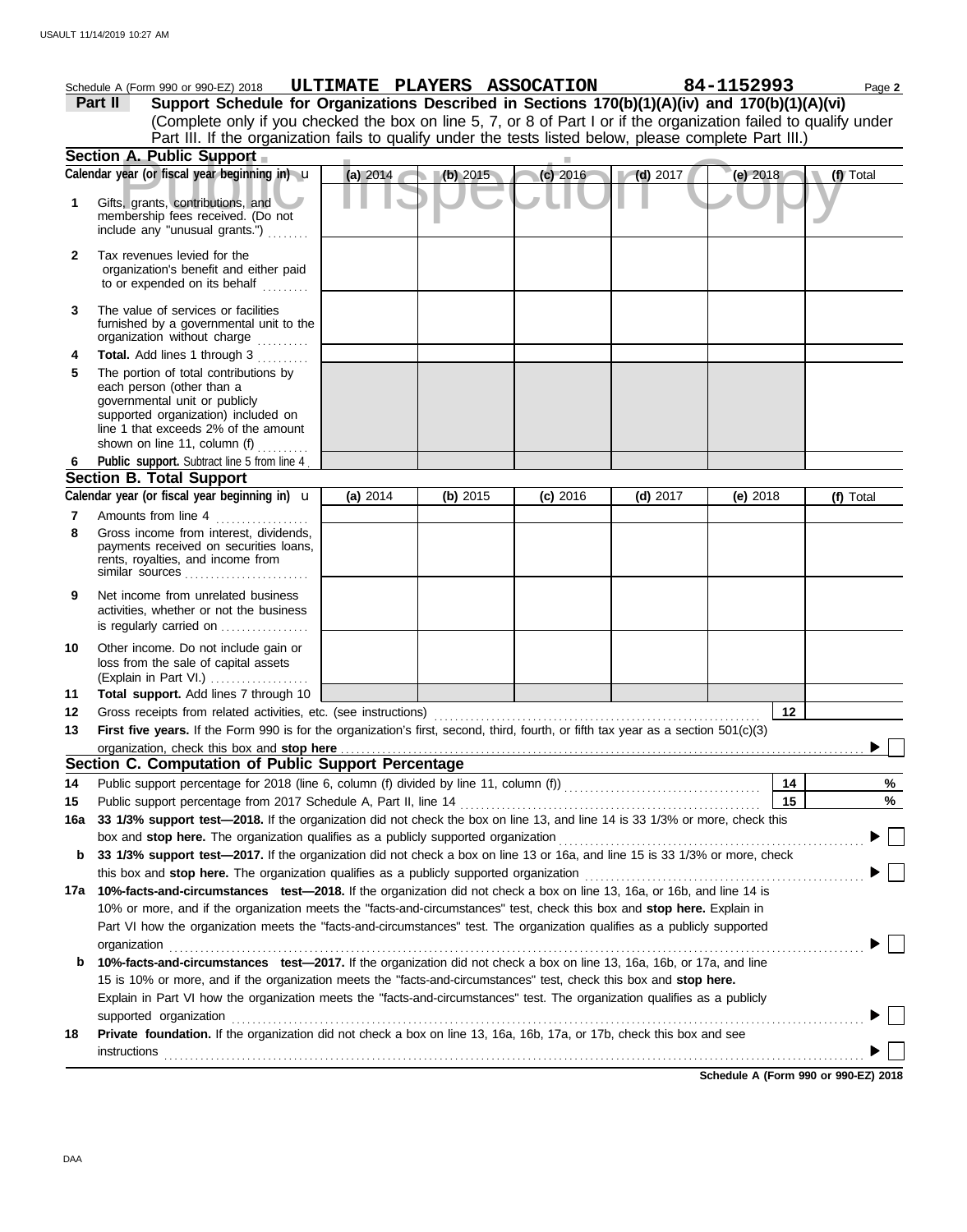|              | Schedule A (Form 990 or 990-EZ) 2018                                                                                                                                                                                   |          | ULTIMATE PLAYERS ASSOCATION |            |                         | 84-1152993 | Page 2    |
|--------------|------------------------------------------------------------------------------------------------------------------------------------------------------------------------------------------------------------------------|----------|-----------------------------|------------|-------------------------|------------|-----------|
|              | Support Schedule for Organizations Described in Sections 170(b)(1)(A)(iv) and 170(b)(1)(A)(vi)<br>Part II                                                                                                              |          |                             |            |                         |            |           |
|              | (Complete only if you checked the box on line 5, 7, or 8 of Part I or if the organization failed to qualify under                                                                                                      |          |                             |            |                         |            |           |
|              | Part III. If the organization fails to qualify under the tests listed below, please complete Part III.)                                                                                                                |          |                             |            |                         |            |           |
|              | Section A. Public Support                                                                                                                                                                                              |          |                             |            |                         |            |           |
|              | Calendar year (or fiscal year beginning in) u                                                                                                                                                                          | (a) 2014 | (b) 2015                    | $(c)$ 2016 | $\blacksquare$ (d) 2017 | (e) $2018$ | (f) Total |
| 1            | Gifts, grants, contributions, and<br>membership fees received. (Do not<br>include any "unusual grants.")                                                                                                               |          |                             |            |                         |            |           |
| $\mathbf{2}$ | Tax revenues levied for the<br>organization's benefit and either paid<br>to or expended on its behalf                                                                                                                  |          |                             |            |                         |            |           |
| 3            | The value of services or facilities<br>furnished by a governmental unit to the<br>organization without charge                                                                                                          |          |                             |            |                         |            |           |
| 4            | Total. Add lines 1 through 3                                                                                                                                                                                           |          |                             |            |                         |            |           |
| 5            | The portion of total contributions by<br>each person (other than a<br>governmental unit or publicly<br>supported organization) included on<br>line 1 that exceeds 2% of the amount<br>shown on line 11, column (f)     |          |                             |            |                         |            |           |
| 6            | Public support. Subtract line 5 from line 4                                                                                                                                                                            |          |                             |            |                         |            |           |
|              | <b>Section B. Total Support</b>                                                                                                                                                                                        |          |                             |            |                         |            |           |
|              | Calendar year (or fiscal year beginning in) <b>u</b>                                                                                                                                                                   | (a) 2014 | (b) 2015                    | $(c)$ 2016 | $(d)$ 2017              | (e) $2018$ | (f) Total |
| 7<br>8       | Amounts from line 4<br>Gross income from interest, dividends,<br>payments received on securities loans,<br>rents, royalties, and income from<br>similar sources                                                        |          |                             |            |                         |            |           |
| 9            | Net income from unrelated business<br>activities, whether or not the business<br>is regularly carried on                                                                                                               |          |                             |            |                         |            |           |
| 10           | Other income. Do not include gain or<br>loss from the sale of capital assets<br>(Explain in Part VI.)                                                                                                                  |          |                             |            |                         |            |           |
| 11           | Total support. Add lines 7 through 10                                                                                                                                                                                  |          |                             |            |                         |            |           |
| 12           | Gross receipts from related activities, etc. (see instructions)                                                                                                                                                        |          |                             |            |                         | 12         |           |
| 13           | First five years. If the Form 990 is for the organization's first, second, third, fourth, or fifth tax year as a section 501(c)(3)                                                                                     |          |                             |            |                         |            |           |
|              | organization, check this box and stop here                                                                                                                                                                             |          |                             |            |                         |            |           |
|              | Section C. Computation of Public Support Percentage                                                                                                                                                                    |          |                             |            |                         |            |           |
| 14           |                                                                                                                                                                                                                        |          |                             |            |                         | 14         | %         |
| 15           | Public support percentage from 2017 Schedule A, Part II, line 14<br>33 1/3% support test-2018. If the organization did not check the box on line 13, and line 14 is 33 1/3% or more, check this                        |          |                             |            |                         | 15         | $\%$      |
| 16a          | box and stop here. The organization qualifies as a publicly supported organization                                                                                                                                     |          |                             |            |                         |            |           |
| b            |                                                                                                                                                                                                                        |          |                             |            |                         |            |           |
|              | 33 1/3% support test-2017. If the organization did not check a box on line 13 or 16a, and line 15 is 33 1/3% or more, check<br>this box and stop here. The organization qualifies as a publicly supported organization |          |                             |            |                         |            |           |
|              | 17a 10%-facts-and-circumstances test-2018. If the organization did not check a box on line 13, 16a, or 16b, and line 14 is                                                                                             |          |                             |            |                         |            |           |
|              | 10% or more, and if the organization meets the "facts-and-circumstances" test, check this box and stop here. Explain in                                                                                                |          |                             |            |                         |            |           |
|              | Part VI how the organization meets the "facts-and-circumstances" test. The organization qualifies as a publicly supported                                                                                              |          |                             |            |                         |            |           |
|              | organization                                                                                                                                                                                                           |          |                             |            |                         |            |           |
| b            | 10%-facts-and-circumstances test-2017. If the organization did not check a box on line 13, 16a, 16b, or 17a, and line                                                                                                  |          |                             |            |                         |            |           |
|              | 15 is 10% or more, and if the organization meets the "facts-and-circumstances" test, check this box and stop here.                                                                                                     |          |                             |            |                         |            |           |
|              | Explain in Part VI how the organization meets the "facts-and-circumstances" test. The organization qualifies as a publicly                                                                                             |          |                             |            |                         |            |           |
|              | supported organization                                                                                                                                                                                                 |          |                             |            |                         |            |           |
| 18           | Private foundation. If the organization did not check a box on line 13, 16a, 16b, 17a, or 17b, check this box and see                                                                                                  |          |                             |            |                         |            |           |
|              |                                                                                                                                                                                                                        |          |                             |            |                         |            |           |

**Schedule A (Form 990 or 990-EZ) 2018**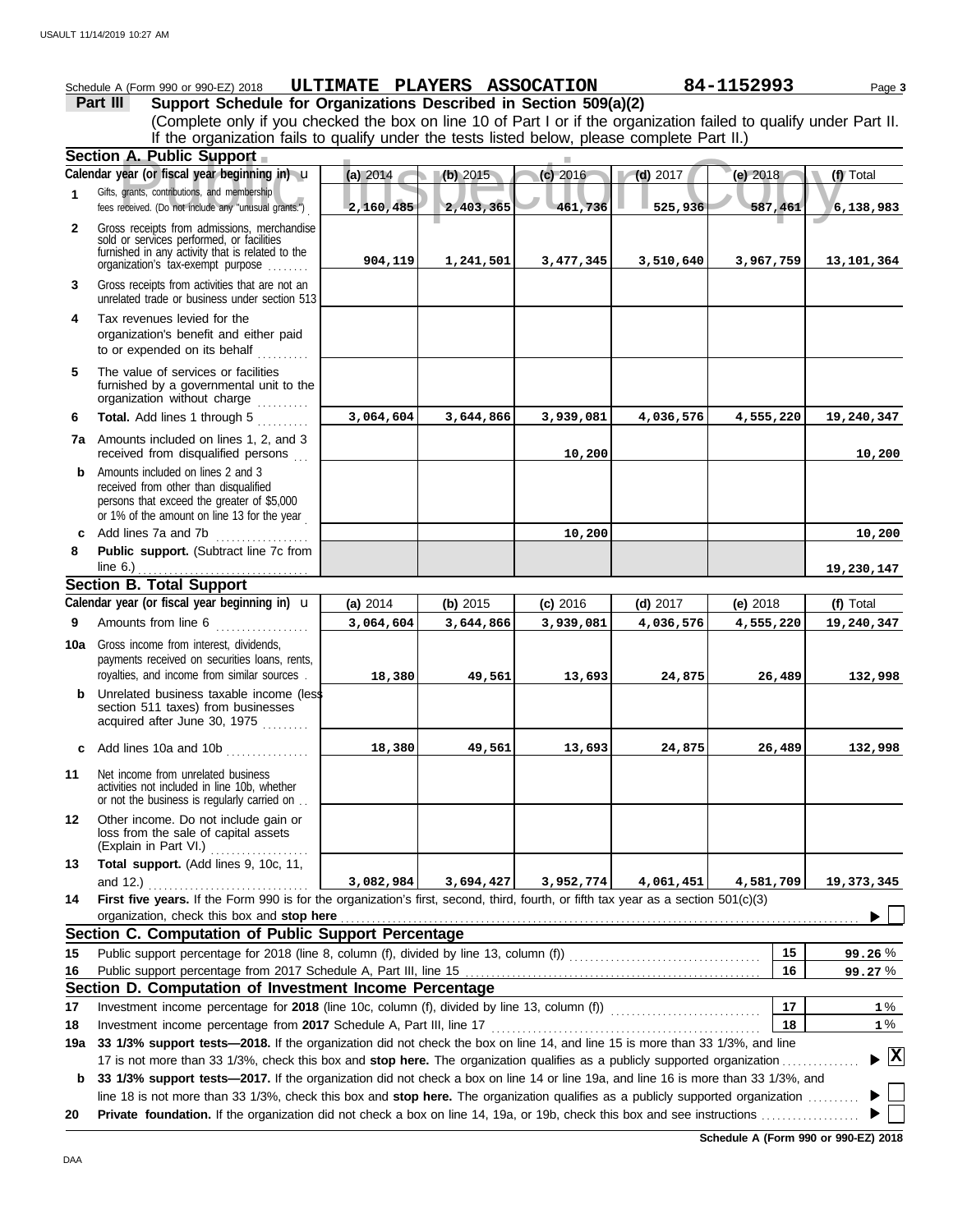|              |                                                                                                                                                                                                                                                                | ULTIMATE PLAYERS ASSOCATION |            |            |                         |            |            |
|--------------|----------------------------------------------------------------------------------------------------------------------------------------------------------------------------------------------------------------------------------------------------------------|-----------------------------|------------|------------|-------------------------|------------|------------|
|              | Schedule A (Form 990 or 990-EZ) 2018<br>Support Schedule for Organizations Described in Section 509(a)(2)<br>Part III                                                                                                                                          |                             |            |            |                         | 84-1152993 | Page 3     |
|              | (Complete only if you checked the box on line 10 of Part I or if the organization failed to qualify under Part II.<br>If the organization fails to qualify under the tests listed below, please complete Part II.)                                             |                             |            |            |                         |            |            |
|              | Section A. Public Support                                                                                                                                                                                                                                      |                             |            |            |                         |            |            |
|              | Calendar year (or fiscal year beginning in) u                                                                                                                                                                                                                  | (a) 2014                    | (b) 2015   | (c) 2016   | $\blacksquare$ (d) 2017 | (e) 2018   | (f) Total  |
| 1            | Gifts, grants, contributions, and membership<br>fees received. (Do not include any "unusual grants.")                                                                                                                                                          | 2,160,485                   | 2,403,365  | 461,736    | 525,936                 | 587,461    | 6,138,983  |
| $\mathbf{2}$ | Gross receipts from admissions, merchandise<br>sold or services performed, or facilities<br>furnished in any activity that is related to the<br>organization's fax-exempt purpose                                                                              | 904,119                     | 1,241,501  | 3,477,345  | 3,510,640               | 3,967,759  | 13,101,364 |
| 3            | Gross receipts from activities that are not an<br>unrelated trade or business under section 513                                                                                                                                                                |                             |            |            |                         |            |            |
| 4            | Tax revenues levied for the<br>organization's benefit and either paid<br>to or expended on its behalf                                                                                                                                                          |                             |            |            |                         |            |            |
| 5            | The value of services or facilities<br>furnished by a governmental unit to the<br>organization without charge                                                                                                                                                  |                             |            |            |                         |            |            |
| 6            | Total. Add lines 1 through 5                                                                                                                                                                                                                                   | 3,064,604                   | 3,644,866  | 3,939,081  | 4,036,576               | 4,555,220  | 19,240,347 |
|              | <b>7a</b> Amounts included on lines 1, 2, and 3<br>received from disqualified persons                                                                                                                                                                          |                             |            | 10,200     |                         |            | 10,200     |
| b            | Amounts included on lines 2 and 3<br>received from other than disqualified<br>persons that exceed the greater of \$5,000<br>or 1% of the amount on line 13 for the year                                                                                        |                             |            |            |                         |            |            |
|              | c Add lines 7a and 7b $\ldots$                                                                                                                                                                                                                                 |                             |            | 10,200     |                         |            | 10,200     |
| 8            | Public support. (Subtract line 7c from                                                                                                                                                                                                                         |                             |            |            |                         |            |            |
|              | line $6.$ )                                                                                                                                                                                                                                                    |                             |            |            |                         |            | 19,230,147 |
|              | <b>Section B. Total Support</b>                                                                                                                                                                                                                                |                             |            |            |                         |            |            |
|              | Calendar year (or fiscal year beginning in) <b>u</b>                                                                                                                                                                                                           | (a) 2014                    | (b) $2015$ | $(c)$ 2016 | $(d)$ 2017              | (e) $2018$ | (f) Total  |
| 9            | Amounts from line 6                                                                                                                                                                                                                                            | 3,064,604                   | 3,644,866  | 3,939,081  | 4,036,576               | 4,555,220  | 19,240,347 |
|              | <b>10a</b> Gross income from interest, dividends,<br>payments received on securities loans, rents,<br>royalties, and income from similar sources.                                                                                                              | 18,380                      | 49,561     | 13,693     | 24,875                  | 26,489     | 132,998    |
| b            | Unrelated business taxable income (less<br>section 511 taxes) from businesses<br>acquired after June 30, 1975                                                                                                                                                  |                             |            |            |                         |            |            |
| c            | Add lines 10a and 10b                                                                                                                                                                                                                                          | 18,380                      | 49,561     | 13,693     | 24,875                  | 26,489     | 132,998    |
| 11           | Net income from unrelated business<br>activities not included in line 10b, whether<br>or not the business is regularly carried on                                                                                                                              |                             |            |            |                         |            |            |
| 12           | Other income. Do not include gain or<br>loss from the sale of capital assets<br>(Explain in Part VI.)<br><u> 1999 - Johann Stoff, martin Stoff, martin Stoff, martin Stoff, martin Stoff, martin Stoff, martin Stoff, marti</u>                                |                             |            |            |                         |            |            |
| 13           | Total support. (Add lines 9, 10c, 11,                                                                                                                                                                                                                          |                             |            |            |                         |            |            |
|              | and 12.)                                                                                                                                                                                                                                                       | 3,082,984                   | 3,694,427  | 3,952,774  | 4,061,451               | 4,581,709  | 19,373,345 |
| 14           | First five years. If the Form 990 is for the organization's first, second, third, fourth, or fifth tax year as a section 501(c)(3)<br>organization, check this box and stop here <b>constant and all and all and all and all and all and all and all and a</b> |                             |            |            |                         |            |            |
|              | Section C. Computation of Public Support Percentage                                                                                                                                                                                                            |                             |            |            |                         |            |            |
| 15           |                                                                                                                                                                                                                                                                |                             |            |            |                         | 15         | 99.26%     |
| 16           |                                                                                                                                                                                                                                                                |                             |            |            |                         | 16         | 99.27%     |
|              | Section D. Computation of Investment Income Percentage                                                                                                                                                                                                         |                             |            |            |                         |            |            |
| 17           |                                                                                                                                                                                                                                                                |                             |            |            |                         | 17         | 1 %        |
| 18           |                                                                                                                                                                                                                                                                |                             |            |            |                         | 18         | $1\%$      |

17 is not more than 33 1/3%, check this box and **stop here.** The organization qualifies as a publicly supported organization . . . . . . . . . . . . . . . **19a 33 1/3% support tests—2018.** If the organization did not check the box on line 14, and line 15 is more than 33 1/3%, and line **X**

**b 33 1/3% support tests—2017.** If the organization did not check a box on line 14 or line 19a, and line 16 is more than 33 1/3%, and line 18 is not more than 33 1/3%, check this box and **stop here.** The organization qualifies as a publicly supported organization . . . . . . . . . . ▶ ▶

**20 Private foundation.** If the organization did not check a box on line 14, 19a, or 19b, check this box and see instructions . . . . . . . . . . . . . . . . . . .

**Schedule A (Form 990 or 990-EZ) 2018**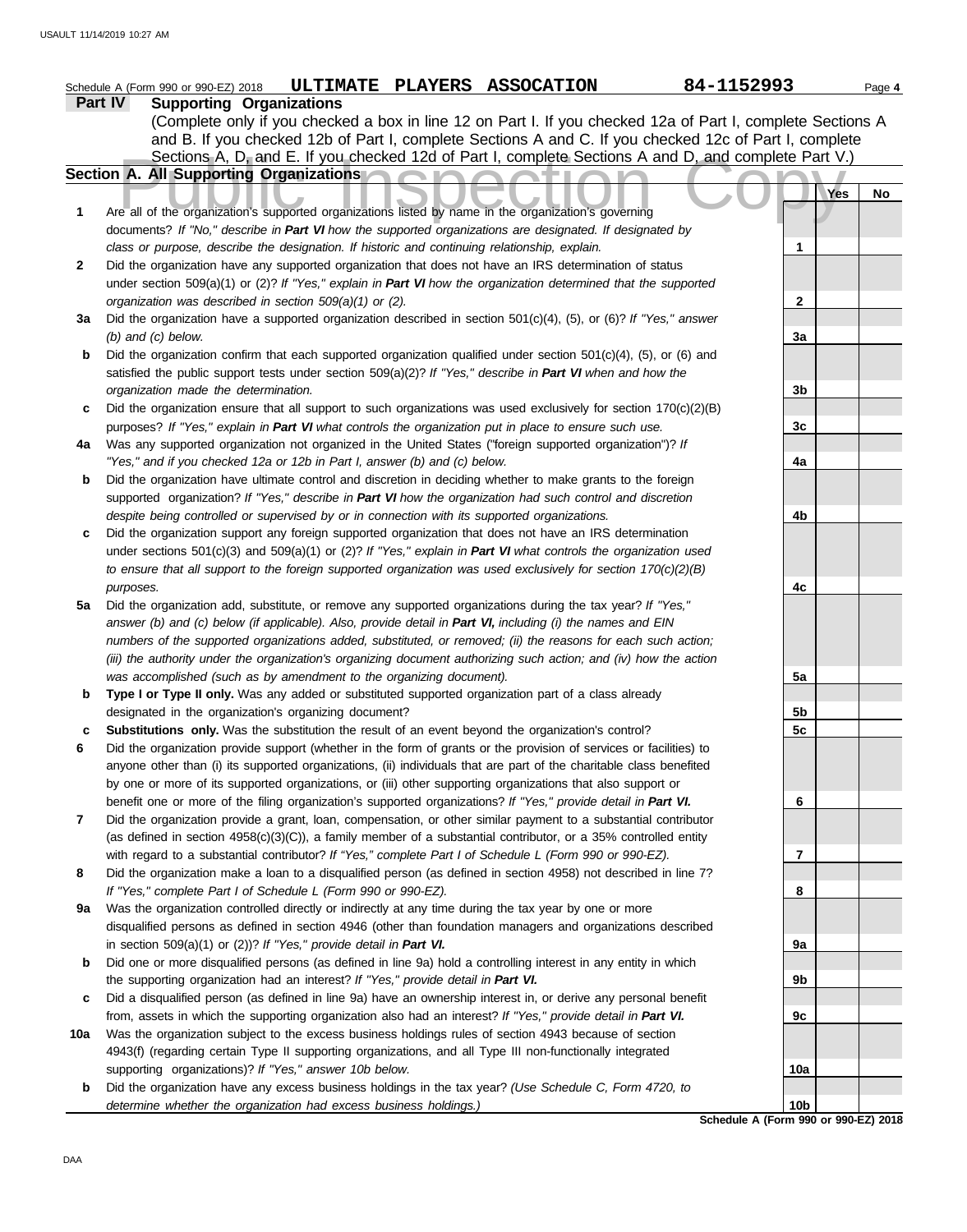|     | 84-1152993<br>ULTIMATE PLAYERS ASSOCATION<br>Schedule A (Form 990 or 990-EZ) 2018                                      |                 |     | Page 4 |
|-----|------------------------------------------------------------------------------------------------------------------------|-----------------|-----|--------|
|     | Part IV<br><b>Supporting Organizations</b>                                                                             |                 |     |        |
|     | (Complete only if you checked a box in line 12 on Part I. If you checked 12a of Part I, complete Sections A            |                 |     |        |
|     | and B. If you checked 12b of Part I, complete Sections A and C. If you checked 12c of Part I, complete                 |                 |     |        |
|     | Sections A, D, and E. If you checked 12d of Part I, complete Sections A and D, and complete Part V.)                   |                 |     |        |
|     | Section A. All Supporting Organizations                                                                                |                 |     |        |
|     |                                                                                                                        |                 | Yes | No     |
| 1   | Are all of the organization's supported organizations listed by name in the organization's governing                   |                 |     |        |
|     | documents? If "No," describe in Part VI how the supported organizations are designated. If designated by               |                 |     |        |
|     | class or purpose, describe the designation. If historic and continuing relationship, explain.                          | 1               |     |        |
| 2   | Did the organization have any supported organization that does not have an IRS determination of status                 |                 |     |        |
|     | under section 509(a)(1) or (2)? If "Yes," explain in Part VI how the organization determined that the supported        |                 |     |        |
|     | organization was described in section 509(a)(1) or (2).                                                                | 2               |     |        |
| За  | Did the organization have a supported organization described in section $501(c)(4)$ , (5), or (6)? If "Yes," answer    |                 |     |        |
|     | $(b)$ and $(c)$ below.                                                                                                 | 3a              |     |        |
| b   | Did the organization confirm that each supported organization qualified under section $501(c)(4)$ , (5), or (6) and    |                 |     |        |
|     | satisfied the public support tests under section 509(a)(2)? If "Yes," describe in Part VI when and how the             |                 |     |        |
|     | organization made the determination.                                                                                   | 3b              |     |        |
| c   | Did the organization ensure that all support to such organizations was used exclusively for section $170(c)(2)(B)$     |                 |     |        |
|     | purposes? If "Yes," explain in Part VI what controls the organization put in place to ensure such use.                 | 3c              |     |        |
| 4a  | Was any supported organization not organized in the United States ("foreign supported organization")? If               |                 |     |        |
|     | "Yes," and if you checked 12a or 12b in Part I, answer (b) and (c) below.                                              | 4a              |     |        |
| b   | Did the organization have ultimate control and discretion in deciding whether to make grants to the foreign            |                 |     |        |
|     | supported organization? If "Yes," describe in Part VI how the organization had such control and discretion             |                 |     |        |
|     | despite being controlled or supervised by or in connection with its supported organizations.                           | 4b              |     |        |
| c   | Did the organization support any foreign supported organization that does not have an IRS determination                |                 |     |        |
|     | under sections $501(c)(3)$ and $509(a)(1)$ or $(2)$ ? If "Yes," explain in Part VI what controls the organization used |                 |     |        |
|     | to ensure that all support to the foreign supported organization was used exclusively for section $170(c)(2)(B)$       |                 |     |        |
|     | purposes.                                                                                                              | 4с              |     |        |
| 5a  | Did the organization add, substitute, or remove any supported organizations during the tax year? If "Yes,"             |                 |     |        |
|     | answer (b) and (c) below (if applicable). Also, provide detail in Part VI, including (i) the names and EIN             |                 |     |        |
|     | numbers of the supported organizations added, substituted, or removed; (ii) the reasons for each such action;          |                 |     |        |
|     | (iii) the authority under the organization's organizing document authorizing such action; and (iv) how the action      |                 |     |        |
|     | was accomplished (such as by amendment to the organizing document).                                                    | 5a              |     |        |
| b   | Type I or Type II only. Was any added or substituted supported organization part of a class already                    |                 |     |        |
|     | designated in the organization's organizing document?                                                                  | 5b              |     |        |
|     | Substitutions only. Was the substitution the result of an event beyond the organization's control?                     | 5c              |     |        |
|     | Did the organization provide support (whether in the form of grants or the provision of services or facilities) to     |                 |     |        |
|     | anyone other than (i) its supported organizations, (ii) individuals that are part of the charitable class benefited    |                 |     |        |
|     | by one or more of its supported organizations, or (iii) other supporting organizations that also support or            |                 |     |        |
|     | benefit one or more of the filing organization's supported organizations? If "Yes," provide detail in Part VI.         | 6               |     |        |
| 7   | Did the organization provide a grant, loan, compensation, or other similar payment to a substantial contributor        |                 |     |        |
|     | (as defined in section $4958(c)(3)(C)$ ), a family member of a substantial contributor, or a 35% controlled entity     |                 |     |        |
|     | with regard to a substantial contributor? If "Yes," complete Part I of Schedule L (Form 990 or 990-EZ).                | $\overline{7}$  |     |        |
| 8   | Did the organization make a loan to a disqualified person (as defined in section 4958) not described in line 7?        |                 |     |        |
|     | If "Yes," complete Part I of Schedule L (Form 990 or 990-EZ).                                                          | 8               |     |        |
| 9a  | Was the organization controlled directly or indirectly at any time during the tax year by one or more                  |                 |     |        |
|     | disqualified persons as defined in section 4946 (other than foundation managers and organizations described            |                 |     |        |
|     | in section $509(a)(1)$ or $(2)$ ? If "Yes," provide detail in Part VI.                                                 | 9а              |     |        |
| b   | Did one or more disqualified persons (as defined in line 9a) hold a controlling interest in any entity in which        |                 |     |        |
|     | the supporting organization had an interest? If "Yes," provide detail in Part VI.                                      | 9b              |     |        |
| c   | Did a disqualified person (as defined in line 9a) have an ownership interest in, or derive any personal benefit        |                 |     |        |
|     |                                                                                                                        | 9c              |     |        |
|     | from, assets in which the supporting organization also had an interest? If "Yes," provide detail in Part VI.           |                 |     |        |
| 10a | Was the organization subject to the excess business holdings rules of section 4943 because of section                  |                 |     |        |
|     | 4943(f) (regarding certain Type II supporting organizations, and all Type III non-functionally integrated              |                 |     |        |
|     | supporting organizations)? If "Yes," answer 10b below.                                                                 | 10a             |     |        |
| b   | Did the organization have any excess business holdings in the tax year? (Use Schedule C, Form 4720, to                 |                 |     |        |
|     | determine whether the organization had excess business holdings.)<br>Schedule A (Form 990 or 990-EZ) 2018              | 10 <sub>b</sub> |     |        |
|     |                                                                                                                        |                 |     |        |

DAA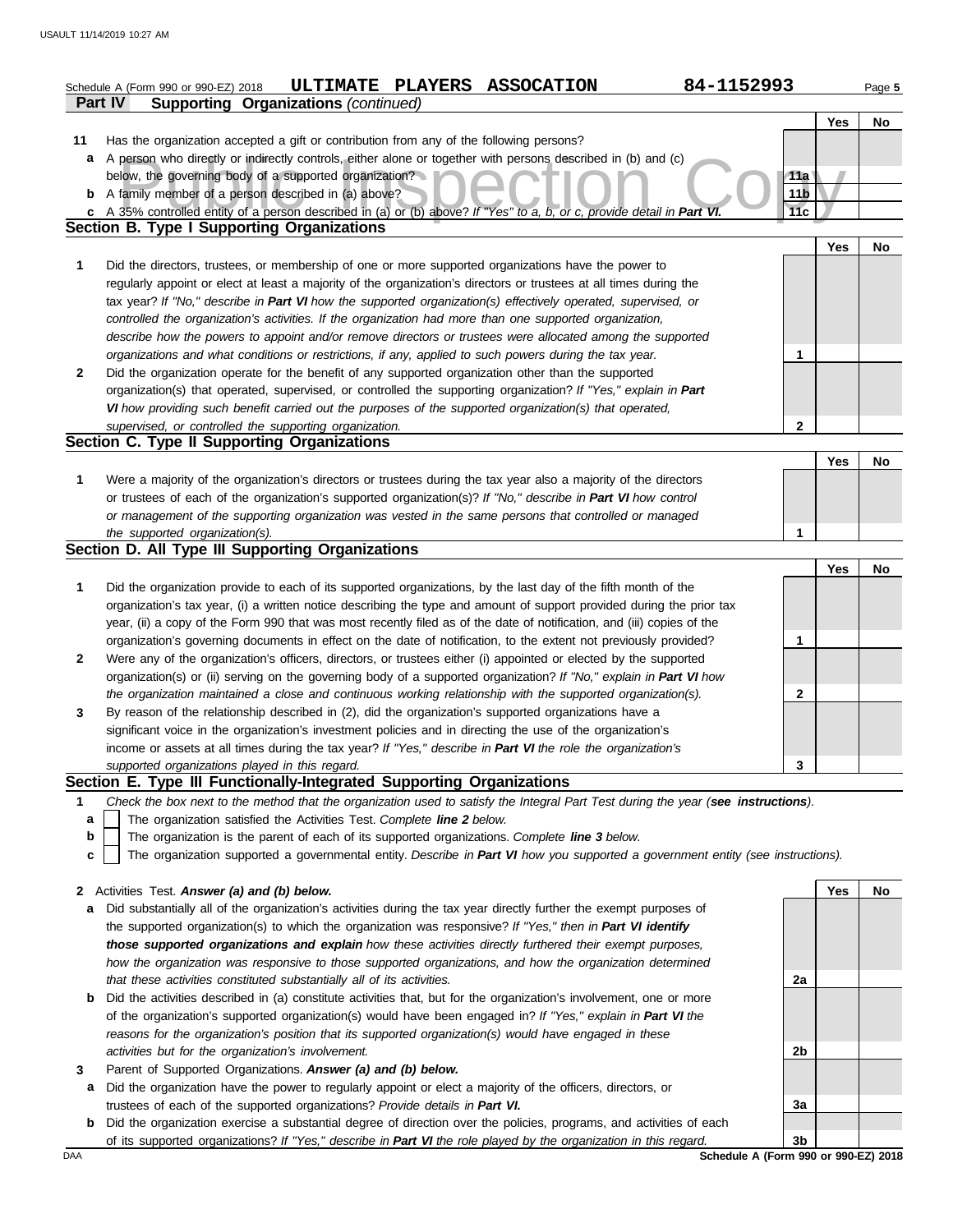|              | 84-1152993<br>ULTIMATE PLAYERS ASSOCATION<br>Schedule A (Form 990 or 990-EZ) 2018<br><b>Supporting Organizations (continued)</b><br>Part IV |                        |     | Page 5 |
|--------------|---------------------------------------------------------------------------------------------------------------------------------------------|------------------------|-----|--------|
|              |                                                                                                                                             |                        | Yes | No     |
| 11           | Has the organization accepted a gift or contribution from any of the following persons?                                                     |                        |     |        |
| a            | A person who directly or indirectly controls, either alone or together with persons described in (b) and (c)                                |                        |     |        |
|              | below, the governing body of a supported organization?                                                                                      |                        |     |        |
|              | <b>b</b> A family member of a person described in (a) above?                                                                                | 11a<br>11 <sub>b</sub> |     |        |
|              | A 35% controlled entity of a person described in (a) or (b) above? If "Yes" to a, b, or c, provide detail in Part VI.                       | 11c                    |     |        |
| C            | Section B. Type I Supporting Organizations                                                                                                  |                        |     |        |
|              |                                                                                                                                             |                        |     |        |
|              |                                                                                                                                             |                        | Yes | No     |
| 1            | Did the directors, trustees, or membership of one or more supported organizations have the power to                                         |                        |     |        |
|              | regularly appoint or elect at least a majority of the organization's directors or trustees at all times during the                          |                        |     |        |
|              | tax year? If "No," describe in Part VI how the supported organization(s) effectively operated, supervised, or                               |                        |     |        |
|              | controlled the organization's activities. If the organization had more than one supported organization,                                     |                        |     |        |
|              | describe how the powers to appoint and/or remove directors or trustees were allocated among the supported                                   |                        |     |        |
|              | organizations and what conditions or restrictions, if any, applied to such powers during the tax year.                                      | 1                      |     |        |
| $\mathbf{2}$ | Did the organization operate for the benefit of any supported organization other than the supported                                         |                        |     |        |
|              | organization(s) that operated, supervised, or controlled the supporting organization? If "Yes," explain in Part                             |                        |     |        |
|              | VI how providing such benefit carried out the purposes of the supported organization(s) that operated,                                      |                        |     |        |
|              | supervised, or controlled the supporting organization.                                                                                      | $\mathbf{2}$           |     |        |
|              | Section C. Type II Supporting Organizations                                                                                                 |                        |     |        |
|              |                                                                                                                                             |                        | Yes | No     |
| 1            | Were a majority of the organization's directors or trustees during the tax year also a majority of the directors                            |                        |     |        |
|              | or trustees of each of the organization's supported organization(s)? If "No," describe in Part VI how control                               |                        |     |        |
|              | or management of the supporting organization was vested in the same persons that controlled or managed                                      |                        |     |        |
|              | the supported organization(s).                                                                                                              | 1                      |     |        |
|              | Section D. All Type III Supporting Organizations                                                                                            |                        |     |        |
|              |                                                                                                                                             |                        | Yes | No     |
| 1            | Did the organization provide to each of its supported organizations, by the last day of the fifth month of the                              |                        |     |        |
|              | organization's tax year, (i) a written notice describing the type and amount of support provided during the prior tax                       |                        |     |        |
|              | year, (ii) a copy of the Form 990 that was most recently filed as of the date of notification, and (iii) copies of the                      |                        |     |        |
|              | organization's governing documents in effect on the date of notification, to the extent not previously provided?                            | 1                      |     |        |
| 2            | Were any of the organization's officers, directors, or trustees either (i) appointed or elected by the supported                            |                        |     |        |
|              | organization(s) or (ii) serving on the governing body of a supported organization? If "No," explain in Part VI how                          |                        |     |        |
|              | the organization maintained a close and continuous working relationship with the supported organization(s).                                 | 2                      |     |        |
| 3            | By reason of the relationship described in (2), did the organization's supported organizations have a                                       |                        |     |        |
|              | significant voice in the organization's investment policies and in directing the use of the organization's                                  |                        |     |        |
|              | income or assets at all times during the tax year? If "Yes," describe in Part VI the role the organization's                                |                        |     |        |
|              |                                                                                                                                             | 3                      |     |        |
|              | supported organizations played in this regard.<br>Section E. Type III Functionally-Integrated Supporting Organizations                      |                        |     |        |
|              |                                                                                                                                             |                        |     |        |
| 1            | Check the box next to the method that the organization used to satisfy the Integral Part Test during the year (see instructions).           |                        |     |        |
| а            | The organization satisfied the Activities Test. Complete line 2 below.                                                                      |                        |     |        |
| b            | The organization is the parent of each of its supported organizations. Complete line 3 below.                                               |                        |     |        |
| c            | The organization supported a governmental entity. Describe in Part VI how you supported a government entity (see instructions).             |                        |     |        |
|              |                                                                                                                                             |                        |     |        |
|              | 2 Activities Test. Answer (a) and (b) below.                                                                                                |                        | Yes | No     |
| a            | Did substantially all of the organization's activities during the tax year directly further the exempt purposes of                          |                        |     |        |
|              | the supported organization(s) to which the organization was responsive? If "Yes," then in Part VI identify                                  |                        |     |        |
|              | those supported organizations and explain how these activities directly furthered their exempt purposes,                                    |                        |     |        |
|              | how the organization was responsive to those supported organizations, and how the organization determined                                   |                        |     |        |
|              | that these activities constituted substantially all of its activities.                                                                      | 2a                     |     |        |
| b            | Did the activities described in (a) constitute activities that, but for the organization's involvement, one or more                         |                        |     |        |
|              | of the organization's supported organization(s) would have been engaged in? If "Yes," explain in Part VI the                                |                        |     |        |
|              | reasons for the organization's position that its supported organization(s) would have engaged in these                                      |                        |     |        |
|              | activities but for the organization's involvement.                                                                                          | 2b                     |     |        |
| 3            | Parent of Supported Organizations. Answer (a) and (b) below.                                                                                |                        |     |        |
| а            | Did the organization have the power to regularly appoint or elect a majority of the officers, directors, or                                 |                        |     |        |
|              | trustees of each of the supported organizations? Provide details in Part VI.                                                                | 3a                     |     |        |

DAA **Schedule A (Form 990 or 990-EZ) 2018**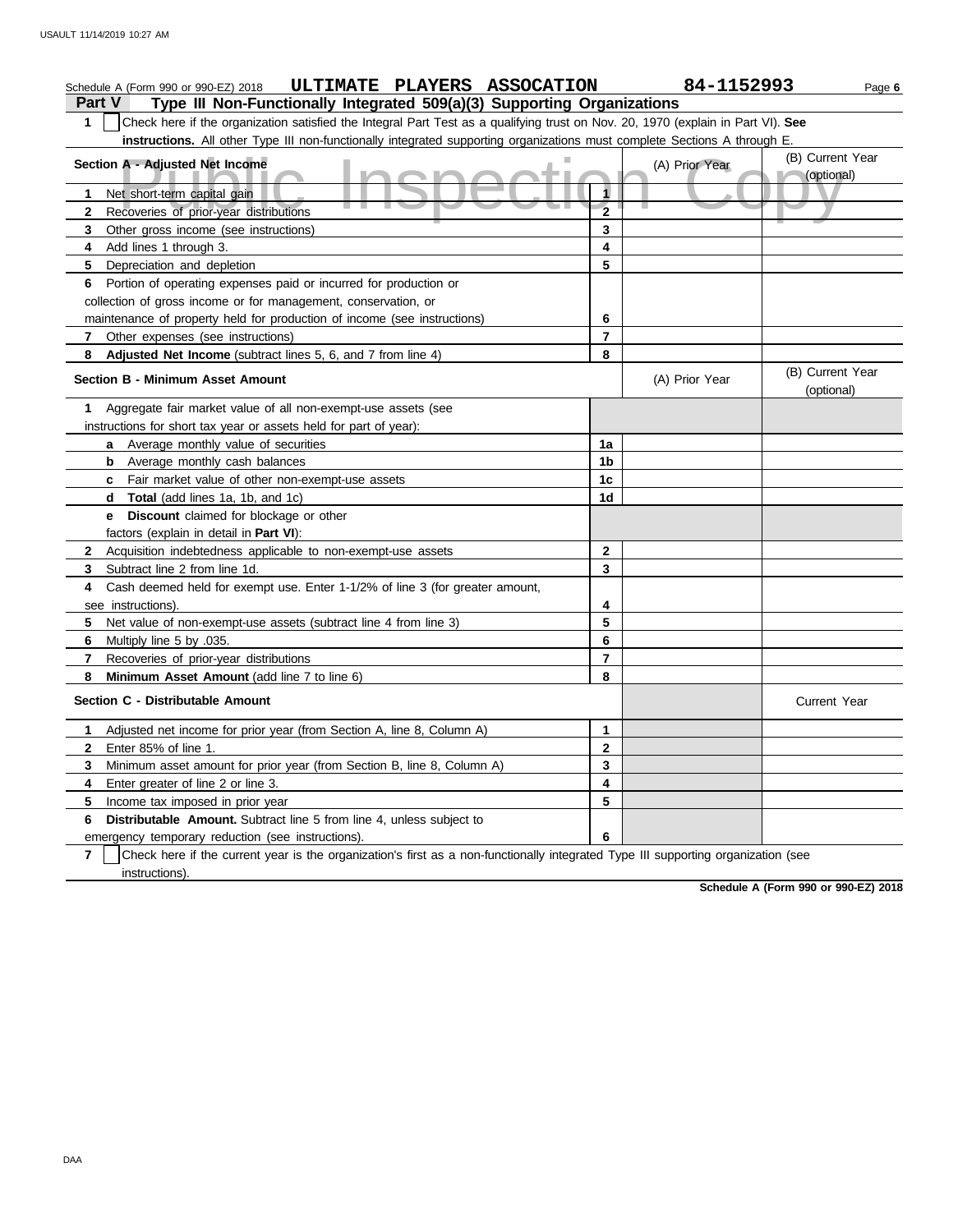#### A - Adjusted Net Income<br>et short-term capital gain<br>ecoveries of prior-year distributions **Part V Type III Non-Functionally Integrated 509(a)(3) Supporting Organizations** Schedule A (Form 990 or 990-EZ) 2018 **ULTIMATE PLAYERS ASSOCATION** 84-1152993 Page 6 **1** Check here if the organization satisfied the Integral Part Test as a qualifying trust on Nov. 20, 1970 (explain in Part VI). **See instructions.** All other Type III non-functionally integrated supporting organizations must complete Sections A through E. **1** Net short-term capital gain **2 3 4** Add lines 1 through 3. **5** Depreciation and depletion **6** Portion of operating expenses paid or incurred for production or **7 8 Adjusted Net Income** (subtract lines 5, 6, and 7 from line 4) **1** Aggregate fair market value of all non-exempt-use assets (see **Section A - Adjusted Net Income** Recoveries of prior-year distributions Other gross income (see instructions) collection of gross income or for management, conservation, or maintenance of property held for production of income (see instructions) Other expenses (see instructions) **Section B - Minimum Asset Amount** instructions for short tax year or assets held for part of year): **a** Average monthly value of securities **b** Average monthly cash balances **c** Fair market value of other non-exempt-use assets **d Total** (add lines 1a, 1b, and 1c) **e Discount** claimed for blockage or other factors (explain in detail in **Part VI**): **8 7 6** Multiply line 5 by .035. **5** Net value of non-exempt-use assets (subtract line 4 from line 3) **4** Cash deemed held for exempt use. Enter 1-1/2% of line 3 (for greater amount, **3** Subtract line 2 from line 1d. **2** Acquisition indebtedness applicable to non-exempt-use assets see instructions). Recoveries of prior-year distributions **Minimum Asset Amount (add line 7 to line 6) Section C - Distributable Amount 7 6 Distributable Amount.** Subtract line 5 from line 4, unless subject to **5** Income tax imposed in prior year **4** Enter greater of line 2 or line 3. **3 2 1** Adjusted net income for prior year (from Section A, line 8, Column A) Enter 85% of line 1. Minimum asset amount for prior year (from Section B, line 8, Column A) emergency temporary reduction (see instructions). instructions). Check here if the current year is the organization's first as a non-functionally integrated Type III supporting organization (see **8 7 6 5 4 3 2 1** (A) Prior Year (B) Current Year (optional) (optional) (B) Current Year (A) Prior Year **1a 1b 1c 1d 2 3 4 5 6 7 8 3 2 1 6 5 4** Current Year

**Schedule A (Form 990 or 990-EZ) 2018**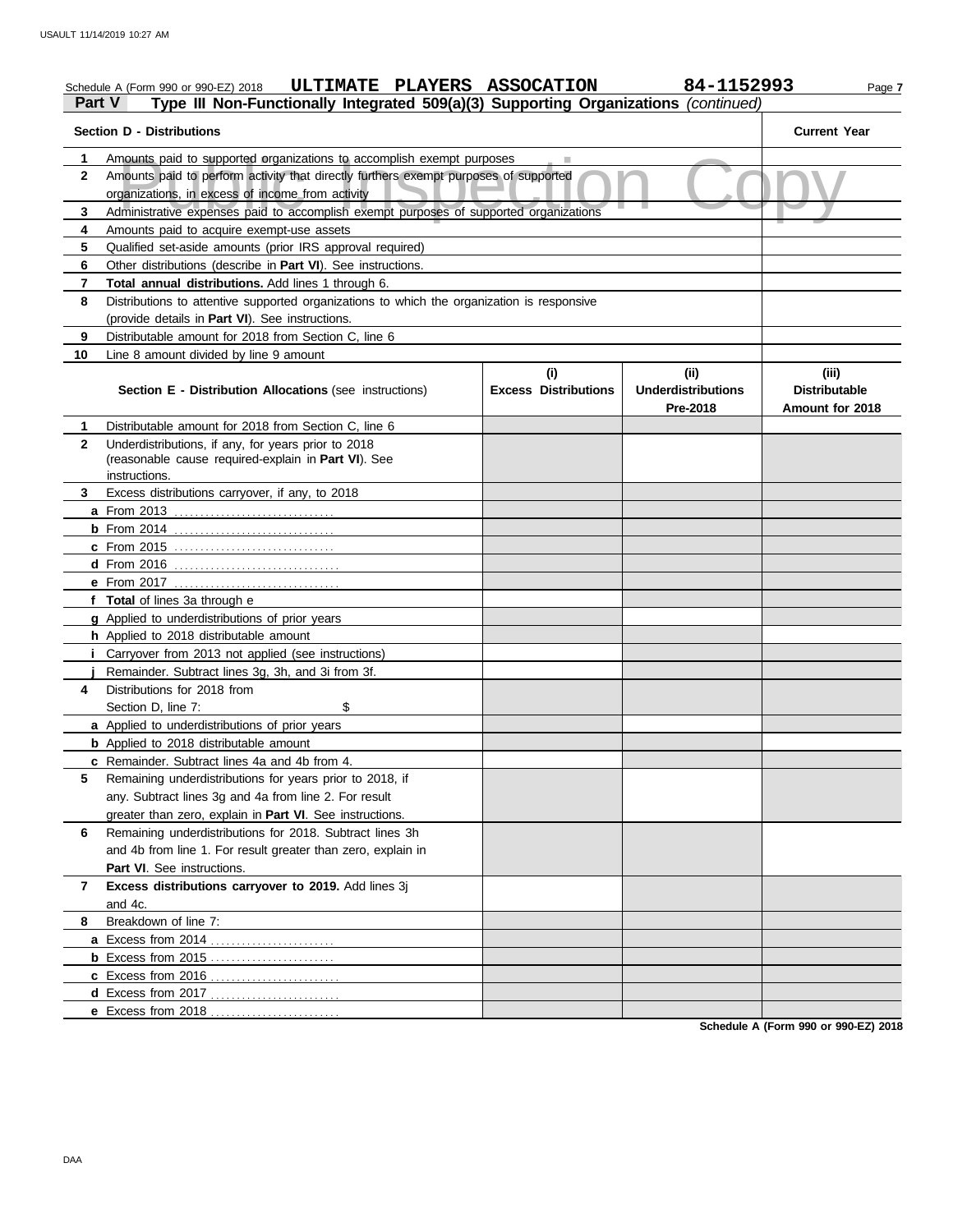### Amounts paid to supported organizations to accomplish exempt purposes<br>Amounts paid to perform activity that directly furthers exempt purposes of supported<br>Organizations, in excess of income from activity<br>Administrative exp Schedule A (Form 990 or 990-EZ) 2018 **ULTIMATE PLAYERS ASSOCATION** 84-1152993 Page 7 **Part V Type III Non-Functionally Integrated 509(a)(3) Supporting Organizations** *(continued)* **Section D - Distributions Current Year 1 2 3 4 5 6 7 8 9 10** Amounts paid to supported organizations to accomplish exempt purposes Amounts paid to perform activity that directly furthers exempt purposes of supported organizations, in excess of income from activity Amounts paid to acquire exempt-use assets Qualified set-aside amounts (prior IRS approval required) Other distributions (describe in **Part VI**). See instructions. **Total annual distributions.** Add lines 1 through 6. Distributions to attentive supported organizations to which the organization is responsive (provide details in **Part VI**). See instructions. Distributable amount for 2018 from Section C, line 6 Line 8 amount divided by line 9 amount **Section E - Distribution Allocations** (see instructions) **Excess Distributions (i) (ii) Underdistributions Pre-2018 (iii) Distributable Amount for 2018 8** Breakdown of line 7: **7 6** Remaining underdistributions for 2018. Subtract lines 3h **5 4** Distributions for 2018 from **3** Excess distributions carryover, if any, to 2018 **2 1 a** From 2013 . . . . . . . . . . . . . . . . . . . . . . . . . . . . . . . **b** From 2014 . . . . . . . . . . . . . . . . . . . . . . . . . . . . . . . **c** From 2015 . . . . . . . . . . . . . . . . . . . . . . . . . . . . . . . **d** From 2016 . . . . . . . . . . . . . . . . . . . . . . . . . . . . . . . . **e** From 2017 . . . . . . . . . . . . . . . . . . . . . . . . . . . . . . . . **f Total** of lines 3a through e **g** Applied to underdistributions of prior years **h** Applied to 2018 distributable amount **i** Carryover from 2013 not applied (see instructions) **j** Remainder. Subtract lines 3g, 3h, and 3i from 3f. **a** Applied to underdistributions of prior years **b** Applied to 2018 distributable amount **c** Remainder. Subtract lines 4a and 4b from 4. **a** Excess from 2014 . . . . . . . . . . . . . . . . . . . . . . . . **b** Excess from 2015 . . . . . . . . . . . . . . . . . . . . . . . . **c** Excess from 2016 . . . . . . . . . . . . . . . . . . . . . . . . . **d** Excess from 2017 . . . . . . . . . . . . . . . . . . . . . . . . . **e** Excess from 2018 . . . . . . . . . . . . . . . . . . . . . . . . . Distributable amount for 2018 from Section C, line 6 Underdistributions, if any, for years prior to 2018 (reasonable cause required-explain in **Part VI**). See Section D, line 7: \$ Remaining underdistributions for years prior to 2018, if any. Subtract lines 3g and 4a from line 2. For result greater than zero, explain in **Part VI**. See instructions. and 4b from line 1. For result greater than zero, explain in Part VI. See instructions. **Excess distributions carryover to 2019.** Add lines 3j and 4c. instructions.

**Schedule A (Form 990 or 990-EZ) 2018**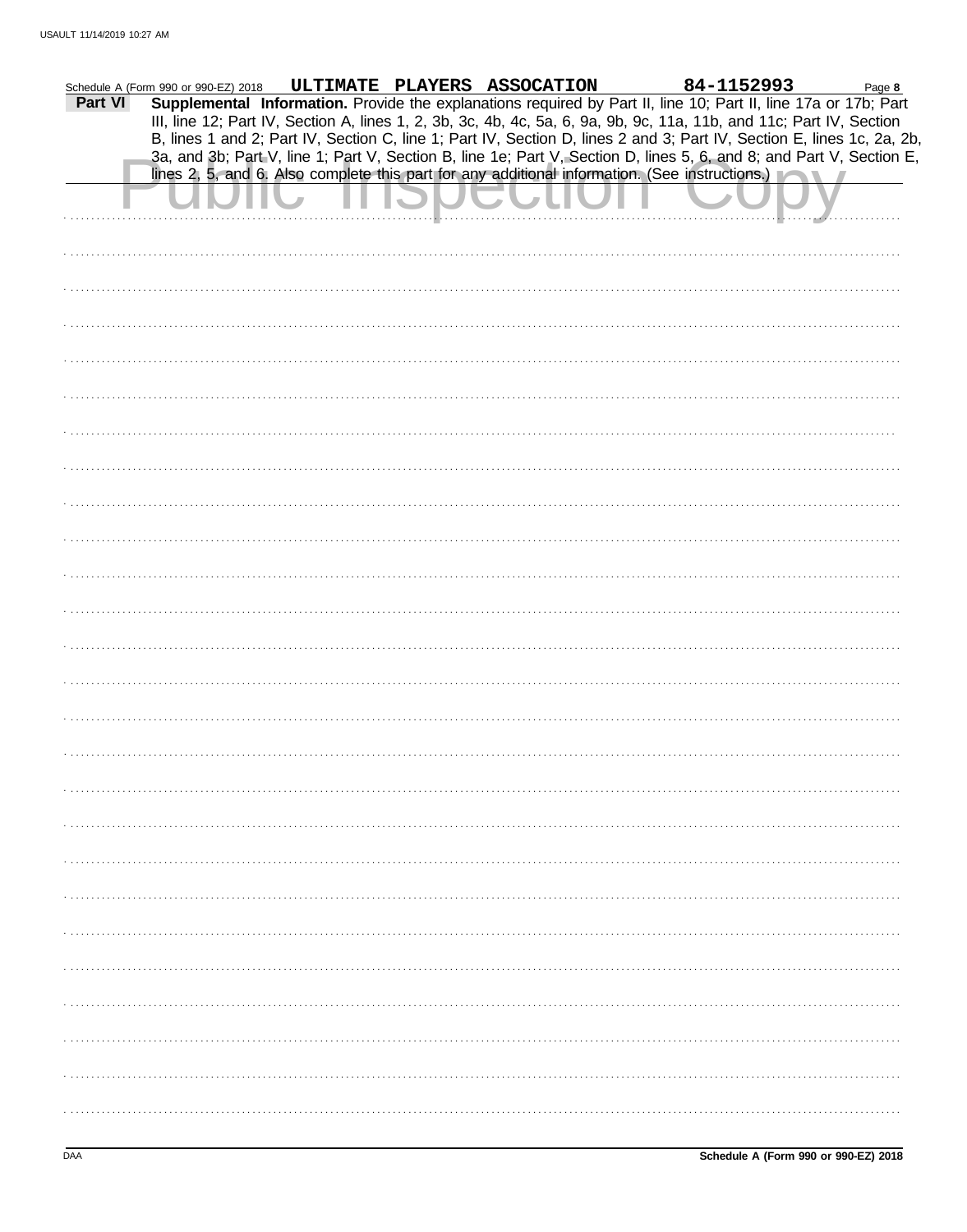|         | Schedule A (Form 990 or 990-EZ) 2018 |  | ULTIMATE PLAYERS ASSOCATION                                                                                                                                                                                                                                                                                                                                       | 84-1152993 | Page 8 |
|---------|--------------------------------------|--|-------------------------------------------------------------------------------------------------------------------------------------------------------------------------------------------------------------------------------------------------------------------------------------------------------------------------------------------------------------------|------------|--------|
| Part VI |                                      |  | Supplemental Information. Provide the explanations required by Part II, line 10; Part II, line 17a or 17b; Part<br>III, line 12; Part IV, Section A, lines 1, 2, 3b, 3c, 4b, 4c, 5a, 6, 9a, 9b, 9c, 11a, 11b, and 11c; Part IV, Section<br>B, lines 1 and 2; Part IV, Section C, line 1; Part IV, Section D, lines 2 and 3; Part IV, Section E, lines 1c, 2a, 2b, |            |        |
|         |                                      |  | 3a, and 3b; Part V, line 1; Part V, Section B, line 1e; Part V, Section D, lines 5, 6, and 8; and Part V, Section E,<br>lines 2, 5, and 6. Also complete this part for any additional information. (See instructions.)                                                                                                                                            |            |        |
|         |                                      |  |                                                                                                                                                                                                                                                                                                                                                                   |            |        |
|         |                                      |  |                                                                                                                                                                                                                                                                                                                                                                   |            |        |
|         |                                      |  |                                                                                                                                                                                                                                                                                                                                                                   |            |        |
|         |                                      |  |                                                                                                                                                                                                                                                                                                                                                                   |            |        |
|         |                                      |  |                                                                                                                                                                                                                                                                                                                                                                   |            |        |
|         |                                      |  |                                                                                                                                                                                                                                                                                                                                                                   |            |        |
|         |                                      |  |                                                                                                                                                                                                                                                                                                                                                                   |            |        |
|         |                                      |  |                                                                                                                                                                                                                                                                                                                                                                   |            |        |
|         |                                      |  |                                                                                                                                                                                                                                                                                                                                                                   |            |        |
|         |                                      |  |                                                                                                                                                                                                                                                                                                                                                                   |            |        |
|         |                                      |  |                                                                                                                                                                                                                                                                                                                                                                   |            |        |
|         |                                      |  |                                                                                                                                                                                                                                                                                                                                                                   |            |        |
|         |                                      |  |                                                                                                                                                                                                                                                                                                                                                                   |            |        |
|         |                                      |  |                                                                                                                                                                                                                                                                                                                                                                   |            |        |
|         |                                      |  |                                                                                                                                                                                                                                                                                                                                                                   |            |        |
|         |                                      |  |                                                                                                                                                                                                                                                                                                                                                                   |            |        |
|         |                                      |  |                                                                                                                                                                                                                                                                                                                                                                   |            |        |
|         |                                      |  |                                                                                                                                                                                                                                                                                                                                                                   |            |        |
|         |                                      |  |                                                                                                                                                                                                                                                                                                                                                                   |            |        |
|         |                                      |  |                                                                                                                                                                                                                                                                                                                                                                   |            |        |
|         |                                      |  |                                                                                                                                                                                                                                                                                                                                                                   |            |        |
|         |                                      |  |                                                                                                                                                                                                                                                                                                                                                                   |            |        |
|         |                                      |  |                                                                                                                                                                                                                                                                                                                                                                   |            |        |
|         |                                      |  |                                                                                                                                                                                                                                                                                                                                                                   |            |        |
|         |                                      |  |                                                                                                                                                                                                                                                                                                                                                                   |            |        |
|         |                                      |  |                                                                                                                                                                                                                                                                                                                                                                   |            |        |
|         |                                      |  |                                                                                                                                                                                                                                                                                                                                                                   |            |        |
|         |                                      |  |                                                                                                                                                                                                                                                                                                                                                                   |            |        |
|         |                                      |  |                                                                                                                                                                                                                                                                                                                                                                   |            |        |
|         |                                      |  |                                                                                                                                                                                                                                                                                                                                                                   |            |        |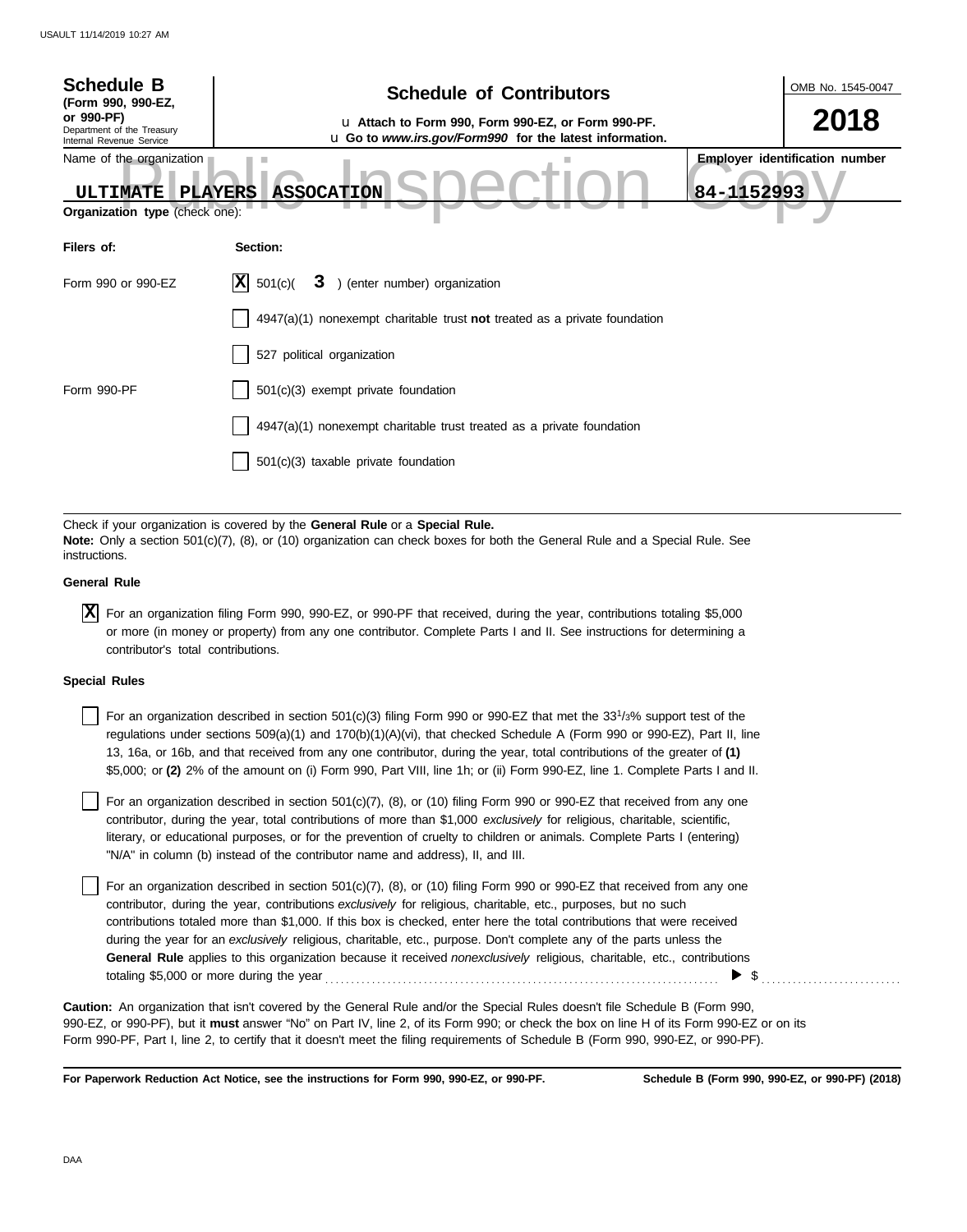| <b>Schedule B</b><br>(Form 990, 990-EZ,                                | <b>Schedule of Contributors</b>                                                                                                                                                                             |            | OMB No. 1545-0047                     |
|------------------------------------------------------------------------|-------------------------------------------------------------------------------------------------------------------------------------------------------------------------------------------------------------|------------|---------------------------------------|
| or 990-PF)<br>Department of the Treasury<br>Internal Revenue Service   | u Attach to Form 990, Form 990-EZ, or Form 990-PF.<br>u Go to www.irs.gov/Form990 for the latest information.                                                                                               |            | 2018                                  |
| Name of the organization<br>ULTIMATE<br>Organization type (check one): | <b>ASSOCATION</b><br><b>PLAYERS</b>                                                                                                                                                                         | 84-1152993 | <b>Employer identification number</b> |
| Filers of:                                                             | Section:                                                                                                                                                                                                    |            |                                       |
| Form 990 or 990-EZ                                                     | X <br>501(c)<br>3 ) (enter number) organization                                                                                                                                                             |            |                                       |
|                                                                        | 4947(a)(1) nonexempt charitable trust not treated as a private foundation                                                                                                                                   |            |                                       |
|                                                                        | 527 political organization                                                                                                                                                                                  |            |                                       |
| Form 990-PF                                                            | 501(c)(3) exempt private foundation                                                                                                                                                                         |            |                                       |
|                                                                        | 4947(a)(1) nonexempt charitable trust treated as a private foundation                                                                                                                                       |            |                                       |
|                                                                        | 501(c)(3) taxable private foundation                                                                                                                                                                        |            |                                       |
|                                                                        |                                                                                                                                                                                                             |            |                                       |
| instructions.                                                          | Check if your organization is covered by the General Rule or a Special Rule.<br>Note: Only a section 501(c)(7), (8), or (10) organization can check boxes for both the General Rule and a Special Rule. See |            |                                       |

## **General Rule**

For an organization filing Form 990, 990-EZ, or 990-PF that received, during the year, contributions totaling \$5,000 **X** or more (in money or property) from any one contributor. Complete Parts I and II. See instructions for determining a contributor's total contributions.

## **Special Rules**

For an organization described in section 501(c)(3) filing Form 990 or 990-EZ that met the  $33^{1/3\%}$  support test of the regulations under sections 509(a)(1) and 170(b)(1)(A)(vi), that checked Schedule A (Form 990 or 990-EZ), Part II, line 13, 16a, or 16b, and that received from any one contributor, during the year, total contributions of the greater of **(1)** \$5,000; or **(2)** 2% of the amount on (i) Form 990, Part VIII, line 1h; or (ii) Form 990-EZ, line 1. Complete Parts I and II.

literary, or educational purposes, or for the prevention of cruelty to children or animals. Complete Parts I (entering) For an organization described in section 501(c)(7), (8), or (10) filing Form 990 or 990-EZ that received from any one contributor, during the year, total contributions of more than \$1,000 *exclusively* for religious, charitable, scientific, "N/A" in column (b) instead of the contributor name and address), II, and III.

For an organization described in section 501(c)(7), (8), or (10) filing Form 990 or 990-EZ that received from any one contributor, during the year, contributions *exclusively* for religious, charitable, etc., purposes, but no such contributions totaled more than \$1,000. If this box is checked, enter here the total contributions that were received during the year for an *exclusively* religious, charitable, etc., purpose. Don't complete any of the parts unless the **General Rule** applies to this organization because it received *nonexclusively* religious, charitable, etc., contributions totaling \$5,000 or more during the year . . . . . . . . . . . . . . . . . . . . . . . . . . . . . . . . . . . . . . . . . . . . . . . . . . . . . . . . . . . . . . . . . . . . . . . . . . . . \$ . . . . . . . . . . . . . . . . . . . . . . . . . . .

990-EZ, or 990-PF), but it **must** answer "No" on Part IV, line 2, of its Form 990; or check the box on line H of its Form 990-EZ or on its Form 990-PF, Part I, line 2, to certify that it doesn't meet the filing requirements of Schedule B (Form 990, 990-EZ, or 990-PF). **Caution:** An organization that isn't covered by the General Rule and/or the Special Rules doesn't file Schedule B (Form 990,

**For Paperwork Reduction Act Notice, see the instructions for Form 990, 990-EZ, or 990-PF.**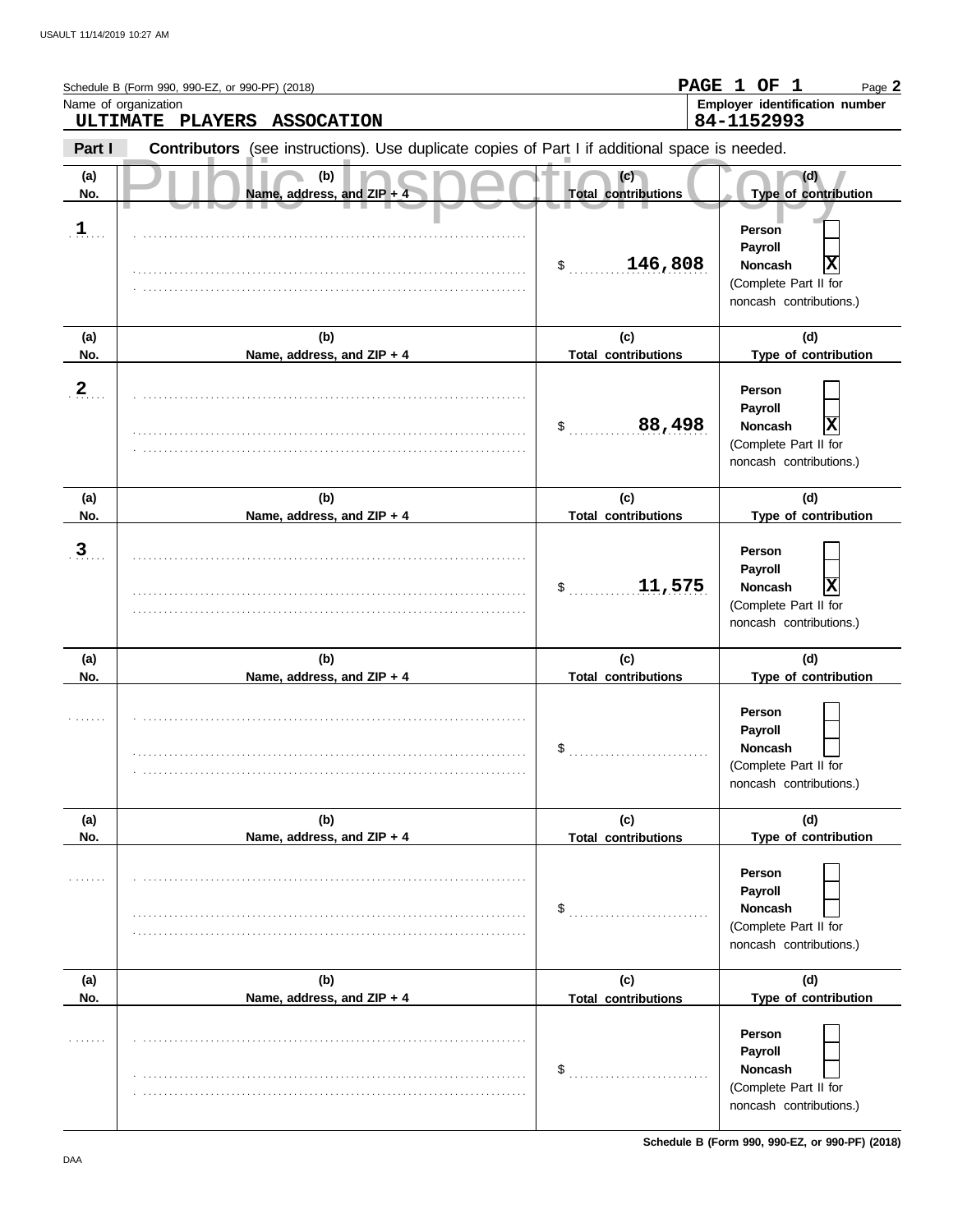|                      | Schedule B (Form 990, 990-EZ, or 990-PF) (2018)<br>Name of organization<br>ULTIMATE PLAYERS<br><b>ASSOCATION</b> |                                   | PAGE 1 OF 1<br>Page 2<br>Employer identification number<br>84-1152993                        |
|----------------------|------------------------------------------------------------------------------------------------------------------|-----------------------------------|----------------------------------------------------------------------------------------------|
| Part I               | Contributors (see instructions). Use duplicate copies of Part I if additional space is needed.                   |                                   |                                                                                              |
| (a)<br>No.           | (b)<br>Name, address, and ZIP +                                                                                  | (c)<br><b>Total contributions</b> | (d)<br>Type of contribution                                                                  |
| $\mathbf{1}_{\cdot}$ |                                                                                                                  | \$ 146,808                        | Person<br>Payroll<br>X<br><b>Noncash</b><br>(Complete Part II for<br>noncash contributions.) |
| (a)<br>No.           | (b)<br>Name, address, and ZIP + 4                                                                                | (c)<br><b>Total contributions</b> | (d)<br>Type of contribution                                                                  |
| $\overline{2}$       |                                                                                                                  | 88,498<br>\$                      | Person<br>Payroll<br>X<br><b>Noncash</b><br>(Complete Part II for<br>noncash contributions.) |
| (a)<br>No.           | (b)<br>Name, address, and ZIP + 4                                                                                | (c)<br><b>Total contributions</b> | (d)<br>Type of contribution                                                                  |
| $\overline{3}$       |                                                                                                                  | 11,575<br>$\mathsf{S}$            | Person<br>Payroll<br>X<br><b>Noncash</b><br>(Complete Part II for<br>noncash contributions.) |
| (a)<br>No.           | (b)<br>Name, address, and ZIP + 4                                                                                | (c)<br><b>Total contributions</b> | (d)<br>Type of contribution                                                                  |
|                      |                                                                                                                  | \$                                | Person<br>Payroll<br>Noncash<br>(Complete Part II for<br>noncash contributions.)             |
| (a)<br>No.           | (b)<br>Name, address, and ZIP + 4                                                                                | (c)<br><b>Total contributions</b> | (d)<br>Type of contribution                                                                  |
|                      |                                                                                                                  | \$                                | Person<br>Payroll<br><b>Noncash</b><br>(Complete Part II for<br>noncash contributions.)      |
| (a)<br>No.           | (b)<br>Name, address, and ZIP + 4                                                                                | (c)<br><b>Total contributions</b> | (d)<br>Type of contribution                                                                  |
|                      |                                                                                                                  | \$                                | Person<br>Payroll<br>Noncash<br>(Complete Part II for<br>noncash contributions.)             |

**Schedule B (Form 990, 990-EZ, or 990-PF) (2018)**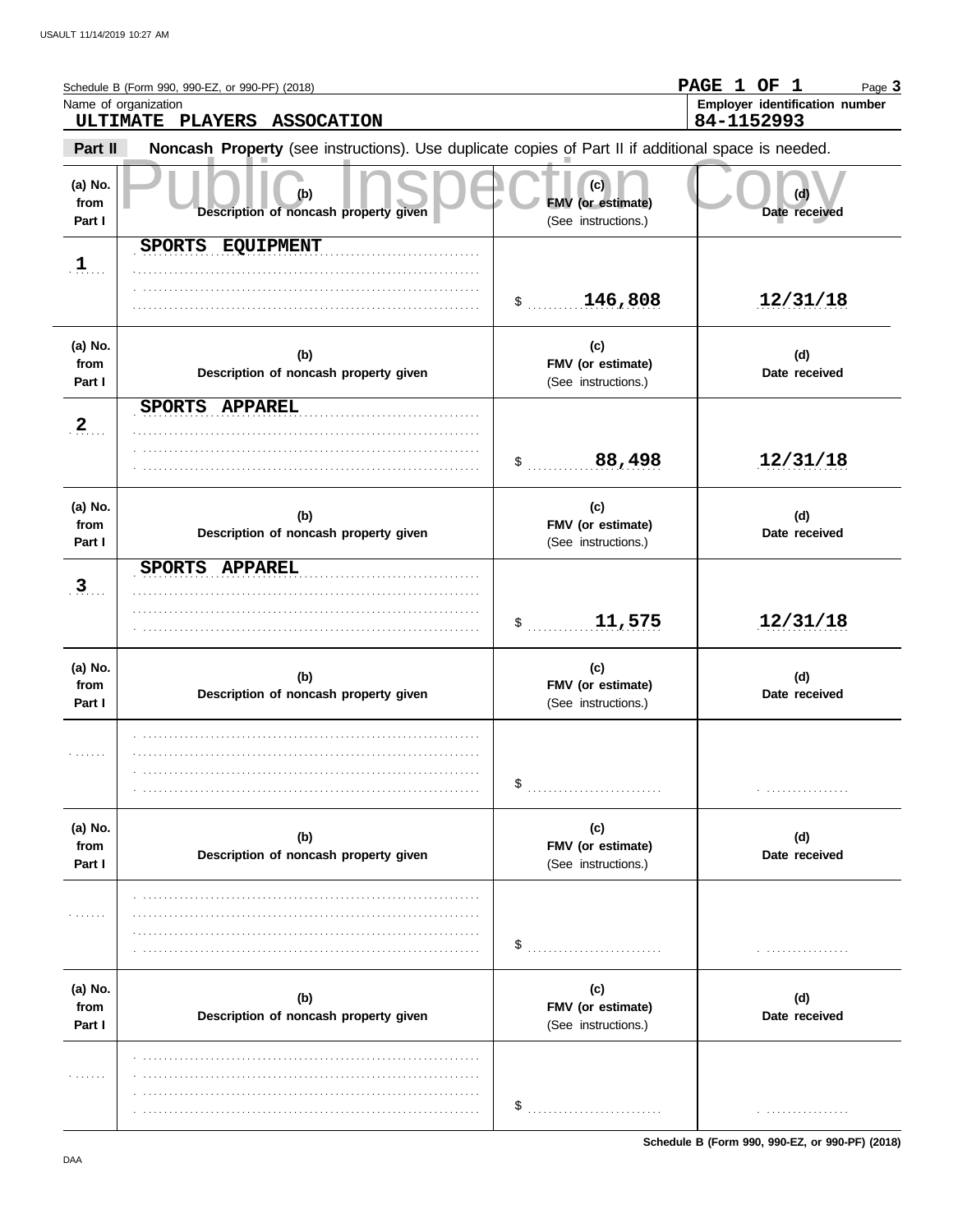|                           | Schedule B (Form 990, 990-EZ, or 990-PF) (2018)<br>Name of organization<br>ULTIMATE PLAYERS ASSOCATION |                                                        | <b>PAGE</b><br>1 OF 1<br>Page 3<br>Employer identification number<br>84-1152993 |
|---------------------------|--------------------------------------------------------------------------------------------------------|--------------------------------------------------------|---------------------------------------------------------------------------------|
| Part II                   | Noncash Property (see instructions). Use duplicate copies of Part II if additional space is needed.    |                                                        |                                                                                 |
| (a) No.<br>from<br>Part I | (b)<br>Description of noncash property given                                                           | (c)<br><b>FMV</b> (or estimate)<br>(See instructions.) | (d)<br>Date received                                                            |
| $\mathbf{1}$              | SPORTS EQUIPMENT                                                                                       | 146,808<br>$\sim$                                      | 12/31/18                                                                        |
| (a) No.<br>from<br>Part I | (b)<br>Description of noncash property given                                                           | (c)<br>FMV (or estimate)<br>(See instructions.)        | (d)<br>Date received                                                            |
| $\overline{2}$            | SPORTS APPAREL                                                                                         | 88,498<br>$\$\$                                        | 12/31/18                                                                        |
| (a) No.<br>from<br>Part I | (b)<br>Description of noncash property given                                                           | (c)<br>FMV (or estimate)<br>(See instructions.)        | (d)<br>Date received                                                            |
| $\overline{3}$            | SPORTS APPAREL                                                                                         | 11,575<br>$\frac{1}{2}$                                | 12/31/18                                                                        |
| (a) No.<br>from<br>Part I | (b)<br>Description of noncash property given                                                           | (c)<br>FMV (or estimate)<br>(See instructions.)        | (d)<br>Date received                                                            |
| .                         |                                                                                                        | \$                                                     |                                                                                 |
| (a) No.<br>from<br>Part I | (b)<br>Description of noncash property given                                                           | (c)<br>FMV (or estimate)<br>(See instructions.)        | (d)<br>Date received                                                            |
| .                         |                                                                                                        | \$                                                     |                                                                                 |
| (a) No.<br>from<br>Part I | (b)<br>Description of noncash property given                                                           | (c)<br>FMV (or estimate)<br>(See instructions.)        | (d)<br>Date received                                                            |
| .                         |                                                                                                        | \$                                                     | . <b>.</b> .                                                                    |

**Schedule B (Form 990, 990-EZ, or 990-PF) (2018)**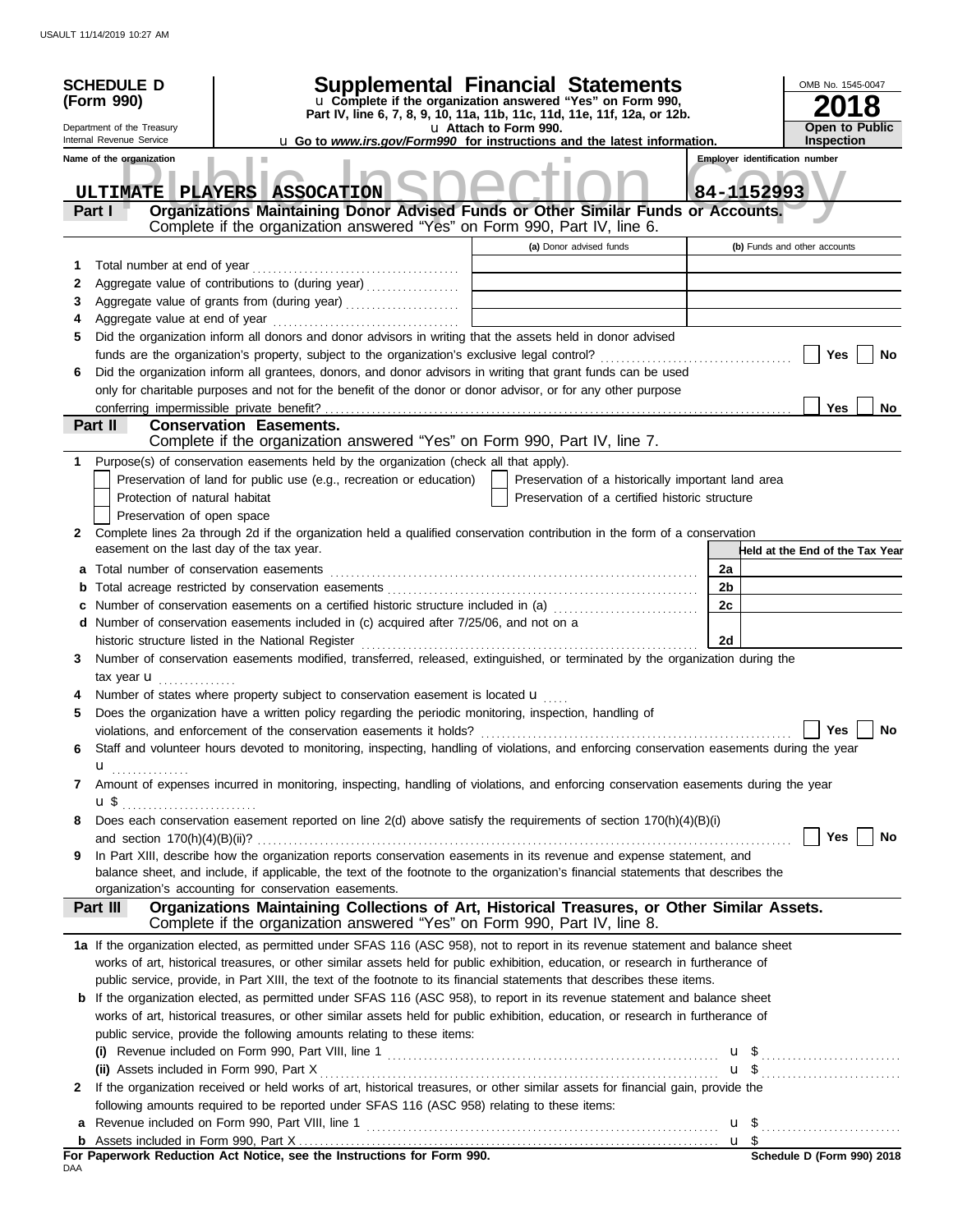|                            | <b>SCHEDULE D</b><br>(Form 990)<br>Department of the Treasury<br>Internal Revenue Service                                                                                                                                                                                                                                                                                                                                                                                                                                                                                                                                                                                                                                                                       | <b>Supplemental Financial Statements</b><br>u Complete if the organization answered "Yes" on Form 990,<br>Part IV, line 6, 7, 8, 9, 10, 11a, 11b, 11c, 11d, 11e, 11f, 12a, or 12b.<br>u Attach to Form 990.<br><b>u</b> Go to <i>www.irs.gov/Form990</i> for instructions and the latest information. |                            | OMB No. 1545-0047<br>8<br><b>Open to Public</b><br><b>Inspection</b> |
|----------------------------|-----------------------------------------------------------------------------------------------------------------------------------------------------------------------------------------------------------------------------------------------------------------------------------------------------------------------------------------------------------------------------------------------------------------------------------------------------------------------------------------------------------------------------------------------------------------------------------------------------------------------------------------------------------------------------------------------------------------------------------------------------------------|-------------------------------------------------------------------------------------------------------------------------------------------------------------------------------------------------------------------------------------------------------------------------------------------------------|----------------------------|----------------------------------------------------------------------|
|                            | Name of the organization<br>٠<br>ULTIMATE PLAYERS ASSOCATION<br>Organizations Maintaining Donor Advised Funds or Other Similar Funds or Accounts.<br>Part I<br>Complete if the organization answered "Yes" on Form 990, Part IV, line 6.                                                                                                                                                                                                                                                                                                                                                                                                                                                                                                                        |                                                                                                                                                                                                                                                                                                       |                            | <b>Employer identification number</b><br>84-1152993                  |
| 1<br>2<br>3<br>4<br>5<br>6 | Aggregate value of grants from (during year)<br>Did the organization inform all donors and donor advisors in writing that the assets held in donor advised<br>Did the organization inform all grantees, donors, and donor advisors in writing that grant funds can be used                                                                                                                                                                                                                                                                                                                                                                                                                                                                                      | (a) Donor advised funds<br>the control of the control of the control of the control of                                                                                                                                                                                                                |                            | (b) Funds and other accounts<br>Yes<br>No                            |
|                            | only for charitable purposes and not for the benefit of the donor or donor advisor, or for any other purpose<br>conferring impermissible private benefit?<br>Part II<br><b>Conservation Easements.</b><br>Complete if the organization answered "Yes" on Form 990, Part IV, line 7.                                                                                                                                                                                                                                                                                                                                                                                                                                                                             |                                                                                                                                                                                                                                                                                                       |                            | Yes<br>No                                                            |
| 1.                         | Purpose(s) of conservation easements held by the organization (check all that apply).<br>Preservation of land for public use (e.g., recreation or education)<br>Protection of natural habitat<br>Preservation of open space                                                                                                                                                                                                                                                                                                                                                                                                                                                                                                                                     | Preservation of a historically important land area<br>Preservation of a certified historic structure                                                                                                                                                                                                  |                            |                                                                      |
| $\mathbf{2}$<br>b          | Complete lines 2a through 2d if the organization held a qualified conservation contribution in the form of a conservation<br>easement on the last day of the tax year.<br>d Number of conservation easements included in (c) acquired after 7/25/06, and not on a                                                                                                                                                                                                                                                                                                                                                                                                                                                                                               |                                                                                                                                                                                                                                                                                                       | 2a<br>2 <sub>b</sub><br>2c | Held at the End of the Tax Year                                      |
| 3<br>5                     | Number of conservation easements modified, transferred, released, extinguished, or terminated by the organization during the<br>tax year $\mathbf{u}$ ,<br>Number of states where property subject to conservation easement is located <b>u</b><br>Does the organization have a written policy regarding the periodic monitoring, inspection, handling of                                                                                                                                                                                                                                                                                                                                                                                                       |                                                                                                                                                                                                                                                                                                       | 2d                         |                                                                      |
| 6                          | violations, and enforcement of the conservation easements it holds?<br>Staff and volunteer hours devoted to monitoring, inspecting, handling of violations, and enforcing conservation easements during the year<br>u <sub></sub>                                                                                                                                                                                                                                                                                                                                                                                                                                                                                                                               |                                                                                                                                                                                                                                                                                                       |                            | Yes<br><b>No</b>                                                     |
| 7<br>8                     | Amount of expenses incurred in monitoring, inspecting, handling of violations, and enforcing conservation easements during the year<br>Does each conservation easement reported on line 2(d) above satisfy the requirements of section 170(h)(4)(B)(i)                                                                                                                                                                                                                                                                                                                                                                                                                                                                                                          |                                                                                                                                                                                                                                                                                                       |                            | Yes $\vert \ \ \vert$<br>No                                          |
| 9                          | In Part XIII, describe how the organization reports conservation easements in its revenue and expense statement, and<br>balance sheet, and include, if applicable, the text of the footnote to the organization's financial statements that describes the<br>organization's accounting for conservation easements.<br>Organizations Maintaining Collections of Art, Historical Treasures, or Other Similar Assets.<br>Part III                                                                                                                                                                                                                                                                                                                                  |                                                                                                                                                                                                                                                                                                       |                            |                                                                      |
|                            | Complete if the organization answered "Yes" on Form 990, Part IV, line 8.<br>1a If the organization elected, as permitted under SFAS 116 (ASC 958), not to report in its revenue statement and balance sheet<br>works of art, historical treasures, or other similar assets held for public exhibition, education, or research in furtherance of                                                                                                                                                                                                                                                                                                                                                                                                                |                                                                                                                                                                                                                                                                                                       |                            |                                                                      |
| 2                          | public service, provide, in Part XIII, the text of the footnote to its financial statements that describes these items.<br><b>b</b> If the organization elected, as permitted under SFAS 116 (ASC 958), to report in its revenue statement and balance sheet<br>works of art, historical treasures, or other similar assets held for public exhibition, education, or research in furtherance of<br>public service, provide the following amounts relating to these items:<br>(i) Revenue included on Form 990, Part VIII, line 1 $\ldots$ $\ldots$ $\ldots$ $\ldots$ $\ldots$ $\ldots$ $\ldots$ $\ldots$ $\ldots$ $\ldots$<br>If the organization received or held works of art, historical treasures, or other similar assets for financial gain, provide the |                                                                                                                                                                                                                                                                                                       |                            |                                                                      |
| a<br>DAA                   | following amounts required to be reported under SFAS 116 (ASC 958) relating to these items:<br>For Paperwork Reduction Act Notice, see the Instructions for Form 990.                                                                                                                                                                                                                                                                                                                                                                                                                                                                                                                                                                                           |                                                                                                                                                                                                                                                                                                       |                            | $$$ Schedule D (Form 990) 2018                                       |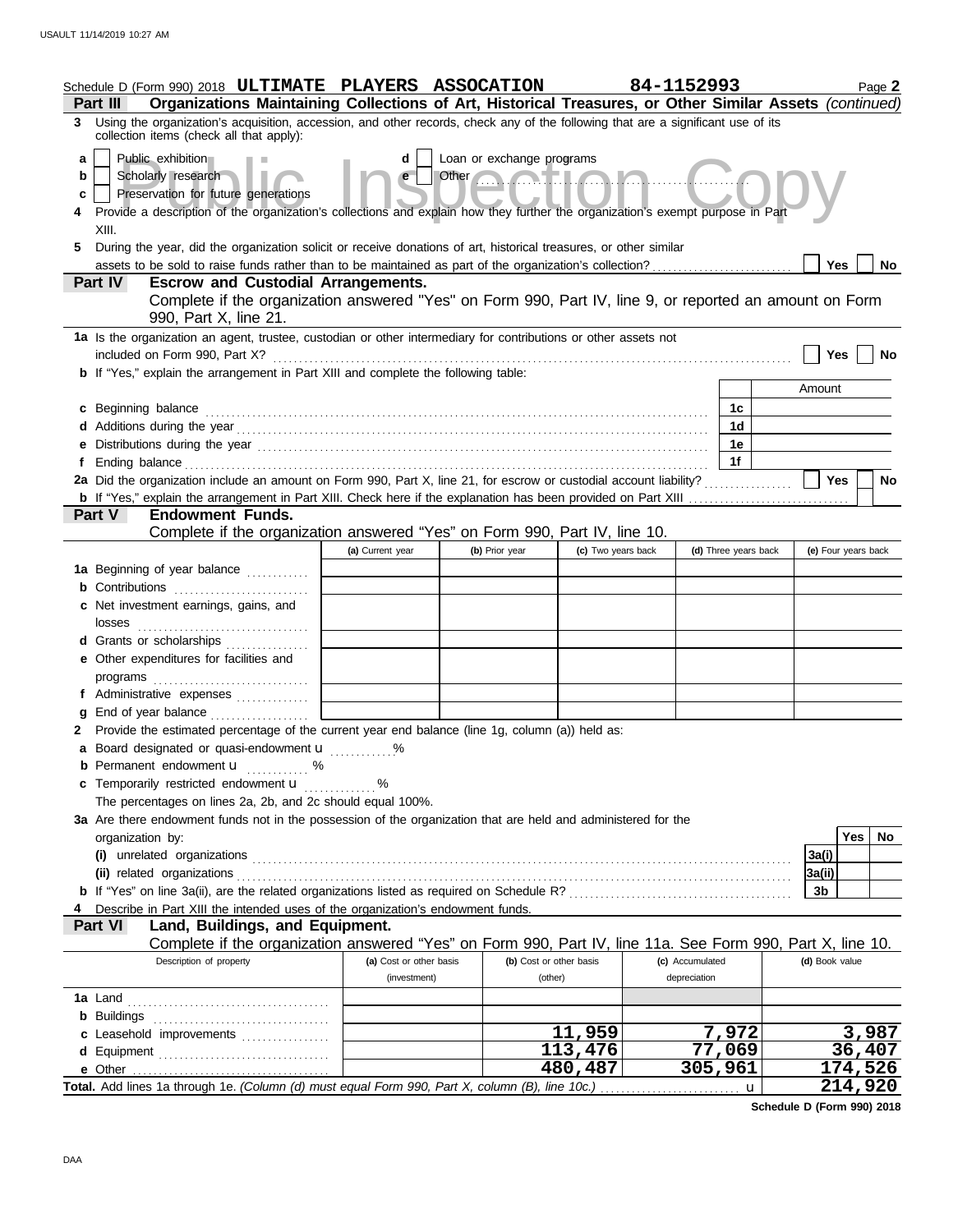|             | Schedule D (Form 990) 2018 ULTIMATE PLAYERS ASSOCATION                                                                                                                                                                         |                                             |                                                                                                                                                                                                                                                                   |                       | 84-1152993           | Page 2                  |
|-------------|--------------------------------------------------------------------------------------------------------------------------------------------------------------------------------------------------------------------------------|---------------------------------------------|-------------------------------------------------------------------------------------------------------------------------------------------------------------------------------------------------------------------------------------------------------------------|-----------------------|----------------------|-------------------------|
|             | Organizations Maintaining Collections of Art, Historical Treasures, or Other Similar Assets (continued)<br>Part III                                                                                                            |                                             |                                                                                                                                                                                                                                                                   |                       |                      |                         |
|             | 3 Using the organization's acquisition, accession, and other records, check any of the following that are a significant use of its<br>collection items (check all that apply):                                                 |                                             |                                                                                                                                                                                                                                                                   |                       |                      |                         |
| a<br>b<br>c | Public exhibition<br>Scholarly research<br>Preservation for future generations<br>Provide a description of the organization's collections and explain how they further the organization's exempt purpose in Part               | d                                           | Loan or exchange programs<br>Other <b>Contains the Contact of the Contact of the Contact of the Contact of the Contact of the Contact of the Contact of the Contact of the Contact of the Contact of the Contact of the Contact of the Contact of the Contact</b> |                       |                      |                         |
| 5           | XIII.<br>During the year, did the organization solicit or receive donations of art, historical treasures, or other similar                                                                                                     |                                             |                                                                                                                                                                                                                                                                   |                       |                      |                         |
|             |                                                                                                                                                                                                                                |                                             |                                                                                                                                                                                                                                                                   |                       |                      | Yes<br>No               |
|             | <b>Part IV</b><br><b>Escrow and Custodial Arrangements.</b><br>Complete if the organization answered "Yes" on Form 990, Part IV, line 9, or reported an amount on Form                                                         |                                             |                                                                                                                                                                                                                                                                   |                       |                      |                         |
|             | 990, Part X, line 21.                                                                                                                                                                                                          |                                             |                                                                                                                                                                                                                                                                   |                       |                      |                         |
|             | 1a Is the organization an agent, trustee, custodian or other intermediary for contributions or other assets not                                                                                                                |                                             |                                                                                                                                                                                                                                                                   |                       |                      | <b>Yes</b><br>No        |
|             | <b>b</b> If "Yes," explain the arrangement in Part XIII and complete the following table:                                                                                                                                      |                                             |                                                                                                                                                                                                                                                                   |                       |                      |                         |
|             |                                                                                                                                                                                                                                |                                             |                                                                                                                                                                                                                                                                   |                       |                      | Amount                  |
|             | c Beginning balance                                                                                                                                                                                                            |                                             |                                                                                                                                                                                                                                                                   |                       | 1c                   |                         |
|             |                                                                                                                                                                                                                                |                                             |                                                                                                                                                                                                                                                                   |                       | 1 <sub>d</sub>       |                         |
|             | e Distributions during the year manufactured contains and the year manufactured with the set of the set of the set of the set of the set of the set of the set of the set of the set of the set of the set of the set of the s |                                             |                                                                                                                                                                                                                                                                   |                       | 1e                   |                         |
|             |                                                                                                                                                                                                                                |                                             |                                                                                                                                                                                                                                                                   |                       | 1f                   |                         |
|             | 2a Did the organization include an amount on Form 990, Part X, line 21, for escrow or custodial account liability?                                                                                                             |                                             |                                                                                                                                                                                                                                                                   |                       |                      | <b>Yes</b><br><b>No</b> |
|             |                                                                                                                                                                                                                                |                                             |                                                                                                                                                                                                                                                                   |                       |                      |                         |
|             | <b>Endowment Funds.</b><br><b>Part V</b>                                                                                                                                                                                       |                                             |                                                                                                                                                                                                                                                                   |                       |                      |                         |
|             | Complete if the organization answered "Yes" on Form 990, Part IV, line 10.                                                                                                                                                     |                                             |                                                                                                                                                                                                                                                                   |                       |                      |                         |
|             |                                                                                                                                                                                                                                | (a) Current year                            | (b) Prior year                                                                                                                                                                                                                                                    | (c) Two years back    | (d) Three years back | (e) Four years back     |
|             | 1a Beginning of year balance                                                                                                                                                                                                   |                                             |                                                                                                                                                                                                                                                                   |                       |                      |                         |
|             | <b>b</b> Contributions <b>contributions</b>                                                                                                                                                                                    |                                             |                                                                                                                                                                                                                                                                   |                       |                      |                         |
|             | c Net investment earnings, gains, and<br>losses                                                                                                                                                                                |                                             |                                                                                                                                                                                                                                                                   |                       |                      |                         |
|             | d Grants or scholarships                                                                                                                                                                                                       |                                             |                                                                                                                                                                                                                                                                   |                       |                      |                         |
|             | e Other expenditures for facilities and                                                                                                                                                                                        |                                             |                                                                                                                                                                                                                                                                   |                       |                      |                         |
|             |                                                                                                                                                                                                                                |                                             |                                                                                                                                                                                                                                                                   |                       |                      |                         |
|             | f Administrative expenses                                                                                                                                                                                                      |                                             |                                                                                                                                                                                                                                                                   |                       |                      |                         |
|             | End of year balance                                                                                                                                                                                                            |                                             |                                                                                                                                                                                                                                                                   |                       |                      |                         |
|             | 2 Provide the estimated percentage of the current year end balance (line 1g, column (a)) held as:                                                                                                                              |                                             |                                                                                                                                                                                                                                                                   |                       |                      |                         |
|             | <b>a</b> Board designated or quasi-endowment <b>u</b>                                                                                                                                                                          | $\ldots \ldots \overset{\mathsf{0}}{\cdot}$ |                                                                                                                                                                                                                                                                   |                       |                      |                         |
|             | <b>b</b> Permanent endowment <b>u</b> %                                                                                                                                                                                        |                                             |                                                                                                                                                                                                                                                                   |                       |                      |                         |
|             | c Temporarily restricted endowment <b>u</b> %                                                                                                                                                                                  |                                             |                                                                                                                                                                                                                                                                   |                       |                      |                         |
|             | The percentages on lines 2a, 2b, and 2c should equal 100%.                                                                                                                                                                     |                                             |                                                                                                                                                                                                                                                                   |                       |                      |                         |
|             | 3a Are there endowment funds not in the possession of the organization that are held and administered for the                                                                                                                  |                                             |                                                                                                                                                                                                                                                                   |                       |                      |                         |
|             | organization by:                                                                                                                                                                                                               |                                             |                                                                                                                                                                                                                                                                   |                       |                      | <b>Yes</b><br>No.       |
|             |                                                                                                                                                                                                                                |                                             |                                                                                                                                                                                                                                                                   |                       |                      | 3a(i)                   |
|             | (ii) related organizations entertainment and all the contract of the contract of the contract of the contract or                                                                                                               |                                             |                                                                                                                                                                                                                                                                   |                       |                      | 3a(ii)                  |
|             |                                                                                                                                                                                                                                |                                             |                                                                                                                                                                                                                                                                   |                       |                      | 3b                      |
|             | Describe in Part XIII the intended uses of the organization's endowment funds.<br>Land, Buildings, and Equipment.<br><b>Part VI</b>                                                                                            |                                             |                                                                                                                                                                                                                                                                   |                       |                      |                         |
|             | Complete if the organization answered "Yes" on Form 990, Part IV, line 11a. See Form 990, Part X, line 10.                                                                                                                     |                                             |                                                                                                                                                                                                                                                                   |                       |                      |                         |
|             | Description of property                                                                                                                                                                                                        | (a) Cost or other basis                     | (b) Cost or other basis                                                                                                                                                                                                                                           |                       | (c) Accumulated      | (d) Book value          |
|             |                                                                                                                                                                                                                                | (investment)                                | (other)                                                                                                                                                                                                                                                           |                       | depreciation         |                         |
|             |                                                                                                                                                                                                                                |                                             |                                                                                                                                                                                                                                                                   |                       |                      |                         |
|             |                                                                                                                                                                                                                                |                                             |                                                                                                                                                                                                                                                                   |                       |                      |                         |
|             | c Leasehold improvements                                                                                                                                                                                                       |                                             |                                                                                                                                                                                                                                                                   | 11,959                | 7,972                | 3,987                   |
|             |                                                                                                                                                                                                                                |                                             |                                                                                                                                                                                                                                                                   | $\overline{1}$ 13,476 | 77,069               | 36,407                  |
|             |                                                                                                                                                                                                                                |                                             |                                                                                                                                                                                                                                                                   | 480,487               | 305,961              | 174,526                 |
|             | Total. Add lines 1a through 1e. (Column (d) must equal Form 990, Part X, column (B), line 10c.)                                                                                                                                |                                             |                                                                                                                                                                                                                                                                   |                       | u                    | 214,920                 |

**Schedule D (Form 990) 2018**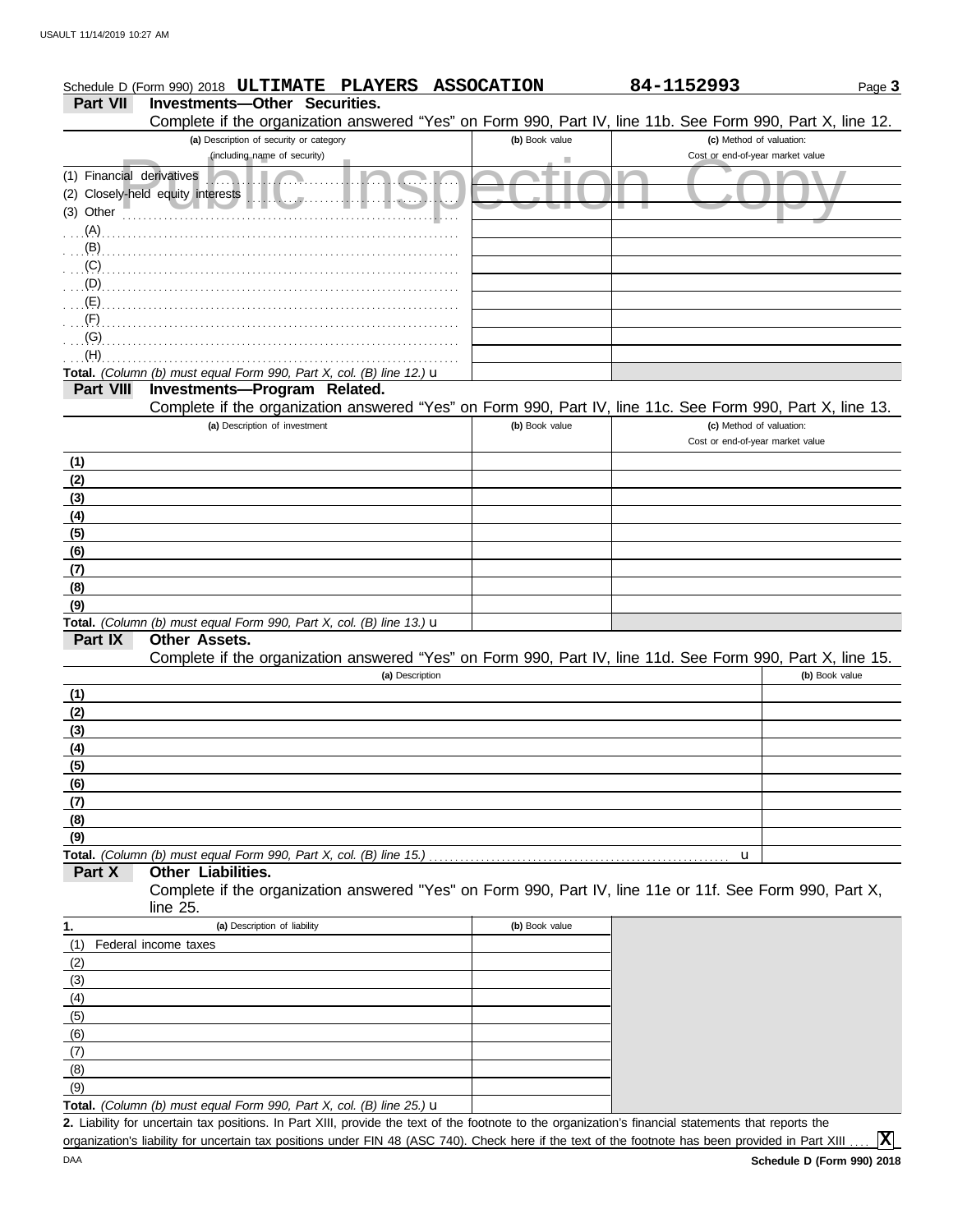#### Page **3 Part VII Investments—Other Securities.** Schedule D (Form 990) 2018 **ULTIMATE PLAYERS ASSOCATION 84-1152993**

|                           | Complete if the organization answered "Yes" on Form 990, Part IV, line 11b. See Form 990, Part X, line 12.                                           |                |                                  |                |
|---------------------------|------------------------------------------------------------------------------------------------------------------------------------------------------|----------------|----------------------------------|----------------|
|                           | (a) Description of security or category                                                                                                              | (b) Book value | (c) Method of valuation:         |                |
|                           | (including name of security)                                                                                                                         |                | Cost or end-of-year market value |                |
| (1) Financial derivatives |                                                                                                                                                      |                |                                  |                |
|                           | (2) Closely-held equity interests<br>$\tau$ ).                                                                                                       |                |                                  |                |
| (3) Other                 |                                                                                                                                                      |                |                                  |                |
| $(A)$ .                   |                                                                                                                                                      |                |                                  |                |
| $(B)$ .                   |                                                                                                                                                      |                |                                  |                |
| (C)                       |                                                                                                                                                      |                |                                  |                |
| (D)                       |                                                                                                                                                      |                |                                  |                |
| (E)                       |                                                                                                                                                      |                |                                  |                |
| (F)                       |                                                                                                                                                      |                |                                  |                |
| (G)                       |                                                                                                                                                      |                |                                  |                |
| (H)                       |                                                                                                                                                      |                |                                  |                |
|                           | Total. (Column (b) must equal Form 990, Part X, col. (B) line 12.) $\mathbf u$                                                                       |                |                                  |                |
| <b>Part VIII</b>          | Investments-Program Related.                                                                                                                         |                |                                  |                |
|                           | Complete if the organization answered "Yes" on Form 990, Part IV, line 11c. See Form 990, Part X, line 13.                                           |                |                                  |                |
|                           | (a) Description of investment                                                                                                                        | (b) Book value | (c) Method of valuation:         |                |
|                           |                                                                                                                                                      |                | Cost or end-of-year market value |                |
| (1)                       |                                                                                                                                                      |                |                                  |                |
| (2)                       |                                                                                                                                                      |                |                                  |                |
| (3)                       |                                                                                                                                                      |                |                                  |                |
| (4)                       |                                                                                                                                                      |                |                                  |                |
| (5)                       |                                                                                                                                                      |                |                                  |                |
| (6)                       |                                                                                                                                                      |                |                                  |                |
| (7)                       |                                                                                                                                                      |                |                                  |                |
| (8)                       |                                                                                                                                                      |                |                                  |                |
| (9)                       |                                                                                                                                                      |                |                                  |                |
|                           | Total. (Column (b) must equal Form 990, Part X, col. (B) line 13.) u                                                                                 |                |                                  |                |
| Part IX                   | Other Assets.                                                                                                                                        |                |                                  |                |
|                           | Complete if the organization answered "Yes" on Form 990, Part IV, line 11d. See Form 990, Part X, line 15.                                           |                |                                  |                |
|                           | (a) Description                                                                                                                                      |                |                                  | (b) Book value |
| (1)                       |                                                                                                                                                      |                |                                  |                |
| (2)                       |                                                                                                                                                      |                |                                  |                |
| (3)                       |                                                                                                                                                      |                |                                  |                |
| (4)                       |                                                                                                                                                      |                |                                  |                |
| (5)                       |                                                                                                                                                      |                |                                  |                |
| (6)                       |                                                                                                                                                      |                |                                  |                |
| (7)                       |                                                                                                                                                      |                |                                  |                |
| (8)                       |                                                                                                                                                      |                |                                  |                |
| (9)                       |                                                                                                                                                      |                |                                  |                |
| Part X                    | Total. (Column (b) must equal Form 990, Part X, col. (B) line 15.)<br>Other Liabilities.                                                             |                | u                                |                |
|                           | Complete if the organization answered "Yes" on Form 990, Part IV, line 11e or 11f. See Form 990, Part X,                                             |                |                                  |                |
|                           | line $25$ .                                                                                                                                          |                |                                  |                |
| 1.                        | (a) Description of liability                                                                                                                         | (b) Book value |                                  |                |
| (1)                       | Federal income taxes                                                                                                                                 |                |                                  |                |
| (2)                       |                                                                                                                                                      |                |                                  |                |
|                           |                                                                                                                                                      |                |                                  |                |
| (3)<br>(4)                |                                                                                                                                                      |                |                                  |                |
|                           |                                                                                                                                                      |                |                                  |                |
| (5)<br>(6)                |                                                                                                                                                      |                |                                  |                |
|                           |                                                                                                                                                      |                |                                  |                |
| (7)<br>(8)                |                                                                                                                                                      |                |                                  |                |
| (9)                       |                                                                                                                                                      |                |                                  |                |
|                           | Total. (Column (b) must equal Form 990, Part X, col. (B) line 25.) $\mathbf u$                                                                       |                |                                  |                |
|                           | 2. Liability for uncertain tax positions. In Part XIII, provide the text of the footnote to the organization's financial statements that reports the |                |                                  |                |
|                           |                                                                                                                                                      |                |                                  |                |

organization's liability for uncertain tax positions under FIN 48 (ASC 740). Check here if the text of the footnote has been provided in Part XIII . . . . **X**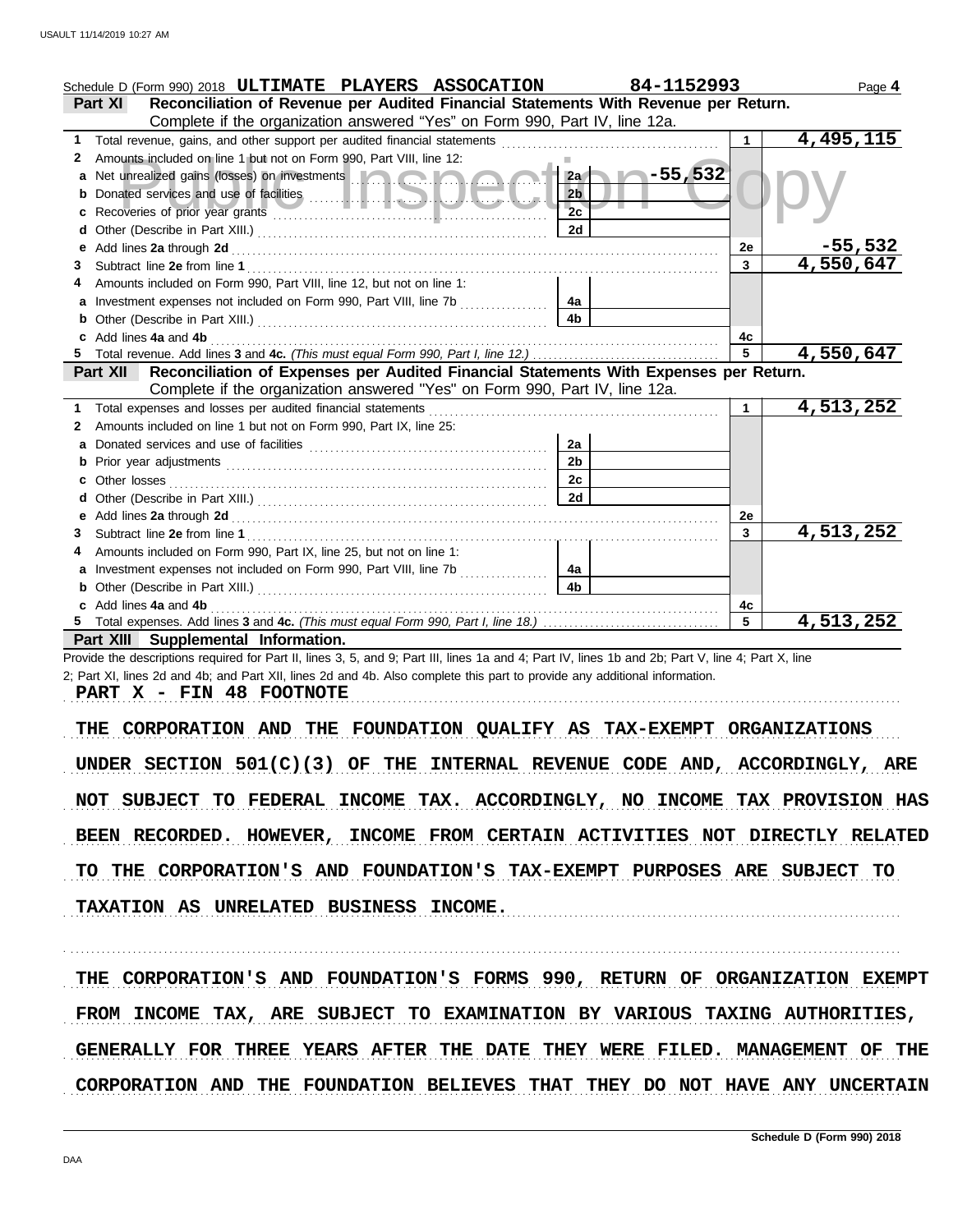| Schedule D (Form 990) 2018 ULTIMATE PLAYERS ASSOCATION                                                                                                                                                                               | 84-1152993      |                | Page 4         |  |  |  |  |
|--------------------------------------------------------------------------------------------------------------------------------------------------------------------------------------------------------------------------------------|-----------------|----------------|----------------|--|--|--|--|
| Reconciliation of Revenue per Audited Financial Statements With Revenue per Return.<br><b>Part XI</b>                                                                                                                                |                 |                |                |  |  |  |  |
| Complete if the organization answered "Yes" on Form 990, Part IV, line 12a.                                                                                                                                                          |                 |                |                |  |  |  |  |
| 1                                                                                                                                                                                                                                    |                 | 1              | 4,495,115      |  |  |  |  |
| Amounts included on line 1 but not on Form 990, Part VIII, line 12:<br>2                                                                                                                                                             |                 |                |                |  |  |  |  |
| Net unrealized gains (losses) on investments <b>the contract of the contract of the contract of the contract of the contract of the contract of the contract of the contract of the contract of the contract of the contract of </b> | $-55,532$<br>2a |                |                |  |  |  |  |
|                                                                                                                                                                                                                                      | 2 <sub>b</sub>  |                |                |  |  |  |  |
|                                                                                                                                                                                                                                      | 2c              |                |                |  |  |  |  |
|                                                                                                                                                                                                                                      | 2d              |                |                |  |  |  |  |
|                                                                                                                                                                                                                                      |                 | 2e             | <u>–55,532</u> |  |  |  |  |
| 3                                                                                                                                                                                                                                    |                 | $\mathbf{3}$   | 4,550,647      |  |  |  |  |
| Amounts included on Form 990, Part VIII, line 12, but not on line 1:                                                                                                                                                                 |                 |                |                |  |  |  |  |
| Investment expenses not included on Form 990, Part VIII, line 7b                                                                                                                                                                     | 4a              |                |                |  |  |  |  |
|                                                                                                                                                                                                                                      | 4b              |                |                |  |  |  |  |
| Add lines 4a and 4b                                                                                                                                                                                                                  |                 | 4с             |                |  |  |  |  |
|                                                                                                                                                                                                                                      |                 | $\overline{5}$ | 4,550,647      |  |  |  |  |
| Part XII Reconciliation of Expenses per Audited Financial Statements With Expenses per Return.                                                                                                                                       |                 |                |                |  |  |  |  |
| Complete if the organization answered "Yes" on Form 990, Part IV, line 12a.                                                                                                                                                          |                 |                |                |  |  |  |  |
| Total expenses and losses per audited financial statements<br>1                                                                                                                                                                      |                 | $\mathbf{1}$   | 4,513,252      |  |  |  |  |
| Amounts included on line 1 but not on Form 990, Part IX, line 25:<br>2                                                                                                                                                               |                 |                |                |  |  |  |  |
|                                                                                                                                                                                                                                      | 2a              |                |                |  |  |  |  |
|                                                                                                                                                                                                                                      | 2 <sub>b</sub>  |                |                |  |  |  |  |
|                                                                                                                                                                                                                                      | 2c              |                |                |  |  |  |  |
|                                                                                                                                                                                                                                      | 2d              |                |                |  |  |  |  |
| е                                                                                                                                                                                                                                    |                 | 2e             |                |  |  |  |  |
| 3                                                                                                                                                                                                                                    |                 | $\mathbf{3}$   | 4,513,252      |  |  |  |  |
| Amounts included on Form 990, Part IX, line 25, but not on line 1:                                                                                                                                                                   |                 |                |                |  |  |  |  |
| Investment expenses not included on Form 990, Part VIII, line 7b                                                                                                                                                                     | 4a              |                |                |  |  |  |  |
| b                                                                                                                                                                                                                                    | 4 <sub>b</sub>  |                |                |  |  |  |  |
| c Add lines 4a and 4b                                                                                                                                                                                                                |                 | 4с             |                |  |  |  |  |
|                                                                                                                                                                                                                                      |                 | 5              | 4,513,252      |  |  |  |  |
| Part XIII Supplemental Information.                                                                                                                                                                                                  |                 |                |                |  |  |  |  |
| Provide the descriptions required for Part II, lines 3, 5, and 9; Part III, lines 1a and 4; Part IV, lines 1b and 2b; Part V, line 4; Part X, line                                                                                   |                 |                |                |  |  |  |  |
| 2; Part XI, lines 2d and 4b; and Part XII, lines 2d and 4b. Also complete this part to provide any additional information.                                                                                                           |                 |                |                |  |  |  |  |
| PART X - FIN 48 FOOTNOTE                                                                                                                                                                                                             |                 |                |                |  |  |  |  |
|                                                                                                                                                                                                                                      |                 |                |                |  |  |  |  |
| CORPORATION AND THE FOUNDATION QUALIFY AS TAX-EXEMPT ORGANIZATIONS<br>THE                                                                                                                                                            |                 |                |                |  |  |  |  |
|                                                                                                                                                                                                                                      |                 |                |                |  |  |  |  |
| UNDER SECTION $501(C)(3)$ OF THE INTERNAL REVENUE CODE AND, ACCORDINGLY, ARE                                                                                                                                                         |                 |                |                |  |  |  |  |
|                                                                                                                                                                                                                                      |                 |                |                |  |  |  |  |
| NOT SUBJECT TO FEDERAL INCOME TAX. ACCORDINGLY, NO INCOME TAX PROVISION HAS                                                                                                                                                          |                 |                |                |  |  |  |  |
|                                                                                                                                                                                                                                      |                 |                |                |  |  |  |  |
| BEEN RECORDED. HOWEVER, INCOME FROM CERTAIN ACTIVITIES NOT DIRECTLY RELATED                                                                                                                                                          |                 |                |                |  |  |  |  |
|                                                                                                                                                                                                                                      |                 |                |                |  |  |  |  |
| TO THE CORPORATION'S AND FOUNDATION'S TAX-EXEMPT PURPOSES ARE SUBJECT TO                                                                                                                                                             |                 |                |                |  |  |  |  |
|                                                                                                                                                                                                                                      |                 |                |                |  |  |  |  |
| TAXATION AS UNRELATED BUSINESS INCOME.                                                                                                                                                                                               |                 |                |                |  |  |  |  |
|                                                                                                                                                                                                                                      |                 |                |                |  |  |  |  |
|                                                                                                                                                                                                                                      |                 |                |                |  |  |  |  |
|                                                                                                                                                                                                                                      |                 |                |                |  |  |  |  |
| THE CORPORATION'S AND FOUNDATION'S FORMS 990, RETURN OF ORGANIZATION EXEMPT                                                                                                                                                          |                 |                |                |  |  |  |  |
|                                                                                                                                                                                                                                      |                 |                |                |  |  |  |  |
| FROM INCOME TAX, ARE SUBJECT TO EXAMINATION BY VARIOUS TAXING AUTHORITIES,                                                                                                                                                           |                 |                |                |  |  |  |  |
| GENERALLY FOR THREE YEARS AFTER THE DATE THEY WERE FILED. MANAGEMENT OF THE                                                                                                                                                          |                 |                |                |  |  |  |  |
|                                                                                                                                                                                                                                      |                 |                |                |  |  |  |  |
| CORPORATION AND THE FOUNDATION BELIEVES THAT THEY DO NOT HAVE ANY UNCERTAIN                                                                                                                                                          |                 |                |                |  |  |  |  |
|                                                                                                                                                                                                                                      |                 |                |                |  |  |  |  |
|                                                                                                                                                                                                                                      |                 |                |                |  |  |  |  |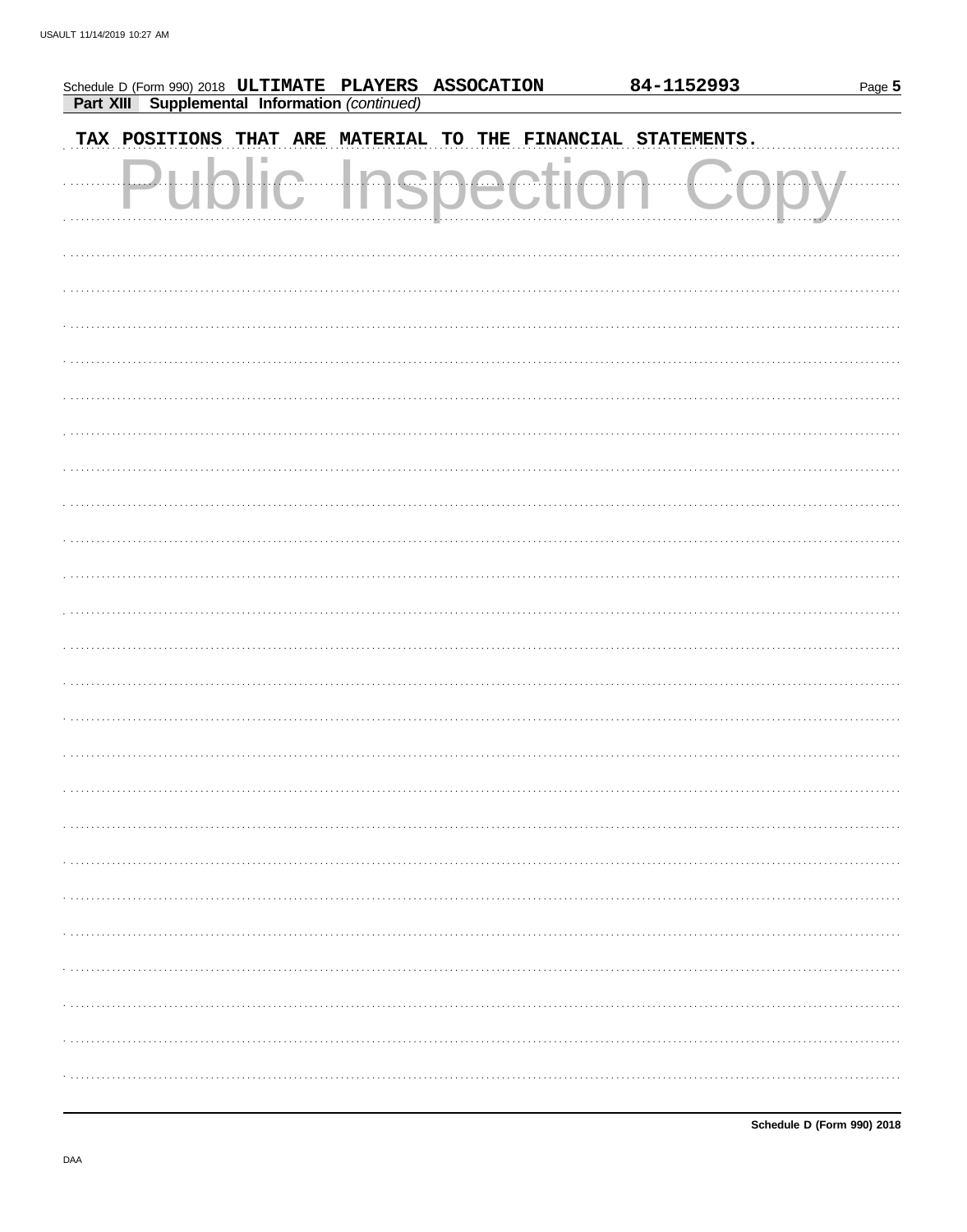| Schedule D (Form 990) 2018 ULTIMATE PLAYERS ASSOCATION<br><b>Part XIII Supplemental Information (continued)</b> |                      | 84-1152993                                     | Page 5 |
|-----------------------------------------------------------------------------------------------------------------|----------------------|------------------------------------------------|--------|
| TAX POSITIONS                                                                                                   |                      | THAT ARE MATERIAL TO THE FINANCIAL STATEMENTS. |        |
| $\overline{\phantom{a}}$                                                                                        | <u>In a n a aill</u> |                                                |        |
|                                                                                                                 |                      |                                                |        |
|                                                                                                                 |                      |                                                |        |
|                                                                                                                 |                      |                                                |        |
|                                                                                                                 |                      |                                                |        |
|                                                                                                                 |                      |                                                |        |
|                                                                                                                 |                      |                                                |        |
|                                                                                                                 |                      |                                                |        |
|                                                                                                                 |                      |                                                |        |
|                                                                                                                 |                      |                                                |        |
|                                                                                                                 |                      |                                                |        |
|                                                                                                                 |                      |                                                |        |
|                                                                                                                 |                      |                                                |        |
|                                                                                                                 |                      |                                                |        |
|                                                                                                                 |                      |                                                |        |
|                                                                                                                 |                      |                                                |        |
|                                                                                                                 |                      |                                                |        |
|                                                                                                                 |                      |                                                |        |
|                                                                                                                 |                      |                                                |        |
|                                                                                                                 |                      |                                                |        |
|                                                                                                                 |                      |                                                |        |
|                                                                                                                 |                      |                                                |        |
|                                                                                                                 |                      |                                                |        |
|                                                                                                                 |                      |                                                |        |
|                                                                                                                 |                      |                                                |        |
|                                                                                                                 |                      |                                                |        |
|                                                                                                                 |                      |                                                |        |
|                                                                                                                 |                      |                                                |        |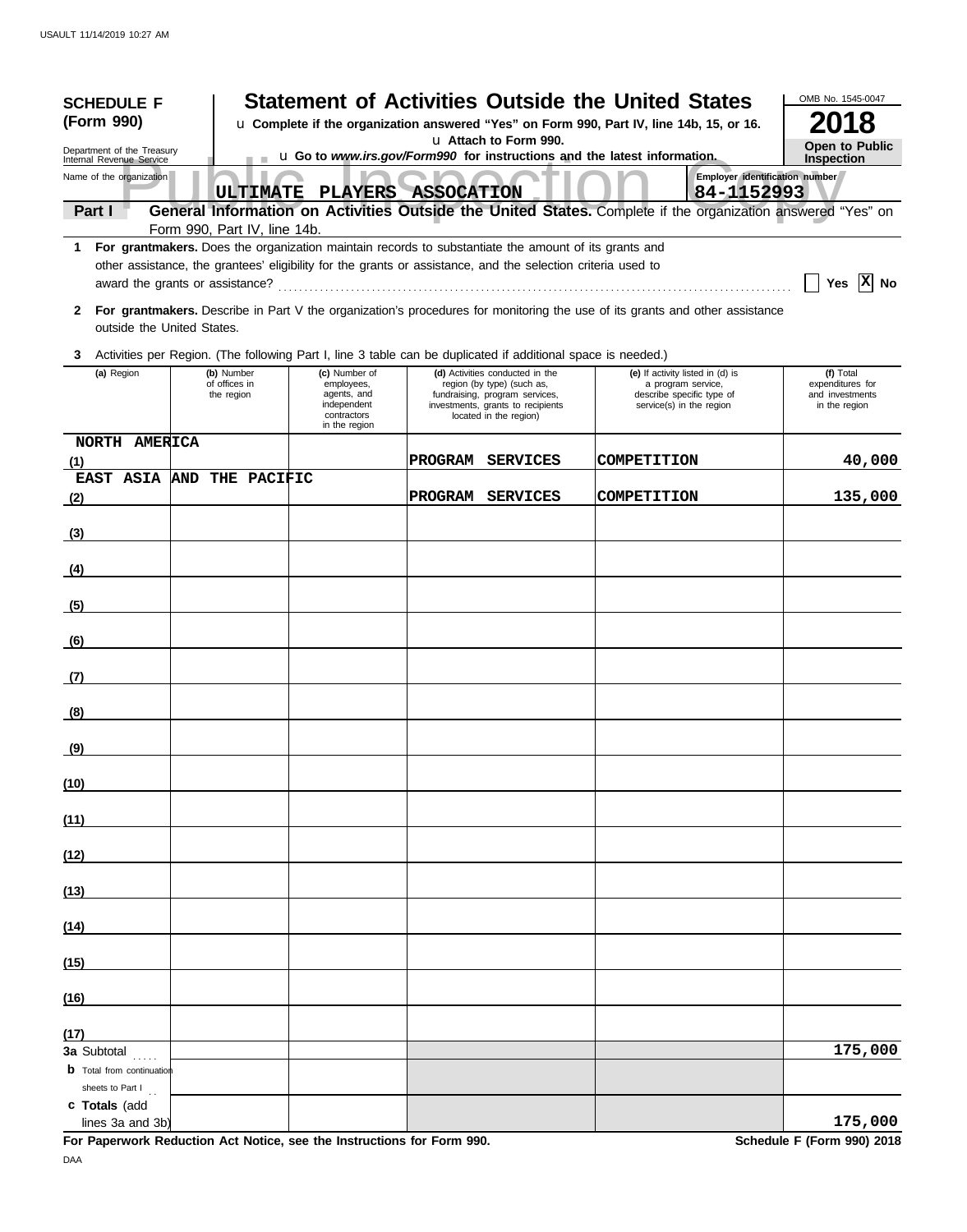| <b>SCHEDULE F</b>                                    |                                                                                          |                                           |                                                                                                                                                                                                                      |                       |                                                                                                                                                                | <b>Statement of Activities Outside the United States</b>                                                                    | OMB No. 1545-0047                                                 |
|------------------------------------------------------|------------------------------------------------------------------------------------------|-------------------------------------------|----------------------------------------------------------------------------------------------------------------------------------------------------------------------------------------------------------------------|-----------------------|----------------------------------------------------------------------------------------------------------------------------------------------------------------|-----------------------------------------------------------------------------------------------------------------------------|-------------------------------------------------------------------|
| (Form 990)                                           | u Complete if the organization answered "Yes" on Form 990, Part IV, line 14b, 15, or 16. |                                           |                                                                                                                                                                                                                      |                       |                                                                                                                                                                |                                                                                                                             | 2018                                                              |
| Department of the Treasury                           |                                                                                          |                                           |                                                                                                                                                                                                                      | u Attach to Form 990. | <b>Open to Public</b>                                                                                                                                          |                                                                                                                             |                                                                   |
| Internal Revenue Service<br>Name of the organization |                                                                                          | <b>ULTIMATE</b>                           |                                                                                                                                                                                                                      | PLAYERS ASSOCATION    |                                                                                                                                                                | <b>u Go to www.irs.gov/Form990 for instructions and the latest information.</b><br>84-1152993                               | <b>Inspection</b><br>Employer identification number               |
| Part I                                               |                                                                                          |                                           |                                                                                                                                                                                                                      |                       |                                                                                                                                                                | General Information on Activities Outside the United States. Complete if the organization answered "Yes" on                 |                                                                   |
|                                                      |                                                                                          | Form 990, Part IV, line 14b.              |                                                                                                                                                                                                                      |                       |                                                                                                                                                                |                                                                                                                             |                                                                   |
| 1.<br>award the grants or assistance?                |                                                                                          |                                           | For grantmakers. Does the organization maintain records to substantiate the amount of its grants and<br>other assistance, the grantees' eligibility for the grants or assistance, and the selection criteria used to |                       |                                                                                                                                                                |                                                                                                                             | Yes $ X $ No                                                      |
| 2<br>outside the United States.                      |                                                                                          |                                           |                                                                                                                                                                                                                      |                       |                                                                                                                                                                | For grantmakers. Describe in Part V the organization's procedures for monitoring the use of its grants and other assistance |                                                                   |
| 3                                                    |                                                                                          |                                           | Activities per Region. (The following Part I, line 3 table can be duplicated if additional space is needed.)                                                                                                         |                       |                                                                                                                                                                |                                                                                                                             |                                                                   |
| (a) Region                                           |                                                                                          | (b) Number<br>of offices in<br>the region | (c) Number of<br>employees,<br>agents, and<br>independent<br>contractors<br>in the region                                                                                                                            |                       | (d) Activities conducted in the<br>region (by type) (such as,<br>fundraising, program services,<br>investments, grants to recipients<br>located in the region) | (e) If activity listed in (d) is<br>a program service,<br>describe specific type of<br>service(s) in the region             | (f) Total<br>expenditures for<br>and investments<br>in the region |
| NORTH AMERICA<br>(1)                                 |                                                                                          |                                           |                                                                                                                                                                                                                      | PROGRAM               | <b>SERVICES</b>                                                                                                                                                | <b>COMPETITION</b>                                                                                                          | 40,000                                                            |
| EAST ASIA AND THE PACIFIC<br>(2)                     |                                                                                          |                                           |                                                                                                                                                                                                                      |                       | PROGRAM SERVICES                                                                                                                                               | COMPETITION                                                                                                                 | 135,000                                                           |
| (3)                                                  |                                                                                          |                                           |                                                                                                                                                                                                                      |                       |                                                                                                                                                                |                                                                                                                             |                                                                   |
| (4)                                                  |                                                                                          |                                           |                                                                                                                                                                                                                      |                       |                                                                                                                                                                |                                                                                                                             |                                                                   |
| (5)                                                  |                                                                                          |                                           |                                                                                                                                                                                                                      |                       |                                                                                                                                                                |                                                                                                                             |                                                                   |
|                                                      |                                                                                          |                                           |                                                                                                                                                                                                                      |                       |                                                                                                                                                                |                                                                                                                             |                                                                   |
| (6)                                                  |                                                                                          |                                           |                                                                                                                                                                                                                      |                       |                                                                                                                                                                |                                                                                                                             |                                                                   |
| (7)                                                  |                                                                                          |                                           |                                                                                                                                                                                                                      |                       |                                                                                                                                                                |                                                                                                                             |                                                                   |
| (8)                                                  |                                                                                          |                                           |                                                                                                                                                                                                                      |                       |                                                                                                                                                                |                                                                                                                             |                                                                   |
| (9)                                                  |                                                                                          |                                           |                                                                                                                                                                                                                      |                       |                                                                                                                                                                |                                                                                                                             |                                                                   |
| (10)                                                 |                                                                                          |                                           |                                                                                                                                                                                                                      |                       |                                                                                                                                                                |                                                                                                                             |                                                                   |
| (11)                                                 |                                                                                          |                                           |                                                                                                                                                                                                                      |                       |                                                                                                                                                                |                                                                                                                             |                                                                   |
| (12)                                                 |                                                                                          |                                           |                                                                                                                                                                                                                      |                       |                                                                                                                                                                |                                                                                                                             |                                                                   |
| (13)                                                 |                                                                                          |                                           |                                                                                                                                                                                                                      |                       |                                                                                                                                                                |                                                                                                                             |                                                                   |
| (14)                                                 |                                                                                          |                                           |                                                                                                                                                                                                                      |                       |                                                                                                                                                                |                                                                                                                             |                                                                   |
| (15)                                                 |                                                                                          |                                           |                                                                                                                                                                                                                      |                       |                                                                                                                                                                |                                                                                                                             |                                                                   |
| (16)                                                 |                                                                                          |                                           |                                                                                                                                                                                                                      |                       |                                                                                                                                                                |                                                                                                                             |                                                                   |
| (17)                                                 |                                                                                          |                                           |                                                                                                                                                                                                                      |                       |                                                                                                                                                                |                                                                                                                             |                                                                   |
| 3a Subtotal<br><b>b</b> Total from continuation      |                                                                                          |                                           |                                                                                                                                                                                                                      |                       |                                                                                                                                                                |                                                                                                                             | 175,000                                                           |
| sheets to Part I                                     |                                                                                          |                                           |                                                                                                                                                                                                                      |                       |                                                                                                                                                                |                                                                                                                             |                                                                   |
| c Totals (add<br>lines 3a and 3b)                    |                                                                                          |                                           |                                                                                                                                                                                                                      |                       |                                                                                                                                                                |                                                                                                                             | 175,000                                                           |

**For Paperwork Reduction Act Notice, see the Instructions for Form 990. Schedule F (Form 990) 2018** DAA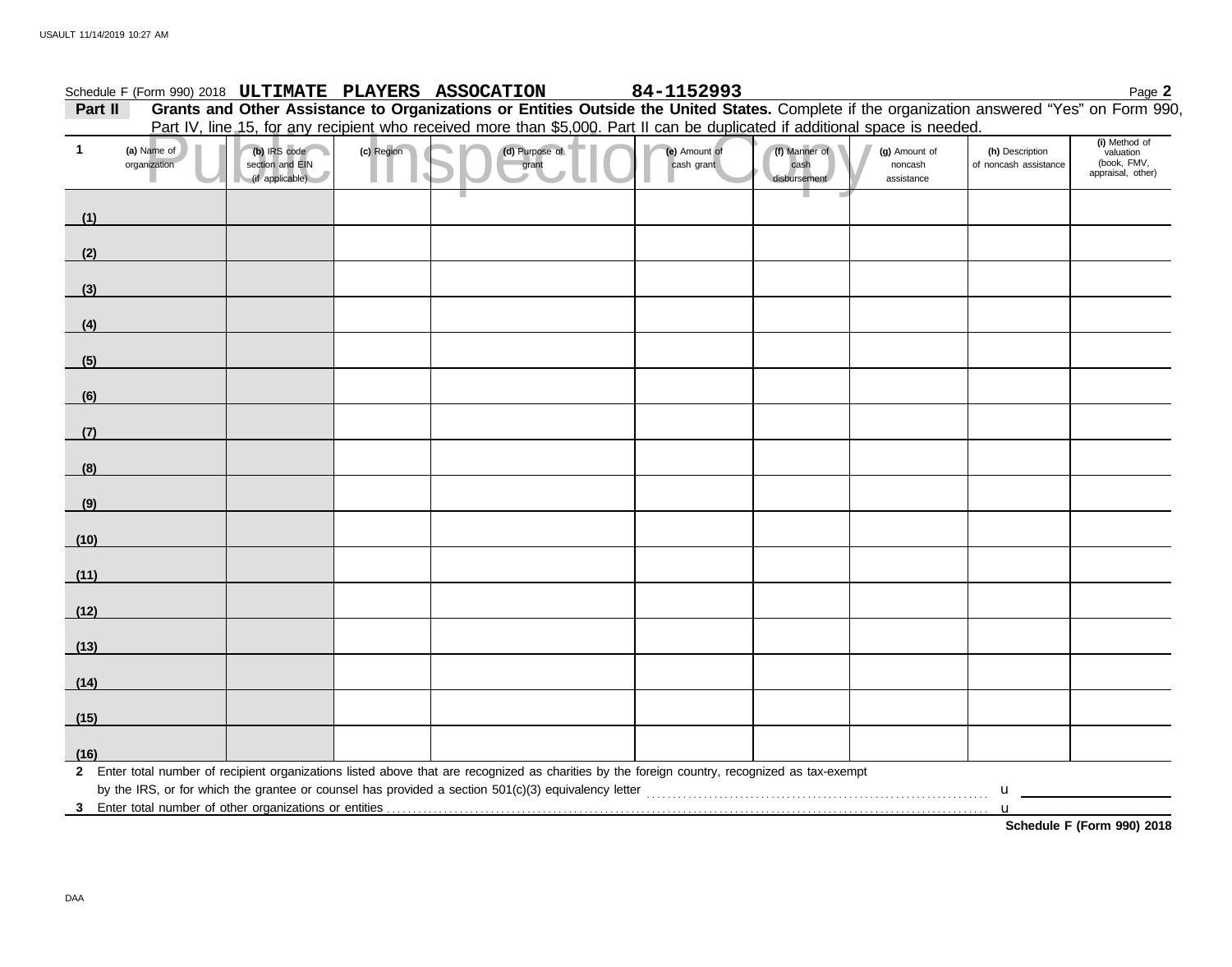|              |                             |                                                    |            | Schedule F (Form 990) 2018 ULTIMATE PLAYERS ASSOCATION                                                                                                  | 84-1152993                  |                                       |                                        |                                                                                             | Page 2                                                         |
|--------------|-----------------------------|----------------------------------------------------|------------|---------------------------------------------------------------------------------------------------------------------------------------------------------|-----------------------------|---------------------------------------|----------------------------------------|---------------------------------------------------------------------------------------------|----------------------------------------------------------------|
| Part II      |                             |                                                    |            | Grants and Other Assistance to Organizations or Entities Outside the United States. Complete if the organization answered "Yes" on Form 990,            |                             |                                       |                                        |                                                                                             |                                                                |
| $\mathbf{1}$ | (a) Name of<br>organization | (b) IRS code<br>section and EIN<br>(if applicable) | (c) Region | Part IV, line 15, for any recipient who received more than \$5,000. Part II can be duplicated if additional space is needed.<br>(d) Purpose of<br>grant | (e) Amount of<br>cash grant | (f) Manner of<br>cash<br>disbursement | (g) Amount of<br>noncash<br>assistance | (h) Description<br>of noncash assistance                                                    | (i) Method of<br>valuation<br>(book, FMV,<br>appraisal, other) |
| (1)          |                             |                                                    |            |                                                                                                                                                         |                             |                                       |                                        |                                                                                             |                                                                |
| (2)          |                             |                                                    |            |                                                                                                                                                         |                             |                                       |                                        |                                                                                             |                                                                |
| (3)          |                             |                                                    |            |                                                                                                                                                         |                             |                                       |                                        |                                                                                             |                                                                |
| (4)          |                             |                                                    |            |                                                                                                                                                         |                             |                                       |                                        |                                                                                             |                                                                |
| (5)          |                             |                                                    |            |                                                                                                                                                         |                             |                                       |                                        |                                                                                             |                                                                |
| (6)          |                             |                                                    |            |                                                                                                                                                         |                             |                                       |                                        |                                                                                             |                                                                |
| (7)          |                             |                                                    |            |                                                                                                                                                         |                             |                                       |                                        |                                                                                             |                                                                |
| (8)          |                             |                                                    |            |                                                                                                                                                         |                             |                                       |                                        |                                                                                             |                                                                |
| (9)          |                             |                                                    |            |                                                                                                                                                         |                             |                                       |                                        |                                                                                             |                                                                |
| (10)         |                             |                                                    |            |                                                                                                                                                         |                             |                                       |                                        |                                                                                             |                                                                |
| (11)         |                             |                                                    |            |                                                                                                                                                         |                             |                                       |                                        |                                                                                             |                                                                |
| (12)         |                             |                                                    |            |                                                                                                                                                         |                             |                                       |                                        |                                                                                             |                                                                |
| (13)         |                             |                                                    |            |                                                                                                                                                         |                             |                                       |                                        |                                                                                             |                                                                |
| (14)         |                             |                                                    |            |                                                                                                                                                         |                             |                                       |                                        |                                                                                             |                                                                |
| (15)         |                             |                                                    |            |                                                                                                                                                         |                             |                                       |                                        |                                                                                             |                                                                |
| (16)         |                             |                                                    |            |                                                                                                                                                         |                             |                                       |                                        |                                                                                             |                                                                |
|              |                             |                                                    |            | 2 Enter total number of recipient organizations listed above that are recognized as charities by the foreign country, recognized as tax-exempt          |                             |                                       |                                        | $\mathbf u$ and $\mathbf u$ and $\mathbf u$ and $\mathbf u$ and $\mathbf u$ and $\mathbf u$ |                                                                |
|              |                             |                                                    |            |                                                                                                                                                         |                             |                                       |                                        | $\mathbf{u}$                                                                                | Schedule F (Form 990) 2018                                     |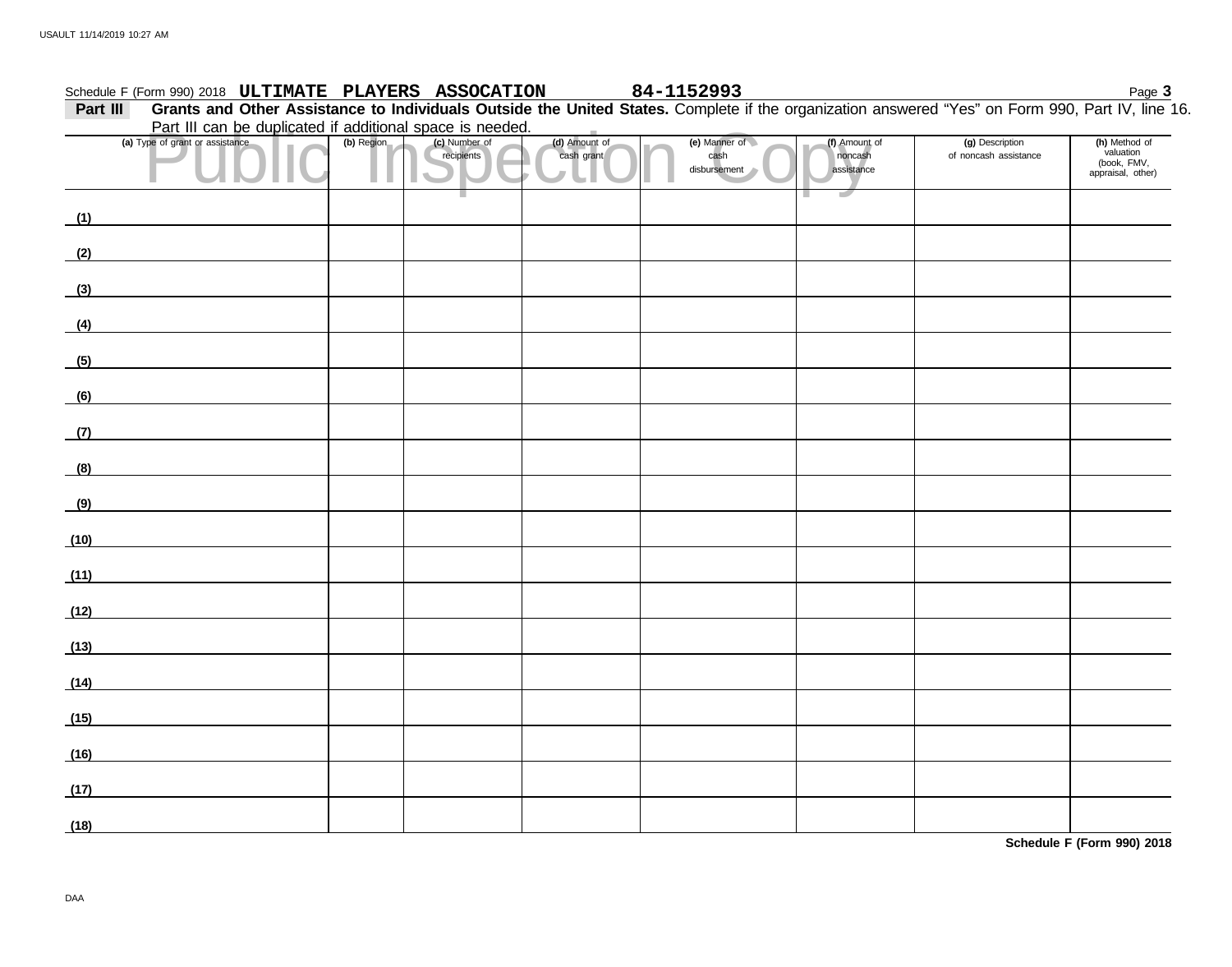|          | Schedule F (Form 990) 2018 ULTIMATE PLAYERS ASSOCATION                                                                                           |            |                             |                             | 84-1152993                            |                                        |                                          | Page 3                                                         |
|----------|--------------------------------------------------------------------------------------------------------------------------------------------------|------------|-----------------------------|-----------------------------|---------------------------------------|----------------------------------------|------------------------------------------|----------------------------------------------------------------|
| Part III | Grants and Other Assistance to Individuals Outside the United States. Complete if the organization answered "Yes" on Form 990, Part IV, line 16. |            |                             |                             |                                       |                                        |                                          |                                                                |
|          | Part III can be duplicated if additional space is needed.                                                                                        |            |                             |                             |                                       |                                        |                                          |                                                                |
|          | (a) Type of grant or assistance                                                                                                                  | (b) Region | (c) Number of<br>recipients | (d) Amount of<br>cash grant | (e) Manner of<br>cash<br>disbursement | (f) Amount of<br>noncash<br>assistance | (g) Description<br>of noncash assistance | (h) Method of<br>valuation<br>(book, FMV,<br>appraisal, other) |
| (1)      |                                                                                                                                                  |            |                             |                             |                                       |                                        |                                          |                                                                |
| (2)      |                                                                                                                                                  |            |                             |                             |                                       |                                        |                                          |                                                                |
| (3)      |                                                                                                                                                  |            |                             |                             |                                       |                                        |                                          |                                                                |
| (4)      |                                                                                                                                                  |            |                             |                             |                                       |                                        |                                          |                                                                |
| (5)      |                                                                                                                                                  |            |                             |                             |                                       |                                        |                                          |                                                                |
| (6)      | <u> 1989 - Johann Barbara, martxa al</u>                                                                                                         |            |                             |                             |                                       |                                        |                                          |                                                                |
| (7)      |                                                                                                                                                  |            |                             |                             |                                       |                                        |                                          |                                                                |
| (8)      | <u>and the state of the state of the state</u>                                                                                                   |            |                             |                             |                                       |                                        |                                          |                                                                |
| (9)      |                                                                                                                                                  |            |                             |                             |                                       |                                        |                                          |                                                                |
| (10)     |                                                                                                                                                  |            |                             |                             |                                       |                                        |                                          |                                                                |
| (11)     |                                                                                                                                                  |            |                             |                             |                                       |                                        |                                          |                                                                |
| (12)     | <u>and the state of the state of the state</u>                                                                                                   |            |                             |                             |                                       |                                        |                                          |                                                                |
| (13)     |                                                                                                                                                  |            |                             |                             |                                       |                                        |                                          |                                                                |
| (14)     |                                                                                                                                                  |            |                             |                             |                                       |                                        |                                          |                                                                |
| (15)     |                                                                                                                                                  |            |                             |                             |                                       |                                        |                                          |                                                                |
| (16)     |                                                                                                                                                  |            |                             |                             |                                       |                                        |                                          |                                                                |
| (17)     |                                                                                                                                                  |            |                             |                             |                                       |                                        |                                          |                                                                |
| (18)     |                                                                                                                                                  |            |                             |                             |                                       |                                        |                                          |                                                                |

**Schedule F (Form 990) 2018**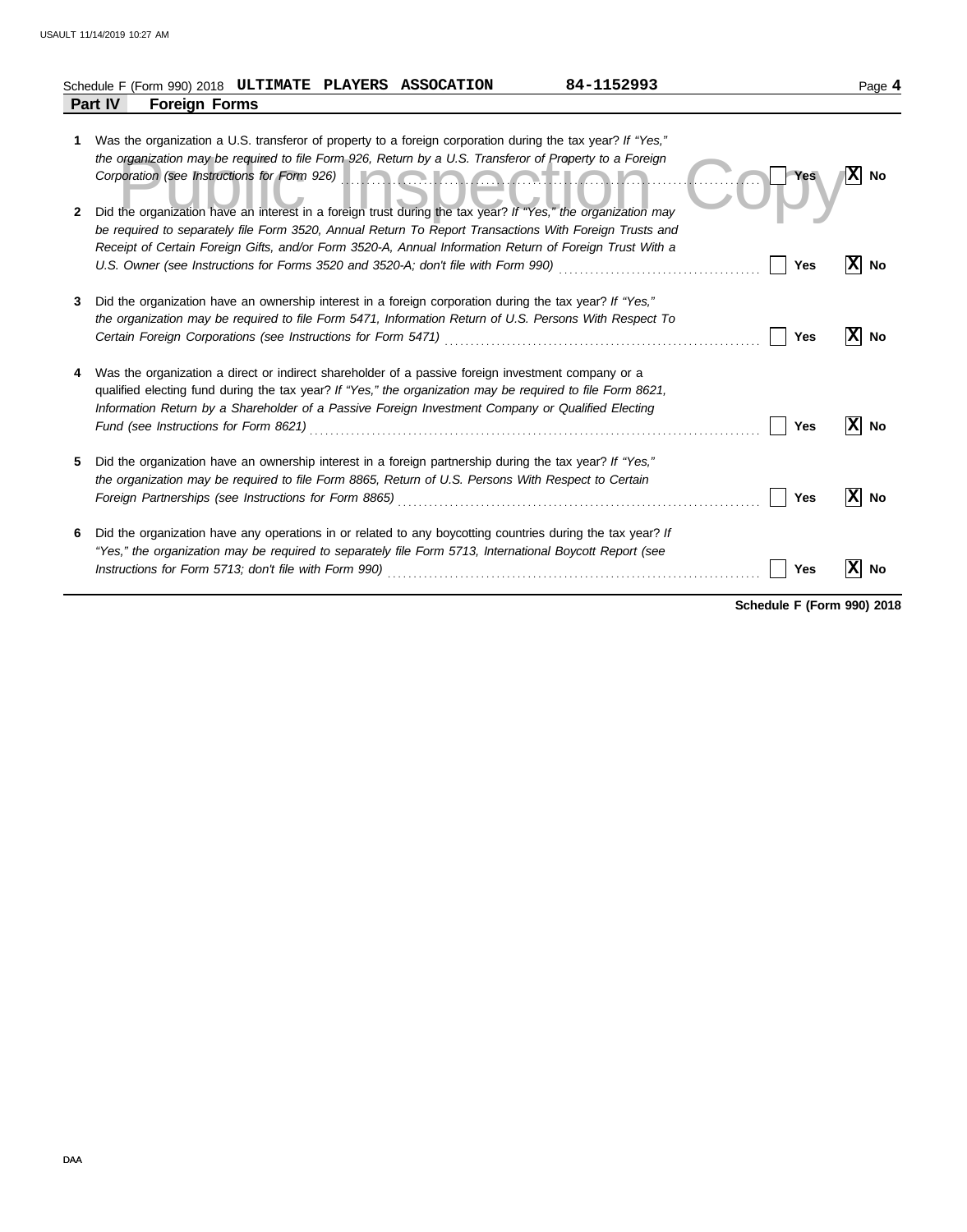|        | 84-1152993<br>Schedule F (Form 990) 2018 ULTIMATE PLAYERS ASSOCATION                                                                                                                                                                                                                                                                                                                                                                                                                                                                                                    |            | Page 4           |
|--------|-------------------------------------------------------------------------------------------------------------------------------------------------------------------------------------------------------------------------------------------------------------------------------------------------------------------------------------------------------------------------------------------------------------------------------------------------------------------------------------------------------------------------------------------------------------------------|------------|------------------|
|        | Part IV<br><b>Foreign Forms</b>                                                                                                                                                                                                                                                                                                                                                                                                                                                                                                                                         |            |                  |
| 1<br>2 | Was the organization a U.S. transferor of property to a foreign corporation during the tax year? If "Yes,"<br>the organization may be required to file Form 926, Return by a U.S. Transferor of Property to a Foreign<br>Corporation (see Instructions for Form 926) <b>Container and Container and Container and Container and Container</b><br>Did the organization have an interest in a foreign trust during the tax year? If "Yes," the organization may<br>be required to separately file Form 3520, Annual Return To Report Transactions With Foreign Trusts and | <b>Yes</b> | x <br><b>No</b>  |
|        | Receipt of Certain Foreign Gifts, and/or Form 3520-A, Annual Information Return of Foreign Trust With a                                                                                                                                                                                                                                                                                                                                                                                                                                                                 | Yes        | IXI<br>No        |
| 3      | Did the organization have an ownership interest in a foreign corporation during the tax year? If "Yes,"<br>the organization may be required to file Form 5471, Information Return of U.S. Persons With Respect To                                                                                                                                                                                                                                                                                                                                                       | Yes        | IXI<br>No        |
|        | Was the organization a direct or indirect shareholder of a passive foreign investment company or a<br>qualified electing fund during the tax year? If "Yes," the organization may be required to file Form 8621,<br>Information Return by a Shareholder of a Passive Foreign Investment Company or Qualified Electing                                                                                                                                                                                                                                                   | Yes        | X<br><b>No</b>   |
| 5      | Did the organization have an ownership interest in a foreign partnership during the tax year? If "Yes,"<br>the organization may be required to file Form 8865, Return of U.S. Persons With Respect to Certain<br>Foreign Partnerships (see Instructions for Form 8865)                                                                                                                                                                                                                                                                                                  | Yes        | lxl<br><b>No</b> |
| 6      | Did the organization have any operations in or related to any boycotting countries during the tax year? If<br>"Yes," the organization may be required to separately file Form 5713, International Boycott Report (see<br>Instructions for Form 5713; don't file with Form 990)                                                                                                                                                                                                                                                                                          | Yes        | No               |

**Schedule F (Form 990) 2018**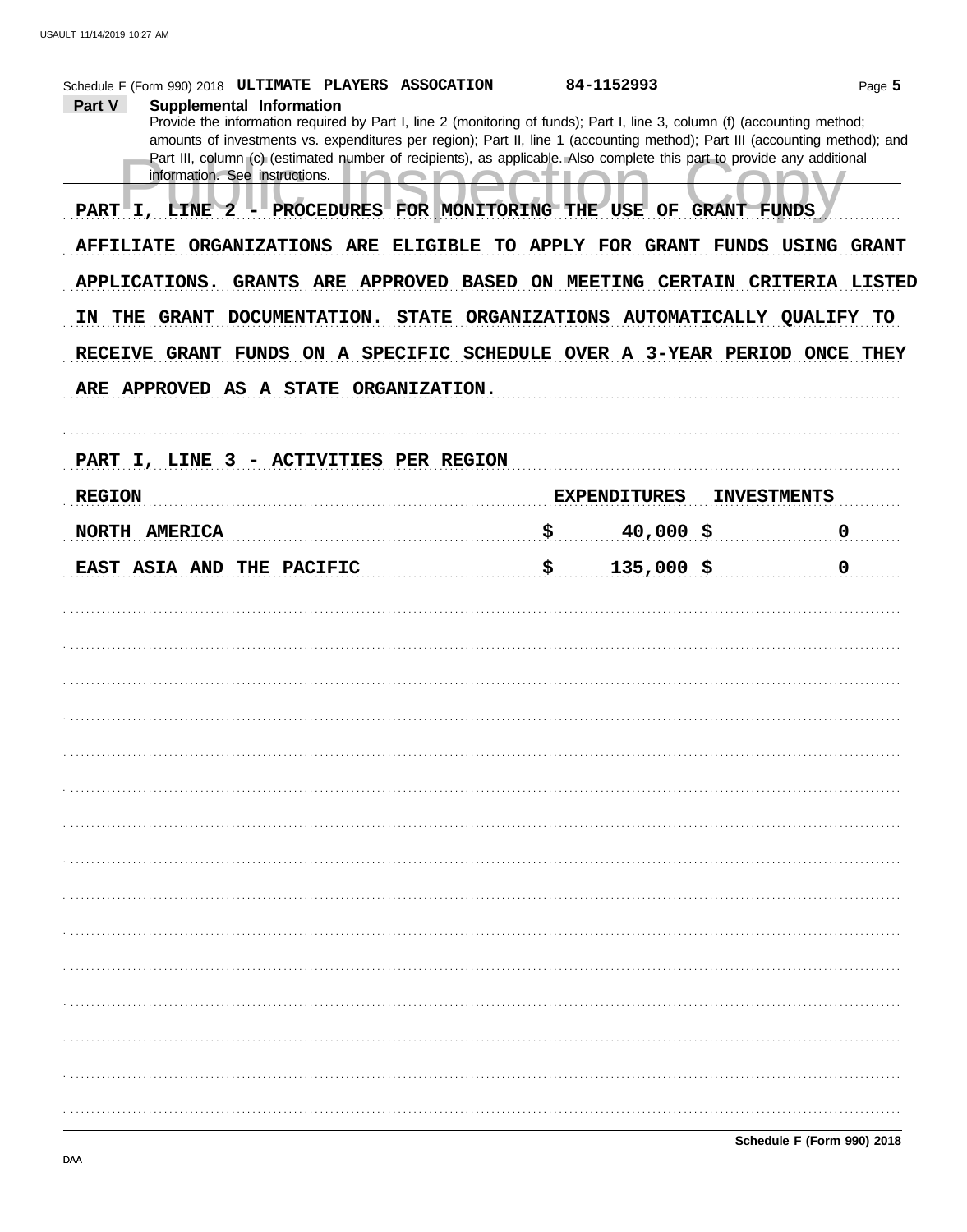| Schedule F (Form 990) 2018 ULTIMATE PLAYERS ASSOCATION                                                                                                    | 84-1152993          | Page 5             |
|-----------------------------------------------------------------------------------------------------------------------------------------------------------|---------------------|--------------------|
| Part V<br>Supplemental Information                                                                                                                        |                     |                    |
| Provide the information required by Part I, line 2 (monitoring of funds); Part I, line 3, column (f) (accounting method;                                  |                     |                    |
| amounts of investments vs. expenditures per region); Part II, line 1 (accounting method); Part III (accounting method); and                               |                     |                    |
| Part III, column (c) (estimated number of recipients), as applicable. Also complete this part to provide any additional<br>information. See instructions. |                     |                    |
|                                                                                                                                                           |                     |                    |
| PART I, LINE 2 - PROCEDURES FOR MONITORING THE USE OF GRANT FUNDS                                                                                         |                     |                    |
| AFFILIATE ORGANIZATIONS ARE ELIGIBLE TO APPLY FOR GRANT FUNDS USING GRANT                                                                                 |                     |                    |
| APPLICATIONS. GRANTS ARE APPROVED BASED ON MEETING CERTAIN CRITERIA LISTED                                                                                |                     |                    |
| IN THE GRANT DOCUMENTATION. STATE ORGANIZATIONS AUTOMATICALLY QUALIFY TO                                                                                  |                     |                    |
| RECEIVE GRANT FUNDS ON A SPECIFIC SCHEDULE OVER A 3-YEAR PERIOD ONCE THEY                                                                                 |                     |                    |
| ARE APPROVED AS A STATE ORGANIZATION.                                                                                                                     |                     |                    |
|                                                                                                                                                           |                     |                    |
| PART I, LINE 3 - ACTIVITIES PER REGION                                                                                                                    |                     |                    |
| <b>REGION</b>                                                                                                                                             | <b>EXPENDITURES</b> | <b>INVESTMENTS</b> |
| NORTH AMERICA                                                                                                                                             | \$<br>$40,000$ \$   | $\mathbf 0$        |
| EAST ASIA AND THE PACIFIC                                                                                                                                 | \$<br>$135,000$ \$  | $\mathbf 0$        |
|                                                                                                                                                           |                     |                    |
|                                                                                                                                                           |                     |                    |
|                                                                                                                                                           |                     |                    |
|                                                                                                                                                           |                     |                    |
|                                                                                                                                                           |                     |                    |
|                                                                                                                                                           |                     |                    |
|                                                                                                                                                           |                     |                    |
|                                                                                                                                                           |                     |                    |
|                                                                                                                                                           |                     |                    |
|                                                                                                                                                           |                     |                    |
|                                                                                                                                                           |                     |                    |
|                                                                                                                                                           |                     |                    |
|                                                                                                                                                           |                     |                    |
|                                                                                                                                                           |                     |                    |
|                                                                                                                                                           |                     |                    |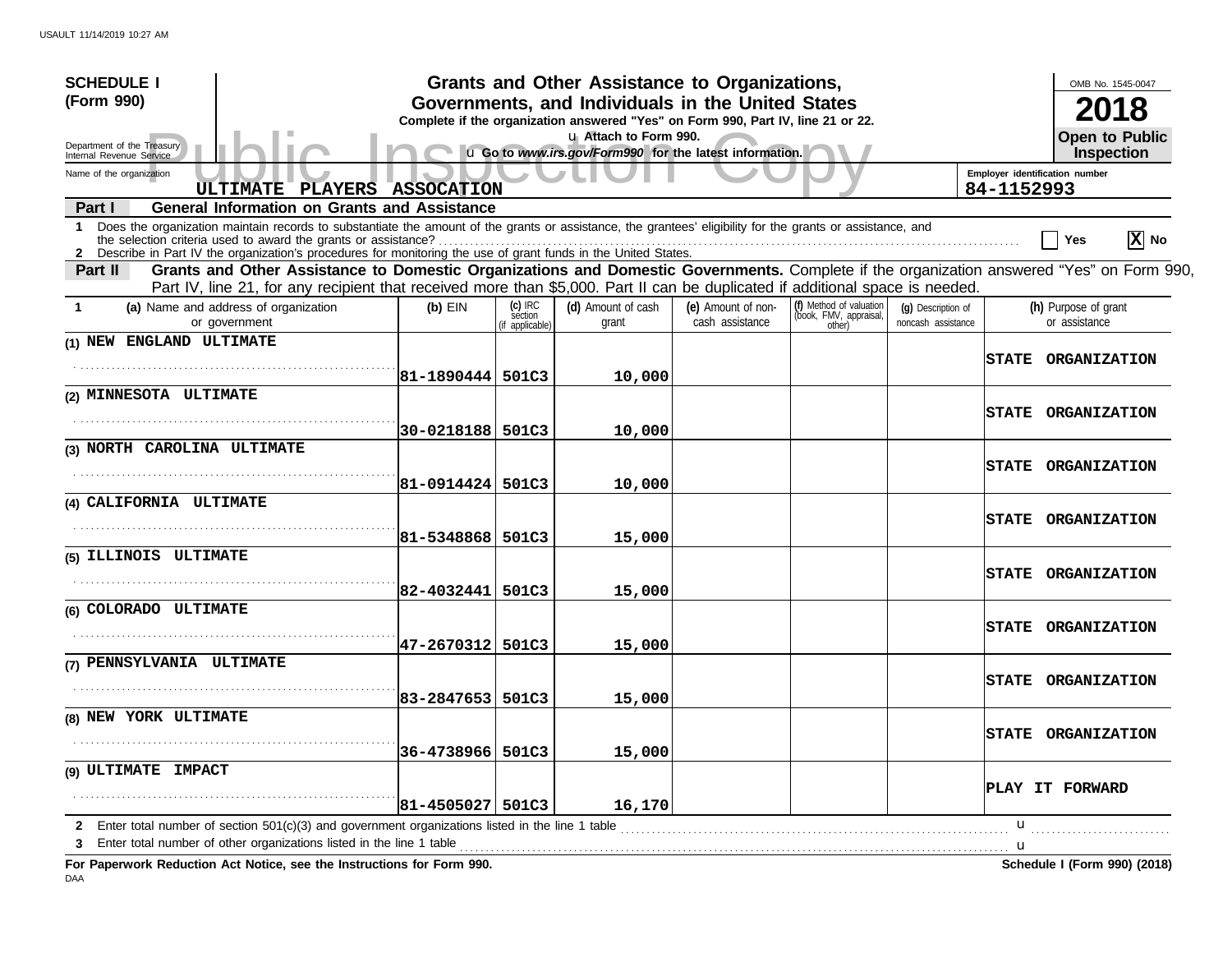| <b>SCHEDULE I</b>                                                                                                                                                                                                                                                                            |                        |                                     | Grants and Other Assistance to Organizations,                                                                                         |                                       |                                                             |                                          |                                              | OMB No. 1545-0047                     |
|----------------------------------------------------------------------------------------------------------------------------------------------------------------------------------------------------------------------------------------------------------------------------------------------|------------------------|-------------------------------------|---------------------------------------------------------------------------------------------------------------------------------------|---------------------------------------|-------------------------------------------------------------|------------------------------------------|----------------------------------------------|---------------------------------------|
| (Form 990)                                                                                                                                                                                                                                                                                   |                        |                                     | Governments, and Individuals in the United States<br>Complete if the organization answered "Yes" on Form 990, Part IV, line 21 or 22. |                                       |                                                             |                                          |                                              | 2018                                  |
| Department of the Treasury<br>Internal Revenue Service                                                                                                                                                                                                                                       |                        |                                     | u Attach to Form 990.<br>u Go to www.irs.gov/Form990 for the latest information.                                                      |                                       |                                                             |                                          |                                              | <b>Open to Public</b><br>Inspection   |
| Name of the organization<br>ULTIMATE PLAYERS ASSOCATION                                                                                                                                                                                                                                      |                        |                                     |                                                                                                                                       |                                       |                                                             |                                          | Employer identification number<br>84-1152993 |                                       |
| <b>General Information on Grants and Assistance</b><br>Part I                                                                                                                                                                                                                                |                        |                                     |                                                                                                                                       |                                       |                                                             |                                          |                                              |                                       |
| Does the organization maintain records to substantiate the amount of the grants or assistance, the grantees' eligibility for the grants or assistance, and<br>$\mathbf 1$<br>2 Describe in Part IV the organization's procedures for monitoring the use of grant funds in the United States. |                        |                                     |                                                                                                                                       |                                       |                                                             |                                          |                                              | $ \mathbf{X} $ No<br>∣ Yes            |
| Grants and Other Assistance to Domestic Organizations and Domestic Governments. Complete if the organization answered "Yes" on Form 990,<br>Part II<br>Part IV, line 21, for any recipient that received more than \$5,000. Part II can be duplicated if additional space is needed.         |                        |                                     |                                                                                                                                       |                                       |                                                             |                                          |                                              |                                       |
| (a) Name and address of organization<br>$\mathbf{1}$<br>or government                                                                                                                                                                                                                        | $(b)$ EIN              | (c) IRC<br>section<br>f applicable) | (d) Amount of cash<br>grant                                                                                                           | (e) Amount of non-<br>cash assistance | (f) Method of valuation<br>(book, FMV, appraisal,<br>other) | (g) Description of<br>noncash assistance |                                              | (h) Purpose of grant<br>or assistance |
| (1) NEW ENGLAND ULTIMATE                                                                                                                                                                                                                                                                     |                        |                                     |                                                                                                                                       |                                       |                                                             |                                          | <b>STATE</b>                                 | <b>ORGANIZATION</b>                   |
|                                                                                                                                                                                                                                                                                              | 81-1890444 501C3       |                                     | 10,000                                                                                                                                |                                       |                                                             |                                          |                                              |                                       |
| (2) MINNESOTA ULTIMATE                                                                                                                                                                                                                                                                       |                        |                                     |                                                                                                                                       |                                       |                                                             |                                          | <b>STATE</b>                                 | <b>ORGANIZATION</b>                   |
| (3) NORTH CAROLINA ULTIMATE                                                                                                                                                                                                                                                                  | 30-0218188             | 501C3                               | 10,000                                                                                                                                |                                       |                                                             |                                          |                                              |                                       |
|                                                                                                                                                                                                                                                                                              | 81-0914424             | 501C3                               | 10,000                                                                                                                                |                                       |                                                             |                                          | <b>STATE</b>                                 | <b>ORGANIZATION</b>                   |
| (4) CALIFORNIA ULTIMATE                                                                                                                                                                                                                                                                      |                        |                                     |                                                                                                                                       |                                       |                                                             |                                          |                                              |                                       |
|                                                                                                                                                                                                                                                                                              | 81-5348868             | 501C3                               | 15,000                                                                                                                                |                                       |                                                             |                                          | <b>STATE</b>                                 | <b>ORGANIZATION</b>                   |
| (5) ILLINOIS ULTIMATE                                                                                                                                                                                                                                                                        |                        |                                     |                                                                                                                                       |                                       |                                                             |                                          |                                              |                                       |
|                                                                                                                                                                                                                                                                                              | 82-4032441             | 501C3                               | 15,000                                                                                                                                |                                       |                                                             |                                          | <b>STATE</b>                                 | <b>ORGANIZATION</b>                   |
| (6) COLORADO ULTIMATE                                                                                                                                                                                                                                                                        |                        |                                     |                                                                                                                                       |                                       |                                                             |                                          | <b>STATE</b>                                 | <b>ORGANIZATION</b>                   |
| (7) PENNSYLVANIA ULTIMATE                                                                                                                                                                                                                                                                    | 47-2670312             | 501C3                               | 15,000                                                                                                                                |                                       |                                                             |                                          |                                              |                                       |
|                                                                                                                                                                                                                                                                                              | 83-2847653             | 501C3                               | 15,000                                                                                                                                |                                       |                                                             |                                          | <b>STATE</b>                                 | <b>ORGANIZATION</b>                   |
| (8) NEW YORK ULTIMATE                                                                                                                                                                                                                                                                        |                        |                                     |                                                                                                                                       |                                       |                                                             |                                          | <b>STATE</b>                                 | <b>ORGANIZATION</b>                   |
|                                                                                                                                                                                                                                                                                              | 36-4738966 501C3       |                                     | 15,000                                                                                                                                |                                       |                                                             |                                          |                                              |                                       |
| (9) ULTIMATE IMPACT                                                                                                                                                                                                                                                                          |                        |                                     |                                                                                                                                       |                                       |                                                             |                                          |                                              | PLAY IT FORWARD                       |
| Enter total number of section $501(c)(3)$ and government organizations listed in the line 1 table                                                                                                                                                                                            | $ 81 - 4505027 $ 501C3 |                                     | 16,170                                                                                                                                |                                       |                                                             |                                          | u                                            |                                       |
| Enter total number of other organizations listed in the line 1 table<br>Fer Denemuerk Deduction Act Nation ago the Instructions for Ferm 000                                                                                                                                                 |                        |                                     |                                                                                                                                       |                                       |                                                             |                                          | u                                            | Cahadula I (Farm 000) (2040)          |

**For Paperwork Reduction Act Notice, see the Instructions for Form 990. Schedule I (Form 990) (2018)** DAA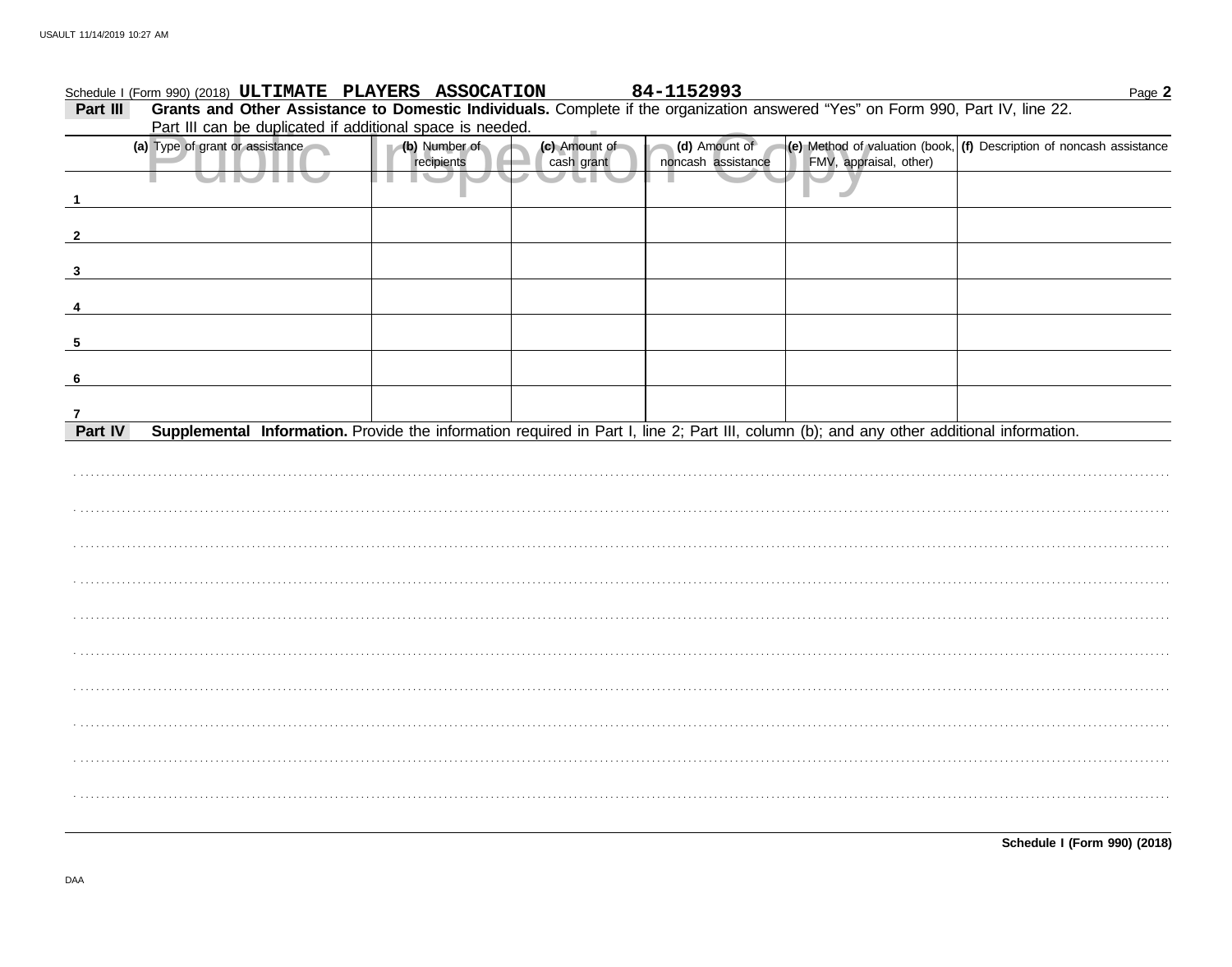|              | Schedule I (Form 990) (2018) ULTIMATE PLAYERS ASSOCATION                                                                                  |                             |                             | 84-1152993                          |                        | Page 2                                                                                                                   |
|--------------|-------------------------------------------------------------------------------------------------------------------------------------------|-----------------------------|-----------------------------|-------------------------------------|------------------------|--------------------------------------------------------------------------------------------------------------------------|
| Part III     | Grants and Other Assistance to Domestic Individuals. Complete if the organization answered "Yes" on Form 990, Part IV, line 22.           |                             |                             |                                     |                        |                                                                                                                          |
|              | Part III can be duplicated if additional space is needed.                                                                                 |                             |                             |                                     |                        |                                                                                                                          |
|              | (a) Type of grant or assistance                                                                                                           | (b) Number of<br>recipients | (c) Amount of<br>cash grant | (d) Amount of<br>noncash assistance | FMV, appraisal, other) | $\left  \textbf{(e)} \right $ Method of valuation (book, $\left  \textbf{(f)} \right $ Description of noncash assistance |
|              |                                                                                                                                           |                             |                             |                                     |                        |                                                                                                                          |
|              |                                                                                                                                           |                             |                             |                                     |                        |                                                                                                                          |
| $\mathbf{3}$ |                                                                                                                                           |                             |                             |                                     |                        |                                                                                                                          |
|              |                                                                                                                                           |                             |                             |                                     |                        |                                                                                                                          |
| -5           |                                                                                                                                           |                             |                             |                                     |                        |                                                                                                                          |
| 6            |                                                                                                                                           |                             |                             |                                     |                        |                                                                                                                          |
|              |                                                                                                                                           |                             |                             |                                     |                        |                                                                                                                          |
| Part IV      | Supplemental Information. Provide the information required in Part I, line 2; Part III, column (b); and any other additional information. |                             |                             |                                     |                        |                                                                                                                          |
|              |                                                                                                                                           |                             |                             |                                     |                        |                                                                                                                          |
|              |                                                                                                                                           |                             |                             |                                     |                        |                                                                                                                          |
|              |                                                                                                                                           |                             |                             |                                     |                        |                                                                                                                          |
|              |                                                                                                                                           |                             |                             |                                     |                        |                                                                                                                          |
|              |                                                                                                                                           |                             |                             |                                     |                        |                                                                                                                          |
|              |                                                                                                                                           |                             |                             |                                     |                        |                                                                                                                          |
|              |                                                                                                                                           |                             |                             |                                     |                        |                                                                                                                          |
|              |                                                                                                                                           |                             |                             |                                     |                        |                                                                                                                          |
|              |                                                                                                                                           |                             |                             |                                     |                        |                                                                                                                          |
|              |                                                                                                                                           |                             |                             |                                     |                        |                                                                                                                          |
|              |                                                                                                                                           |                             |                             |                                     |                        |                                                                                                                          |
|              |                                                                                                                                           |                             |                             |                                     |                        |                                                                                                                          |
|              |                                                                                                                                           |                             |                             |                                     |                        |                                                                                                                          |
|              |                                                                                                                                           |                             |                             |                                     |                        |                                                                                                                          |
|              |                                                                                                                                           |                             |                             |                                     |                        |                                                                                                                          |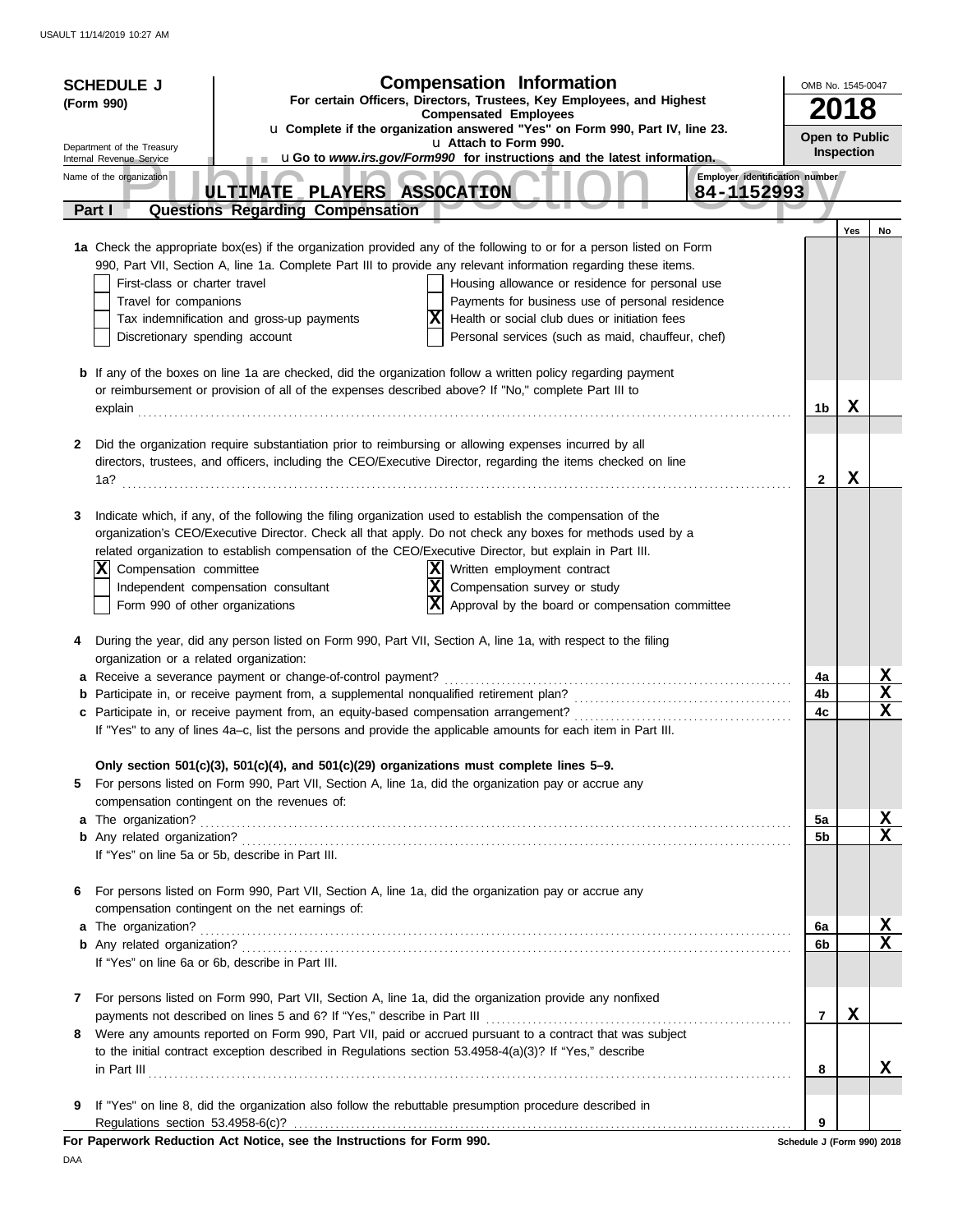| For certain Officers, Directors, Trustees, Key Employees, and Highest<br>(Form 990)<br><b>Compensated Employees</b><br>u Complete if the organization answered "Yes" on Form 990, Part IV, line 23.<br>Open to Public<br>u Attach to Form 990.<br>Department of the Treasury<br>Inspection<br>uGo to www.irs.gov/Form990 for instructions and the latest information.<br>Internal Revenue Service<br>Employer identification number<br>Name of the organization<br>ULTIMATE PLAYERS ASSOCATION<br>84-1152993<br><b>Questions Regarding Compensation</b><br>Part I<br>Yes<br>No<br>1a Check the appropriate box(es) if the organization provided any of the following to or for a person listed on Form<br>990, Part VII, Section A, line 1a. Complete Part III to provide any relevant information regarding these items.<br>First-class or charter travel<br>Housing allowance or residence for personal use<br>Travel for companions<br>Payments for business use of personal residence<br>Tax indemnification and gross-up payments<br>Health or social club dues or initiation fees<br>Personal services (such as maid, chauffeur, chef)<br>Discretionary spending account<br><b>b</b> If any of the boxes on line 1a are checked, did the organization follow a written policy regarding payment<br>or reimbursement or provision of all of the expenses described above? If "No," complete Part III to<br>X<br>1b<br>Did the organization require substantiation prior to reimbursing or allowing expenses incurred by all<br>2<br>directors, trustees, and officers, including the CEO/Executive Director, regarding the items checked on line<br>X<br>$\mathbf{2}$<br>1a?<br>Indicate which, if any, of the following the filing organization used to establish the compensation of the<br>3<br>organization's CEO/Executive Director. Check all that apply. Do not check any boxes for methods used by a<br>related organization to establish compensation of the CEO/Executive Director, but explain in Part III.<br>Written employment contract<br>X<br>Compensation committee<br>X <br>Compensation survey or study<br>Independent compensation consultant<br>Approval by the board or compensation committee<br>Form 990 of other organizations<br>During the year, did any person listed on Form 990, Part VII, Section A, line 1a, with respect to the filing<br>4<br>organization or a related organization:<br><u>x</u><br>a Receive a severance payment or change-of-control payment?<br>4a<br>$\mathbf X$<br>4b<br>$\mathbf x$<br>4c<br>If "Yes" to any of lines 4a-c, list the persons and provide the applicable amounts for each item in Part III.<br>Only section 501(c)(3), 501(c)(4), and 501(c)(29) organizations must complete lines 5-9.<br>For persons listed on Form 990, Part VII, Section A, line 1a, did the organization pay or accrue any<br>5<br>compensation contingent on the revenues of:<br><u>x</u><br>5a<br>$\mathbf{x}$<br>5 <sub>b</sub><br>If "Yes" on line 5a or 5b, describe in Part III.<br>For persons listed on Form 990, Part VII, Section A, line 1a, did the organization pay or accrue any<br>6<br>compensation contingent on the net earnings of:<br>a The organization?<br><u>x</u><br>6а<br>$\mathbf x$<br>6 <sub>b</sub><br>If "Yes" on line 6a or 6b, describe in Part III.<br>For persons listed on Form 990, Part VII, Section A, line 1a, did the organization provide any nonfixed<br>7<br>X<br>7<br>Were any amounts reported on Form 990, Part VII, paid or accrued pursuant to a contract that was subject<br>8<br>to the initial contract exception described in Regulations section 53.4958-4(a)(3)? If "Yes," describe<br>x<br>8<br>If "Yes" on line 8, did the organization also follow the rebuttable presumption procedure described in<br>9<br>Regulations section 53.4958-6(c)?<br>9<br>For Paperwork Reduction Act Notice, see the Instructions for Form 990.<br>Schedule J (Form 990) 2018 | <b>SCHEDULE J</b> | <b>Compensation Information</b> | OMB No. 1545-0047 |  |  |  |
|------------------------------------------------------------------------------------------------------------------------------------------------------------------------------------------------------------------------------------------------------------------------------------------------------------------------------------------------------------------------------------------------------------------------------------------------------------------------------------------------------------------------------------------------------------------------------------------------------------------------------------------------------------------------------------------------------------------------------------------------------------------------------------------------------------------------------------------------------------------------------------------------------------------------------------------------------------------------------------------------------------------------------------------------------------------------------------------------------------------------------------------------------------------------------------------------------------------------------------------------------------------------------------------------------------------------------------------------------------------------------------------------------------------------------------------------------------------------------------------------------------------------------------------------------------------------------------------------------------------------------------------------------------------------------------------------------------------------------------------------------------------------------------------------------------------------------------------------------------------------------------------------------------------------------------------------------------------------------------------------------------------------------------------------------------------------------------------------------------------------------------------------------------------------------------------------------------------------------------------------------------------------------------------------------------------------------------------------------------------------------------------------------------------------------------------------------------------------------------------------------------------------------------------------------------------------------------------------------------------------------------------------------------------------------------------------------------------------------------------------------------------------------------------------------------------------------------------------------------------------------------------------------------------------------------------------------------------------------------------------------------------------------------------------------------------------------------------------------------------------------------------------------------------------------------------------------------------------------------------------------------------------------------------------------------------------------------------------------------------------------------------------------------------------------------------------------------------------------------------------------------------------------------------------------------------------------------------------------------------------------------------------------------------------------------------------------------------------------------------------------------------------------------------------------------------------------------------------------------------------------------------------------------------------------------------------------------------------|-------------------|---------------------------------|-------------------|--|--|--|
|                                                                                                                                                                                                                                                                                                                                                                                                                                                                                                                                                                                                                                                                                                                                                                                                                                                                                                                                                                                                                                                                                                                                                                                                                                                                                                                                                                                                                                                                                                                                                                                                                                                                                                                                                                                                                                                                                                                                                                                                                                                                                                                                                                                                                                                                                                                                                                                                                                                                                                                                                                                                                                                                                                                                                                                                                                                                                                                                                                                                                                                                                                                                                                                                                                                                                                                                                                                                                                                                                                                                                                                                                                                                                                                                                                                                                                                                                                                                                                        |                   |                                 |                   |  |  |  |
|                                                                                                                                                                                                                                                                                                                                                                                                                                                                                                                                                                                                                                                                                                                                                                                                                                                                                                                                                                                                                                                                                                                                                                                                                                                                                                                                                                                                                                                                                                                                                                                                                                                                                                                                                                                                                                                                                                                                                                                                                                                                                                                                                                                                                                                                                                                                                                                                                                                                                                                                                                                                                                                                                                                                                                                                                                                                                                                                                                                                                                                                                                                                                                                                                                                                                                                                                                                                                                                                                                                                                                                                                                                                                                                                                                                                                                                                                                                                                                        |                   |                                 |                   |  |  |  |
|                                                                                                                                                                                                                                                                                                                                                                                                                                                                                                                                                                                                                                                                                                                                                                                                                                                                                                                                                                                                                                                                                                                                                                                                                                                                                                                                                                                                                                                                                                                                                                                                                                                                                                                                                                                                                                                                                                                                                                                                                                                                                                                                                                                                                                                                                                                                                                                                                                                                                                                                                                                                                                                                                                                                                                                                                                                                                                                                                                                                                                                                                                                                                                                                                                                                                                                                                                                                                                                                                                                                                                                                                                                                                                                                                                                                                                                                                                                                                                        |                   |                                 |                   |  |  |  |
|                                                                                                                                                                                                                                                                                                                                                                                                                                                                                                                                                                                                                                                                                                                                                                                                                                                                                                                                                                                                                                                                                                                                                                                                                                                                                                                                                                                                                                                                                                                                                                                                                                                                                                                                                                                                                                                                                                                                                                                                                                                                                                                                                                                                                                                                                                                                                                                                                                                                                                                                                                                                                                                                                                                                                                                                                                                                                                                                                                                                                                                                                                                                                                                                                                                                                                                                                                                                                                                                                                                                                                                                                                                                                                                                                                                                                                                                                                                                                                        |                   |                                 |                   |  |  |  |
|                                                                                                                                                                                                                                                                                                                                                                                                                                                                                                                                                                                                                                                                                                                                                                                                                                                                                                                                                                                                                                                                                                                                                                                                                                                                                                                                                                                                                                                                                                                                                                                                                                                                                                                                                                                                                                                                                                                                                                                                                                                                                                                                                                                                                                                                                                                                                                                                                                                                                                                                                                                                                                                                                                                                                                                                                                                                                                                                                                                                                                                                                                                                                                                                                                                                                                                                                                                                                                                                                                                                                                                                                                                                                                                                                                                                                                                                                                                                                                        |                   |                                 |                   |  |  |  |
|                                                                                                                                                                                                                                                                                                                                                                                                                                                                                                                                                                                                                                                                                                                                                                                                                                                                                                                                                                                                                                                                                                                                                                                                                                                                                                                                                                                                                                                                                                                                                                                                                                                                                                                                                                                                                                                                                                                                                                                                                                                                                                                                                                                                                                                                                                                                                                                                                                                                                                                                                                                                                                                                                                                                                                                                                                                                                                                                                                                                                                                                                                                                                                                                                                                                                                                                                                                                                                                                                                                                                                                                                                                                                                                                                                                                                                                                                                                                                                        |                   |                                 |                   |  |  |  |
|                                                                                                                                                                                                                                                                                                                                                                                                                                                                                                                                                                                                                                                                                                                                                                                                                                                                                                                                                                                                                                                                                                                                                                                                                                                                                                                                                                                                                                                                                                                                                                                                                                                                                                                                                                                                                                                                                                                                                                                                                                                                                                                                                                                                                                                                                                                                                                                                                                                                                                                                                                                                                                                                                                                                                                                                                                                                                                                                                                                                                                                                                                                                                                                                                                                                                                                                                                                                                                                                                                                                                                                                                                                                                                                                                                                                                                                                                                                                                                        |                   |                                 |                   |  |  |  |
|                                                                                                                                                                                                                                                                                                                                                                                                                                                                                                                                                                                                                                                                                                                                                                                                                                                                                                                                                                                                                                                                                                                                                                                                                                                                                                                                                                                                                                                                                                                                                                                                                                                                                                                                                                                                                                                                                                                                                                                                                                                                                                                                                                                                                                                                                                                                                                                                                                                                                                                                                                                                                                                                                                                                                                                                                                                                                                                                                                                                                                                                                                                                                                                                                                                                                                                                                                                                                                                                                                                                                                                                                                                                                                                                                                                                                                                                                                                                                                        |                   |                                 |                   |  |  |  |
|                                                                                                                                                                                                                                                                                                                                                                                                                                                                                                                                                                                                                                                                                                                                                                                                                                                                                                                                                                                                                                                                                                                                                                                                                                                                                                                                                                                                                                                                                                                                                                                                                                                                                                                                                                                                                                                                                                                                                                                                                                                                                                                                                                                                                                                                                                                                                                                                                                                                                                                                                                                                                                                                                                                                                                                                                                                                                                                                                                                                                                                                                                                                                                                                                                                                                                                                                                                                                                                                                                                                                                                                                                                                                                                                                                                                                                                                                                                                                                        |                   |                                 |                   |  |  |  |
|                                                                                                                                                                                                                                                                                                                                                                                                                                                                                                                                                                                                                                                                                                                                                                                                                                                                                                                                                                                                                                                                                                                                                                                                                                                                                                                                                                                                                                                                                                                                                                                                                                                                                                                                                                                                                                                                                                                                                                                                                                                                                                                                                                                                                                                                                                                                                                                                                                                                                                                                                                                                                                                                                                                                                                                                                                                                                                                                                                                                                                                                                                                                                                                                                                                                                                                                                                                                                                                                                                                                                                                                                                                                                                                                                                                                                                                                                                                                                                        |                   |                                 |                   |  |  |  |
|                                                                                                                                                                                                                                                                                                                                                                                                                                                                                                                                                                                                                                                                                                                                                                                                                                                                                                                                                                                                                                                                                                                                                                                                                                                                                                                                                                                                                                                                                                                                                                                                                                                                                                                                                                                                                                                                                                                                                                                                                                                                                                                                                                                                                                                                                                                                                                                                                                                                                                                                                                                                                                                                                                                                                                                                                                                                                                                                                                                                                                                                                                                                                                                                                                                                                                                                                                                                                                                                                                                                                                                                                                                                                                                                                                                                                                                                                                                                                                        |                   |                                 |                   |  |  |  |
|                                                                                                                                                                                                                                                                                                                                                                                                                                                                                                                                                                                                                                                                                                                                                                                                                                                                                                                                                                                                                                                                                                                                                                                                                                                                                                                                                                                                                                                                                                                                                                                                                                                                                                                                                                                                                                                                                                                                                                                                                                                                                                                                                                                                                                                                                                                                                                                                                                                                                                                                                                                                                                                                                                                                                                                                                                                                                                                                                                                                                                                                                                                                                                                                                                                                                                                                                                                                                                                                                                                                                                                                                                                                                                                                                                                                                                                                                                                                                                        |                   |                                 |                   |  |  |  |
|                                                                                                                                                                                                                                                                                                                                                                                                                                                                                                                                                                                                                                                                                                                                                                                                                                                                                                                                                                                                                                                                                                                                                                                                                                                                                                                                                                                                                                                                                                                                                                                                                                                                                                                                                                                                                                                                                                                                                                                                                                                                                                                                                                                                                                                                                                                                                                                                                                                                                                                                                                                                                                                                                                                                                                                                                                                                                                                                                                                                                                                                                                                                                                                                                                                                                                                                                                                                                                                                                                                                                                                                                                                                                                                                                                                                                                                                                                                                                                        |                   |                                 |                   |  |  |  |
|                                                                                                                                                                                                                                                                                                                                                                                                                                                                                                                                                                                                                                                                                                                                                                                                                                                                                                                                                                                                                                                                                                                                                                                                                                                                                                                                                                                                                                                                                                                                                                                                                                                                                                                                                                                                                                                                                                                                                                                                                                                                                                                                                                                                                                                                                                                                                                                                                                                                                                                                                                                                                                                                                                                                                                                                                                                                                                                                                                                                                                                                                                                                                                                                                                                                                                                                                                                                                                                                                                                                                                                                                                                                                                                                                                                                                                                                                                                                                                        |                   |                                 |                   |  |  |  |
|                                                                                                                                                                                                                                                                                                                                                                                                                                                                                                                                                                                                                                                                                                                                                                                                                                                                                                                                                                                                                                                                                                                                                                                                                                                                                                                                                                                                                                                                                                                                                                                                                                                                                                                                                                                                                                                                                                                                                                                                                                                                                                                                                                                                                                                                                                                                                                                                                                                                                                                                                                                                                                                                                                                                                                                                                                                                                                                                                                                                                                                                                                                                                                                                                                                                                                                                                                                                                                                                                                                                                                                                                                                                                                                                                                                                                                                                                                                                                                        |                   |                                 |                   |  |  |  |
|                                                                                                                                                                                                                                                                                                                                                                                                                                                                                                                                                                                                                                                                                                                                                                                                                                                                                                                                                                                                                                                                                                                                                                                                                                                                                                                                                                                                                                                                                                                                                                                                                                                                                                                                                                                                                                                                                                                                                                                                                                                                                                                                                                                                                                                                                                                                                                                                                                                                                                                                                                                                                                                                                                                                                                                                                                                                                                                                                                                                                                                                                                                                                                                                                                                                                                                                                                                                                                                                                                                                                                                                                                                                                                                                                                                                                                                                                                                                                                        |                   |                                 |                   |  |  |  |
|                                                                                                                                                                                                                                                                                                                                                                                                                                                                                                                                                                                                                                                                                                                                                                                                                                                                                                                                                                                                                                                                                                                                                                                                                                                                                                                                                                                                                                                                                                                                                                                                                                                                                                                                                                                                                                                                                                                                                                                                                                                                                                                                                                                                                                                                                                                                                                                                                                                                                                                                                                                                                                                                                                                                                                                                                                                                                                                                                                                                                                                                                                                                                                                                                                                                                                                                                                                                                                                                                                                                                                                                                                                                                                                                                                                                                                                                                                                                                                        |                   |                                 |                   |  |  |  |
|                                                                                                                                                                                                                                                                                                                                                                                                                                                                                                                                                                                                                                                                                                                                                                                                                                                                                                                                                                                                                                                                                                                                                                                                                                                                                                                                                                                                                                                                                                                                                                                                                                                                                                                                                                                                                                                                                                                                                                                                                                                                                                                                                                                                                                                                                                                                                                                                                                                                                                                                                                                                                                                                                                                                                                                                                                                                                                                                                                                                                                                                                                                                                                                                                                                                                                                                                                                                                                                                                                                                                                                                                                                                                                                                                                                                                                                                                                                                                                        |                   |                                 |                   |  |  |  |
|                                                                                                                                                                                                                                                                                                                                                                                                                                                                                                                                                                                                                                                                                                                                                                                                                                                                                                                                                                                                                                                                                                                                                                                                                                                                                                                                                                                                                                                                                                                                                                                                                                                                                                                                                                                                                                                                                                                                                                                                                                                                                                                                                                                                                                                                                                                                                                                                                                                                                                                                                                                                                                                                                                                                                                                                                                                                                                                                                                                                                                                                                                                                                                                                                                                                                                                                                                                                                                                                                                                                                                                                                                                                                                                                                                                                                                                                                                                                                                        |                   |                                 |                   |  |  |  |
|                                                                                                                                                                                                                                                                                                                                                                                                                                                                                                                                                                                                                                                                                                                                                                                                                                                                                                                                                                                                                                                                                                                                                                                                                                                                                                                                                                                                                                                                                                                                                                                                                                                                                                                                                                                                                                                                                                                                                                                                                                                                                                                                                                                                                                                                                                                                                                                                                                                                                                                                                                                                                                                                                                                                                                                                                                                                                                                                                                                                                                                                                                                                                                                                                                                                                                                                                                                                                                                                                                                                                                                                                                                                                                                                                                                                                                                                                                                                                                        |                   |                                 |                   |  |  |  |
|                                                                                                                                                                                                                                                                                                                                                                                                                                                                                                                                                                                                                                                                                                                                                                                                                                                                                                                                                                                                                                                                                                                                                                                                                                                                                                                                                                                                                                                                                                                                                                                                                                                                                                                                                                                                                                                                                                                                                                                                                                                                                                                                                                                                                                                                                                                                                                                                                                                                                                                                                                                                                                                                                                                                                                                                                                                                                                                                                                                                                                                                                                                                                                                                                                                                                                                                                                                                                                                                                                                                                                                                                                                                                                                                                                                                                                                                                                                                                                        |                   |                                 |                   |  |  |  |
|                                                                                                                                                                                                                                                                                                                                                                                                                                                                                                                                                                                                                                                                                                                                                                                                                                                                                                                                                                                                                                                                                                                                                                                                                                                                                                                                                                                                                                                                                                                                                                                                                                                                                                                                                                                                                                                                                                                                                                                                                                                                                                                                                                                                                                                                                                                                                                                                                                                                                                                                                                                                                                                                                                                                                                                                                                                                                                                                                                                                                                                                                                                                                                                                                                                                                                                                                                                                                                                                                                                                                                                                                                                                                                                                                                                                                                                                                                                                                                        |                   |                                 |                   |  |  |  |
|                                                                                                                                                                                                                                                                                                                                                                                                                                                                                                                                                                                                                                                                                                                                                                                                                                                                                                                                                                                                                                                                                                                                                                                                                                                                                                                                                                                                                                                                                                                                                                                                                                                                                                                                                                                                                                                                                                                                                                                                                                                                                                                                                                                                                                                                                                                                                                                                                                                                                                                                                                                                                                                                                                                                                                                                                                                                                                                                                                                                                                                                                                                                                                                                                                                                                                                                                                                                                                                                                                                                                                                                                                                                                                                                                                                                                                                                                                                                                                        |                   |                                 |                   |  |  |  |
|                                                                                                                                                                                                                                                                                                                                                                                                                                                                                                                                                                                                                                                                                                                                                                                                                                                                                                                                                                                                                                                                                                                                                                                                                                                                                                                                                                                                                                                                                                                                                                                                                                                                                                                                                                                                                                                                                                                                                                                                                                                                                                                                                                                                                                                                                                                                                                                                                                                                                                                                                                                                                                                                                                                                                                                                                                                                                                                                                                                                                                                                                                                                                                                                                                                                                                                                                                                                                                                                                                                                                                                                                                                                                                                                                                                                                                                                                                                                                                        |                   |                                 |                   |  |  |  |
|                                                                                                                                                                                                                                                                                                                                                                                                                                                                                                                                                                                                                                                                                                                                                                                                                                                                                                                                                                                                                                                                                                                                                                                                                                                                                                                                                                                                                                                                                                                                                                                                                                                                                                                                                                                                                                                                                                                                                                                                                                                                                                                                                                                                                                                                                                                                                                                                                                                                                                                                                                                                                                                                                                                                                                                                                                                                                                                                                                                                                                                                                                                                                                                                                                                                                                                                                                                                                                                                                                                                                                                                                                                                                                                                                                                                                                                                                                                                                                        |                   |                                 |                   |  |  |  |
|                                                                                                                                                                                                                                                                                                                                                                                                                                                                                                                                                                                                                                                                                                                                                                                                                                                                                                                                                                                                                                                                                                                                                                                                                                                                                                                                                                                                                                                                                                                                                                                                                                                                                                                                                                                                                                                                                                                                                                                                                                                                                                                                                                                                                                                                                                                                                                                                                                                                                                                                                                                                                                                                                                                                                                                                                                                                                                                                                                                                                                                                                                                                                                                                                                                                                                                                                                                                                                                                                                                                                                                                                                                                                                                                                                                                                                                                                                                                                                        |                   |                                 |                   |  |  |  |
|                                                                                                                                                                                                                                                                                                                                                                                                                                                                                                                                                                                                                                                                                                                                                                                                                                                                                                                                                                                                                                                                                                                                                                                                                                                                                                                                                                                                                                                                                                                                                                                                                                                                                                                                                                                                                                                                                                                                                                                                                                                                                                                                                                                                                                                                                                                                                                                                                                                                                                                                                                                                                                                                                                                                                                                                                                                                                                                                                                                                                                                                                                                                                                                                                                                                                                                                                                                                                                                                                                                                                                                                                                                                                                                                                                                                                                                                                                                                                                        |                   |                                 |                   |  |  |  |
|                                                                                                                                                                                                                                                                                                                                                                                                                                                                                                                                                                                                                                                                                                                                                                                                                                                                                                                                                                                                                                                                                                                                                                                                                                                                                                                                                                                                                                                                                                                                                                                                                                                                                                                                                                                                                                                                                                                                                                                                                                                                                                                                                                                                                                                                                                                                                                                                                                                                                                                                                                                                                                                                                                                                                                                                                                                                                                                                                                                                                                                                                                                                                                                                                                                                                                                                                                                                                                                                                                                                                                                                                                                                                                                                                                                                                                                                                                                                                                        |                   |                                 |                   |  |  |  |
|                                                                                                                                                                                                                                                                                                                                                                                                                                                                                                                                                                                                                                                                                                                                                                                                                                                                                                                                                                                                                                                                                                                                                                                                                                                                                                                                                                                                                                                                                                                                                                                                                                                                                                                                                                                                                                                                                                                                                                                                                                                                                                                                                                                                                                                                                                                                                                                                                                                                                                                                                                                                                                                                                                                                                                                                                                                                                                                                                                                                                                                                                                                                                                                                                                                                                                                                                                                                                                                                                                                                                                                                                                                                                                                                                                                                                                                                                                                                                                        |                   |                                 |                   |  |  |  |
|                                                                                                                                                                                                                                                                                                                                                                                                                                                                                                                                                                                                                                                                                                                                                                                                                                                                                                                                                                                                                                                                                                                                                                                                                                                                                                                                                                                                                                                                                                                                                                                                                                                                                                                                                                                                                                                                                                                                                                                                                                                                                                                                                                                                                                                                                                                                                                                                                                                                                                                                                                                                                                                                                                                                                                                                                                                                                                                                                                                                                                                                                                                                                                                                                                                                                                                                                                                                                                                                                                                                                                                                                                                                                                                                                                                                                                                                                                                                                                        |                   |                                 |                   |  |  |  |
|                                                                                                                                                                                                                                                                                                                                                                                                                                                                                                                                                                                                                                                                                                                                                                                                                                                                                                                                                                                                                                                                                                                                                                                                                                                                                                                                                                                                                                                                                                                                                                                                                                                                                                                                                                                                                                                                                                                                                                                                                                                                                                                                                                                                                                                                                                                                                                                                                                                                                                                                                                                                                                                                                                                                                                                                                                                                                                                                                                                                                                                                                                                                                                                                                                                                                                                                                                                                                                                                                                                                                                                                                                                                                                                                                                                                                                                                                                                                                                        |                   |                                 |                   |  |  |  |
|                                                                                                                                                                                                                                                                                                                                                                                                                                                                                                                                                                                                                                                                                                                                                                                                                                                                                                                                                                                                                                                                                                                                                                                                                                                                                                                                                                                                                                                                                                                                                                                                                                                                                                                                                                                                                                                                                                                                                                                                                                                                                                                                                                                                                                                                                                                                                                                                                                                                                                                                                                                                                                                                                                                                                                                                                                                                                                                                                                                                                                                                                                                                                                                                                                                                                                                                                                                                                                                                                                                                                                                                                                                                                                                                                                                                                                                                                                                                                                        |                   |                                 |                   |  |  |  |
|                                                                                                                                                                                                                                                                                                                                                                                                                                                                                                                                                                                                                                                                                                                                                                                                                                                                                                                                                                                                                                                                                                                                                                                                                                                                                                                                                                                                                                                                                                                                                                                                                                                                                                                                                                                                                                                                                                                                                                                                                                                                                                                                                                                                                                                                                                                                                                                                                                                                                                                                                                                                                                                                                                                                                                                                                                                                                                                                                                                                                                                                                                                                                                                                                                                                                                                                                                                                                                                                                                                                                                                                                                                                                                                                                                                                                                                                                                                                                                        |                   |                                 |                   |  |  |  |
|                                                                                                                                                                                                                                                                                                                                                                                                                                                                                                                                                                                                                                                                                                                                                                                                                                                                                                                                                                                                                                                                                                                                                                                                                                                                                                                                                                                                                                                                                                                                                                                                                                                                                                                                                                                                                                                                                                                                                                                                                                                                                                                                                                                                                                                                                                                                                                                                                                                                                                                                                                                                                                                                                                                                                                                                                                                                                                                                                                                                                                                                                                                                                                                                                                                                                                                                                                                                                                                                                                                                                                                                                                                                                                                                                                                                                                                                                                                                                                        |                   |                                 |                   |  |  |  |
|                                                                                                                                                                                                                                                                                                                                                                                                                                                                                                                                                                                                                                                                                                                                                                                                                                                                                                                                                                                                                                                                                                                                                                                                                                                                                                                                                                                                                                                                                                                                                                                                                                                                                                                                                                                                                                                                                                                                                                                                                                                                                                                                                                                                                                                                                                                                                                                                                                                                                                                                                                                                                                                                                                                                                                                                                                                                                                                                                                                                                                                                                                                                                                                                                                                                                                                                                                                                                                                                                                                                                                                                                                                                                                                                                                                                                                                                                                                                                                        |                   |                                 |                   |  |  |  |
|                                                                                                                                                                                                                                                                                                                                                                                                                                                                                                                                                                                                                                                                                                                                                                                                                                                                                                                                                                                                                                                                                                                                                                                                                                                                                                                                                                                                                                                                                                                                                                                                                                                                                                                                                                                                                                                                                                                                                                                                                                                                                                                                                                                                                                                                                                                                                                                                                                                                                                                                                                                                                                                                                                                                                                                                                                                                                                                                                                                                                                                                                                                                                                                                                                                                                                                                                                                                                                                                                                                                                                                                                                                                                                                                                                                                                                                                                                                                                                        |                   |                                 |                   |  |  |  |
|                                                                                                                                                                                                                                                                                                                                                                                                                                                                                                                                                                                                                                                                                                                                                                                                                                                                                                                                                                                                                                                                                                                                                                                                                                                                                                                                                                                                                                                                                                                                                                                                                                                                                                                                                                                                                                                                                                                                                                                                                                                                                                                                                                                                                                                                                                                                                                                                                                                                                                                                                                                                                                                                                                                                                                                                                                                                                                                                                                                                                                                                                                                                                                                                                                                                                                                                                                                                                                                                                                                                                                                                                                                                                                                                                                                                                                                                                                                                                                        |                   |                                 |                   |  |  |  |
|                                                                                                                                                                                                                                                                                                                                                                                                                                                                                                                                                                                                                                                                                                                                                                                                                                                                                                                                                                                                                                                                                                                                                                                                                                                                                                                                                                                                                                                                                                                                                                                                                                                                                                                                                                                                                                                                                                                                                                                                                                                                                                                                                                                                                                                                                                                                                                                                                                                                                                                                                                                                                                                                                                                                                                                                                                                                                                                                                                                                                                                                                                                                                                                                                                                                                                                                                                                                                                                                                                                                                                                                                                                                                                                                                                                                                                                                                                                                                                        |                   |                                 |                   |  |  |  |
|                                                                                                                                                                                                                                                                                                                                                                                                                                                                                                                                                                                                                                                                                                                                                                                                                                                                                                                                                                                                                                                                                                                                                                                                                                                                                                                                                                                                                                                                                                                                                                                                                                                                                                                                                                                                                                                                                                                                                                                                                                                                                                                                                                                                                                                                                                                                                                                                                                                                                                                                                                                                                                                                                                                                                                                                                                                                                                                                                                                                                                                                                                                                                                                                                                                                                                                                                                                                                                                                                                                                                                                                                                                                                                                                                                                                                                                                                                                                                                        |                   |                                 |                   |  |  |  |
|                                                                                                                                                                                                                                                                                                                                                                                                                                                                                                                                                                                                                                                                                                                                                                                                                                                                                                                                                                                                                                                                                                                                                                                                                                                                                                                                                                                                                                                                                                                                                                                                                                                                                                                                                                                                                                                                                                                                                                                                                                                                                                                                                                                                                                                                                                                                                                                                                                                                                                                                                                                                                                                                                                                                                                                                                                                                                                                                                                                                                                                                                                                                                                                                                                                                                                                                                                                                                                                                                                                                                                                                                                                                                                                                                                                                                                                                                                                                                                        |                   |                                 |                   |  |  |  |
|                                                                                                                                                                                                                                                                                                                                                                                                                                                                                                                                                                                                                                                                                                                                                                                                                                                                                                                                                                                                                                                                                                                                                                                                                                                                                                                                                                                                                                                                                                                                                                                                                                                                                                                                                                                                                                                                                                                                                                                                                                                                                                                                                                                                                                                                                                                                                                                                                                                                                                                                                                                                                                                                                                                                                                                                                                                                                                                                                                                                                                                                                                                                                                                                                                                                                                                                                                                                                                                                                                                                                                                                                                                                                                                                                                                                                                                                                                                                                                        |                   |                                 |                   |  |  |  |
|                                                                                                                                                                                                                                                                                                                                                                                                                                                                                                                                                                                                                                                                                                                                                                                                                                                                                                                                                                                                                                                                                                                                                                                                                                                                                                                                                                                                                                                                                                                                                                                                                                                                                                                                                                                                                                                                                                                                                                                                                                                                                                                                                                                                                                                                                                                                                                                                                                                                                                                                                                                                                                                                                                                                                                                                                                                                                                                                                                                                                                                                                                                                                                                                                                                                                                                                                                                                                                                                                                                                                                                                                                                                                                                                                                                                                                                                                                                                                                        |                   |                                 |                   |  |  |  |
|                                                                                                                                                                                                                                                                                                                                                                                                                                                                                                                                                                                                                                                                                                                                                                                                                                                                                                                                                                                                                                                                                                                                                                                                                                                                                                                                                                                                                                                                                                                                                                                                                                                                                                                                                                                                                                                                                                                                                                                                                                                                                                                                                                                                                                                                                                                                                                                                                                                                                                                                                                                                                                                                                                                                                                                                                                                                                                                                                                                                                                                                                                                                                                                                                                                                                                                                                                                                                                                                                                                                                                                                                                                                                                                                                                                                                                                                                                                                                                        |                   |                                 |                   |  |  |  |
|                                                                                                                                                                                                                                                                                                                                                                                                                                                                                                                                                                                                                                                                                                                                                                                                                                                                                                                                                                                                                                                                                                                                                                                                                                                                                                                                                                                                                                                                                                                                                                                                                                                                                                                                                                                                                                                                                                                                                                                                                                                                                                                                                                                                                                                                                                                                                                                                                                                                                                                                                                                                                                                                                                                                                                                                                                                                                                                                                                                                                                                                                                                                                                                                                                                                                                                                                                                                                                                                                                                                                                                                                                                                                                                                                                                                                                                                                                                                                                        |                   |                                 |                   |  |  |  |
|                                                                                                                                                                                                                                                                                                                                                                                                                                                                                                                                                                                                                                                                                                                                                                                                                                                                                                                                                                                                                                                                                                                                                                                                                                                                                                                                                                                                                                                                                                                                                                                                                                                                                                                                                                                                                                                                                                                                                                                                                                                                                                                                                                                                                                                                                                                                                                                                                                                                                                                                                                                                                                                                                                                                                                                                                                                                                                                                                                                                                                                                                                                                                                                                                                                                                                                                                                                                                                                                                                                                                                                                                                                                                                                                                                                                                                                                                                                                                                        |                   |                                 |                   |  |  |  |
|                                                                                                                                                                                                                                                                                                                                                                                                                                                                                                                                                                                                                                                                                                                                                                                                                                                                                                                                                                                                                                                                                                                                                                                                                                                                                                                                                                                                                                                                                                                                                                                                                                                                                                                                                                                                                                                                                                                                                                                                                                                                                                                                                                                                                                                                                                                                                                                                                                                                                                                                                                                                                                                                                                                                                                                                                                                                                                                                                                                                                                                                                                                                                                                                                                                                                                                                                                                                                                                                                                                                                                                                                                                                                                                                                                                                                                                                                                                                                                        |                   |                                 |                   |  |  |  |
|                                                                                                                                                                                                                                                                                                                                                                                                                                                                                                                                                                                                                                                                                                                                                                                                                                                                                                                                                                                                                                                                                                                                                                                                                                                                                                                                                                                                                                                                                                                                                                                                                                                                                                                                                                                                                                                                                                                                                                                                                                                                                                                                                                                                                                                                                                                                                                                                                                                                                                                                                                                                                                                                                                                                                                                                                                                                                                                                                                                                                                                                                                                                                                                                                                                                                                                                                                                                                                                                                                                                                                                                                                                                                                                                                                                                                                                                                                                                                                        |                   |                                 |                   |  |  |  |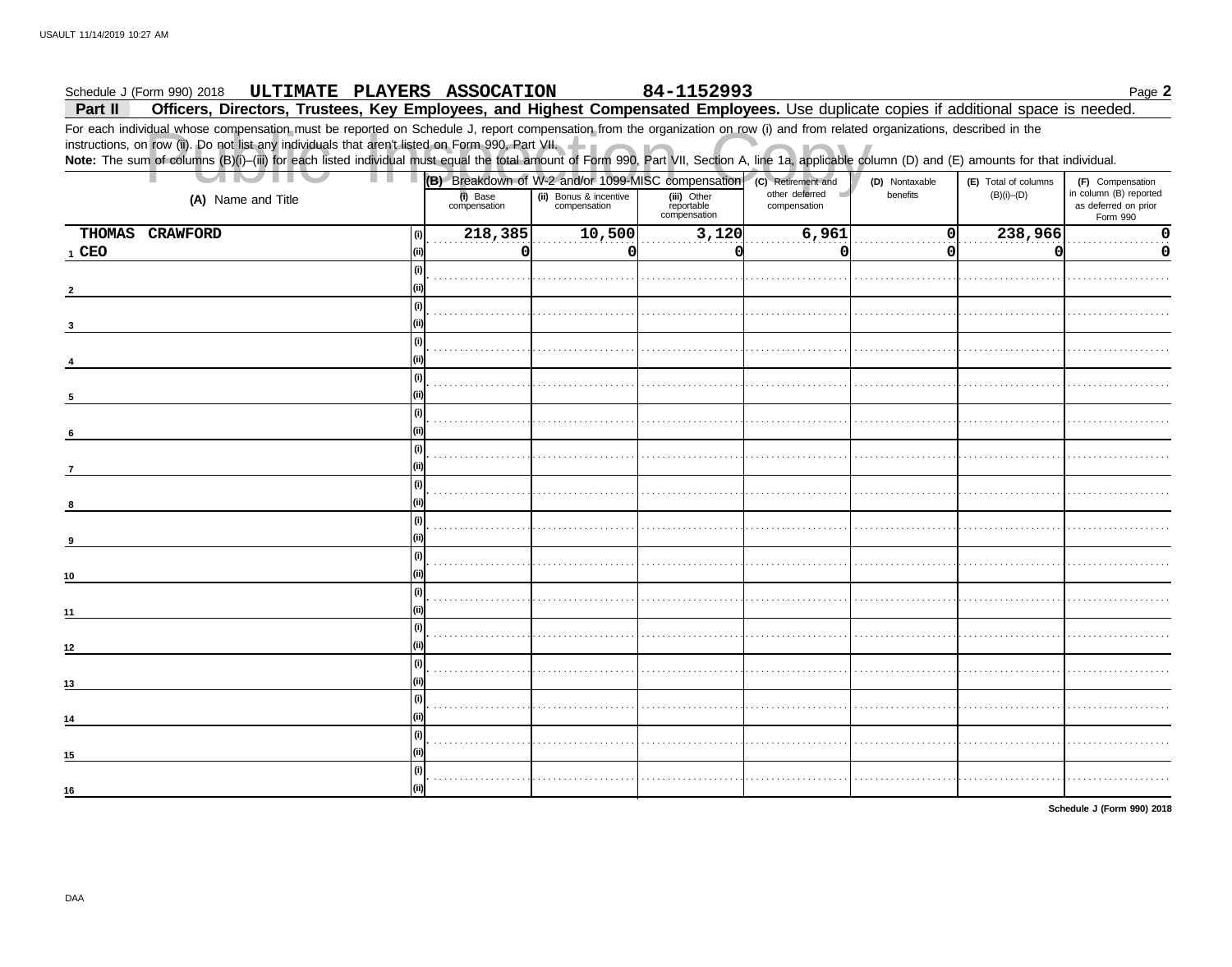#### 84-1152993 Schedule J (Form 990) 2018 ULTIMATE PLAYERS ASSOCATION Page 2

Officers, Directors, Trustees, Key Employees, and Highest Compensated Employees. Use duplicate copies if additional space is needed. Part II

For each individual whose compensation must be reported on Schedule J, report compensation from the organization on row (i) and from related organizations, described in the instructions, on row (ii). Do not list any individuals that aren't listed on Form 990, Part VII.<br>Note: The sum of columns (B)(i)-(iii) for each listed individual must equal the total amount of Form 990, Part VII, Section A

| <b>IIV</b>         | (B) Breakdown of W-2 and/or 1099-MISC compensation (c) Retirement and |                                        |                                           |                                | (D) Nontaxable | (E) Total of columns | (F) Compensation                                           |
|--------------------|-----------------------------------------------------------------------|----------------------------------------|-------------------------------------------|--------------------------------|----------------|----------------------|------------------------------------------------------------|
| (A) Name and Title | (i) Base<br>compensation                                              | (ii) Bonus & incentive<br>compensation | (iii) Other<br>reportable<br>compensation | other deferred<br>compensation | benefits       | $(B)(i)$ – $(D)$     | in column (B) reported<br>as deferred on prior<br>Form 990 |
| THOMAS CRAWFORD    | 218,385<br>(i)                                                        | 10,500                                 | 3,120                                     | 6,961                          | 0              | 238,966              | O                                                          |
| $1$ CEO            | 0                                                                     | <sub>0</sub>                           | C                                         | $\Omega$                       | $\Omega$       | O                    | O                                                          |
|                    | (i)                                                                   |                                        |                                           |                                |                |                      |                                                            |
|                    |                                                                       |                                        |                                           |                                |                |                      |                                                            |
|                    | (i)                                                                   |                                        |                                           |                                |                |                      |                                                            |
|                    |                                                                       |                                        |                                           |                                |                |                      |                                                            |
|                    | (i)                                                                   |                                        |                                           |                                |                |                      |                                                            |
|                    |                                                                       |                                        |                                           |                                |                |                      |                                                            |
|                    | (i)                                                                   |                                        |                                           |                                |                |                      |                                                            |
|                    |                                                                       |                                        |                                           |                                |                |                      |                                                            |
| 5                  |                                                                       |                                        |                                           |                                |                |                      |                                                            |
|                    | (i)                                                                   |                                        |                                           |                                |                |                      |                                                            |
|                    |                                                                       |                                        |                                           |                                |                |                      |                                                            |
|                    | (i)                                                                   |                                        |                                           |                                |                |                      |                                                            |
|                    |                                                                       |                                        |                                           |                                |                |                      |                                                            |
|                    | (i)                                                                   |                                        |                                           |                                |                |                      |                                                            |
| 8                  |                                                                       |                                        |                                           |                                |                |                      |                                                            |
|                    | (i)                                                                   |                                        |                                           |                                |                |                      |                                                            |
| 9                  |                                                                       |                                        |                                           |                                |                |                      |                                                            |
|                    | l (i)                                                                 |                                        |                                           |                                |                |                      |                                                            |
| 10                 |                                                                       |                                        |                                           |                                |                |                      |                                                            |
|                    | l (i)                                                                 |                                        |                                           |                                |                |                      |                                                            |
| 11                 |                                                                       |                                        |                                           |                                |                |                      |                                                            |
|                    | (i)                                                                   |                                        |                                           |                                |                |                      |                                                            |
| 12                 | (ii)                                                                  |                                        |                                           |                                |                |                      |                                                            |
|                    | (i)                                                                   |                                        |                                           |                                |                |                      |                                                            |
| 13                 |                                                                       |                                        |                                           |                                |                |                      |                                                            |
|                    | (i)                                                                   |                                        |                                           |                                |                |                      |                                                            |
| 14                 |                                                                       |                                        |                                           |                                |                |                      |                                                            |
|                    | (i)                                                                   |                                        |                                           |                                |                |                      |                                                            |
| 15                 |                                                                       |                                        |                                           |                                |                |                      |                                                            |
|                    | (i)                                                                   |                                        |                                           |                                |                |                      |                                                            |
| 16                 | (iii)                                                                 |                                        |                                           |                                |                |                      |                                                            |
|                    |                                                                       |                                        |                                           |                                |                |                      |                                                            |

Schedule J (Form 990) 2018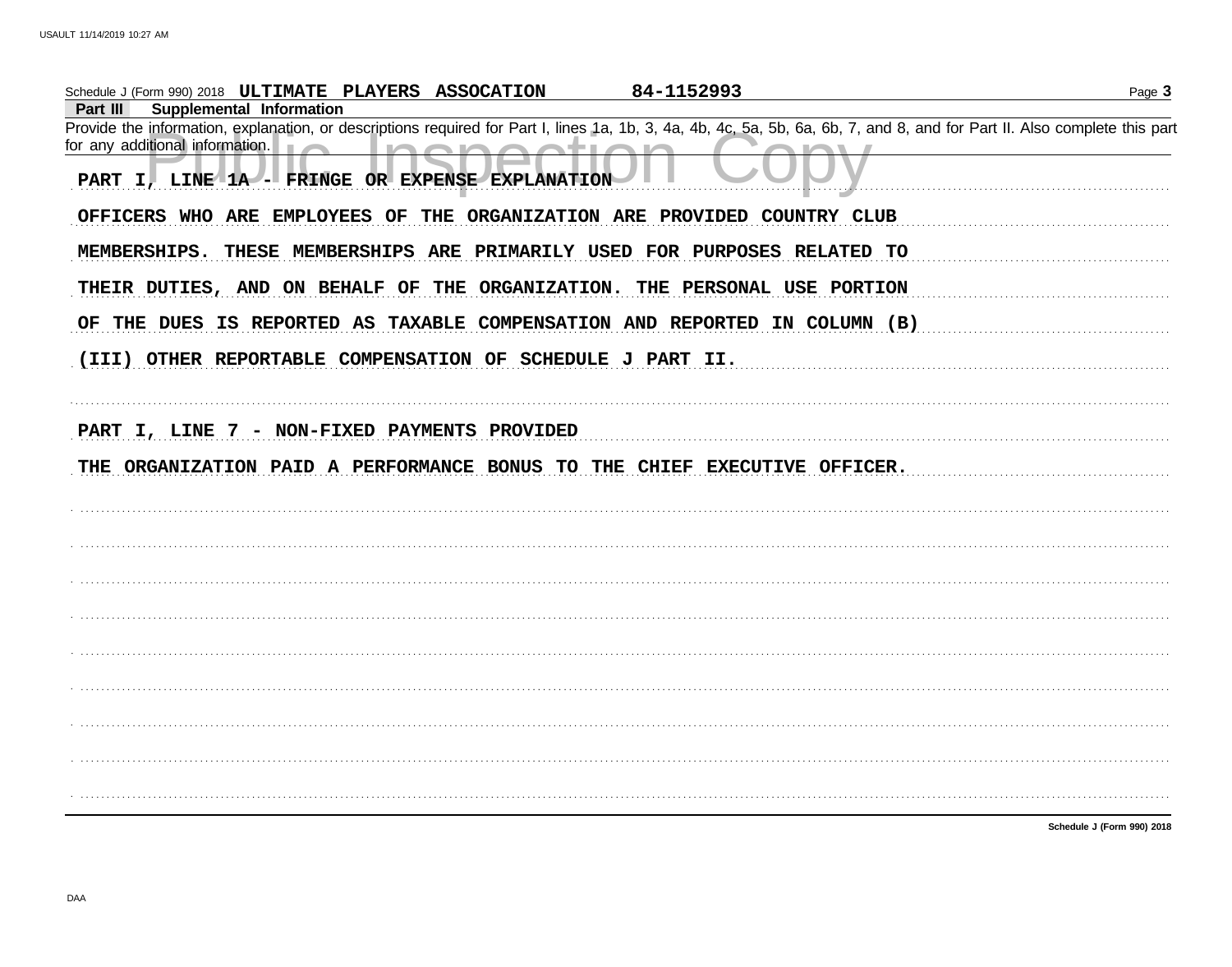| Schedule J (Form 990) 2018 ULTIMATE PLAYERS ASSOCATION                                                                                                                     | 84-1152993 | Page 3                     |
|----------------------------------------------------------------------------------------------------------------------------------------------------------------------------|------------|----------------------------|
| Part III<br>Supplemental Information                                                                                                                                       |            |                            |
| Provide the information, explanation, or descriptions required for Part I, lines 1a, 1b, 3, 4a, 4b, 4c, 5a, 5b, 6a, 6b, 7, and 8, and for Part II. Also complete this part |            |                            |
| for any additional information. $\Box$                                                                                                                                     |            |                            |
| PART I, LINE 1A - FRINGE OR EXPENSE EXPLANATION                                                                                                                            |            |                            |
| OFFICERS WHO ARE EMPLOYEES OF THE ORGANIZATION ARE PROVIDED COUNTRY CLUB                                                                                                   |            |                            |
| MEMBERSHIPS. THESE MEMBERSHIPS ARE PRIMARILY USED FOR PURPOSES RELATED TO                                                                                                  |            |                            |
| THEIR DUTIES, AND ON BEHALF OF THE ORGANIZATION. THE PERSONAL USE PORTION                                                                                                  |            |                            |
| OF THE DUES IS REPORTED AS TAXABLE COMPENSATION AND REPORTED IN COLUMN (B)                                                                                                 |            |                            |
| (III) OTHER REPORTABLE COMPENSATION OF SCHEDULE J PART II.                                                                                                                 |            |                            |
|                                                                                                                                                                            |            |                            |
| PART I, LINE 7 - NON-FIXED PAYMENTS PROVIDED<br>THE ORGANIZATION PAID A PERFORMANCE BONUS TO THE CHIEF EXECUTIVE OFFICER.                                                  |            |                            |
|                                                                                                                                                                            |            |                            |
|                                                                                                                                                                            |            |                            |
|                                                                                                                                                                            |            |                            |
|                                                                                                                                                                            |            |                            |
|                                                                                                                                                                            |            |                            |
|                                                                                                                                                                            |            |                            |
|                                                                                                                                                                            |            |                            |
|                                                                                                                                                                            |            |                            |
|                                                                                                                                                                            |            |                            |
|                                                                                                                                                                            |            | Schedule J (Form 990) 2018 |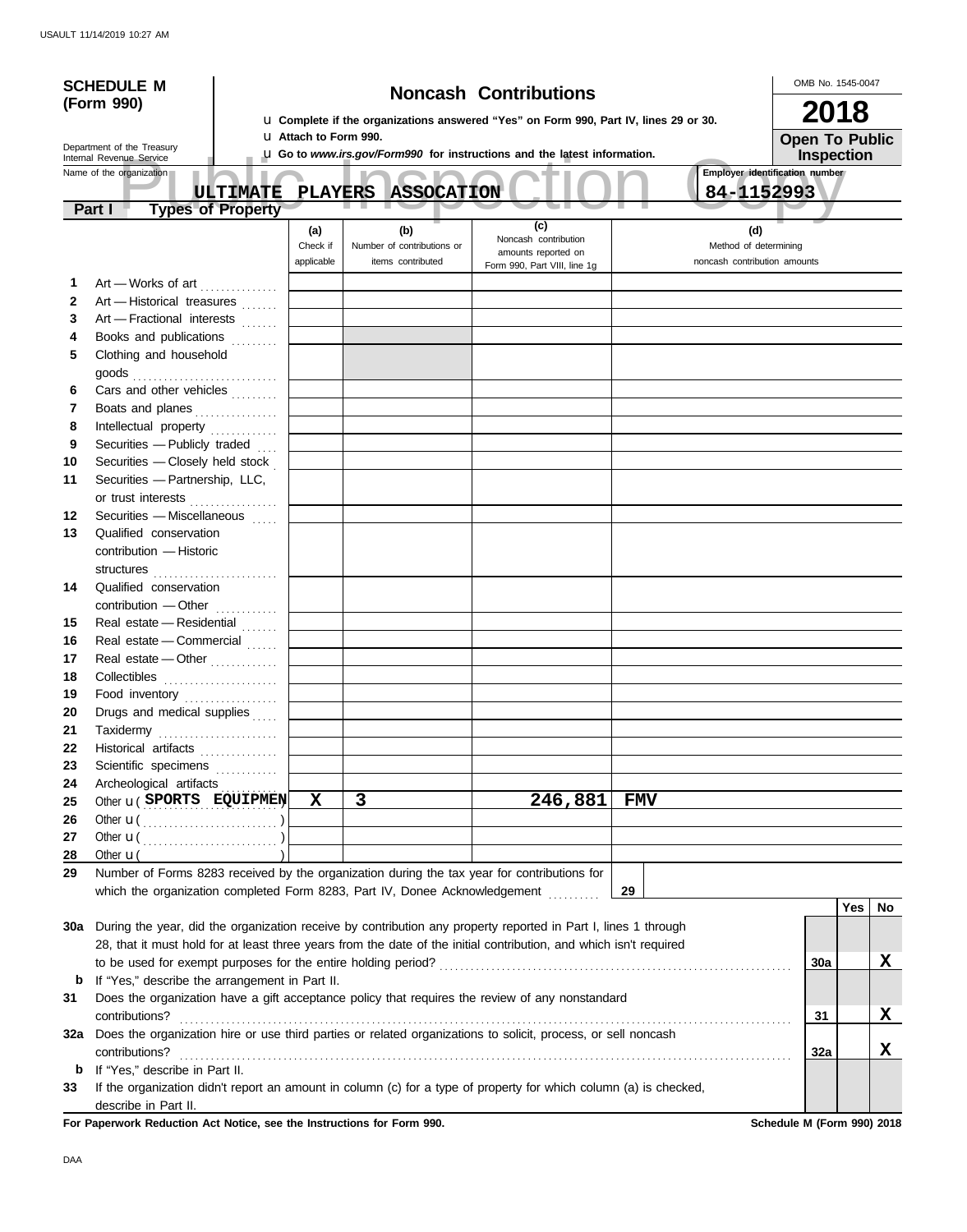| <b>SCHEDULE M</b> |                                                                                                                    |  |                                                                                                                        |                                     | <b>Noncash Contributions</b> |                                | OMB No. 1545-0047 |                  |
|-------------------|--------------------------------------------------------------------------------------------------------------------|--|------------------------------------------------------------------------------------------------------------------------|-------------------------------------|------------------------------|--------------------------------|-------------------|------------------|
|                   | (Form 990)                                                                                                         |  |                                                                                                                        |                                     |                              |                                | 2018              |                  |
|                   |                                                                                                                    |  | La Complete if the organizations answered "Yes" on Form 990, Part IV, lines 29 or 30.<br><b>LI Attach to Form 990.</b> |                                     |                              |                                |                   |                  |
|                   | Department of the Treasury<br>Internal Revenue Service                                                             |  | La Go to www.irs.gov/Form990 for instructions and the latest information.                                              | <b>Open To Public</b><br>Inspection |                              |                                |                   |                  |
|                   | Name of the organization                                                                                           |  |                                                                                                                        |                                     |                              | Employer identification number |                   |                  |
|                   | <b>ULTIMATE</b>                                                                                                    |  |                                                                                                                        | <b>PLAYERS ASSOCATION</b>           |                              | 84-1152993                     |                   |                  |
|                   | <b>Types of Property</b><br>Part I                                                                                 |  |                                                                                                                        |                                     |                              |                                |                   |                  |
|                   |                                                                                                                    |  | (a)                                                                                                                    | (b)                                 | (c)<br>Noncash contribution  | (d)                            |                   |                  |
|                   |                                                                                                                    |  | Check if                                                                                                               | Number of contributions or          | amounts reported on          | Method of determining          |                   |                  |
|                   |                                                                                                                    |  | applicable                                                                                                             | items contributed                   | Form 990, Part VIII, line 1g | noncash contribution amounts   |                   |                  |
| 1                 | Art - Works of art                                                                                                 |  |                                                                                                                        |                                     |                              |                                |                   |                  |
| $\mathbf{2}$      | Art - Historical treasures                                                                                         |  |                                                                                                                        |                                     |                              |                                |                   |                  |
| 3<br>4            | Art - Fractional interests<br>Books and publications                                                               |  |                                                                                                                        |                                     |                              |                                |                   |                  |
| 5                 | Clothing and household                                                                                             |  |                                                                                                                        |                                     |                              |                                |                   |                  |
|                   | goods                                                                                                              |  |                                                                                                                        |                                     |                              |                                |                   |                  |
| 6                 | Cars and other vehicles                                                                                            |  |                                                                                                                        |                                     |                              |                                |                   |                  |
| 7                 | Boats and planes                                                                                                   |  |                                                                                                                        |                                     |                              |                                |                   |                  |
| 8                 | Intellectual property                                                                                              |  |                                                                                                                        |                                     |                              |                                |                   |                  |
| 9                 | Securities - Publicly traded                                                                                       |  |                                                                                                                        |                                     |                              |                                |                   |                  |
| 10                | Securities - Closely held stock                                                                                    |  |                                                                                                                        |                                     |                              |                                |                   |                  |
| 11                | Securities - Partnership, LLC,                                                                                     |  |                                                                                                                        |                                     |                              |                                |                   |                  |
|                   | or trust interests                                                                                                 |  |                                                                                                                        |                                     |                              |                                |                   |                  |
| 12                | Securities - Miscellaneous                                                                                         |  |                                                                                                                        |                                     |                              |                                |                   |                  |
| 13                | Qualified conservation                                                                                             |  |                                                                                                                        |                                     |                              |                                |                   |                  |
|                   | contribution - Historic                                                                                            |  |                                                                                                                        |                                     |                              |                                |                   |                  |
| 14                | Qualified conservation                                                                                             |  |                                                                                                                        |                                     |                              |                                |                   |                  |
|                   | contribution - Other                                                                                               |  |                                                                                                                        |                                     |                              |                                |                   |                  |
| 15                | Real estate - Residential                                                                                          |  |                                                                                                                        |                                     |                              |                                |                   |                  |
| 16                | Real estate - Commercial                                                                                           |  |                                                                                                                        |                                     |                              |                                |                   |                  |
| 17                | Real estate - Other                                                                                                |  |                                                                                                                        |                                     |                              |                                |                   |                  |
| 18                |                                                                                                                    |  |                                                                                                                        |                                     |                              |                                |                   |                  |
| 19                | Food inventory                                                                                                     |  |                                                                                                                        |                                     |                              |                                |                   |                  |
| 20                | Drugs and medical supplies                                                                                         |  |                                                                                                                        |                                     |                              |                                |                   |                  |
| 21                | Taxidermy                                                                                                          |  |                                                                                                                        |                                     |                              |                                |                   |                  |
| 22                | Historical artifacts <b>Micropropriate</b>                                                                         |  |                                                                                                                        |                                     |                              |                                |                   |                  |
| 23                | Scientific specimens                                                                                               |  |                                                                                                                        |                                     |                              |                                |                   |                  |
| 24                | Archeological artifacts                                                                                            |  | $\mathbf x$                                                                                                            | $\mathbf{3}$                        |                              |                                |                   |                  |
| 25                | Other <b>u</b> (SPORTS EQUIPMEN)                                                                                   |  |                                                                                                                        |                                     | 246,881                      | <b>FMV</b>                     |                   |                  |
| 26<br>27          |                                                                                                                    |  |                                                                                                                        |                                     |                              |                                |                   |                  |
| 28                | Other $\mathbf{u}$                                                                                                 |  |                                                                                                                        |                                     |                              |                                |                   |                  |
| 29                | Number of Forms 8283 received by the organization during the tax year for contributions for                        |  |                                                                                                                        |                                     |                              |                                |                   |                  |
|                   | which the organization completed Form 8283, Part IV, Donee Acknowledgement                                         |  |                                                                                                                        |                                     |                              | 29                             |                   |                  |
|                   |                                                                                                                    |  |                                                                                                                        |                                     |                              |                                |                   | <b>Yes</b><br>No |
| 30a               | During the year, did the organization receive by contribution any property reported in Part I, lines 1 through     |  |                                                                                                                        |                                     |                              |                                |                   |                  |
|                   | 28, that it must hold for at least three years from the date of the initial contribution, and which isn't required |  |                                                                                                                        |                                     |                              |                                |                   |                  |
|                   |                                                                                                                    |  |                                                                                                                        |                                     |                              |                                | 30a               | X                |
| b                 | If "Yes," describe the arrangement in Part II.                                                                     |  |                                                                                                                        |                                     |                              |                                |                   |                  |
| 31                | Does the organization have a gift acceptance policy that requires the review of any nonstandard                    |  |                                                                                                                        |                                     |                              |                                |                   |                  |
|                   | contributions?                                                                                                     |  |                                                                                                                        |                                     |                              |                                | 31                | X                |
| 32a               | Does the organization hire or use third parties or related organizations to solicit, process, or sell noncash      |  |                                                                                                                        |                                     |                              |                                |                   |                  |
|                   | contributions?<br>If "Yes," describe in Part II.                                                                   |  |                                                                                                                        |                                     |                              |                                | 32a               | X                |
| b<br>33           | If the organization didn't report an amount in column (c) for a type of property for which column (a) is checked,  |  |                                                                                                                        |                                     |                              |                                |                   |                  |
|                   | describe in Part II.                                                                                               |  |                                                                                                                        |                                     |                              |                                |                   |                  |

For Paperwork Reduction Act Notice, see the Instructions for Form 990. Schedule M (Form 990) 2018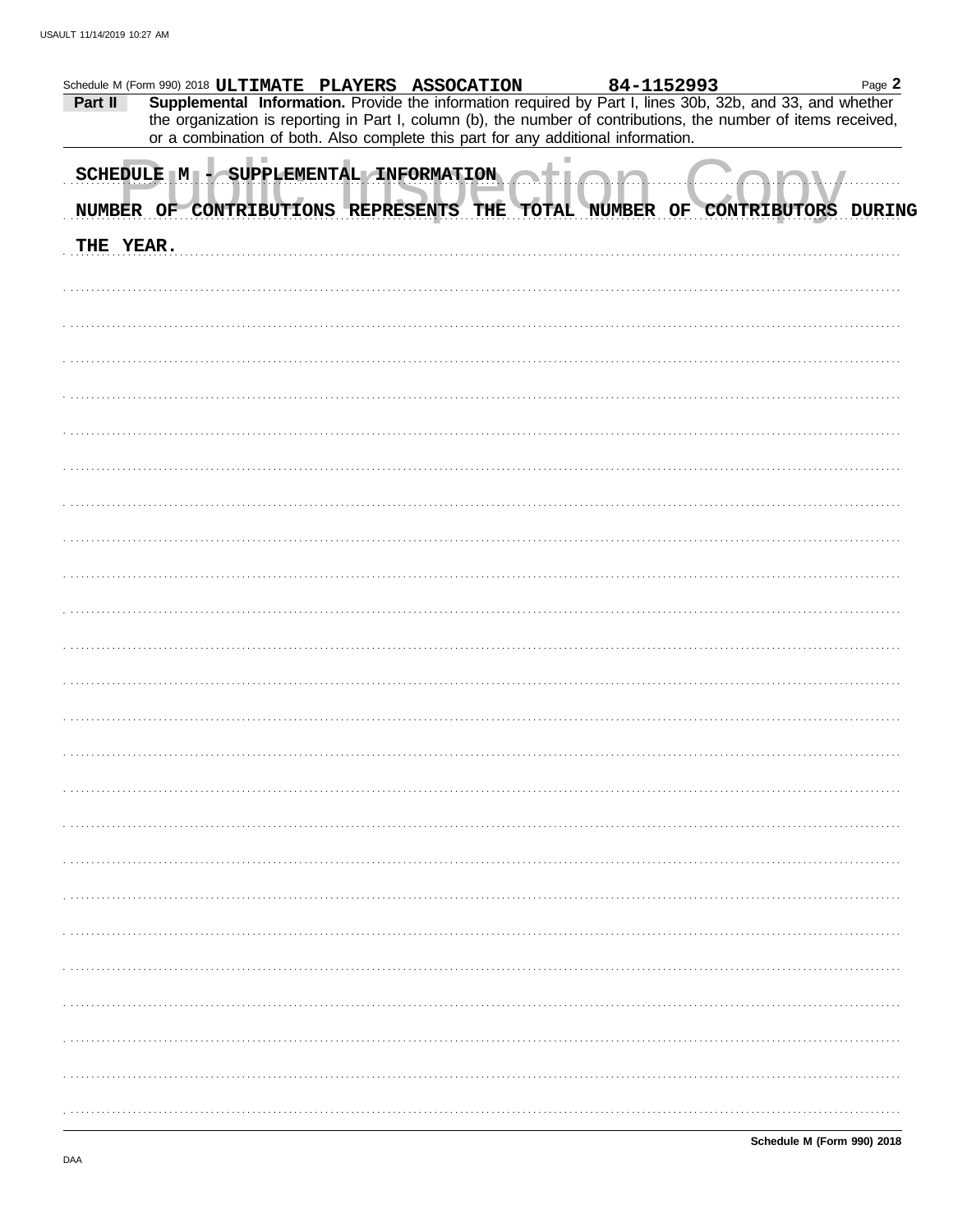|           | Schedule M (Form 990) 2018 ULTIMATE PLAYERS ASSOCATION                                                          |  |  |  | 84-1152993 | Page 2 |
|-----------|-----------------------------------------------------------------------------------------------------------------|--|--|--|------------|--------|
| Part II   | Supplemental Information. Provide the information required by Part I, lines 30b, 32b, and 33, and whether       |  |  |  |            |        |
|           | the organization is reporting in Part I, column (b), the number of contributions, the number of items received, |  |  |  |            |        |
|           | or a combination of both. Also complete this part for any additional information.                               |  |  |  |            |        |
|           | SCHEDULE M - SUPPLEMENTAL INFORMATION                                                                           |  |  |  |            |        |
|           |                                                                                                                 |  |  |  |            |        |
|           | NUMBER OF CONTRIBUTIONS REPRESENTS THE TOTAL NUMBER OF CONTRIBUTORS DURING                                      |  |  |  |            |        |
|           |                                                                                                                 |  |  |  |            |        |
| THE YEAR. |                                                                                                                 |  |  |  |            |        |
|           |                                                                                                                 |  |  |  |            |        |
|           |                                                                                                                 |  |  |  |            |        |
|           |                                                                                                                 |  |  |  |            |        |
|           |                                                                                                                 |  |  |  |            |        |
|           |                                                                                                                 |  |  |  |            |        |
|           |                                                                                                                 |  |  |  |            |        |
|           |                                                                                                                 |  |  |  |            |        |
|           |                                                                                                                 |  |  |  |            |        |
|           |                                                                                                                 |  |  |  |            |        |
|           |                                                                                                                 |  |  |  |            |        |
|           |                                                                                                                 |  |  |  |            |        |
|           |                                                                                                                 |  |  |  |            |        |
|           |                                                                                                                 |  |  |  |            |        |
|           |                                                                                                                 |  |  |  |            |        |
|           |                                                                                                                 |  |  |  |            |        |
|           |                                                                                                                 |  |  |  |            |        |
|           |                                                                                                                 |  |  |  |            |        |
|           |                                                                                                                 |  |  |  |            |        |
|           |                                                                                                                 |  |  |  |            |        |
|           |                                                                                                                 |  |  |  |            |        |
|           |                                                                                                                 |  |  |  |            |        |
|           |                                                                                                                 |  |  |  |            |        |
|           |                                                                                                                 |  |  |  |            |        |
|           |                                                                                                                 |  |  |  |            |        |
|           |                                                                                                                 |  |  |  |            |        |
|           |                                                                                                                 |  |  |  |            |        |
|           |                                                                                                                 |  |  |  |            |        |
|           |                                                                                                                 |  |  |  |            |        |
|           |                                                                                                                 |  |  |  |            |        |
|           |                                                                                                                 |  |  |  |            |        |
|           |                                                                                                                 |  |  |  |            |        |
|           |                                                                                                                 |  |  |  |            |        |
|           |                                                                                                                 |  |  |  |            |        |
|           |                                                                                                                 |  |  |  |            |        |
|           |                                                                                                                 |  |  |  |            |        |
|           |                                                                                                                 |  |  |  |            |        |
|           |                                                                                                                 |  |  |  |            |        |
|           |                                                                                                                 |  |  |  |            |        |
|           |                                                                                                                 |  |  |  |            |        |
|           |                                                                                                                 |  |  |  |            |        |
|           |                                                                                                                 |  |  |  |            |        |
|           |                                                                                                                 |  |  |  |            |        |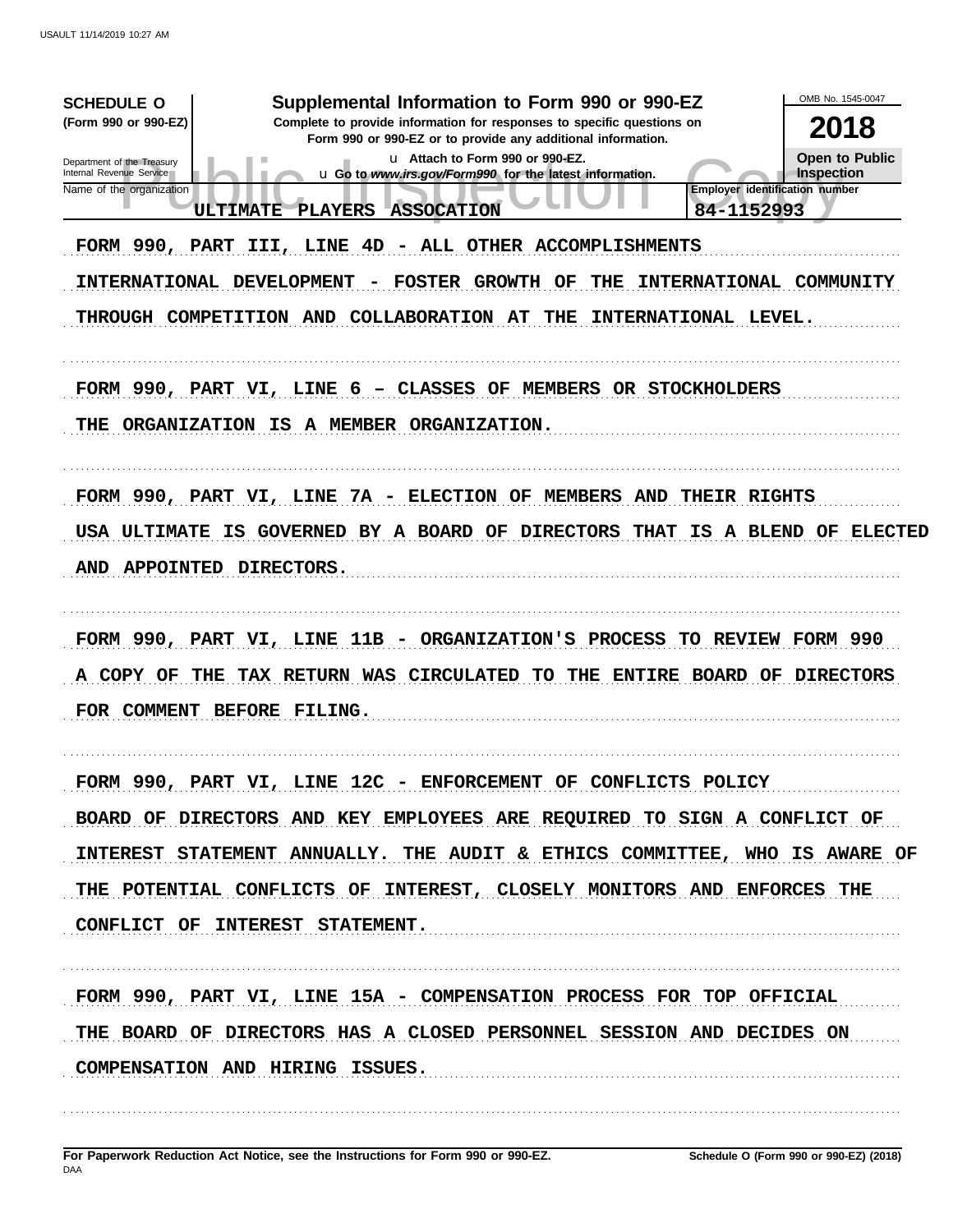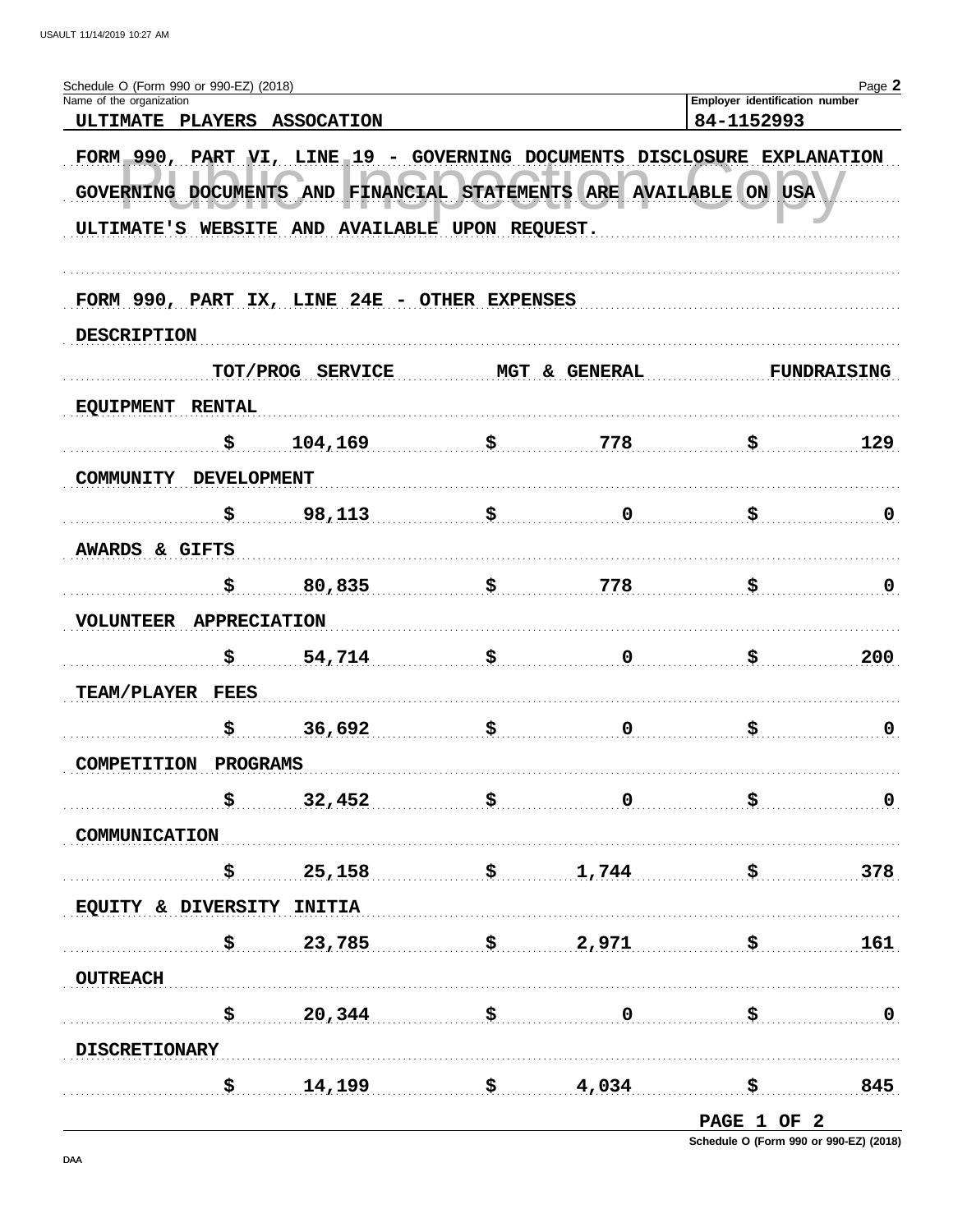| Schedule O (Form 990 or 990-EZ) (2018)<br>Name of the organization |                                                                      |                                                                         |                                                                                                 |                                           | Employer identification number | Page 2                  |
|--------------------------------------------------------------------|----------------------------------------------------------------------|-------------------------------------------------------------------------|-------------------------------------------------------------------------------------------------|-------------------------------------------|--------------------------------|-------------------------|
| ULTIMATE PLAYERS ASSOCATION                                        |                                                                      |                                                                         |                                                                                                 |                                           | 84-1152993                     |                         |
|                                                                    |                                                                      | FORM 990, PART VI, LINE 19 - GOVERNING DOCUMENTS DISCLOSURE EXPLANATION |                                                                                                 |                                           |                                |                         |
| GOVERNING DOCUMENTS AND                                            |                                                                      |                                                                         |                                                                                                 | FINANCIAL STATEMENTS ARE AVAILABLE ON USA |                                |                         |
|                                                                    |                                                                      | ULTIMATE'S WEBSITE AND AVAILABLE UPON REQUEST.                          |                                                                                                 |                                           |                                |                         |
|                                                                    |                                                                      | FORM 990, PART IX, LINE 24E - OTHER EXPENSES                            |                                                                                                 |                                           |                                |                         |
| <b>DESCRIPTION</b>                                                 |                                                                      |                                                                         |                                                                                                 |                                           |                                |                         |
|                                                                    |                                                                      | TOT/PROG SERVICE                                                        |                                                                                                 | MGT & GENERAL                             |                                | <b>FUNDRAISING</b>      |
| <b>EQUIPMENT</b>                                                   | <b>RENTAL</b>                                                        |                                                                         |                                                                                                 |                                           |                                |                         |
|                                                                    | \$                                                                   | 104,169                                                                 | \$                                                                                              | 778                                       | \$                             | 129                     |
| <b>COMMUNITY</b>                                                   | <b>DEVELOPMENT</b>                                                   |                                                                         |                                                                                                 |                                           |                                |                         |
|                                                                    | \$                                                                   | 98,113                                                                  | \$                                                                                              | 0                                         | \$                             | $\mathbf 0$             |
| AWARDS & GIFTS                                                     |                                                                      |                                                                         |                                                                                                 |                                           |                                |                         |
|                                                                    | \$                                                                   | 80,835                                                                  | \$                                                                                              | 778                                       | \$                             | $\mathbf 0$             |
| <b>VOLUNTEER</b>                                                   | <b>APPRECIATION</b>                                                  |                                                                         |                                                                                                 |                                           |                                |                         |
|                                                                    | \$                                                                   | 54,714                                                                  | \$                                                                                              | 0                                         | \$                             | 200                     |
| TEAM/PLAYER FEES                                                   |                                                                      |                                                                         |                                                                                                 |                                           |                                |                         |
|                                                                    | \$                                                                   | 36,692                                                                  | \$                                                                                              | $\mathbf 0$                               | \$                             | $\mathbf 0$             |
| COMPETITION PROGRAMS                                               |                                                                      |                                                                         |                                                                                                 |                                           |                                |                         |
|                                                                    | $\boldsymbol{\mathsf{S}}$                                            | 32,452                                                                  |                                                                                                 | $\overline{\mathbf{0}}$                   | $\ddot{\mathbf{s}}$            | $\overline{\mathbf{0}}$ |
| COMMUNICATION                                                      |                                                                      |                                                                         |                                                                                                 |                                           |                                |                         |
|                                                                    | $\mathbf{\dot{S}}_{\rm{eff}}$                                        | 25,158                                                                  | $\ddot{\mathbf{s}}$ . The contract of $\ddot{\mathbf{s}}$ . The contract of $\ddot{\mathbf{s}}$ | 1,744                                     | <u>. \$</u>                    | 378                     |
| EQUITY & DIVERSITY INITIA                                          |                                                                      |                                                                         |                                                                                                 |                                           |                                |                         |
|                                                                    | $\boldsymbol{\mathsf{S}}$ , and the set of $\boldsymbol{\mathsf{S}}$ |                                                                         |                                                                                                 | $23,785$ $\frac{2}{971}$ $\frac{1}{5}$    |                                | 161                     |
| <b>OUTREACH</b>                                                    |                                                                      |                                                                         |                                                                                                 |                                           |                                |                         |
|                                                                    | $\mathbf{S}$                                                         | $20,344$ $\frac{1}{20}$                                                 |                                                                                                 | $\overline{\mathbf{0}}$                   | $\boldsymbol{\mathsf{S}}$      | $\ldots$ 0              |
| <b>DISCRETIONARY</b>                                               |                                                                      |                                                                         |                                                                                                 |                                           |                                |                         |
|                                                                    | \$……                                                                 | $14,199$ \$ $4,034$                                                     |                                                                                                 |                                           |                                | 845                     |
|                                                                    |                                                                      |                                                                         |                                                                                                 |                                           | PAGE 1 OF 2                    |                         |

Schedule O (Form 990 or 990-EZ) (2018)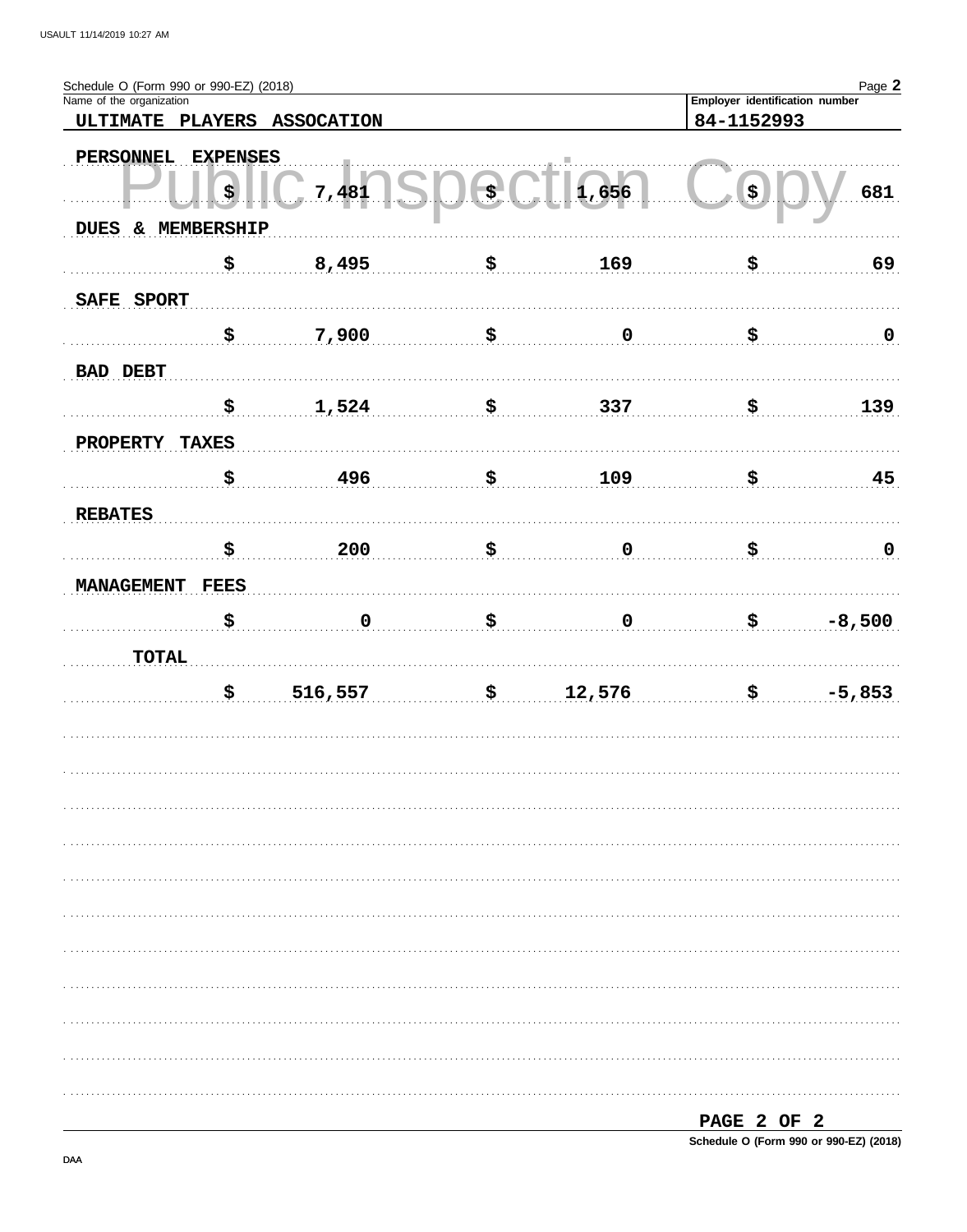| Schedule O (Form 990 or 990-EZ) (2018)<br>Name of the organization |                    |                             |      |             | Employer identification number | Page 2         |
|--------------------------------------------------------------------|--------------------|-----------------------------|------|-------------|--------------------------------|----------------|
|                                                                    |                    | ULTIMATE PLAYERS ASSOCATION |      |             | 84-1152993                     |                |
|                                                                    |                    |                             |      |             |                                |                |
| PERSONNEL                                                          | <b>EXPENSES</b>    |                             |      |             |                                |                |
|                                                                    | $\boldsymbol{\xi}$ | 7,481                       | \$., | 1,656       | $(\boldsymbol{\mathsf{s}})$    | 681            |
| DUES & MEMBERSHIP                                                  |                    |                             |      |             |                                |                |
|                                                                    |                    |                             |      |             |                                |                |
|                                                                    | \$                 | 8,495                       | \$   | 169         | \$                             | 69             |
| SAFE SPORT                                                         |                    |                             |      |             |                                |                |
|                                                                    | \$.                | 7,900                       | \$   | $\pmb{0}$   | \$                             |                |
|                                                                    |                    |                             |      |             |                                | $\overline{0}$ |
| <b>BAD DEBT</b>                                                    |                    |                             |      |             |                                |                |
|                                                                    | \$                 | 1,524                       | \$   | 337         | \$                             | 139            |
|                                                                    |                    |                             |      |             |                                |                |
| <b>PROPERTY</b>                                                    | <b>TAXES</b>       |                             |      |             |                                |                |
|                                                                    | \$                 | 496                         | \$   | 109         | \$                             | 45             |
| <b>REBATES</b>                                                     |                    |                             |      |             |                                |                |
|                                                                    |                    |                             |      |             |                                |                |
|                                                                    | \$                 | 200                         | \$   | $\mathbf 0$ | \$                             | $\overline{0}$ |
| <b>MANAGEMENT</b>                                                  | <b>FEES</b>        |                             |      |             |                                |                |
|                                                                    | \$                 | $\mathbf 0$                 | \$   | $\pmb{0}$   | \$                             | $-8,500$       |
|                                                                    |                    |                             |      |             |                                |                |
| <b>TOTAL</b>                                                       |                    |                             |      |             |                                |                |
|                                                                    | \$                 | 516,557                     | \$   | 12,576      | \$                             | $-5,853$       |
|                                                                    |                    |                             |      |             |                                |                |
|                                                                    |                    |                             |      |             |                                |                |
|                                                                    |                    |                             |      |             |                                |                |
|                                                                    |                    |                             |      |             |                                |                |
|                                                                    |                    |                             |      |             |                                |                |
|                                                                    |                    |                             |      |             |                                |                |
|                                                                    |                    |                             |      |             |                                |                |
|                                                                    |                    |                             |      |             |                                |                |
|                                                                    |                    |                             |      |             |                                |                |
|                                                                    |                    |                             |      |             |                                |                |
|                                                                    |                    |                             |      |             |                                |                |
|                                                                    |                    |                             |      |             |                                |                |
|                                                                    |                    |                             |      |             |                                |                |
|                                                                    |                    |                             |      |             |                                |                |
|                                                                    |                    |                             |      |             |                                |                |
|                                                                    |                    |                             |      |             | PAGE 2 OF 2                    |                |

Schedule O (Form 990 or 990-EZ) (2018)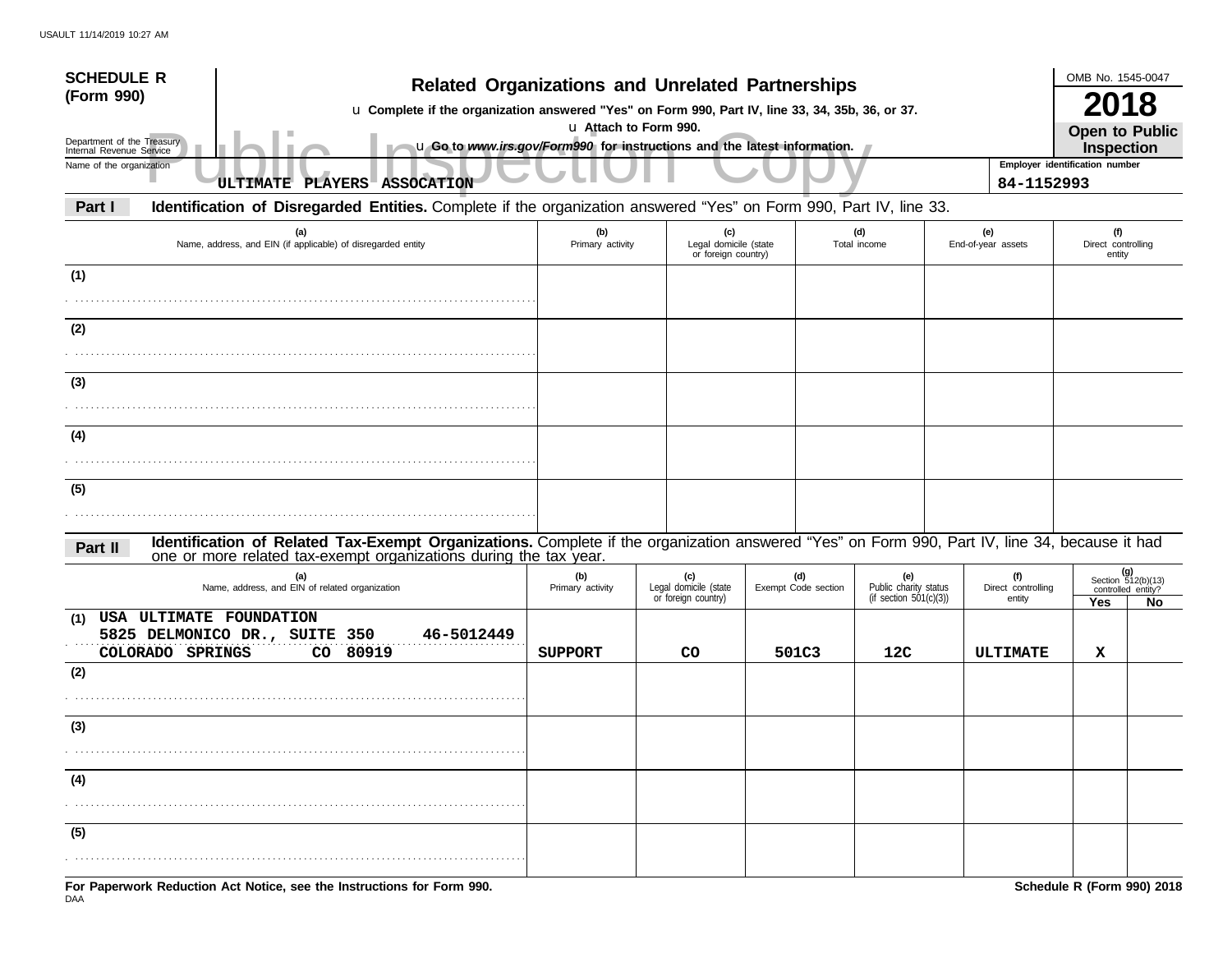| <b>SCHEDULE R</b><br>(Form 990)                                                                                                                                                                                               | <b>Related Organizations and Unrelated Partnerships</b><br>u Complete if the organization answered "Yes" on Form 990, Part IV, line 33, 34, 35b, 36, or 37. |                                                     |                            |                                                        |                                     |                                                        |     |  |
|-------------------------------------------------------------------------------------------------------------------------------------------------------------------------------------------------------------------------------|-------------------------------------------------------------------------------------------------------------------------------------------------------------|-----------------------------------------------------|----------------------------|--------------------------------------------------------|-------------------------------------|--------------------------------------------------------|-----|--|
| Department of the Treasury<br>u Go to www.irs.gov/Form990 for instructions and the latest information.<br>Internal Revenue Service                                                                                            | u Attach to Form 990.                                                                                                                                       |                                                     |                            |                                                        |                                     | <b>Open to Public</b><br>Inspection                    |     |  |
| Name of the organization<br>ULTIMATE PLAYERS ASSOCATION                                                                                                                                                                       |                                                                                                                                                             |                                                     |                            |                                                        | 84-1152993                          | Employer identification number                         |     |  |
| Identification of Disregarded Entities. Complete if the organization answered "Yes" on Form 990, Part IV, line 33.<br>Part I                                                                                                  |                                                                                                                                                             |                                                     |                            |                                                        |                                     |                                                        |     |  |
| (a)<br>Name, address, and EIN (if applicable) of disregarded entity                                                                                                                                                           | (b)<br>Primary activity                                                                                                                                     | (c)<br>Legal domicile (state<br>or foreign country) |                            | (d)<br>Total income                                    | (e)<br>End-of-year assets           | (f)<br>Direct controlling<br>entity                    |     |  |
| (1)                                                                                                                                                                                                                           |                                                                                                                                                             |                                                     |                            |                                                        |                                     |                                                        |     |  |
| (2)                                                                                                                                                                                                                           |                                                                                                                                                             |                                                     |                            |                                                        |                                     |                                                        |     |  |
| (3)                                                                                                                                                                                                                           |                                                                                                                                                             |                                                     |                            |                                                        |                                     |                                                        |     |  |
| (4)                                                                                                                                                                                                                           |                                                                                                                                                             |                                                     |                            |                                                        |                                     |                                                        |     |  |
|                                                                                                                                                                                                                               |                                                                                                                                                             |                                                     |                            |                                                        |                                     |                                                        |     |  |
| (5)                                                                                                                                                                                                                           |                                                                                                                                                             |                                                     |                            |                                                        |                                     |                                                        |     |  |
| Identification of Related Tax-Exempt Organizations. Complete if the organization answered "Yes" on Form 990, Part IV, line 34, because it had<br>Part II<br>one or more related tax-exempt organizations during the tax year. |                                                                                                                                                             |                                                     |                            |                                                        |                                     |                                                        |     |  |
| (a)<br>Name, address, and EIN of related organization                                                                                                                                                                         | (b)<br>Primary activity                                                                                                                                     | (c)<br>Legal domicile (state<br>or foreign country) | (d)<br>Exempt Code section | (e)<br>Public charity status<br>(if section 501(c)(3)) | (f)<br>Direct controlling<br>entity | (g)<br>Section 512(b)(13)<br>controlled entity?<br>Yes | No. |  |
| USA ULTIMATE FOUNDATION<br>(1)<br>5825 DELMONICO DR., SUITE 350<br>46-5012449<br>80919<br>COLORADO SPRINGS<br>CO                                                                                                              | <b>SUPPORT</b>                                                                                                                                              | CO                                                  | 501C3                      | 12C                                                    | ULTIMATE                            | х                                                      |     |  |
| (2)                                                                                                                                                                                                                           |                                                                                                                                                             |                                                     |                            |                                                        |                                     |                                                        |     |  |
| (3)                                                                                                                                                                                                                           |                                                                                                                                                             |                                                     |                            |                                                        |                                     |                                                        |     |  |
| (4)                                                                                                                                                                                                                           |                                                                                                                                                             |                                                     |                            |                                                        |                                     |                                                        |     |  |
| (5)                                                                                                                                                                                                                           |                                                                                                                                                             |                                                     |                            |                                                        |                                     |                                                        |     |  |
| For Paperwork Reduction Act Notice, see the Instructions for Form 990.                                                                                                                                                        |                                                                                                                                                             |                                                     |                            |                                                        |                                     | Schedule R (Form 990) 2018                             |     |  |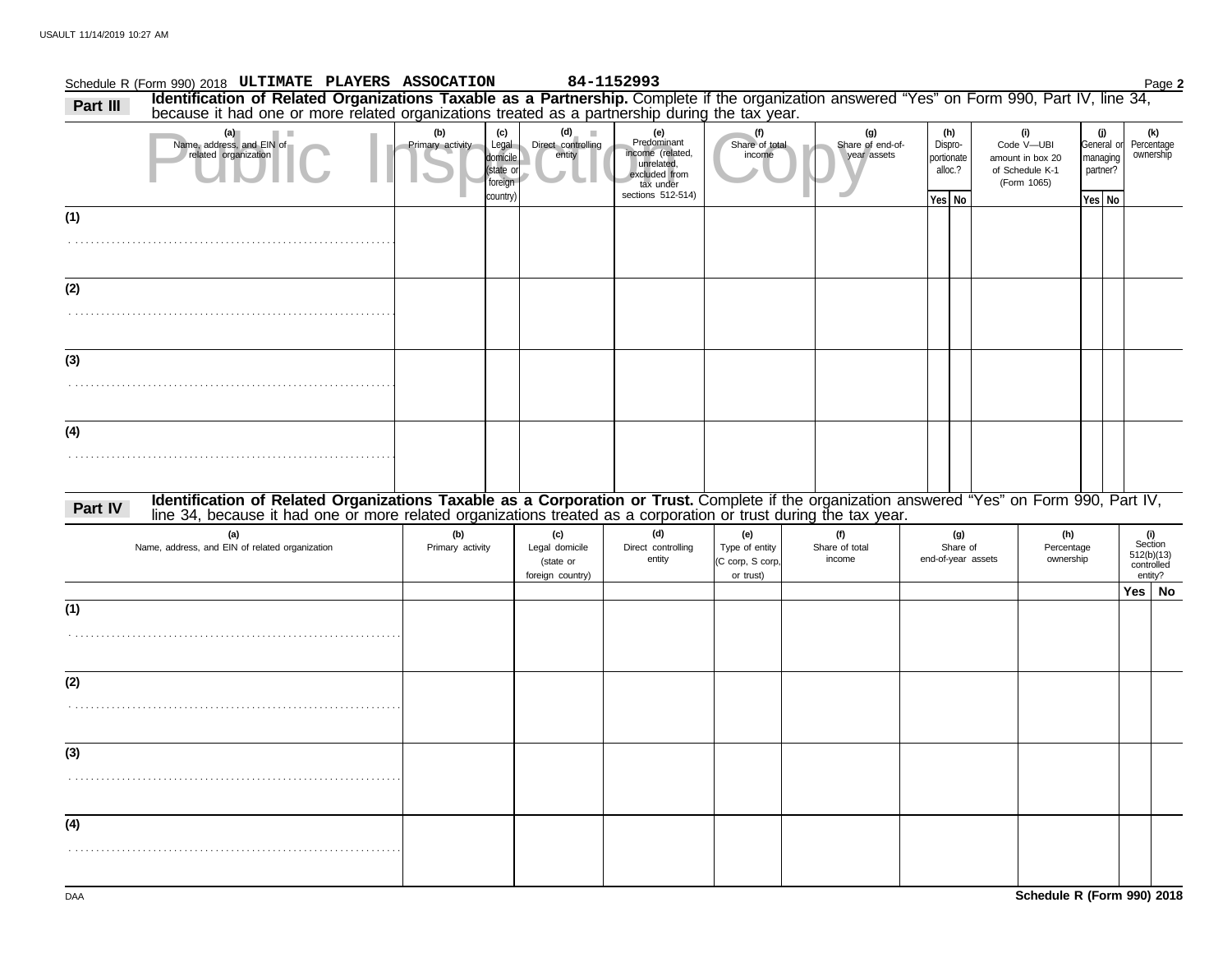|          | Schedule R (Form 990) 2018 ULTIMATE PLAYERS ASSOCATION                                                                                                                                                                         |                         |                                                            |                                                        | 84-1152993                                                                                              |                                                        |                                        |                                                   |                                       |                                                                         |                                                     | Page 2                                                |
|----------|--------------------------------------------------------------------------------------------------------------------------------------------------------------------------------------------------------------------------------|-------------------------|------------------------------------------------------------|--------------------------------------------------------|---------------------------------------------------------------------------------------------------------|--------------------------------------------------------|----------------------------------------|---------------------------------------------------|---------------------------------------|-------------------------------------------------------------------------|-----------------------------------------------------|-------------------------------------------------------|
| Part III | Identification of Related Organizations Taxable as a Partnership. Complete if the organization answered "Yes" on Form 990, Part IV, line 34, because it had one or more related organizations treated as a partnership during  |                         |                                                            |                                                        |                                                                                                         |                                                        |                                        |                                                   |                                       |                                                                         |                                                     |                                                       |
|          | (a)<br><b>The Contract</b><br>Name, address, and EIN of<br>related organization                                                                                                                                                | (b)<br>Primary activity | (c)<br>Legal<br>domicile<br>state or<br>foreign<br>country | (d)<br>Direct controlling<br>entity                    | (e)<br>Predominant<br>income (related,<br>unrelated,<br>excluded from<br>tax under<br>sections 512-514) | (f)<br>Share of total<br>income                        | (g)<br>Share of end-of-<br>year assets | (h)<br>Dispro-<br>portionate<br>alloc.?<br>Yes No |                                       | (i)<br>Code V-UBI<br>amount in box 20<br>of Schedule K-1<br>(Form 1065) | (j)<br>General or<br>managing<br>partner?<br>Yes No | (k)<br>Percentage<br>ownership                        |
| (1)      |                                                                                                                                                                                                                                |                         |                                                            |                                                        |                                                                                                         |                                                        |                                        |                                                   |                                       |                                                                         |                                                     |                                                       |
|          |                                                                                                                                                                                                                                |                         |                                                            |                                                        |                                                                                                         |                                                        |                                        |                                                   |                                       |                                                                         |                                                     |                                                       |
| (2)      |                                                                                                                                                                                                                                |                         |                                                            |                                                        |                                                                                                         |                                                        |                                        |                                                   |                                       |                                                                         |                                                     |                                                       |
|          |                                                                                                                                                                                                                                |                         |                                                            |                                                        |                                                                                                         |                                                        |                                        |                                                   |                                       |                                                                         |                                                     |                                                       |
| (3)      |                                                                                                                                                                                                                                |                         |                                                            |                                                        |                                                                                                         |                                                        |                                        |                                                   |                                       |                                                                         |                                                     |                                                       |
| (4)      |                                                                                                                                                                                                                                |                         |                                                            |                                                        |                                                                                                         |                                                        |                                        |                                                   |                                       |                                                                         |                                                     |                                                       |
|          |                                                                                                                                                                                                                                |                         |                                                            |                                                        |                                                                                                         |                                                        |                                        |                                                   |                                       |                                                                         |                                                     |                                                       |
| Part IV  | Identification of Related Organizations Taxable as a Corporation or Trust. Complete if the organization answered "Yes" on Form 990, Part IV, line 34, because it had one or more related organizations treated as a corporatio |                         |                                                            |                                                        |                                                                                                         |                                                        |                                        |                                                   |                                       |                                                                         |                                                     |                                                       |
|          | (a)<br>Name, address, and EIN of related organization                                                                                                                                                                          | (b)<br>Primary activity |                                                            | (c)<br>Legal domicile<br>(state or<br>foreign country) | (d)<br>Direct controlling<br>entity                                                                     | (e)<br>Type of entity<br>(C corp, S corp,<br>or trust) | (f)<br>Share of total<br>income        |                                                   | (g)<br>Share of<br>end-of-year assets | (h)<br>Percentage<br>ownership                                          |                                                     | (i)<br>Section<br>512(b)(13)<br>controlled<br>entity? |
|          |                                                                                                                                                                                                                                |                         |                                                            |                                                        |                                                                                                         |                                                        |                                        |                                                   |                                       |                                                                         |                                                     | Yes   No                                              |
| (1)      |                                                                                                                                                                                                                                |                         |                                                            |                                                        |                                                                                                         |                                                        |                                        |                                                   |                                       |                                                                         |                                                     |                                                       |
| (2)      |                                                                                                                                                                                                                                |                         |                                                            |                                                        |                                                                                                         |                                                        |                                        |                                                   |                                       |                                                                         |                                                     |                                                       |
| (3)      |                                                                                                                                                                                                                                |                         |                                                            |                                                        |                                                                                                         |                                                        |                                        |                                                   |                                       |                                                                         |                                                     |                                                       |
|          |                                                                                                                                                                                                                                |                         |                                                            |                                                        |                                                                                                         |                                                        |                                        |                                                   |                                       |                                                                         |                                                     |                                                       |
| (4)      |                                                                                                                                                                                                                                |                         |                                                            |                                                        |                                                                                                         |                                                        |                                        |                                                   |                                       |                                                                         |                                                     |                                                       |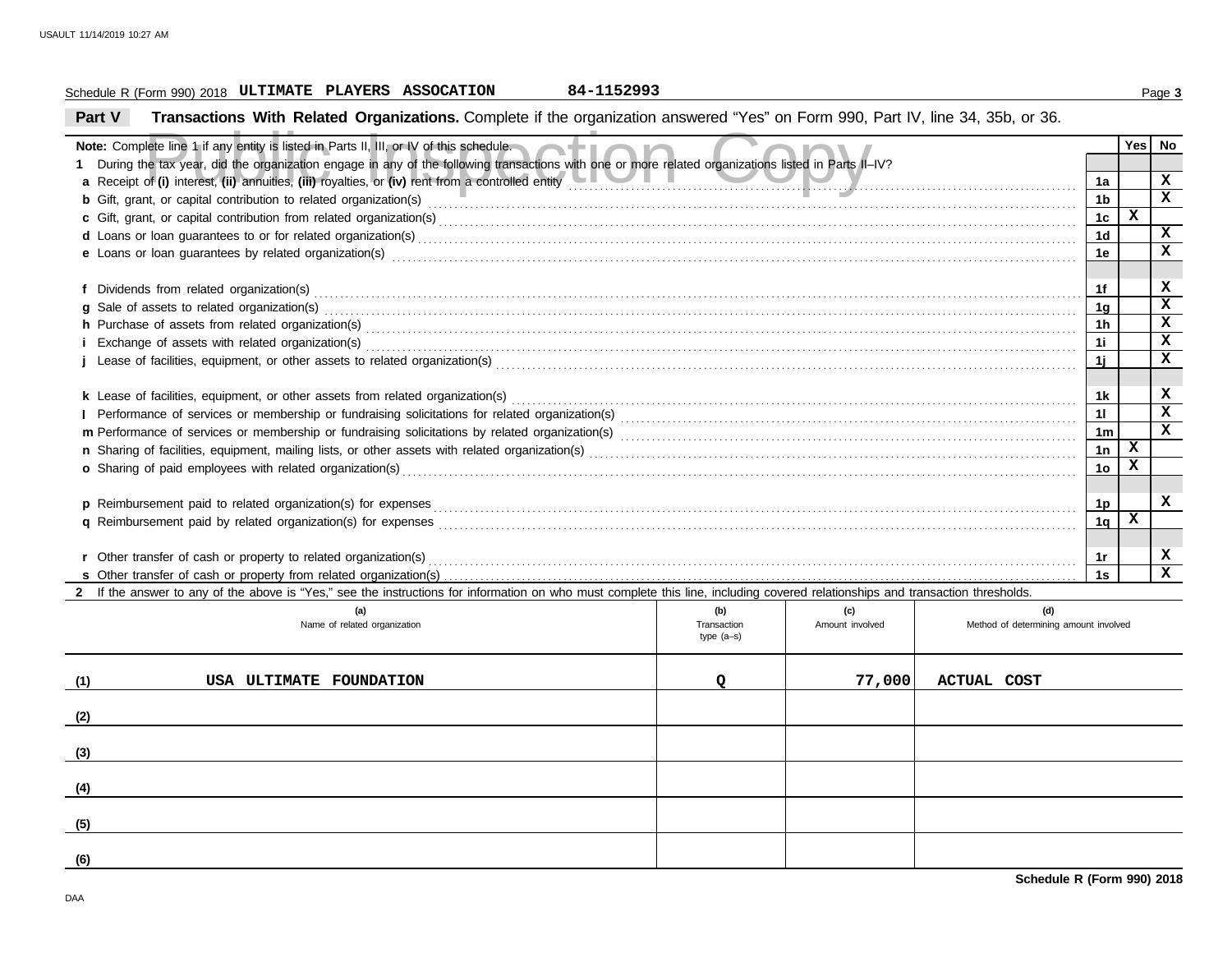## Schedule R (Form 990) 2018 Page **3 ULTIMATE PLAYERS ASSOCATION 84-1152993**

**Part V Transactions With Related Organizations.** Complete if the organization answered "Yes" on Form 990, Part IV, line 34, 35b, or 36.

|     | Note: Complete line 1 if any entity is listed in Parts II, III, or IV of this schedule.                                                                                         |                    |                        |                                              |                      | Yes          | No           |  |  |
|-----|---------------------------------------------------------------------------------------------------------------------------------------------------------------------------------|--------------------|------------------------|----------------------------------------------|----------------------|--------------|--------------|--|--|
|     |                                                                                                                                                                                 |                    |                        |                                              |                      |              |              |  |  |
|     | 1 During the tax year, did the organization engage in any of the following transactions with one or more related organizations listed in Parts II-IV?                           |                    |                        |                                              |                      |              |              |  |  |
|     |                                                                                                                                                                                 |                    |                        |                                              |                      |              |              |  |  |
|     |                                                                                                                                                                                 |                    |                        |                                              | 1b<br>1 <sub>c</sub> | x            | $\mathbf{x}$ |  |  |
|     |                                                                                                                                                                                 |                    |                        |                                              | 1 <sub>d</sub>       |              | $\mathbf{x}$ |  |  |
|     | e Loans or loan guarantees by related organization(s) encourance contained and contained a loans or loan guarantees by related organization(s)                                  |                    |                        |                                              | 1e                   |              | x            |  |  |
|     |                                                                                                                                                                                 |                    |                        |                                              |                      |              |              |  |  |
|     |                                                                                                                                                                                 |                    |                        |                                              | 1f                   |              | x            |  |  |
|     | g Sale of assets to related organization(s) encourance contained and contained and contained and contained and contained and contained and contained and stated organization(s) |                    |                        |                                              | 1 <sub>q</sub>       |              | $\mathbf x$  |  |  |
|     |                                                                                                                                                                                 |                    |                        |                                              | 1 <sub>h</sub>       |              | $\mathbf{x}$ |  |  |
|     |                                                                                                                                                                                 |                    |                        |                                              | 1i                   |              | $\mathbf x$  |  |  |
|     |                                                                                                                                                                                 |                    |                        |                                              | 1i                   |              | $\mathbf x$  |  |  |
|     |                                                                                                                                                                                 |                    |                        |                                              |                      |              |              |  |  |
|     |                                                                                                                                                                                 |                    |                        |                                              | 1k                   |              | x<br>X       |  |  |
| 11  |                                                                                                                                                                                 |                    |                        |                                              |                      |              |              |  |  |
|     |                                                                                                                                                                                 |                    |                        |                                              | 1m                   |              | x            |  |  |
|     |                                                                                                                                                                                 |                    |                        |                                              | 1n                   | X            |              |  |  |
|     | <b>o</b> Sharing of paid employees with related organization(s)                                                                                                                 |                    |                        |                                              | 1 <sub>o</sub>       | $\mathbf{x}$ |              |  |  |
|     |                                                                                                                                                                                 |                    |                        |                                              |                      |              |              |  |  |
|     |                                                                                                                                                                                 |                    |                        |                                              | 1p                   |              | x            |  |  |
|     |                                                                                                                                                                                 |                    |                        |                                              | 1q                   | x            |              |  |  |
|     |                                                                                                                                                                                 |                    |                        |                                              |                      |              |              |  |  |
|     |                                                                                                                                                                                 |                    |                        |                                              | 1r                   |              | x            |  |  |
|     |                                                                                                                                                                                 |                    |                        |                                              | 1s                   |              | $\mathbf{x}$ |  |  |
|     | 2 If the answer to any of the above is "Yes," see the instructions for information on who must complete this line, including covered relationships and transaction thresholds.  |                    |                        |                                              |                      |              |              |  |  |
|     | (a)<br>Name of related organization                                                                                                                                             | (b)<br>Transaction | (c)<br>Amount involved | (d)<br>Method of determining amount involved |                      |              |              |  |  |
|     |                                                                                                                                                                                 | type $(a-s)$       |                        |                                              |                      |              |              |  |  |
|     |                                                                                                                                                                                 |                    |                        |                                              |                      |              |              |  |  |
| (1) | USA ULTIMATE FOUNDATION                                                                                                                                                         | Q                  | 77,000                 | <b>ACTUAL COST</b>                           |                      |              |              |  |  |
|     |                                                                                                                                                                                 |                    |                        |                                              |                      |              |              |  |  |
| (2) |                                                                                                                                                                                 |                    |                        |                                              |                      |              |              |  |  |
|     |                                                                                                                                                                                 |                    |                        |                                              |                      |              |              |  |  |
| (3) |                                                                                                                                                                                 |                    |                        |                                              |                      |              |              |  |  |
|     |                                                                                                                                                                                 |                    |                        |                                              |                      |              |              |  |  |

**(4)**

**(5)**

**(6)**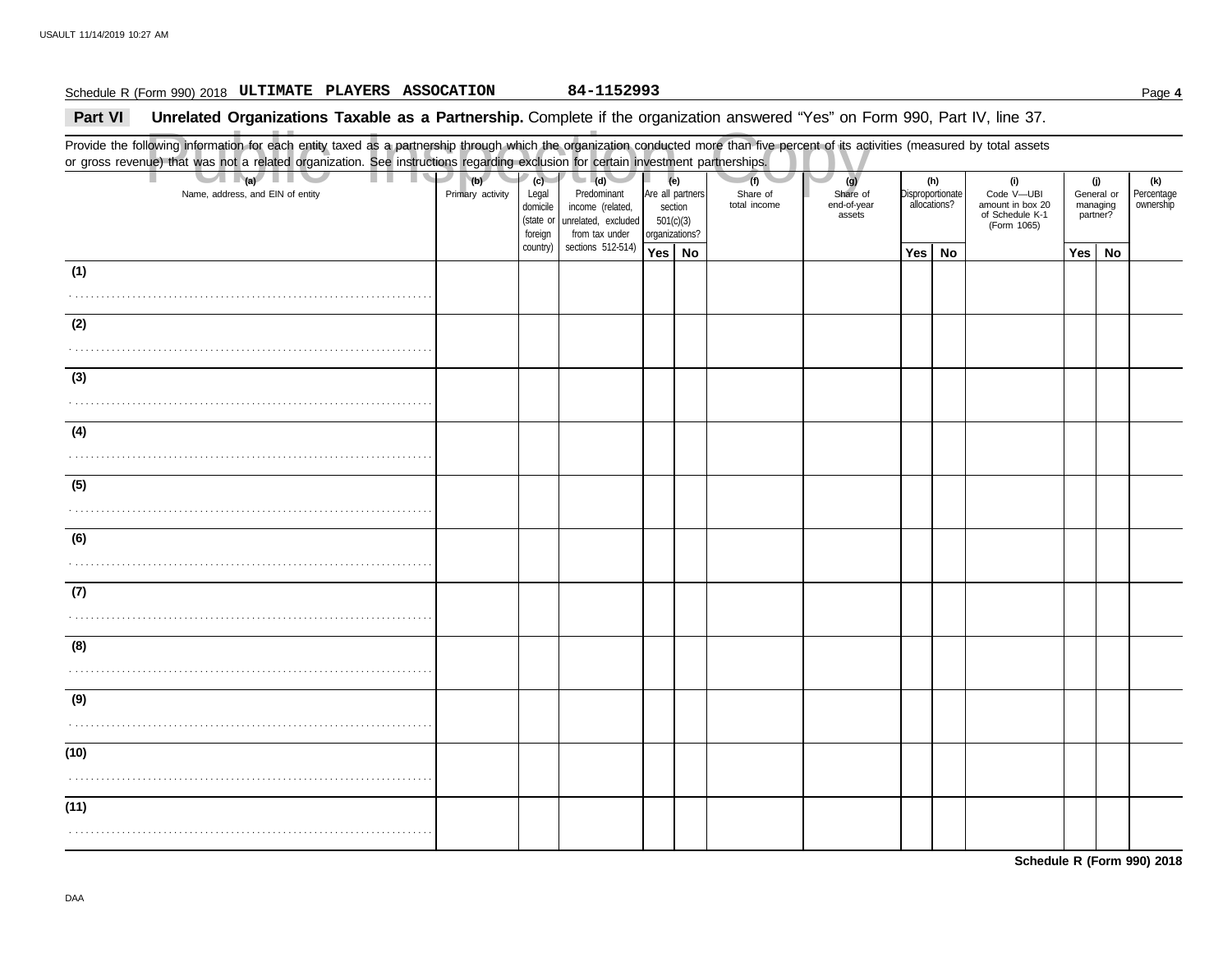## Schedule R (Form 990) 2018 Page **4 ULTIMATE PLAYERS ASSOCATION 84-1152993**

## **Part VI** Unrelated Organizations Taxable as a Partnership. Complete if the organization answered "Yes" on Form 990, Part IV, line 37.

Public Inspection Copy Provide the following information for each entity taxed as a partnership through which the organization conducted more than five percent of its activities (measured by total assets or gross revenue) that was not a related organization. See instructions regarding exclusion for certain investment partnerships. Name, address, and EIN of entity **Primary activity** Legal domicile (state or Are all partners section 501(c)(3) organizations? Share of end-of-year assets **Disproportionate** allocations? Code V—UBI amount in box 20 of Schedule K-1 General or managing partner? **(a) (b) (c) (e) (g) (h) (i) (j)** . . . . . . . . . . . . . . . . . . . . . . . . . . . . . . . . . . . . . . . . . . . . . . . . . . . . . . . . . . . . . . . . . . . . . . **Yes No Yes No Yes No** . . . . . . . . . . . . . . . . . . . . . . . . . . . . . . . . . . . . . . . . . . . . . . . . . . . . . . . . . . . . . . . . . . . . . . . . . . . . . . . . . . . . . . . . . . . . . . . . . . . . . . . . . . . . . . . . . . . . . . . . . . . . . . . . . . . . . . . . . . . . . . . . . . . . . . . . . . . . . . . . . . . . . . . . . . . . . . . . . . . . . . . . . . . . . . . . . . . . . . . . . . . . . . . . . . . . . . . . . . . . . . . . . . . . . . . . . . . . . . . . . . . . . . . . . . . . . . . . . . . . . . . . . . . . . . . . . . . . . . . . . . . . . . . . . . . . . . . . . . . . . . . . . . . . . . . . . . . . . . . . . . . . . . . . . . . . . . . . . . . . . . . . . . . . . . . . . . . . . . . . . . . . . . . . . . . . . . . . . . . . . . . . . . . . . . . . . . . . . . . . . . . . . . . . . . . . . . . . . . . . . . . . . . . . . . . . . . . . . . . . . . . . . . . . . . . . . . . . . . . . . . . . . . . . . . . . . . . . . . . . . . . . . . . . . . . . . . . . . . . . . . . . . . . . . . . . . . . . . . . . . . . . . . . . . . . . . . . . . . . . . . . . . . . . . . . . . . . . . . . . . . . . . . . . . . . . . . . . . . . . . . . . . . . . . . . . . . . . . . . . . . . . . . . . . . . . . . . . . . . . . . . . . . . . . . . . . . . . . . . . . . . . . . . . . . . . . . . . . . . . . . . . . . . . . . . . . . . . . . . . . . . . . . . . . . . . . . . . . . . . (Form 1065) **(1) (2) (3) (4) (5) (6) (7) (8) (9) (10) (11) (d)** unrelated, excluded income (related, Predominant from tax under sections 512-514) foreign country) **(f)** total income Share of **(k)** ownership Percentage

**Schedule R (Form 990) 2018**

DAA